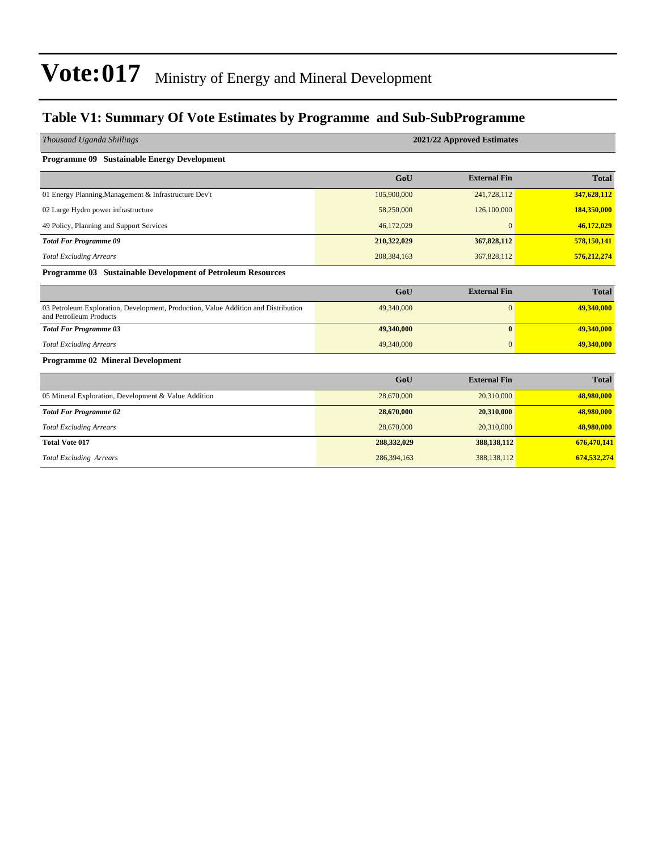### **Table V1: Summary Of Vote Estimates by Programme and Sub-SubProgramme**

| 2021/22 Approved Estimates |                     |              |  |  |  |
|----------------------------|---------------------|--------------|--|--|--|
|                            |                     |              |  |  |  |
| GoU                        | <b>External Fin</b> | <b>Total</b> |  |  |  |
| 105,900,000                | 241,728,112         | 347,628,112  |  |  |  |
| 58,250,000                 | 126,100,000         | 184,350,000  |  |  |  |
| 46,172,029                 | $\mathbf{0}$        | 46,172,029   |  |  |  |
| 210,322,029                | 367,828,112         | 578,150,141  |  |  |  |
| 208, 384, 163              | 367,828,112         | 576,212,274  |  |  |  |
|                            |                     |              |  |  |  |
| GoU                        | <b>External Fin</b> | <b>Total</b> |  |  |  |
| 49,340,000                 | $\mathbf{0}$        | 49,340,000   |  |  |  |
| 49,340,000                 | $\bf{0}$            | 49,340,000   |  |  |  |
| 49,340,000                 | $\mathbf{0}$        | 49,340,000   |  |  |  |
|                            |                     |              |  |  |  |
| GoU                        | <b>External Fin</b> | <b>Total</b> |  |  |  |
| 28,670,000                 | 20,310,000          | 48,980,000   |  |  |  |
| 28,670,000                 | 20,310,000          | 48,980,000   |  |  |  |
| 28,670,000                 | 20,310,000          | 48,980,000   |  |  |  |
| 288,332,029                | 388,138,112         | 676,470,141  |  |  |  |
| 286,394,163                | 388,138,112         | 674,532,274  |  |  |  |
|                            |                     |              |  |  |  |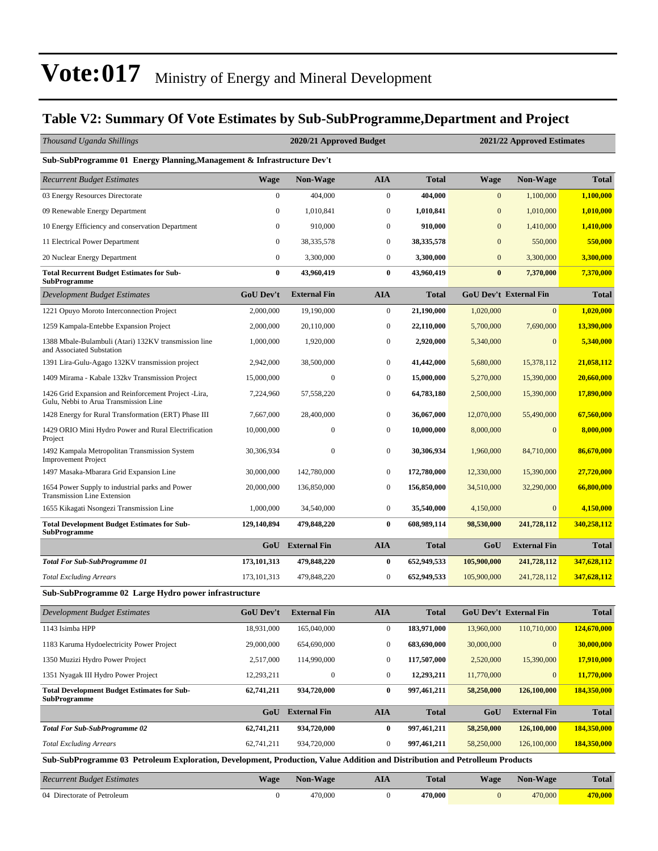### **Table V2: Summary Of Vote Estimates by Sub-SubProgramme,Department and Project**

| Thousand Uganda Shillings                                                                                                   |                  | 2020/21 Approved Budget |                  |              |                  | 2021/22 Approved Estimates    |              |
|-----------------------------------------------------------------------------------------------------------------------------|------------------|-------------------------|------------------|--------------|------------------|-------------------------------|--------------|
| Sub-SubProgramme 01 Energy Planning, Management & Infrastructure Dev't                                                      |                  |                         |                  |              |                  |                               |              |
| Recurrent Budget Estimates                                                                                                  | <b>Wage</b>      | Non-Wage                | <b>AIA</b>       | <b>Total</b> | <b>Wage</b>      | <b>Non-Wage</b>               | <b>Total</b> |
| 03 Energy Resources Directorate                                                                                             | $\mathbf{0}$     | 404,000                 | $\boldsymbol{0}$ | 404,000      | $\bf{0}$         | 1,100,000                     | 1,100,000    |
| 09 Renewable Energy Department                                                                                              | $\mathbf{0}$     | 1,010,841               | $\boldsymbol{0}$ | 1,010,841    | $\mathbf{0}$     | 1,010,000                     | 1,010,000    |
| 10 Energy Efficiency and conservation Department                                                                            | $\mathbf{0}$     | 910,000                 | $\boldsymbol{0}$ | 910,000      | $\mathbf{0}$     | 1,410,000                     | 1,410,000    |
| 11 Electrical Power Department                                                                                              | $\mathbf{0}$     | 38,335,578              | $\boldsymbol{0}$ | 38, 335, 578 | $\overline{0}$   | 550,000                       | 550,000      |
| 20 Nuclear Energy Department                                                                                                | $\mathbf{0}$     | 3,300,000               | $\boldsymbol{0}$ | 3,300,000    | $\boldsymbol{0}$ | 3,300,000                     | 3,300,000    |
| <b>Total Recurrent Budget Estimates for Sub-</b><br>SubProgramme                                                            | $\bf{0}$         | 43,960,419              | $\bf{0}$         | 43,960,419   | $\boldsymbol{0}$ | 7,370,000                     | 7,370,000    |
| <b>Development Budget Estimates</b>                                                                                         | <b>GoU Dev't</b> | <b>External Fin</b>     | <b>AIA</b>       | <b>Total</b> |                  | <b>GoU Dev't External Fin</b> | <b>Total</b> |
| 1221 Opuyo Moroto Interconnection Project                                                                                   | 2,000,000        | 19,190,000              | $\boldsymbol{0}$ | 21,190,000   | 1,020,000        | $\overline{0}$                | 1,020,000    |
| 1259 Kampala-Entebbe Expansion Project                                                                                      | 2,000,000        | 20,110,000              | $\boldsymbol{0}$ | 22,110,000   | 5,700,000        | 7,690,000                     | 13,390,000   |
| 1388 Mbale-Bulambuli (Atari) 132KV transmission line<br>and Associated Substation                                           | 1,000,000        | 1,920,000               | $\boldsymbol{0}$ | 2,920,000    | 5,340,000        | $\mathbf{0}$                  | 5,340,000    |
| 1391 Lira-Gulu-Agago 132KV transmission project                                                                             | 2,942,000        | 38,500,000              | $\boldsymbol{0}$ | 41,442,000   | 5,680,000        | 15,378,112                    | 21,058,112   |
| 1409 Mirama - Kabale 132kv Transmission Project                                                                             | 15,000,000       | $\mathbf{0}$            | $\boldsymbol{0}$ | 15,000,000   | 5,270,000        | 15,390,000                    | 20,660,000   |
| 1426 Grid Expansion and Reinforcement Project -Lira,<br>Gulu, Nebbi to Arua Transmission Line                               | 7,224,960        | 57,558,220              | $\boldsymbol{0}$ | 64,783,180   | 2,500,000        | 15,390,000                    | 17,890,000   |
| 1428 Energy for Rural Transformation (ERT) Phase III                                                                        | 7,667,000        | 28,400,000              | $\boldsymbol{0}$ | 36,067,000   | 12,070,000       | 55,490,000                    | 67,560,000   |
| 1429 ORIO Mini Hydro Power and Rural Electrification<br>Project                                                             | 10,000,000       | $\mathbf{0}$            | $\boldsymbol{0}$ | 10,000,000   | 8,000,000        | $\Omega$                      | 8,000,000    |
| 1492 Kampala Metropolitan Transmission System<br><b>Improvement Project</b>                                                 | 30,306,934       | 0                       | $\boldsymbol{0}$ | 30,306,934   | 1,960,000        | 84,710,000                    | 86,670,000   |
| 1497 Masaka-Mbarara Grid Expansion Line                                                                                     | 30,000,000       | 142,780,000             | $\boldsymbol{0}$ | 172,780,000  | 12,330,000       | 15,390,000                    | 27,720,000   |
| 1654 Power Supply to industrial parks and Power<br><b>Transmission Line Extension</b>                                       | 20,000,000       | 136,850,000             | $\boldsymbol{0}$ | 156,850,000  | 34,510,000       | 32,290,000                    | 66,800,000   |
| 1655 Kikagati Nsongezi Transmission Line                                                                                    | 1,000,000        | 34,540,000              | $\boldsymbol{0}$ | 35,540,000   | 4,150,000        | $\mathbf{0}$                  | 4,150,000    |
| <b>Total Development Budget Estimates for Sub-</b><br><b>SubProgramme</b>                                                   | 129,140,894      | 479,848,220             | $\bf{0}$         | 608,989,114  | 98,530,000       | 241,728,112                   | 340,258,112  |
|                                                                                                                             | GoU              | <b>External Fin</b>     | <b>AIA</b>       | <b>Total</b> | GoU              | <b>External Fin</b>           | <b>Total</b> |
| Total For Sub-SubProgramme 01                                                                                               | 173,101,313      | 479,848,220             | $\bf{0}$         | 652,949,533  | 105,900,000      | 241,728,112                   | 347,628,112  |
| <b>Total Excluding Arrears</b>                                                                                              | 173, 101, 313    | 479,848,220             | $\boldsymbol{0}$ | 652,949,533  | 105,900,000      | 241,728,112                   | 347,628,112  |
| Sub-SubProgramme 02 Large Hydro power infrastructure                                                                        |                  |                         |                  |              |                  |                               |              |
| Development Budget Estimates                                                                                                | GoU Dev't        | <b>External Fin</b>     | <b>AIA</b>       | <b>Total</b> |                  | <b>GoU Dev't External Fin</b> | <b>Total</b> |
| 1143 Isimba HPP                                                                                                             | 18,931,000       | 165,040,000             | $\boldsymbol{0}$ | 183,971,000  | 13,960,000       | 110,710,000                   | 124,670,000  |
| 1183 Karuma Hydoelectricity Power Project                                                                                   | 29,000,000       | 654,690,000             | $\boldsymbol{0}$ | 683,690,000  | 30,000,000       | $\mathbf{0}$                  | 30,000,000   |
| 1350 Muzizi Hydro Power Project                                                                                             | 2,517,000        | 114,990,000             | 0                | 117,507,000  | 2,520,000        | 15,390,000                    | 17,910,000   |
| 1351 Nyagak III Hydro Power Project                                                                                         | 12,293,211       | $\boldsymbol{0}$        | $\boldsymbol{0}$ | 12,293,211   | 11,770,000       | $\mathbf{0}$                  | 11,770,000   |
| <b>Total Development Budget Estimates for Sub-</b><br><b>SubProgramme</b>                                                   | 62,741,211       | 934,720,000             | $\bf{0}$         | 997,461,211  | 58,250,000       | 126,100,000                   | 184,350,000  |
|                                                                                                                             | GoU              | <b>External Fin</b>     | <b>AIA</b>       | <b>Total</b> | GoU              | <b>External Fin</b>           | <b>Total</b> |
| <b>Total For Sub-SubProgramme 02</b>                                                                                        | 62,741,211       | 934,720,000             | $\bf{0}$         | 997,461,211  | 58,250,000       | 126,100,000                   | 184,350,000  |
| <b>Total Excluding Arrears</b>                                                                                              | 62,741,211       | 934,720,000             | $\boldsymbol{0}$ | 997,461,211  | 58,250,000       | 126,100,000                   | 184,350,000  |
| Sub-SubProgramme 03 Petroleum Exploration, Development, Production, Value Addition and Distribution and Petrolleum Products |                  |                         |                  |              |                  |                               |              |
| <b>Recurrent Budget Estimates</b>                                                                                           | <b>Wage</b>      | Non-Wage                | <b>AIA</b>       | <b>Total</b> | <b>Wage</b>      | Non-Wage                      | <b>Total</b> |
| 04 Directorate of Petroleum                                                                                                 | $\boldsymbol{0}$ | 470,000                 | $\boldsymbol{0}$ | 470,000      | $\bf{0}$         | 470,000                       | 470,000      |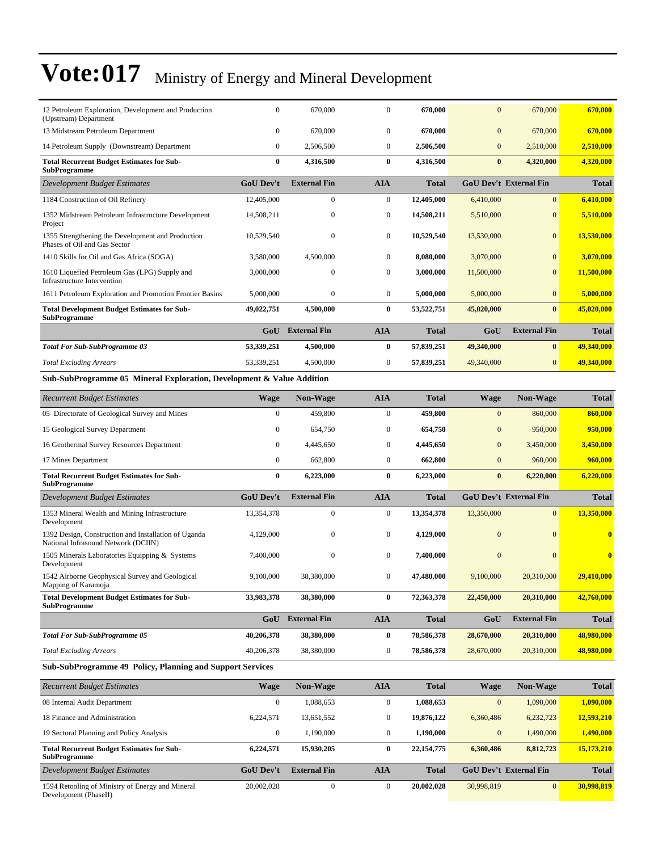| 12 Petroleum Exploration, Development and Production<br>(Upstream) Department               | $\mathbf{0}$     | 670,000             | $\boldsymbol{0}$ | 670,000      | $\mathbf{0}$     | 670,000                       | 670,000      |
|---------------------------------------------------------------------------------------------|------------------|---------------------|------------------|--------------|------------------|-------------------------------|--------------|
| 13 Midstream Petroleum Department                                                           | $\mathbf{0}$     | 670,000             | $\mathbf{0}$     | 670,000      | $\overline{0}$   | 670,000                       | 670,000      |
| 14 Petroleum Supply (Downstream) Department                                                 | $\mathbf{0}$     | 2,506,500           | $\mathbf{0}$     | 2,506,500    | $\overline{0}$   | 2,510,000                     | 2,510,000    |
| <b>Total Recurrent Budget Estimates for Sub-</b><br><b>SubProgramme</b>                     | $\boldsymbol{0}$ | 4,316,500           | $\bf{0}$         | 4,316,500    | $\bf{0}$         | 4,320,000                     | 4,320,000    |
| <b>Development Budget Estimates</b>                                                         | <b>GoU Dev't</b> | <b>External Fin</b> | <b>AIA</b>       | <b>Total</b> |                  | <b>GoU Dev't External Fin</b> | <b>Total</b> |
| 1184 Construction of Oil Refinery                                                           | 12,405,000       | $\Omega$            | $\mathbf{0}$     | 12,405,000   | 6,410,000        | $\overline{0}$                | 6.410.000    |
| 1352 Midstream Petroleum Infrastructure Development<br>Project                              | 14,508,211       | $\mathbf{0}$        | $\boldsymbol{0}$ | 14,508,211   | 5,510,000        | $\overline{0}$                | 5,510,000    |
| 1355 Strengthening the Development and Production<br>Phases of Oil and Gas Sector           | 10,529,540       | $\mathbf{0}$        | $\boldsymbol{0}$ | 10,529,540   | 13,530,000       | $\overline{0}$                | 13,530,000   |
| 1410 Skills for Oil and Gas Africa (SOGA)                                                   | 3,580,000        | 4,500,000           | $\mathbf{0}$     | 8,080,000    | 3,070,000        | $\overline{0}$                | 3,070,000    |
| 1610 Liquefied Petroleum Gas (LPG) Supply and<br><b>Infrastructure Intervention</b>         | 3,000,000        | $\mathbf{0}$        | $\mathbf{0}$     | 3,000,000    | 11,500,000       | $\overline{0}$                | 11,500,000   |
| 1611 Petroleum Exploration and Promotion Frontier Basins                                    | 5,000,000        | $\mathbf{0}$        | $\mathbf{0}$     | 5,000,000    | 5,000,000        | $\overline{0}$                | 5.000.000    |
| <b>Total Development Budget Estimates for Sub-</b><br><b>SubProgramme</b>                   | 49,022,751       | 4,500,000           | $\bf{0}$         | 53,522,751   | 45,020,000       | $\bf{0}$                      | 45,020,000   |
|                                                                                             | GoU              | <b>External Fin</b> | <b>AIA</b>       | <b>Total</b> | GoU              | <b>External Fin</b>           | <b>Total</b> |
| <b>Total For Sub-SubProgramme 03</b>                                                        | 53,339,251       | 4,500,000           | $\bf{0}$         | 57,839,251   | 49,340,000       | $\mathbf{0}$                  | 49,340,000   |
| <b>Total Excluding Arrears</b>                                                              | 53,339,251       | 4,500,000           | $\boldsymbol{0}$ | 57,839,251   | 49,340,000       | $\overline{0}$                | 49,340,000   |
|                                                                                             |                  |                     |                  |              |                  |                               |              |
| Sub-SubProgramme 05 Mineral Exploration, Development & Value Addition                       |                  |                     |                  |              |                  |                               |              |
| <b>Recurrent Budget Estimates</b>                                                           | <b>Wage</b>      | <b>Non-Wage</b>     | <b>AIA</b>       | <b>Total</b> | <b>Wage</b>      | <b>Non-Wage</b>               | <b>Total</b> |
| 05 Directorate of Geological Survey and Mines                                               | $\boldsymbol{0}$ | 459,800             | $\boldsymbol{0}$ | 459,800      | $\boldsymbol{0}$ | 860,000                       | 860,000      |
| 15 Geological Survey Department                                                             | $\mathbf{0}$     | 654,750             | $\boldsymbol{0}$ | 654,750      | $\mathbf{0}$     | 950,000                       | 950,000      |
| 16 Geothermal Survey Resources Department                                                   | $\mathbf{0}$     | 4,445,650           | $\mathbf{0}$     | 4,445,650    | $\overline{0}$   | 3,450,000                     | 3,450,000    |
| 17 Mines Department                                                                         | $\mathbf{0}$     | 662,800             | $\mathbf{0}$     | 662,800      | $\overline{0}$   | 960,000                       | 960,000      |
| <b>Total Recurrent Budget Estimates for Sub-</b><br><b>SubProgramme</b>                     | $\bf{0}$         | 6,223,000           | $\bf{0}$         | 6,223,000    | $\bf{0}$         | 6,220,000                     | 6,220,000    |
| <b>Development Budget Estimates</b>                                                         | <b>GoU</b> Dev't | <b>External Fin</b> | <b>AIA</b>       | <b>Total</b> |                  | <b>GoU Dev't External Fin</b> | <b>Total</b> |
| 1353 Mineral Wealth and Mining Infrastructure<br>Development                                | 13,354,378       | $\mathbf{0}$        | $\mathbf{0}$     | 13,354,378   | 13,350,000       | $\overline{0}$                | 13,350,000   |
| 1392 Design, Construction and Installation of Uganda<br>National Infrasound Network (DCIIN) | 4,129,000        | $\mathbf{0}$        | $\boldsymbol{0}$ | 4,129,000    | $\mathbf{0}$     | $\theta$                      | $\bf{0}$     |
| 1505 Minerals Laboratories Equipping & Systems<br>Development                               | 7,400,000        | $\mathbf{0}$        | $\boldsymbol{0}$ | 7,400,000    | $\mathbf{0}$     | $\overline{0}$                | $\bf{0}$     |
| 1542 Airborne Geophysical Survey and Geological<br>Mapping of Karamoja                      | 9,100,000        | 38,380,000          | $\boldsymbol{0}$ | 47,480,000   | 9,100,000        | 20,310,000                    | 29,410,000   |
| <b>Total Development Budget Estimates for Sub-</b><br><b>SubProgramme</b>                   | 33,983,378       | 38,380,000          | $\bf{0}$         | 72,363,378   | 22,450,000       | 20,310,000                    | 42,760,000   |
|                                                                                             | GoU              | <b>External Fin</b> | <b>AIA</b>       | <b>Total</b> | GoU              | <b>External Fin</b>           | <b>Total</b> |
| <b>Total For Sub-SubProgramme 05</b>                                                        | 40,206,378       | 38,380,000          | $\bf{0}$         | 78,586,378   | 28,670,000       | 20,310,000                    | 48,980,000   |

#### **Sub-SubProgramme 49 Policy, Planning and Support Services**

| <b>Recurrent Budget Estimates</b>                                         | Wage             | <b>Non-Wage</b>     | <b>AIA</b>   | <b>Total</b> | Wage                          | <b>Non-Wage</b> | <b>Total</b> |
|---------------------------------------------------------------------------|------------------|---------------------|--------------|--------------|-------------------------------|-----------------|--------------|
| 08 Internal Audit Department                                              | $\mathbf{0}$     | 1,088,653           | $\mathbf{0}$ | 1,088,653    | $\mathbf{0}$                  | 1,090,000       | 1,090,000    |
| 18 Finance and Administration                                             | 6.224.571        | 13,651,552          | $\mathbf{0}$ | 19,876,122   | 6,360,486                     | 6,232,723       | 12,593,210   |
| 19 Sectoral Planning and Policy Analysis                                  | $\mathbf{0}$     | .190.000            | $\mathbf{0}$ | 1,190,000    | $\mathbf{0}$                  | 1,490,000       | 1,490,000    |
| <b>Total Recurrent Budget Estimates for Sub-</b><br><b>SubProgramme</b>   | 6.224.571        | 15,930,205          | $\bf{0}$     | 22, 154, 775 | 6,360,486                     | 8,812,723       | 15,173,210   |
| Development Budget Estimates                                              | <b>GoU</b> Dev't | <b>External Fin</b> | AIA          | <b>Total</b> | <b>GoU</b> Dev't External Fin |                 | <b>Total</b> |
| 1594 Retooling of Ministry of Energy and Mineral<br>Development (PhaseII) | 20.002.028       | $\mathbf{0}$        | $\mathbf{0}$ | 20,002,028   | 30,998,819                    | $\Omega$        | 30,998,819   |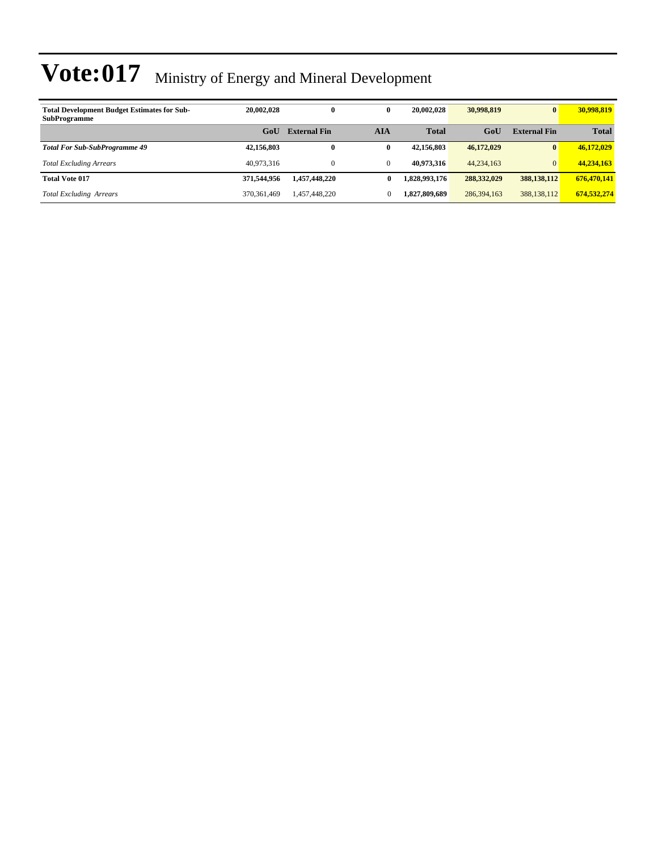| <b>Total Development Budget Estimates for Sub-</b><br><b>SubProgramme</b> | 20,002,028    | 0                   | 0            | 20,002,028    | 30,998,819    | $\bf{0}$            | 30,998,819   |
|---------------------------------------------------------------------------|---------------|---------------------|--------------|---------------|---------------|---------------------|--------------|
|                                                                           | GoU           | <b>External Fin</b> | AIA          | <b>Total</b>  | GoU           | <b>External Fin</b> | <b>Total</b> |
| <b>Total For Sub-SubProgramme 49</b>                                      | 42,156,803    | 0                   | 0            | 42,156,803    | 46,172,029    | $\bf{0}$            | 46.172.029   |
| <b>Total Excluding Arrears</b>                                            | 40.973.316    |                     | $\mathbf{0}$ | 40.973.316    | 44,234,163    | $\overline{0}$      | 44,234,163   |
| <b>Total Vote 017</b>                                                     | 371.544.956   | 1.457.448.220       | 0            | 1.828.993.176 | 288, 332, 029 | 388.138.112         | 676,470,141  |
| <b>Total Excluding Arrears</b>                                            | 370, 361, 469 | 1,457,448,220       | 0            | 1.827.809.689 | 286, 394, 163 | 388, 138, 112       | 674,532,274  |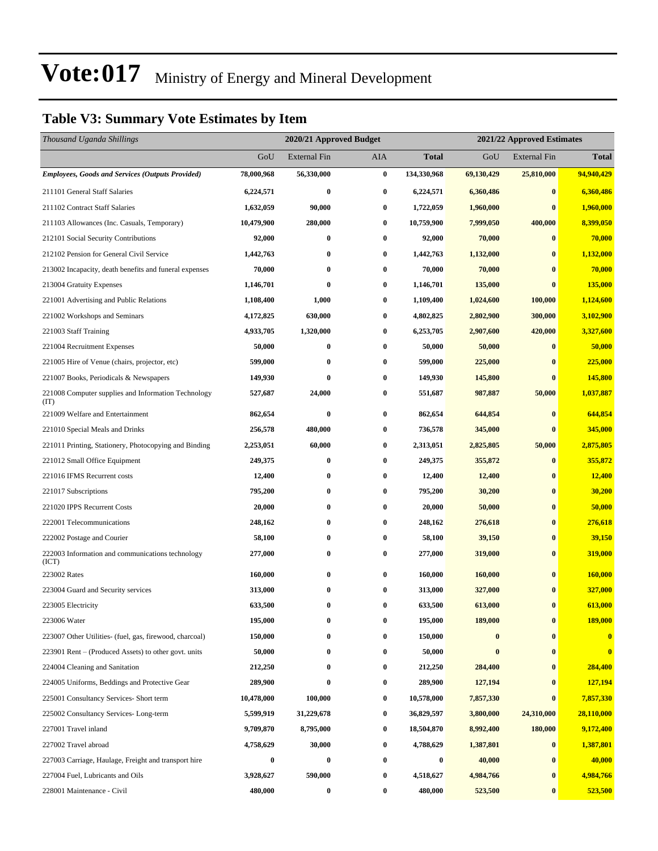### **Table V3: Summary Vote Estimates by Item**

| Thousand Uganda Shillings                                   |            | 2020/21 Approved Budget |                  |              | 2021/22 Approved Estimates |                     |                |  |
|-------------------------------------------------------------|------------|-------------------------|------------------|--------------|----------------------------|---------------------|----------------|--|
|                                                             | GoU        | <b>External Fin</b>     | AIA              | <b>Total</b> | GoU                        | <b>External Fin</b> | <b>Total</b>   |  |
| <b>Employees, Goods and Services (Outputs Provided)</b>     | 78,000,968 | 56,330,000              | $\pmb{0}$        | 134,330,968  | 69,130,429                 | 25,810,000          | 94,940,429     |  |
| 211101 General Staff Salaries                               | 6,224,571  | $\bf{0}$                | $\bf{0}$         | 6,224,571    | 6,360,486                  | $\bf{0}$            | 6,360,486      |  |
| 211102 Contract Staff Salaries                              | 1,632,059  | 90,000                  | $\bf{0}$         | 1,722,059    | 1,960,000                  | $\bf{0}$            | 1,960,000      |  |
| 211103 Allowances (Inc. Casuals, Temporary)                 | 10,479,900 | 280,000                 | $\bf{0}$         | 10,759,900   | 7,999,050                  | 400,000             | 8,399,050      |  |
| 212101 Social Security Contributions                        | 92,000     | $\bf{0}$                | $\bf{0}$         | 92,000       | 70,000                     | $\bf{0}$            | 70,000         |  |
| 212102 Pension for General Civil Service                    | 1,442,763  | $\bf{0}$                | $\bf{0}$         | 1,442,763    | 1,132,000                  | $\bf{0}$            | 1,132,000      |  |
| 213002 Incapacity, death benefits and funeral expenses      | 70,000     | $\bf{0}$                | $\bf{0}$         | 70,000       | 70,000                     | $\bf{0}$            | 70,000         |  |
| 213004 Gratuity Expenses                                    | 1,146,701  | $\bf{0}$                | $\bf{0}$         | 1,146,701    | 135,000                    | $\bf{0}$            | 135,000        |  |
| 221001 Advertising and Public Relations                     | 1,108,400  | 1,000                   | $\bf{0}$         | 1,109,400    | 1,024,600                  | 100,000             | 1,124,600      |  |
| 221002 Workshops and Seminars                               | 4,172,825  | 630,000                 | $\bf{0}$         | 4,802,825    | 2,802,900                  | 300,000             | 3,102,900      |  |
| 221003 Staff Training                                       | 4,933,705  | 1,320,000               | $\bf{0}$         | 6,253,705    | 2,907,600                  | 420,000             | 3,327,600      |  |
| 221004 Recruitment Expenses                                 | 50,000     | 0                       | $\bf{0}$         | 50,000       | 50,000                     | $\bf{0}$            | 50,000         |  |
| 221005 Hire of Venue (chairs, projector, etc)               | 599,000    | $\bf{0}$                | $\bf{0}$         | 599,000      | 225,000                    | $\bf{0}$            | 225,000        |  |
| 221007 Books, Periodicals & Newspapers                      | 149,930    | $\bf{0}$                | $\bf{0}$         | 149,930      | 145,800                    | $\bf{0}$            | 145,800        |  |
| 221008 Computer supplies and Information Technology<br>(TT) | 527,687    | 24,000                  | $\bf{0}$         | 551,687      | 987,887                    | 50,000              | 1,037,887      |  |
| 221009 Welfare and Entertainment                            | 862,654    | $\bf{0}$                | $\bf{0}$         | 862,654      | 644,854                    | $\bf{0}$            | 644,854        |  |
| 221010 Special Meals and Drinks                             | 256,578    | 480,000                 | 0                | 736,578      | 345,000                    | $\bf{0}$            | 345,000        |  |
| 221011 Printing, Stationery, Photocopying and Binding       | 2,253,051  | 60,000                  | $\bf{0}$         | 2,313,051    | 2,825,805                  | 50,000              | 2,875,805      |  |
| 221012 Small Office Equipment                               | 249,375    | $\bf{0}$                | $\bf{0}$         | 249,375      | 355,872                    | $\bf{0}$            | 355,872        |  |
| 221016 IFMS Recurrent costs                                 | 12,400     | $\bf{0}$                | $\bf{0}$         | 12,400       | 12,400                     | $\bf{0}$            | 12,400         |  |
| 221017 Subscriptions                                        | 795,200    | $\bf{0}$                | $\bf{0}$         | 795,200      | 30,200                     | $\bf{0}$            | 30,200         |  |
| 221020 IPPS Recurrent Costs                                 | 20,000     | $\bf{0}$                | $\bf{0}$         | 20,000       | 50,000                     | $\bf{0}$            | 50,000         |  |
| 222001 Telecommunications                                   | 248,162    | $\bf{0}$                | $\bf{0}$         | 248,162      | 276,618                    | $\bf{0}$            | 276,618        |  |
| 222002 Postage and Courier                                  | 58,100     | $\bf{0}$                | $\bf{0}$         | 58,100       | 39,150                     | $\bf{0}$            | 39,150         |  |
| 222003 Information and communications technology<br>(ICT)   | 277,000    | $\bf{0}$                | $\bf{0}$         | 277,000      | 319,000                    | $\bf{0}$            | 319,000        |  |
| 223002 Rates                                                | 160,000    | $\bf{0}$                | $\bf{0}$         | 160,000      | 160,000                    | $\bf{0}$            | 160,000        |  |
| 223004 Guard and Security services                          | 313,000    | $\bf{0}$                | $\bf{0}$         | 313,000      | 327,000                    | $\bf{0}$            | 327,000        |  |
| 223005 Electricity                                          | 633,500    | $\bf{0}$                | 0                | 633,500      | 613,000                    | $\bf{0}$            | 613,000        |  |
| 223006 Water                                                | 195,000    | 0                       | $\bf{0}$         | 195,000      | 189,000                    | $\bf{0}$            | <b>189,000</b> |  |
| 223007 Other Utilities- (fuel, gas, firewood, charcoal)     | 150,000    | 0                       | $\bf{0}$         | 150,000      | $\bf{0}$                   | $\bf{0}$            | $\bf{0}$       |  |
| 223901 Rent – (Produced Assets) to other govt. units        | 50,000     | $\bf{0}$                | $\boldsymbol{0}$ | 50,000       | $\bf{0}$                   | $\bf{0}$            | $\bf{0}$       |  |
| 224004 Cleaning and Sanitation                              | 212,250    | $\bf{0}$                | $\bf{0}$         | 212,250      | 284,400                    | $\bf{0}$            | 284,400        |  |
| 224005 Uniforms, Beddings and Protective Gear               | 289,900    | $\bf{0}$                | $\bf{0}$         | 289,900      | 127,194                    | $\bf{0}$            | 127,194        |  |
| 225001 Consultancy Services- Short term                     | 10,478,000 | 100,000                 | $\bf{0}$         | 10,578,000   | 7,857,330                  | $\bf{0}$            | 7,857,330      |  |
| 225002 Consultancy Services-Long-term                       | 5,599,919  | 31,229,678              | $\bf{0}$         | 36,829,597   | 3,800,000                  | 24,310,000          | 28,110,000     |  |
| 227001 Travel inland                                        | 9,709,870  | 8,795,000               | $\bf{0}$         | 18,504,870   | 8,992,400                  | 180,000             | 9,172,400      |  |
| 227002 Travel abroad                                        | 4,758,629  | 30,000                  | $\bf{0}$         | 4,788,629    | 1,387,801                  | $\bf{0}$            | 1,387,801      |  |
| 227003 Carriage, Haulage, Freight and transport hire        | 0          | $\bf{0}$                | 0                | 0            | 40,000                     | $\bf{0}$            | 40,000         |  |
| 227004 Fuel, Lubricants and Oils                            | 3,928,627  | 590,000                 | $\bf{0}$         | 4,518,627    | 4,984,766                  | $\bf{0}$            | 4,984,766      |  |
| 228001 Maintenance - Civil                                  | 480,000    | $\boldsymbol{0}$        | $\bf{0}$         | 480,000      | 523,500                    | $\bf{0}$            | 523,500        |  |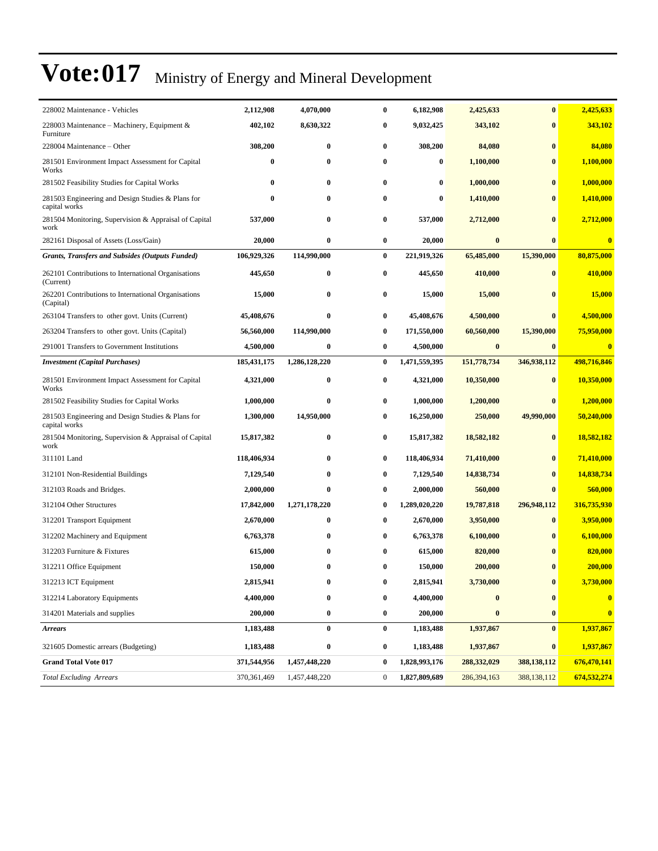| 228002 Maintenance - Vehicles                                      | 2,112,908     | 4,070,000        | $\bf{0}$         | 6,182,908     | 2,425,633   | $\bf{0}$         | 2,425,633        |
|--------------------------------------------------------------------|---------------|------------------|------------------|---------------|-------------|------------------|------------------|
| 228003 Maintenance – Machinery, Equipment &<br>Furniture           | 402,102       | 8,630,322        | $\bf{0}$         | 9,032,425     | 343,102     | $\bf{0}$         | 343,102          |
| 228004 Maintenance – Other                                         | 308,200       | $\bf{0}$         | $\bf{0}$         | 308,200       | 84,080      | $\bf{0}$         | 84,080           |
| 281501 Environment Impact Assessment for Capital<br>Works          | $\bf{0}$      | $\bf{0}$         | 0                | 0             | 1,100,000   | $\bf{0}$         | 1,100,000        |
| 281502 Feasibility Studies for Capital Works                       | $\bf{0}$      | $\bf{0}$         | $\bf{0}$         | 0             | 1,000,000   | $\bf{0}$         | 1,000,000        |
| 281503 Engineering and Design Studies & Plans for<br>capital works | $\bf{0}$      | $\bf{0}$         | $\bf{0}$         | 0             | 1,410,000   | $\bf{0}$         | 1,410,000        |
| 281504 Monitoring, Supervision & Appraisal of Capital<br>work      | 537,000       | $\bf{0}$         | 0                | 537,000       | 2,712,000   | $\bf{0}$         | 2,712,000        |
| 282161 Disposal of Assets (Loss/Gain)                              | 20,000        | $\bf{0}$         | $\boldsymbol{0}$ | 20,000        | $\bf{0}$    | $\bf{0}$         | $\bf{0}$         |
| <b>Grants, Transfers and Subsides (Outputs Funded)</b>             | 106,929,326   | 114,990,000      | $\bf{0}$         | 221,919,326   | 65,485,000  | 15,390,000       | 80,875,000       |
| 262101 Contributions to International Organisations<br>(Current)   | 445,650       | $\bf{0}$         | 0                | 445,650       | 410,000     | $\bf{0}$         | 410,000          |
| 262201 Contributions to International Organisations<br>(Capital)   | 15,000        | $\bf{0}$         | 0                | 15,000        | 15,000      | $\mathbf{0}$     | 15,000           |
| 263104 Transfers to other govt. Units (Current)                    | 45,408,676    | $\bf{0}$         | 0                | 45,408,676    | 4,500,000   | $\bf{0}$         | 4,500,000        |
| 263204 Transfers to other govt. Units (Capital)                    | 56,560,000    | 114,990,000      | 0                | 171,550,000   | 60,560,000  | 15,390,000       | 75,950,000       |
| 291001 Transfers to Government Institutions                        | 4,500,000     | $\bf{0}$         | $\bf{0}$         | 4,500,000     | $\bf{0}$    | $\bf{0}$         | $\bf{0}$         |
| <b>Investment</b> (Capital Purchases)                              | 185, 431, 175 | 1,286,128,220    | 0                | 1,471,559,395 | 151,778,734 | 346,938,112      | 498,716,846      |
| 281501 Environment Impact Assessment for Capital<br>Works          | 4,321,000     | $\bf{0}$         | $\bf{0}$         | 4,321,000     | 10,350,000  | $\bf{0}$         | 10,350,000       |
| 281502 Feasibility Studies for Capital Works                       | 1,000,000     | $\bf{0}$         | 0                | 1.000.000     | 1,200,000   | $\bf{0}$         | 1,200,000        |
| 281503 Engineering and Design Studies & Plans for<br>capital works | 1,300,000     | 14,950,000       | $\bf{0}$         | 16,250,000    | 250,000     | 49,990,000       | 50,240,000       |
| 281504 Monitoring, Supervision & Appraisal of Capital<br>work      | 15,817,382    | $\bf{0}$         | $\bf{0}$         | 15,817,382    | 18,582,182  | $\bf{0}$         | 18,582,182       |
| 311101 Land                                                        | 118,406,934   | $\bf{0}$         | $\bf{0}$         | 118,406,934   | 71,410,000  | $\bf{0}$         | 71,410,000       |
| 312101 Non-Residential Buildings                                   | 7,129,540     | $\bf{0}$         | $\bf{0}$         | 7,129,540     | 14,838,734  | $\bf{0}$         | 14,838,734       |
| 312103 Roads and Bridges.                                          | 2,000,000     | $\bf{0}$         | $\bf{0}$         | 2,000,000     | 560,000     | $\bf{0}$         | 560,000          |
| 312104 Other Structures                                            | 17,842,000    | 1,271,178,220    | $\bf{0}$         | 1,289,020,220 | 19,787,818  | 296,948,112      | 316,735,930      |
| 312201 Transport Equipment                                         | 2,670,000     | $\bf{0}$         | $\bf{0}$         | 2,670,000     | 3,950,000   | $\bf{0}$         | 3,950,000        |
| 312202 Machinery and Equipment                                     | 6,763,378     | 0                | $\bf{0}$         | 6,763,378     | 6,100,000   | $\bf{0}$         | 6,100,000        |
| 312203 Furniture & Fixtures                                        | 615,000       | $\bf{0}$         | $\bf{0}$         | 615,000       | 820,000     | $\mathbf{0}$     | 820,000          |
| 312211 Office Equipment                                            | 150,000       | $\bf{0}$         | $\bf{0}$         | 150,000       | 200,000     | $\bf{0}$         | 200,000          |
| 312213 ICT Equipment                                               | 2,815,941     | 0                | $\bf{0}$         | 2,815,941     | 3,730,000   | $\boldsymbol{0}$ | <b>3,730,000</b> |
| 312214 Laboratory Equipments                                       | 4,400,000     | $\bf{0}$         | 0                | 4,400,000     | $\bf{0}$    | $\bf{0}$         | $\bf{0}$         |
| 314201 Materials and supplies                                      | 200,000       | $\boldsymbol{0}$ | $\bf{0}$         | 200,000       | $\pmb{0}$   | $\bf{0}$         | $\bf{0}$         |
| <b>Arrears</b>                                                     | 1,183,488     | $\bf{0}$         | $\bf{0}$         | 1,183,488     | 1,937,867   | $\bf{0}$         | 1,937,867        |
| 321605 Domestic arrears (Budgeting)                                | 1,183,488     | $\bf{0}$         | $\bf{0}$         | 1,183,488     | 1,937,867   | $\boldsymbol{0}$ | 1,937,867        |
| <b>Grand Total Vote 017</b>                                        | 371,544,956   | 1,457,448,220    | $\bf{0}$         | 1,828,993,176 | 288,332,029 | 388,138,112      | 676,470,141      |
| <b>Total Excluding Arrears</b>                                     | 370,361,469   | 1,457,448,220    | $\boldsymbol{0}$ | 1,827,809,689 | 286,394,163 | 388,138,112      | 674,532,274      |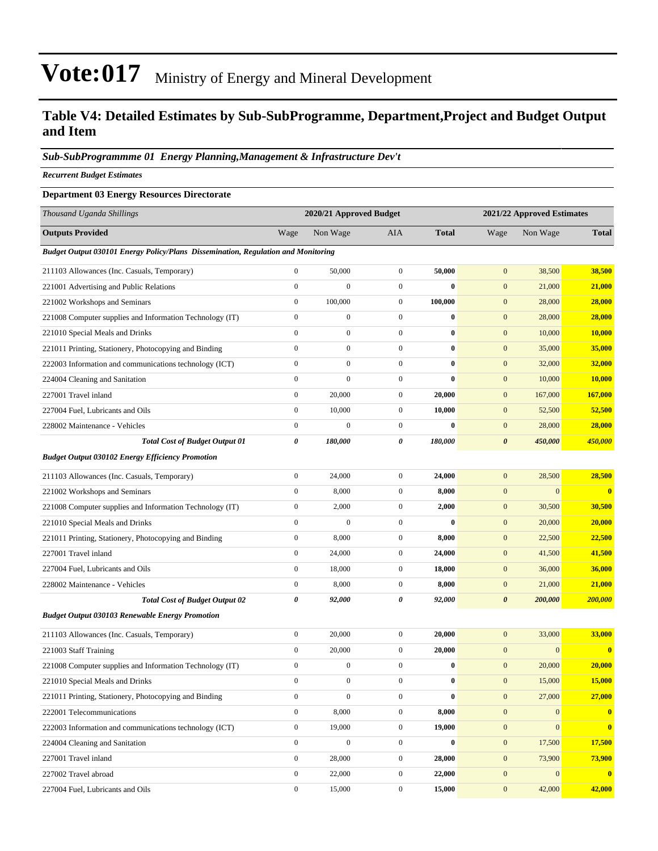### **Table V4: Detailed Estimates by Sub-SubProgramme, Department,Project and Budget Output and Item**

#### *Sub-SubProgrammme 01 Energy Planning,Management & Infrastructure Dev't*

*Recurrent Budget Estimates*

#### **Department 03 Energy Resources Directorate**

| Thousand Uganda Shillings                                                         |                  | 2020/21 Approved Budget |                  | 2021/22 Approved Estimates |                       |                  |                         |  |
|-----------------------------------------------------------------------------------|------------------|-------------------------|------------------|----------------------------|-----------------------|------------------|-------------------------|--|
| <b>Outputs Provided</b>                                                           | Wage             | Non Wage                | AIA              | <b>Total</b>               | Wage                  | Non Wage         | <b>Total</b>            |  |
| Budget Output 030101 Energy Policy/Plans Dissemination, Regulation and Monitoring |                  |                         |                  |                            |                       |                  |                         |  |
| 211103 Allowances (Inc. Casuals, Temporary)                                       | $\boldsymbol{0}$ | 50,000                  | $\boldsymbol{0}$ | 50,000                     | $\mathbf{0}$          | 38,500           | 38,500                  |  |
| 221001 Advertising and Public Relations                                           | $\boldsymbol{0}$ | $\boldsymbol{0}$        | $\overline{0}$   | $\bf{0}$                   | $\mathbf{0}$          | 21,000           | 21,000                  |  |
| 221002 Workshops and Seminars                                                     | $\boldsymbol{0}$ | 100,000                 | $\mathbf{0}$     | 100,000                    | $\boldsymbol{0}$      | 28,000           | 28,000                  |  |
| 221008 Computer supplies and Information Technology (IT)                          | $\boldsymbol{0}$ | $\boldsymbol{0}$        | $\boldsymbol{0}$ | $\bf{0}$                   | $\mathbf{0}$          | 28,000           | 28,000                  |  |
| 221010 Special Meals and Drinks                                                   | $\boldsymbol{0}$ | $\boldsymbol{0}$        | $\boldsymbol{0}$ | $\bf{0}$                   | $\mathbf{0}$          | 10,000           | <b>10,000</b>           |  |
| 221011 Printing, Stationery, Photocopying and Binding                             | $\boldsymbol{0}$ | $\boldsymbol{0}$        | $\overline{0}$   | $\bf{0}$                   | $\mathbf{0}$          | 35,000           | 35,000                  |  |
| 222003 Information and communications technology (ICT)                            | $\boldsymbol{0}$ | $\boldsymbol{0}$        | $\overline{0}$   | $\bf{0}$                   | $\mathbf{0}$          | 32,000           | 32,000                  |  |
| 224004 Cleaning and Sanitation                                                    | $\boldsymbol{0}$ | $\boldsymbol{0}$        | $\mathbf{0}$     | $\bf{0}$                   | $\boldsymbol{0}$      | 10,000           | 10,000                  |  |
| 227001 Travel inland                                                              | $\boldsymbol{0}$ | 20,000                  | $\mathbf{0}$     | 20,000                     | $\mathbf{0}$          | 167,000          | 167,000                 |  |
| 227004 Fuel, Lubricants and Oils                                                  | $\boldsymbol{0}$ | 10,000                  | $\boldsymbol{0}$ | 10,000                     | $\mathbf{0}$          | 52,500           | 52,500                  |  |
| 228002 Maintenance - Vehicles                                                     | $\boldsymbol{0}$ | $\boldsymbol{0}$        | $\mathbf{0}$     | $\bf{0}$                   | $\mathbf{0}$          | 28,000           | 28,000                  |  |
| <b>Total Cost of Budget Output 01</b>                                             | $\pmb{\theta}$   | 180,000                 | 0                | 180,000                    | $\boldsymbol{\theta}$ | 450,000          | 450,000                 |  |
| <b>Budget Output 030102 Energy Efficiency Promotion</b>                           |                  |                         |                  |                            |                       |                  |                         |  |
| 211103 Allowances (Inc. Casuals, Temporary)                                       | $\boldsymbol{0}$ | 24,000                  | $\boldsymbol{0}$ | 24,000                     | $\mathbf{0}$          | 28,500           | 28,500                  |  |
| 221002 Workshops and Seminars                                                     | $\boldsymbol{0}$ | 8,000                   | $\overline{0}$   | 8,000                      | $\mathbf{0}$          | $\boldsymbol{0}$ | $\bf{0}$                |  |
| 221008 Computer supplies and Information Technology (IT)                          | $\boldsymbol{0}$ | 2,000                   | $\boldsymbol{0}$ | 2,000                      | $\mathbf{0}$          | 30,500           | 30,500                  |  |
| 221010 Special Meals and Drinks                                                   | $\boldsymbol{0}$ | $\mathbf{0}$            | $\mathbf{0}$     | $\bf{0}$                   | $\mathbf{0}$          | 20,000           | 20,000                  |  |
| 221011 Printing, Stationery, Photocopying and Binding                             | $\boldsymbol{0}$ | 8,000                   | $\boldsymbol{0}$ | 8,000                      | $\mathbf{0}$          | 22,500           | 22,500                  |  |
| 227001 Travel inland                                                              | $\boldsymbol{0}$ | 24,000                  | $\boldsymbol{0}$ | 24,000                     | $\mathbf{0}$          | 41,500           | 41,500                  |  |
| 227004 Fuel, Lubricants and Oils                                                  | $\boldsymbol{0}$ | 18,000                  | $\boldsymbol{0}$ | 18,000                     | $\mathbf{0}$          | 36,000           | 36,000                  |  |
| 228002 Maintenance - Vehicles                                                     | $\boldsymbol{0}$ | 8,000                   | $\boldsymbol{0}$ | 8,000                      | $\mathbf{0}$          | 21,000           | 21,000                  |  |
| <b>Total Cost of Budget Output 02</b>                                             | 0                | 92,000                  | 0                | 92,000                     | $\boldsymbol{\theta}$ | 200,000          | 200,000                 |  |
| <b>Budget Output 030103 Renewable Energy Promotion</b>                            |                  |                         |                  |                            |                       |                  |                         |  |
| 211103 Allowances (Inc. Casuals, Temporary)                                       | $\boldsymbol{0}$ | 20,000                  | $\overline{0}$   | 20,000                     | $\boldsymbol{0}$      | 33,000           | 33,000                  |  |
| 221003 Staff Training                                                             | $\boldsymbol{0}$ | 20,000                  | $\mathbf{0}$     | 20,000                     | $\boldsymbol{0}$      | $\overline{0}$   | $\bf{0}$                |  |
| 221008 Computer supplies and Information Technology (IT)                          | $\boldsymbol{0}$ | $\boldsymbol{0}$        | $\boldsymbol{0}$ | $\bf{0}$                   | $\mathbf{0}$          | 20,000           | 20,000                  |  |
| 221010 Special Meals and Drinks                                                   | $\mathbf{0}$     | $\boldsymbol{0}$        | $\overline{0}$   | $\bf{0}$                   | $\mathbf{0}$          | 15,000           | 15,000                  |  |
| 221011 Printing, Stationery, Photocopying and Binding                             | $\boldsymbol{0}$ | $\boldsymbol{0}$        | $\boldsymbol{0}$ | $\bf{0}$                   | $\mathbf{0}$          | 27,000           | 27,000                  |  |
| 222001 Telecommunications                                                         | $\boldsymbol{0}$ | 8,000                   | $\boldsymbol{0}$ | 8,000                      | $\mathbf{0}$          | $\mathbf{0}$     | $\mathbf{0}$            |  |
| 222003 Information and communications technology (ICT)                            | $\boldsymbol{0}$ | 19,000                  | $\boldsymbol{0}$ | 19,000                     | $\mathbf{0}$          | $\overline{0}$   | $\bf{0}$                |  |
| 224004 Cleaning and Sanitation                                                    | $\boldsymbol{0}$ | $\mathbf{0}$            | $\boldsymbol{0}$ | $\bf{0}$                   | $\mathbf{0}$          | 17,500           | 17,500                  |  |
| 227001 Travel inland                                                              | $\boldsymbol{0}$ | 28,000                  | $\boldsymbol{0}$ | 28,000                     | $\mathbf{0}$          | 73,900           | 73,900                  |  |
| 227002 Travel abroad                                                              | $\boldsymbol{0}$ | 22,000                  | $\boldsymbol{0}$ | 22,000                     | $\mathbf{0}$          | $\mathbf{0}$     | $\overline{\mathbf{0}}$ |  |
| 227004 Fuel, Lubricants and Oils                                                  | $\boldsymbol{0}$ | 15,000                  | $\boldsymbol{0}$ | 15,000                     | $\mathbf{0}$          | 42,000           | 42,000                  |  |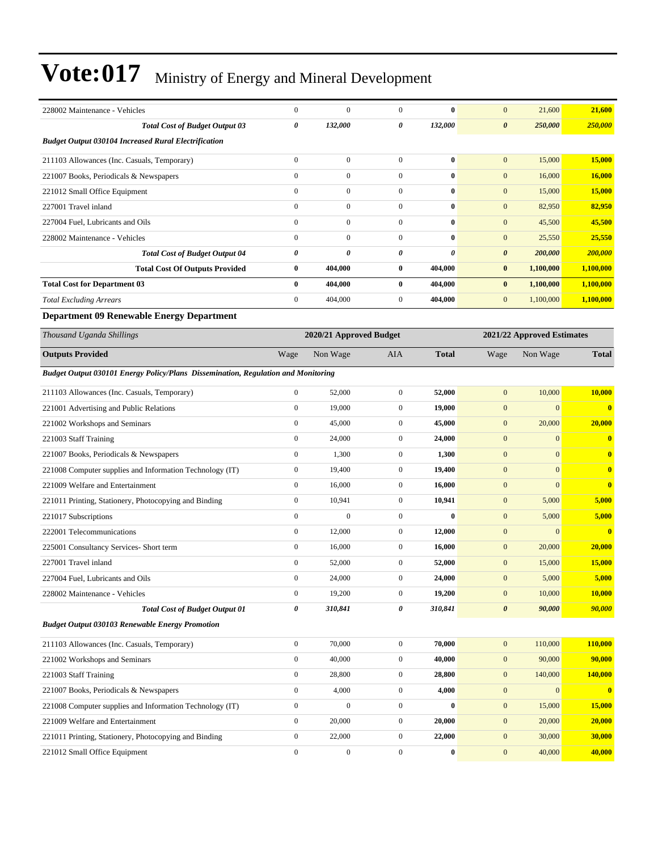| 228002 Maintenance - Vehicles                                                            | $\boldsymbol{0}$ | $\mathbf{0}$            | $\boldsymbol{0}$ | $\bf{0}$     | $\mathbf{0}$          | 21,600                     | 21,600        |
|------------------------------------------------------------------------------------------|------------------|-------------------------|------------------|--------------|-----------------------|----------------------------|---------------|
| <b>Total Cost of Budget Output 03</b>                                                    | 0                | 132,000                 | 0                | 132,000      | $\boldsymbol{\theta}$ | 250,000                    | 250,000       |
| <b>Budget Output 030104 Increased Rural Electrification</b>                              |                  |                         |                  |              |                       |                            |               |
| 211103 Allowances (Inc. Casuals, Temporary)                                              | $\boldsymbol{0}$ | $\boldsymbol{0}$        | $\boldsymbol{0}$ | $\bf{0}$     | $\mathbf{0}$          | 15,000                     | 15,000        |
| 221007 Books, Periodicals & Newspapers                                                   | $\mathbf{0}$     | $\boldsymbol{0}$        | $\overline{0}$   | $\bf{0}$     | $\mathbf{0}$          | 16,000                     | 16,000        |
| 221012 Small Office Equipment                                                            | $\boldsymbol{0}$ | $\boldsymbol{0}$        | $\boldsymbol{0}$ | $\bf{0}$     | $\mathbf{0}$          | 15,000                     | 15,000        |
| 227001 Travel inland                                                                     | $\mathbf{0}$     | $\boldsymbol{0}$        | $\boldsymbol{0}$ | $\bf{0}$     | $\mathbf{0}$          | 82,950                     | 82,950        |
| 227004 Fuel. Lubricants and Oils                                                         | $\mathbf{0}$     | $\boldsymbol{0}$        | $\boldsymbol{0}$ | $\bf{0}$     | $\mathbf{0}$          | 45,500                     | 45,500        |
| 228002 Maintenance - Vehicles                                                            | $\mathbf{0}$     | $\boldsymbol{0}$        | $\boldsymbol{0}$ | $\bf{0}$     | $\mathbf{0}$          | 25,550                     | 25,550        |
| <b>Total Cost of Budget Output 04</b>                                                    | 0                | 0                       | 0                | 0            | $\boldsymbol{\theta}$ | 200,000                    | 200,000       |
| <b>Total Cost Of Outputs Provided</b>                                                    | $\bf{0}$         | 404,000                 | 0                | 404,000      | $\bf{0}$              | 1,100,000                  | 1,100,000     |
| <b>Total Cost for Department 03</b>                                                      | $\bf{0}$         | 404,000                 | $\bf{0}$         | 404,000      | $\bf{0}$              | 1,100,000                  | 1,100,000     |
| <b>Total Excluding Arrears</b>                                                           | $\mathbf{0}$     | 404,000                 | $\boldsymbol{0}$ | 404,000      | $\mathbf{0}$          | 1,100,000                  | 1,100,000     |
| <b>Department 09 Renewable Energy Department</b>                                         |                  |                         |                  |              |                       |                            |               |
| Thousand Uganda Shillings                                                                |                  | 2020/21 Approved Budget |                  |              |                       | 2021/22 Approved Estimates |               |
| <b>Outputs Provided</b>                                                                  | Wage             | Non Wage                | <b>AIA</b>       | <b>Total</b> | Wage                  | Non Wage                   | <b>Total</b>  |
| <b>Budget Output 030101 Energy Policy/Plans Dissemination, Regulation and Monitoring</b> |                  |                         |                  |              |                       |                            |               |
| 211103 Allowances (Inc. Casuals, Temporary)                                              | $\boldsymbol{0}$ | 52,000                  | $\boldsymbol{0}$ | 52,000       | $\mathbf{0}$          | 10,000                     | 10,000        |
| 221001 Advertising and Public Relations                                                  | $\boldsymbol{0}$ | 19,000                  | $\mathbf{0}$     | 19,000       | $\mathbf{0}$          | $\mathbf{0}$               | $\bf{0}$      |
| 221002 Workshops and Seminars                                                            | $\boldsymbol{0}$ | 45,000                  | $\boldsymbol{0}$ | 45,000       | $\mathbf{0}$          | 20,000                     | 20,000        |
| 221003 Staff Training                                                                    | $\boldsymbol{0}$ | 24,000                  | $\boldsymbol{0}$ | 24,000       | $\mathbf{0}$          | $\mathbf{0}$               | $\bf{0}$      |
| 221007 Books, Periodicals & Newspapers                                                   | $\boldsymbol{0}$ | 1,300                   | $\boldsymbol{0}$ | 1,300        | $\mathbf{0}$          | $\mathbf{0}$               | $\bf{0}$      |
| 221008 Computer supplies and Information Technology (IT)                                 | $\boldsymbol{0}$ | 19,400                  | $\boldsymbol{0}$ | 19,400       | $\mathbf{0}$          | $\mathbf{0}$               | $\bf{0}$      |
| 221009 Welfare and Entertainment                                                         | $\boldsymbol{0}$ | 16,000                  | $\mathbf{0}$     | 16,000       | $\mathbf{0}$          | $\overline{0}$             | $\bf{0}$      |
| 221011 Printing, Stationery, Photocopying and Binding                                    | $\boldsymbol{0}$ | 10,941                  | $\boldsymbol{0}$ | 10,941       | $\mathbf{0}$          | 5,000                      | 5,000         |
| 221017 Subscriptions                                                                     | $\mathbf{0}$     | $\overline{0}$          | $\boldsymbol{0}$ | $\bf{0}$     | $\mathbf{0}$          | 5,000                      | 5,000         |
| 222001 Telecommunications                                                                | $\boldsymbol{0}$ | 12,000                  | $\boldsymbol{0}$ | 12,000       | $\mathbf{0}$          | $\overline{0}$             | $\bf{0}$      |
| 225001 Consultancy Services- Short term                                                  | $\boldsymbol{0}$ | 16,000                  | $\boldsymbol{0}$ | 16,000       | $\mathbf{0}$          | 20,000                     | 20,000        |
| 227001 Travel inland                                                                     | $\boldsymbol{0}$ | 52,000                  | $\boldsymbol{0}$ | 52,000       | $\mathbf{0}$          | 15,000                     | 15,000        |
| 227004 Fuel, Lubricants and Oils                                                         | $\boldsymbol{0}$ | 24,000                  | 0                | 24.000       | $\mathbf{0}$          | 5,000                      | 5,000         |
| 228002 Maintenance - Vehicles                                                            | $\boldsymbol{0}$ | 19,200                  | $\boldsymbol{0}$ | 19,200       | $\mathbf{0}$          | 10,000                     | 10,000        |
| <b>Total Cost of Budget Output 01</b>                                                    | $\pmb{\theta}$   | 310,841                 | 0                | 310,841      | $\boldsymbol{\theta}$ | 90,000                     | 90,000        |
| <b>Budget Output 030103 Renewable Energy Promotion</b>                                   |                  |                         |                  |              |                       |                            |               |
| 211103 Allowances (Inc. Casuals, Temporary)                                              | $\boldsymbol{0}$ | 70,000                  | $\boldsymbol{0}$ | 70,000       | $\mathbf{0}$          | 110,000                    | 110,000       |
| 221002 Workshops and Seminars                                                            | $\mathbf{0}$     | 40,000                  | $\boldsymbol{0}$ | 40,000       | $\boldsymbol{0}$      | 90,000                     | 90,000        |
| 221003 Staff Training                                                                    | $\boldsymbol{0}$ | 28,800                  | $\boldsymbol{0}$ | 28,800       | $\mathbf{0}$          | 140,000                    | 140,000       |
| 221007 Books, Periodicals & Newspapers                                                   | $\boldsymbol{0}$ | 4,000                   | $\boldsymbol{0}$ | 4,000        | $\boldsymbol{0}$      | $\boldsymbol{0}$           | $\bf{0}$      |
| 221008 Computer supplies and Information Technology (IT)                                 | $\boldsymbol{0}$ | $\boldsymbol{0}$        | $\boldsymbol{0}$ | $\bf{0}$     | $\boldsymbol{0}$      | 15,000                     | <b>15,000</b> |
| 221009 Welfare and Entertainment                                                         | $\boldsymbol{0}$ | 20,000                  | $\boldsymbol{0}$ | 20,000       | $\mathbf{0}$          | 20,000                     | 20,000        |
| 221011 Printing, Stationery, Photocopying and Binding                                    | $\boldsymbol{0}$ | 22,000                  | $\boldsymbol{0}$ | 22,000       | $\boldsymbol{0}$      | 30,000                     | 30,000        |
| 221012 Small Office Equipment                                                            | $\boldsymbol{0}$ | $\boldsymbol{0}$        | $\boldsymbol{0}$ | $\bf{0}$     | $\mathbf{0}$          | 40,000                     | 40,000        |
|                                                                                          |                  |                         |                  |              |                       |                            |               |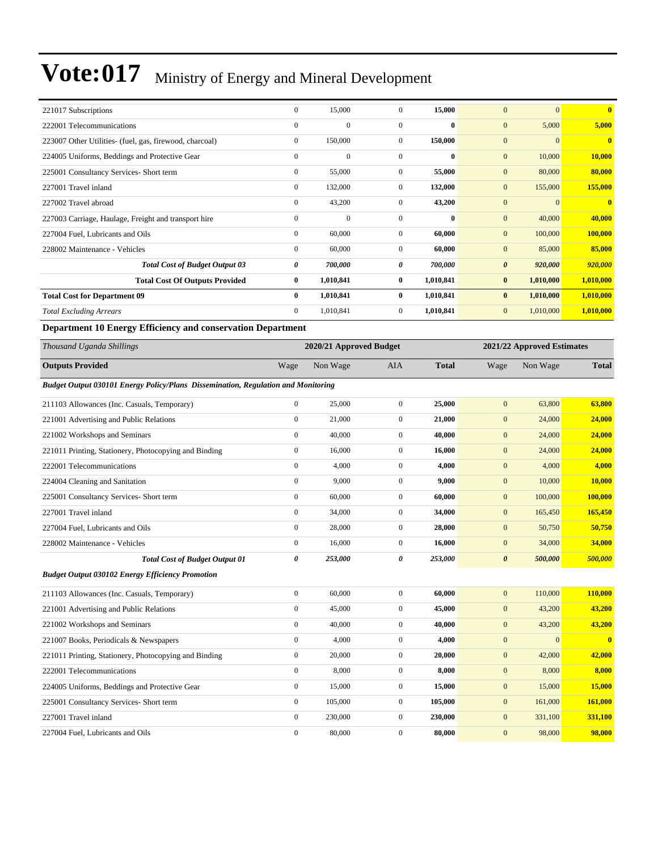| 221017 Subscriptions                                    | $\bf{0}$       | 15,000       | $\theta$       | 15,000       | $\mathbf{0}$<br>$\mathbf{0}$     | $\bf{0}$     |
|---------------------------------------------------------|----------------|--------------|----------------|--------------|----------------------------------|--------------|
| 222001 Telecommunications                               | $\mathbf{0}$   | $\Omega$     | $\Omega$       | 0            | $\mathbf{0}$<br>5,000            | 5,000        |
| 223007 Other Utilities- (fuel, gas, firewood, charcoal) | $\overline{0}$ | 150,000      | $\overline{0}$ | 150,000      | $\mathbf{0}$<br>$\mathbf{0}$     | $\mathbf{0}$ |
| 224005 Uniforms, Beddings and Protective Gear           | $\mathbf{0}$   | $\mathbf{0}$ | $\Omega$       | 0            | $\mathbf{0}$<br>10,000           | 10,000       |
| 225001 Consultancy Services- Short term                 | $\mathbf{0}$   | 55,000       | $\mathbf{0}$   | 55,000       | 80,000<br>$\mathbf{0}$           | 80,000       |
| 227001 Travel inland                                    | $\mathbf{0}$   | 132,000      | $\overline{0}$ | 132,000      | $\mathbf{0}$<br>155,000          | 155,000      |
| 227002 Travel abroad                                    | $\mathbf{0}$   | 43,200       | $\Omega$       | 43,200       | $\theta$<br>$\mathbf{0}$         | $\mathbf{0}$ |
| 227003 Carriage, Haulage, Freight and transport hire    | $\mathbf{0}$   | $\mathbf{0}$ | $\Omega$       | $\mathbf{0}$ | $\mathbf{0}$<br>40,000           | 40,000       |
| 227004 Fuel, Lubricants and Oils                        | $\mathbf{0}$   | 60,000       | $\mathbf{0}$   | 60,000       | $\mathbf{0}$<br>100,000          | 100,000      |
| 228002 Maintenance - Vehicles                           | $\Omega$       | 60,000       | $\Omega$       | 60,000       | 85,000<br>$\mathbf{0}$           | 85,000       |
| <b>Total Cost of Budget Output 03</b>                   | 0              | 700,000      | 0              | 700,000      | $\boldsymbol{\theta}$<br>920,000 | 920,000      |
| <b>Total Cost Of Outputs Provided</b>                   | $\bf{0}$       | 1,010,841    | $\bf{0}$       | 1,010,841    | $\bf{0}$<br>1,010,000            | 1,010,000    |
| <b>Total Cost for Department 09</b>                     | $\mathbf{0}$   | 1,010,841    | $\bf{0}$       | 1,010,841    | $\bf{0}$<br>1,010,000            | 1,010,000    |
| <b>Total Excluding Arrears</b>                          | $\overline{0}$ | 1,010,841    | $\overline{0}$ | 1,010,841    | $\mathbf{0}$<br>1,010,000        | 1,010,000    |

**Department 10 Energy Efficiency and conservation Department**

| Thousand Uganda Shillings                                                         |                       | 2020/21 Approved Budget |                  |              |                       | 2021/22 Approved Estimates |              |
|-----------------------------------------------------------------------------------|-----------------------|-------------------------|------------------|--------------|-----------------------|----------------------------|--------------|
| <b>Outputs Provided</b>                                                           | Wage                  | Non Wage                | <b>AIA</b>       | <b>Total</b> | Wage                  | Non Wage                   | <b>Total</b> |
| Budget Output 030101 Energy Policy/Plans Dissemination, Regulation and Monitoring |                       |                         |                  |              |                       |                            |              |
| 211103 Allowances (Inc. Casuals, Temporary)                                       | $\boldsymbol{0}$      | 25,000                  | $\mathbf{0}$     | 25,000       | $\mathbf{0}$          | 63,800                     | 63,800       |
| 221001 Advertising and Public Relations                                           | $\mathbf{0}$          | 21,000                  | $\boldsymbol{0}$ | 21,000       | $\boldsymbol{0}$      | 24,000                     | 24,000       |
| 221002 Workshops and Seminars                                                     | $\boldsymbol{0}$      | 40,000                  | $\boldsymbol{0}$ | 40,000       | $\mathbf{0}$          | 24,000                     | 24,000       |
| 221011 Printing, Stationery, Photocopying and Binding                             | $\mathbf{0}$          | 16,000                  | $\overline{0}$   | 16,000       | $\mathbf{0}$          | 24,000                     | 24,000       |
| 222001 Telecommunications                                                         | $\mathbf{0}$          | 4.000                   | $\overline{0}$   | 4,000        | $\mathbf{0}$          | 4,000                      | 4,000        |
| 224004 Cleaning and Sanitation                                                    | $\mathbf{0}$          | 9,000                   | $\overline{0}$   | 9,000        | $\mathbf{0}$          | 10,000                     | 10,000       |
| 225001 Consultancy Services- Short term                                           | $\mathbf{0}$          | 60,000                  | $\overline{0}$   | 60,000       | $\mathbf{0}$          | 100,000                    | 100,000      |
| 227001 Travel inland                                                              | $\boldsymbol{0}$      | 34,000                  | $\boldsymbol{0}$ | 34,000       | $\mathbf{0}$          | 165,450                    | 165,450      |
| 227004 Fuel, Lubricants and Oils                                                  | $\boldsymbol{0}$      | 28,000                  | $\boldsymbol{0}$ | 28,000       | $\mathbf{0}$          | 50,750                     | 50,750       |
| 228002 Maintenance - Vehicles                                                     | $\boldsymbol{0}$      | 16,000                  | $\mathbf{0}$     | 16,000       | $\mathbf{0}$          | 34,000                     | 34,000       |
| <b>Total Cost of Budget Output 01</b>                                             | $\boldsymbol{\theta}$ | 253,000                 | 0                | 253,000      | $\boldsymbol{\theta}$ | 500,000                    | 500,000      |
| <b>Budget Output 030102 Energy Efficiency Promotion</b>                           |                       |                         |                  |              |                       |                            |              |
| 211103 Allowances (Inc. Casuals, Temporary)                                       | $\mathbf{0}$          | 60,000                  | $\mathbf{0}$     | 60,000       | $\mathbf{0}$          | 110,000                    | 110,000      |
| 221001 Advertising and Public Relations                                           | $\mathbf{0}$          | 45,000                  | $\boldsymbol{0}$ | 45,000       | $\mathbf{0}$          | 43,200                     | 43,200       |
| 221002 Workshops and Seminars                                                     | $\mathbf{0}$          | 40,000                  | $\overline{0}$   | 40,000       | $\mathbf{0}$          | 43,200                     | 43,200       |
| 221007 Books, Periodicals & Newspapers                                            | $\mathbf{0}$          | 4,000                   | $\overline{0}$   | 4,000        | $\mathbf{0}$          | $\Omega$                   | $\mathbf{0}$ |
| 221011 Printing, Stationery, Photocopying and Binding                             | $\boldsymbol{0}$      | 20,000                  | $\overline{0}$   | 20,000       | $\boldsymbol{0}$      | 42,000                     | 42,000       |
| 222001 Telecommunications                                                         | $\boldsymbol{0}$      | 8,000                   | $\mathbf{0}$     | 8,000        | $\mathbf{0}$          | 8,000                      | 8,000        |
| 224005 Uniforms, Beddings and Protective Gear                                     | $\boldsymbol{0}$      | 15,000                  | $\boldsymbol{0}$ | 15,000       | $\mathbf{0}$          | 15,000                     | 15,000       |
| 225001 Consultancy Services- Short term                                           | $\boldsymbol{0}$      | 105,000                 | $\mathbf{0}$     | 105,000      | $\mathbf{0}$          | 161,000                    | 161,000      |
| 227001 Travel inland                                                              | $\mathbf{0}$          | 230,000                 | $\mathbf{0}$     | 230,000      | $\mathbf{0}$          | 331,100                    | 331,100      |
| 227004 Fuel, Lubricants and Oils                                                  | $\overline{0}$        | 80,000                  | $\theta$         | 80,000       | $\mathbf{0}$          | 98,000                     | 98,000       |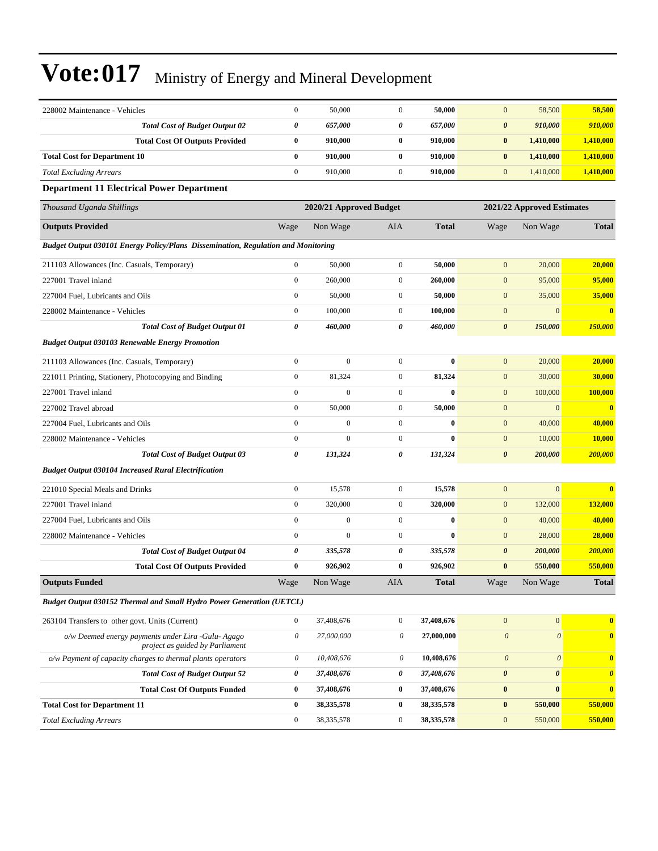| 228002 Maintenance - Vehicles                                                        | $\boldsymbol{0}$          | 50,000                  | $\mathbf{0}$     | 50,000       | $\mathbf{0}$          | 58,500                     | 58,500                |  |
|--------------------------------------------------------------------------------------|---------------------------|-------------------------|------------------|--------------|-----------------------|----------------------------|-----------------------|--|
| <b>Total Cost of Budget Output 02</b>                                                | 0                         | 657,000                 | 0                | 657,000      | $\pmb{\theta}$        | 910,000                    | 910,000               |  |
| <b>Total Cost Of Outputs Provided</b>                                                | $\bf{0}$                  | 910,000                 | $\bf{0}$         | 910,000      | $\pmb{0}$             | 1,410,000                  | 1,410,000             |  |
| <b>Total Cost for Department 10</b>                                                  | $\bf{0}$                  | 910,000                 | $\bf{0}$         | 910,000      | $\bf{0}$              | 1,410,000                  | 1,410,000             |  |
| <b>Total Excluding Arrears</b>                                                       | $\boldsymbol{0}$          | 910,000                 | $\boldsymbol{0}$ | 910,000      | $\mathbf{0}$          | 1,410,000                  | 1,410,000             |  |
| <b>Department 11 Electrical Power Department</b>                                     |                           |                         |                  |              |                       |                            |                       |  |
| Thousand Uganda Shillings                                                            |                           | 2020/21 Approved Budget |                  |              |                       | 2021/22 Approved Estimates |                       |  |
| <b>Outputs Provided</b>                                                              | Wage                      | Non Wage                | AIA              | <b>Total</b> | Wage                  | Non Wage                   | <b>Total</b>          |  |
| Budget Output 030101 Energy Policy/Plans Dissemination, Regulation and Monitoring    |                           |                         |                  |              |                       |                            |                       |  |
| 211103 Allowances (Inc. Casuals, Temporary)                                          | $\boldsymbol{0}$          | 50,000                  | $\mathbf{0}$     | 50,000       | $\boldsymbol{0}$      | 20,000                     | 20,000                |  |
| 227001 Travel inland                                                                 | $\boldsymbol{0}$          | 260,000                 | $\mathbf{0}$     | 260,000      | $\boldsymbol{0}$      | 95,000                     | 95,000                |  |
| 227004 Fuel, Lubricants and Oils                                                     | $\boldsymbol{0}$          | 50,000                  | $\boldsymbol{0}$ | 50,000       | $\boldsymbol{0}$      | 35,000                     | 35,000                |  |
| 228002 Maintenance - Vehicles                                                        | $\boldsymbol{0}$          | 100,000                 | $\boldsymbol{0}$ | 100,000      | $\boldsymbol{0}$      | $\boldsymbol{0}$           | $\bf{0}$              |  |
| <b>Total Cost of Budget Output 01</b>                                                | 0                         | 460,000                 | 0                | 460,000      | $\pmb{\theta}$        | 150,000                    | 150,000               |  |
| <b>Budget Output 030103 Renewable Energy Promotion</b>                               |                           |                         |                  |              |                       |                            |                       |  |
| 211103 Allowances (Inc. Casuals, Temporary)                                          | $\boldsymbol{0}$          | $\mathbf{0}$            | $\boldsymbol{0}$ | $\bf{0}$     | $\mathbf{0}$          | 20,000                     | 20,000                |  |
| 221011 Printing, Stationery, Photocopying and Binding                                | $\boldsymbol{0}$          | 81,324                  | $\mathbf{0}$     | 81,324       | $\mathbf{0}$          | 30,000                     | 30,000                |  |
| 227001 Travel inland                                                                 | $\boldsymbol{0}$          | $\Omega$                | $\mathbf{0}$     | $\bf{0}$     | $\mathbf{0}$          | 100,000                    | 100,000               |  |
| 227002 Travel abroad                                                                 | $\overline{0}$            | 50,000                  | $\boldsymbol{0}$ | 50,000       | $\mathbf{0}$          | $\mathbf{0}$               | $\bf{0}$              |  |
| 227004 Fuel, Lubricants and Oils                                                     | $\boldsymbol{0}$          | $\boldsymbol{0}$        | $\boldsymbol{0}$ | $\bf{0}$     | $\boldsymbol{0}$      | 40,000                     | 40,000                |  |
| 228002 Maintenance - Vehicles                                                        | $\boldsymbol{0}$          | $\mathbf{0}$            | $\mathbf{0}$     | $\bf{0}$     | $\boldsymbol{0}$      | 10,000                     | 10,000                |  |
| <b>Total Cost of Budget Output 03</b>                                                | 0                         | 131,324                 | 0                | 131,324      | $\boldsymbol{\theta}$ | 200,000                    | 200,000               |  |
| <b>Budget Output 030104 Increased Rural Electrification</b>                          |                           |                         |                  |              |                       |                            |                       |  |
| 221010 Special Meals and Drinks                                                      | $\boldsymbol{0}$          | 15,578                  | $\boldsymbol{0}$ | 15,578       | $\boldsymbol{0}$      | $\overline{0}$             | $\bf{0}$              |  |
| 227001 Travel inland                                                                 | $\boldsymbol{0}$          | 320,000                 | $\boldsymbol{0}$ | 320,000      | $\boldsymbol{0}$      | 132,000                    | 132,000               |  |
| 227004 Fuel, Lubricants and Oils                                                     | $\overline{0}$            | $\mathbf{0}$            | $\boldsymbol{0}$ | $\bf{0}$     | $\mathbf{0}$          | 40,000                     | 40,000                |  |
| 228002 Maintenance - Vehicles                                                        | $\mathbf{0}$              | $\mathbf{0}$            | $\mathbf{0}$     | $\bf{0}$     | $\mathbf{0}$          | 28,000                     | 28,000                |  |
| <b>Total Cost of Budget Output 04</b>                                                | 0                         | 335,578                 | 0                | 335,578      | $\boldsymbol{\theta}$ | 200,000                    | 200,000               |  |
| <b>Total Cost Of Outputs Provided</b>                                                | $\bf{0}$                  | 926,902                 | $\bf{0}$         | 926,902      | $\bf{0}$              | 550,000                    | 550,000               |  |
| <b>Outputs Funded</b>                                                                | Wage                      | Non Wage                | <b>AIA</b>       | <b>Total</b> | Wage                  | Non Wage                   | <b>Total</b>          |  |
| Budget Output 030152 Thermal and Small Hydro Power Generation (UETCL)                |                           |                         |                  |              |                       |                            |                       |  |
| 263104 Transfers to other govt. Units (Current)                                      | $\boldsymbol{0}$          | 37,408,676              | $\boldsymbol{0}$ | 37,408,676   | $\boldsymbol{0}$      | $\overline{0}$             | $\bf{0}$              |  |
| o/w Deemed energy payments under Lira -Gulu-Agago<br>project as guided by Parliament | $\boldsymbol{\mathit{0}}$ | 27,000,000              | 0                | 27,000,000   | $\boldsymbol{\theta}$ | $\boldsymbol{\mathit{0}}$  | $\mathbf{0}$          |  |
| o/w Payment of capacity charges to thermal plants operators                          | $\boldsymbol{\mathit{0}}$ | 10,408,676              | $\theta$         | 10,408,676   | $\boldsymbol{\theta}$ | $\boldsymbol{\theta}$      | $\bf{0}$              |  |
| <b>Total Cost of Budget Output 52</b>                                                | 0                         | 37,408,676              | 0                | 37,408,676   | $\pmb{\theta}$        | $\pmb{\theta}$             | $\boldsymbol{\theta}$ |  |
| <b>Total Cost Of Outputs Funded</b>                                                  | 0                         | 37,408,676              | $\bf{0}$         | 37,408,676   | $\pmb{0}$             | $\boldsymbol{0}$           | $\bf{0}$              |  |
| <b>Total Cost for Department 11</b>                                                  | $\bf{0}$                  | 38, 335, 578            | $\bf{0}$         | 38, 335, 578 | $\pmb{0}$             | 550,000                    | 550,000               |  |
| <b>Total Excluding Arrears</b>                                                       | $\boldsymbol{0}$          | 38, 335, 578            | $\boldsymbol{0}$ | 38, 335, 578 | $\boldsymbol{0}$      | 550,000                    | 550,000               |  |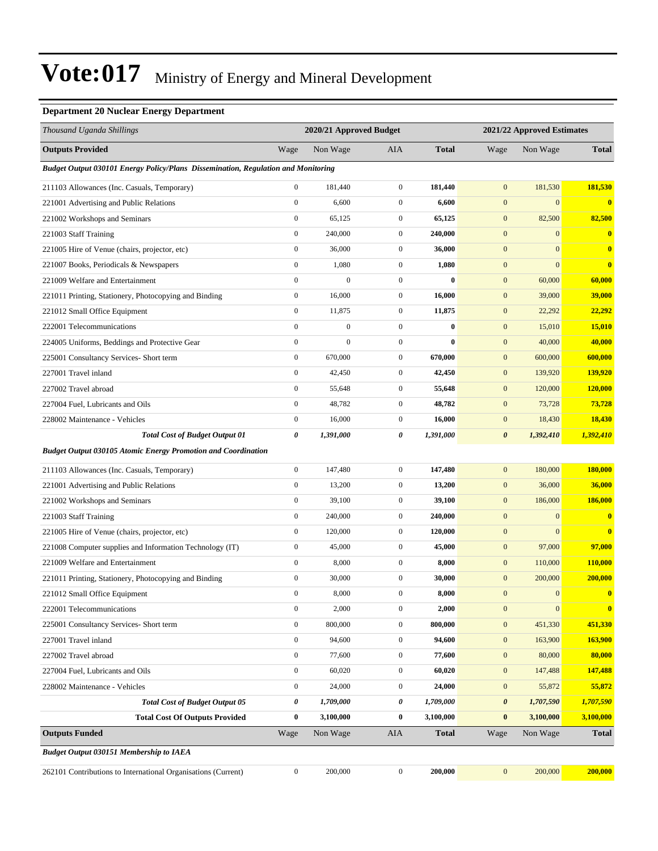#### **Department 20 Nuclear Energy Department**

| Thousand Uganda Shillings                                                         |                       | 2020/21 Approved Budget |                  |              | 2021/22 Approved Estimates |                  |                |
|-----------------------------------------------------------------------------------|-----------------------|-------------------------|------------------|--------------|----------------------------|------------------|----------------|
| <b>Outputs Provided</b>                                                           | Wage                  | Non Wage                | AIA              | <b>Total</b> | Wage                       | Non Wage         | <b>Total</b>   |
| Budget Output 030101 Energy Policy/Plans Dissemination, Regulation and Monitoring |                       |                         |                  |              |                            |                  |                |
| 211103 Allowances (Inc. Casuals, Temporary)                                       | $\boldsymbol{0}$      | 181,440                 | $\mathbf{0}$     | 181,440      | $\boldsymbol{0}$           | 181,530          | 181,530        |
| 221001 Advertising and Public Relations                                           | $\boldsymbol{0}$      | 6,600                   | $\boldsymbol{0}$ | 6,600        | $\boldsymbol{0}$           | $\mathbf{0}$     | $\mathbf{0}$   |
| 221002 Workshops and Seminars                                                     | $\boldsymbol{0}$      | 65,125                  | $\boldsymbol{0}$ | 65,125       | $\boldsymbol{0}$           | 82,500           | 82,500         |
| 221003 Staff Training                                                             | $\boldsymbol{0}$      | 240,000                 | $\boldsymbol{0}$ | 240,000      | $\boldsymbol{0}$           | $\boldsymbol{0}$ | $\bf{0}$       |
| 221005 Hire of Venue (chairs, projector, etc)                                     | $\boldsymbol{0}$      | 36,000                  | $\boldsymbol{0}$ | 36,000       | $\boldsymbol{0}$           | $\mathbf{0}$     | $\bf{0}$       |
| 221007 Books, Periodicals & Newspapers                                            | $\boldsymbol{0}$      | 1,080                   | $\mathbf{0}$     | 1,080        | $\boldsymbol{0}$           | $\mathbf{0}$     | $\bf{0}$       |
| 221009 Welfare and Entertainment                                                  | $\boldsymbol{0}$      | $\mathbf{0}$            | $\boldsymbol{0}$ | $\bf{0}$     | $\boldsymbol{0}$           | 60,000           | 60,000         |
| 221011 Printing, Stationery, Photocopying and Binding                             | $\boldsymbol{0}$      | 16,000                  | $\boldsymbol{0}$ | 16,000       | $\boldsymbol{0}$           | 39,000           | 39,000         |
| 221012 Small Office Equipment                                                     | $\boldsymbol{0}$      | 11,875                  | $\boldsymbol{0}$ | 11,875       | $\boldsymbol{0}$           | 22,292           | 22,292         |
| 222001 Telecommunications                                                         | $\boldsymbol{0}$      | $\boldsymbol{0}$        | $\boldsymbol{0}$ | $\bf{0}$     | $\boldsymbol{0}$           | 15,010           | 15,010         |
| 224005 Uniforms, Beddings and Protective Gear                                     | $\boldsymbol{0}$      | $\mathbf{0}$            | $\boldsymbol{0}$ | $\bf{0}$     | $\boldsymbol{0}$           | 40,000           | 40,000         |
| 225001 Consultancy Services- Short term                                           | $\boldsymbol{0}$      | 670,000                 | $\boldsymbol{0}$ | 670,000      | $\boldsymbol{0}$           | 600,000          | 600,000        |
| 227001 Travel inland                                                              | $\boldsymbol{0}$      | 42,450                  | $\boldsymbol{0}$ | 42,450       | $\boldsymbol{0}$           | 139,920          | 139,920        |
| 227002 Travel abroad                                                              | $\boldsymbol{0}$      | 55,648                  | $\boldsymbol{0}$ | 55,648       | $\mathbf{0}$               | 120,000          | <b>120,000</b> |
| 227004 Fuel, Lubricants and Oils                                                  | $\boldsymbol{0}$      | 48,782                  | $\boldsymbol{0}$ | 48,782       | $\boldsymbol{0}$           | 73,728           | 73,728         |
| 228002 Maintenance - Vehicles                                                     | $\boldsymbol{0}$      | 16,000                  | $\mathbf{0}$     | 16,000       | $\boldsymbol{0}$           | 18,430           | 18,430         |
| <b>Total Cost of Budget Output 01</b>                                             | 0                     | 1,391,000               | 0                | 1,391,000    | $\pmb{\theta}$             | 1,392,410        | 1,392,410      |
| <b>Budget Output 030105 Atomic Energy Promotion and Coordination</b>              |                       |                         |                  |              |                            |                  |                |
| 211103 Allowances (Inc. Casuals, Temporary)                                       | $\boldsymbol{0}$      | 147,480                 | $\boldsymbol{0}$ | 147,480      | $\boldsymbol{0}$           | 180,000          | 180,000        |
| 221001 Advertising and Public Relations                                           | $\boldsymbol{0}$      | 13,200                  | $\mathbf{0}$     | 13,200       | $\boldsymbol{0}$           | 36,000           | 36,000         |
| 221002 Workshops and Seminars                                                     | $\boldsymbol{0}$      | 39,100                  | $\boldsymbol{0}$ | 39,100       | $\boldsymbol{0}$           | 186,000          | 186,000        |
| 221003 Staff Training                                                             | $\boldsymbol{0}$      | 240,000                 | $\mathbf{0}$     | 240,000      | $\boldsymbol{0}$           | $\boldsymbol{0}$ | $\bf{0}$       |
| 221005 Hire of Venue (chairs, projector, etc)                                     | $\boldsymbol{0}$      | 120,000                 | $\mathbf{0}$     | 120,000      | $\boldsymbol{0}$           | $\mathbf{0}$     | $\mathbf{0}$   |
| 221008 Computer supplies and Information Technology (IT)                          | $\boldsymbol{0}$      | 45,000                  | $\boldsymbol{0}$ | 45,000       | $\boldsymbol{0}$           | 97,000           | 97,000         |
| 221009 Welfare and Entertainment                                                  | $\boldsymbol{0}$      | 8,000                   | $\mathbf{0}$     | 8,000        | $\boldsymbol{0}$           | 110,000          | <b>110,000</b> |
| 221011 Printing, Stationery, Photocopying and Binding                             | $\boldsymbol{0}$      | 30,000                  | $\boldsymbol{0}$ | 30,000       | $\boldsymbol{0}$           | 200,000          | 200,000        |
| 221012 Small Office Equipment                                                     | $\boldsymbol{0}$      | 8,000                   | $\mathbf{0}$     | 8,000        | $\mathbf{0}$               | $\boldsymbol{0}$ | $\bf{0}$       |
| 222001 Telecommunications                                                         | $\boldsymbol{0}$      | 2,000                   | $\boldsymbol{0}$ | 2,000        | $\boldsymbol{0}$           | $\boldsymbol{0}$ | $\bf{0}$       |
| 225001 Consultancy Services- Short term                                           | $\boldsymbol{0}$      | 800,000                 | $\boldsymbol{0}$ | 800,000      | $\boldsymbol{0}$           | 451,330          | 451,330        |
| 227001 Travel inland                                                              | $\boldsymbol{0}$      | 94,600                  | $\boldsymbol{0}$ | 94,600       | $\boldsymbol{0}$           | 163,900          | 163,900        |
| 227002 Travel abroad                                                              | $\boldsymbol{0}$      | 77,600                  | $\boldsymbol{0}$ | 77,600       | $\boldsymbol{0}$           | 80,000           | 80,000         |
| 227004 Fuel, Lubricants and Oils                                                  | $\mathbf{0}$          | 60,020                  | $\boldsymbol{0}$ | 60,020       | $\boldsymbol{0}$           | 147,488          | 147,488        |
| 228002 Maintenance - Vehicles                                                     | $\boldsymbol{0}$      | 24,000                  | $\boldsymbol{0}$ | 24,000       | $\boldsymbol{0}$           | 55,872           | 55,872         |
| <b>Total Cost of Budget Output 05</b>                                             | $\boldsymbol{\theta}$ | 1,709,000               | 0                | 1,709,000    | 0                          | 1,707,590        | 1,707,590      |
| <b>Total Cost Of Outputs Provided</b>                                             | $\bf{0}$              | 3,100,000               | $\bf{0}$         | 3,100,000    | $\bf{0}$                   | 3,100,000        | 3,100,000      |
| <b>Outputs Funded</b>                                                             | Wage                  | Non Wage                | AIA              | <b>Total</b> | Wage                       | Non Wage         | <b>Total</b>   |
| <b>Budget Output 030151 Membership to IAEA</b>                                    |                       |                         |                  |              |                            |                  |                |
| 262101 Contributions to International Organisations (Current)                     | $\boldsymbol{0}$      | 200,000                 | $\boldsymbol{0}$ | 200,000      | $\boldsymbol{0}$           | 200,000          | 200,000        |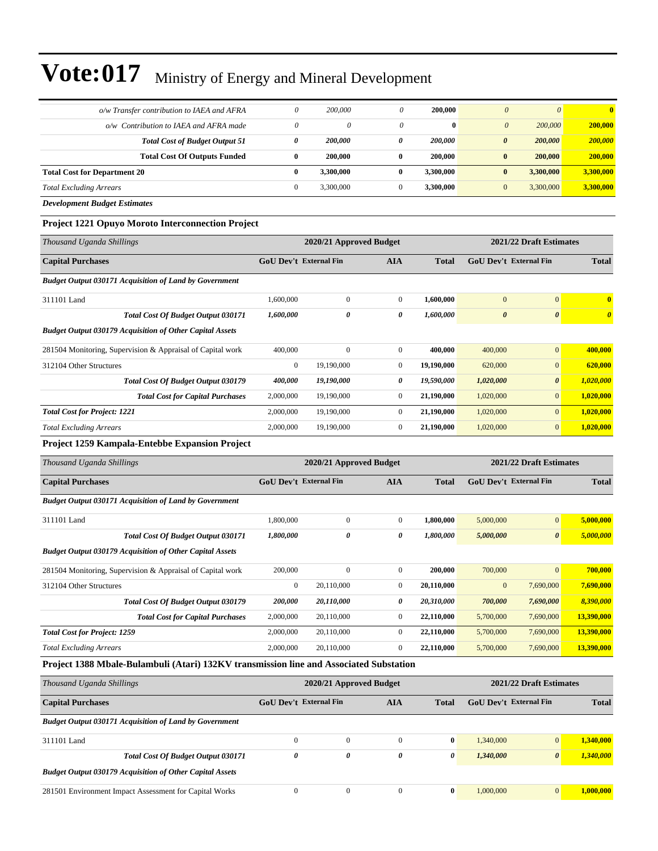| o/w Transfer contribution to IAEA and AFRA | 0 | 200,000   |   | 200,000      | $\theta$<br>$\theta$             | $\mathbf{0}$ |
|--------------------------------------------|---|-----------|---|--------------|----------------------------------|--------------|
| o/w Contribution to IAEA and AFRA made     | 0 | 0         | 0 | $\mathbf{0}$ | 200,000<br>$\theta$              | 200,000      |
| <b>Total Cost of Budget Output 51</b>      | 0 | 200,000   | 0 | 200,000      | 200,000<br>$\boldsymbol{\theta}$ | 200,000      |
| <b>Total Cost Of Outputs Funded</b>        | 0 | 200,000   |   | 200,000      | 200,000<br>$\bf{0}$              | 200,000      |
| <b>Total Cost for Department 20</b>        |   | 3.300.000 |   | 3.300.000    | 3.300,000<br>$\bf{0}$            | 3,300,000    |
| <b>Total Excluding Arrears</b>             |   | 3,300,000 |   | 3.300.000    | 3,300,000<br>$\mathbf{0}$        | 3,300,000    |
|                                            |   |           |   |              |                                  |              |

*Development Budget Estimates*

#### **Project 1221 Opuyo Moroto Interconnection Project**

| Thousand Uganda Shillings                                       | 2020/21 Approved Budget       |                         |                |              | 2021/22 Draft Estimates |                         |                       |
|-----------------------------------------------------------------|-------------------------------|-------------------------|----------------|--------------|-------------------------|-------------------------|-----------------------|
| <b>Capital Purchases</b>                                        | <b>GoU Dev't External Fin</b> |                         | <b>AIA</b>     | <b>Total</b> | GoU Dev't External Fin  |                         | <b>Total</b>          |
| <b>Budget Output 030171 Acquisition of Land by Government</b>   |                               |                         |                |              |                         |                         |                       |
| 311101 Land                                                     | 1,600,000                     | $\mathbf{0}$            | $\Omega$       | 1,600,000    | $\mathbf{0}$            | $\mathbf{0}$            | $\mathbf{0}$          |
| Total Cost Of Budget Output 030171                              | 1,600,000                     | 0                       | 0              | 1,600,000    | $\boldsymbol{\theta}$   | $\boldsymbol{\theta}$   | $\boldsymbol{\theta}$ |
| <b>Budget Output 030179 Acquisition of Other Capital Assets</b> |                               |                         |                |              |                         |                         |                       |
| 281504 Monitoring, Supervision & Appraisal of Capital work      | 400,000                       | $\Omega$                | $\overline{0}$ | 400,000      | 400,000                 | $\mathbf{0}$            | 400,000               |
| 312104 Other Structures                                         | $\overline{0}$                | 19,190,000              | $\Omega$       | 19,190,000   | 620,000                 | $\overline{0}$          | 620,000               |
| <b>Total Cost Of Budget Output 030179</b>                       | 400,000                       | 19,190,000              | 0              | 19,590,000   | 1,020,000               | $\boldsymbol{\theta}$   | 1,020,000             |
| <b>Total Cost for Capital Purchases</b>                         | 2,000,000                     | 19,190,000              | $\bf{0}$       | 21,190,000   | 1,020,000               | $\overline{0}$          | 1,020,000             |
| <b>Total Cost for Project: 1221</b>                             | 2,000,000                     | 19,190,000              | $\overline{0}$ | 21,190,000   | 1,020,000               | $\overline{0}$          | 1,020,000             |
| <b>Total Excluding Arrears</b>                                  | 2,000,000                     | 19,190,000              | $\overline{0}$ | 21,190,000   | 1,020,000               | $\overline{0}$          | 1,020,000             |
| <b>Project 1259 Kampala-Entebbe Expansion Project</b>           |                               |                         |                |              |                         |                         |                       |
| Thousand Uganda Shillings                                       |                               | 2020/21 Approved Budget |                |              |                         | 2021/22 Draft Estimates |                       |

| <b>Capital Purchases</b>                                        | <b>GoU Dev't External Fin</b> |              | <b>AIA</b>   | <b>Total</b> | GoU Dev't External Fin |                       | <b>Total</b> |
|-----------------------------------------------------------------|-------------------------------|--------------|--------------|--------------|------------------------|-----------------------|--------------|
| <b>Budget Output 030171 Acquisition of Land by Government</b>   |                               |              |              |              |                        |                       |              |
| 311101 Land                                                     | 1,800,000                     | $\mathbf{0}$ | $\mathbf{0}$ | 1,800,000    | 5,000,000              | $\mathbf{0}$          | 5,000,000    |
| <b>Total Cost Of Budget Output 030171</b>                       | 1,800,000                     | 0            | 0            | 1,800,000    | 5,000,000              | $\boldsymbol{\theta}$ | 5,000,000    |
| <b>Budget Output 030179 Acquisition of Other Capital Assets</b> |                               |              |              |              |                        |                       |              |
| 281504 Monitoring, Supervision & Appraisal of Capital work      | 200,000                       | $\mathbf{0}$ | $\mathbf{0}$ | 200,000      | 700,000                | $\mathbf{0}$          | 700,000      |
| 312104 Other Structures                                         | $\mathbf{0}$                  | 20,110,000   | $\mathbf{0}$ | 20,110,000   | $\mathbf{0}$           | 7,690,000             | 7,690,000    |
| Total Cost Of Budget Output 030179                              | 200,000                       | 20,110,000   | 0            | 20,310,000   | 700,000                | 7,690,000             | 8,390,000    |
| <b>Total Cost for Capital Purchases</b>                         | 2,000,000                     | 20,110,000   | $\mathbf{0}$ | 22,110,000   | 5,700,000              | 7,690,000             | 13,390,000   |
| <b>Total Cost for Project: 1259</b>                             | 2,000,000                     | 20,110,000   | $\mathbf{0}$ | 22,110,000   | 5,700,000              | 7,690,000             | 13,390,000   |
| <b>Total Excluding Arrears</b>                                  | 2,000,000                     | 20,110,000   | $\mathbf{0}$ | 22,110,000   | 5,700,000              | 7,690,000             | 13,390,000   |

#### **Project 1388 Mbale-Bulambuli (Atari) 132KV transmission line and Associated Substation**

| Thousand Uganda Shillings                                       |                               | 2020/21 Approved Budget | 2021/22 Draft Estimates |              |                        |                       |              |
|-----------------------------------------------------------------|-------------------------------|-------------------------|-------------------------|--------------|------------------------|-----------------------|--------------|
| <b>Capital Purchases</b>                                        | <b>GoU Dev't External Fin</b> |                         | AIA                     | Total        | GoU Dev't External Fin |                       | <b>Total</b> |
| <b>Budget Output 030171 Acquisition of Land by Government</b>   |                               |                         |                         |              |                        |                       |              |
| 311101 Land                                                     | $\Omega$                      | $\mathbf{0}$            | $\Omega$                | $\mathbf{0}$ | 1,340,000              | $\overline{0}$        | 1,340,000    |
| Total Cost Of Budget Output 030171                              | 0                             | 0                       | 0                       | 0            | 1,340,000              | $\boldsymbol{\theta}$ | 1,340,000    |
| <b>Budget Output 030179 Acquisition of Other Capital Assets</b> |                               |                         |                         |              |                        |                       |              |
| 281501 Environment Impact Assessment for Capital Works          | $\Omega$                      | $\mathbf{0}$            | $\Omega$                | $\bf{0}$     | 1,000,000              | $\overline{0}$        | 1,000,000    |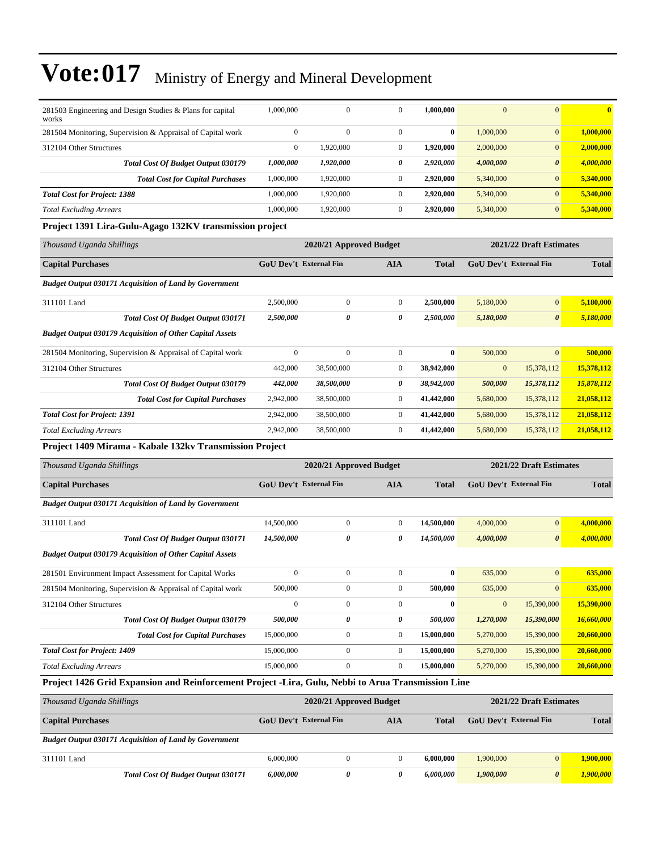| 281503 Engineering and Design Studies & Plans for capital<br>works                                 | 1,000,000              | $\mathbf{0}$            | $\mathbf{0}$     | 1,000,000    | $\mathbf{0}$           | $\mathbf{0}$            | $\bf{0}$     |
|----------------------------------------------------------------------------------------------------|------------------------|-------------------------|------------------|--------------|------------------------|-------------------------|--------------|
| 281504 Monitoring, Supervision & Appraisal of Capital work                                         | $\mathbf{0}$           | $\mathbf{0}$            | $\mathbf{0}$     | $\bf{0}$     | 1,000,000              | $\mathbf{0}$            | 1,000,000    |
| 312104 Other Structures                                                                            | $\mathbf{0}$           | 1,920,000               | $\boldsymbol{0}$ | 1,920,000    | 2,000,000              | $\boldsymbol{0}$        | 2,000,000    |
| <b>Total Cost Of Budget Output 030179</b>                                                          | 1,000,000              | 1,920,000               | 0                | 2,920,000    | 4,000,000              | $\boldsymbol{\theta}$   | 4,000,000    |
| <b>Total Cost for Capital Purchases</b>                                                            | 1,000,000              | 1,920,000               | $\mathbf{0}$     | 2,920,000    | 5,340,000              | $\mathbf{0}$            | 5,340,000    |
| <b>Total Cost for Project: 1388</b>                                                                | 1,000,000              | 1,920,000               | $\mathbf{0}$     | 2,920,000    | 5,340,000              | $\boldsymbol{0}$        | 5,340,000    |
| <b>Total Excluding Arrears</b>                                                                     | 1,000,000              | 1,920,000               | $\mathbf{0}$     | 2,920,000    | 5,340,000              | $\mathbf{0}$            | 5,340,000    |
| Project 1391 Lira-Gulu-Agago 132KV transmission project                                            |                        |                         |                  |              |                        |                         |              |
| Thousand Uganda Shillings                                                                          |                        | 2020/21 Approved Budget |                  |              |                        | 2021/22 Draft Estimates |              |
| <b>Capital Purchases</b>                                                                           | GoU Dev't External Fin |                         | AIA              | <b>Total</b> | GoU Dev't External Fin |                         | <b>Total</b> |
| <b>Budget Output 030171 Acquisition of Land by Government</b>                                      |                        |                         |                  |              |                        |                         |              |
| 311101 Land                                                                                        | 2,500,000              | $\boldsymbol{0}$        | $\boldsymbol{0}$ | 2,500,000    | 5,180,000              | $\boldsymbol{0}$        | 5,180,000    |
| <b>Total Cost Of Budget Output 030171</b>                                                          | 2,500,000              | 0                       | 0                | 2,500,000    | 5,180,000              | $\boldsymbol{\theta}$   | 5,180,000    |
| <b>Budget Output 030179 Acquisition of Other Capital Assets</b>                                    |                        |                         |                  |              |                        |                         |              |
| 281504 Monitoring, Supervision & Appraisal of Capital work                                         | $\overline{0}$         | $\mathbf{0}$            | $\mathbf{0}$     | $\bf{0}$     | 500,000                | $\mathbf{0}$            | 500,000      |
| 312104 Other Structures                                                                            | 442,000                | 38,500,000              | $\mathbf{0}$     | 38,942,000   | $\mathbf{0}$           | 15,378,112              | 15,378,112   |
| <b>Total Cost Of Budget Output 030179</b>                                                          | 442,000                | 38,500,000              | 0                | 38,942,000   | 500,000                | 15,378,112              | 15,878,112   |
| <b>Total Cost for Capital Purchases</b>                                                            | 2,942,000              | 38,500,000              | $\boldsymbol{0}$ | 41,442,000   | 5,680,000              | 15,378,112              | 21,058,112   |
| <b>Total Cost for Project: 1391</b>                                                                | 2,942,000              | 38,500,000              | $\boldsymbol{0}$ | 41,442,000   | 5,680,000              | 15,378,112              | 21,058,112   |
| <b>Total Excluding Arrears</b>                                                                     | 2,942,000              | 38,500,000              | $\mathbf{0}$     | 41,442,000   | 5,680,000              | 15,378,112              | 21,058,112   |
|                                                                                                    |                        |                         |                  |              |                        |                         |              |
| Project 1409 Mirama - Kabale 132kv Transmission Project                                            |                        |                         |                  |              |                        |                         |              |
| Thousand Uganda Shillings                                                                          |                        | 2020/21 Approved Budget |                  |              |                        | 2021/22 Draft Estimates |              |
| <b>Capital Purchases</b>                                                                           | GoU Dev't External Fin |                         | AIA              | <b>Total</b> | GoU Dev't External Fin |                         | <b>Total</b> |
| <b>Budget Output 030171 Acquisition of Land by Government</b>                                      |                        |                         |                  |              |                        |                         |              |
| 311101 Land                                                                                        | 14,500,000             | $\boldsymbol{0}$        | $\mathbf{0}$     | 14,500,000   | 4,000,000              | $\mathbf{0}$            | 4,000,000    |
| Total Cost Of Budget Output 030171                                                                 | 14,500,000             | 0                       | 0                | 14,500,000   | 4,000,000              | $\boldsymbol{\theta}$   | 4,000,000    |
| <b>Budget Output 030179 Acquisition of Other Capital Assets</b>                                    |                        |                         |                  |              |                        |                         |              |
| 281501 Environment Impact Assessment for Capital Works                                             | $\mathbf{0}$           | $\mathbf{0}$            | $\mathbf{0}$     | $\bf{0}$     | 635,000                | $\mathbf{0}$            | 635,000      |
| 281504 Monitoring, Supervision & Appraisal of Capital work                                         | 500,000                | $\boldsymbol{0}$        | $\boldsymbol{0}$ | 500,000      | 635,000                | $\boldsymbol{0}$        | 635,000      |
| 312104 Other Structures                                                                            | $\boldsymbol{0}$       | $\boldsymbol{0}$        | $\boldsymbol{0}$ | $\bf{0}$     | $\boldsymbol{0}$       | 15,390,000              | 15,390,000   |
| Total Cost Of Budget Output 030179                                                                 | 500,000                | 0                       | $\pmb{\theta}$   | 500,000      | 1,270,000              | 15,390,000              | 16,660,000   |
| <b>Total Cost for Capital Purchases</b>                                                            | 15,000,000             | $\boldsymbol{0}$        | $\boldsymbol{0}$ | 15,000,000   | 5,270,000              | 15,390,000              | 20,660,000   |
| <b>Total Cost for Project: 1409</b>                                                                | 15,000,000             | $\boldsymbol{0}$        | $\boldsymbol{0}$ | 15,000,000   | 5,270,000              | 15,390,000              | 20,660,000   |
| <b>Total Excluding Arrears</b>                                                                     | 15,000,000             | $\boldsymbol{0}$        | $\boldsymbol{0}$ | 15,000,000   | 5,270,000              | 15,390,000              | 20,660,000   |
| Project 1426 Grid Expansion and Reinforcement Project -Lira, Gulu, Nebbi to Arua Transmission Line |                        |                         |                  |              |                        |                         |              |
| Thousand Uganda Shillings                                                                          |                        | 2020/21 Approved Budget |                  |              |                        | 2021/22 Draft Estimates |              |
| <b>Capital Purchases</b>                                                                           | GoU Dev't External Fin |                         | <b>AIA</b>       | <b>Total</b> | GoU Dev't External Fin |                         | <b>Total</b> |
| <b>Budget Output 030171 Acquisition of Land by Government</b>                                      |                        |                         |                  |              |                        |                         |              |
| 311101 Land                                                                                        | 6,000,000              | $\boldsymbol{0}$        | $\boldsymbol{0}$ | 6,000,000    | 1,900,000              | $\boldsymbol{0}$        | 1,900,000    |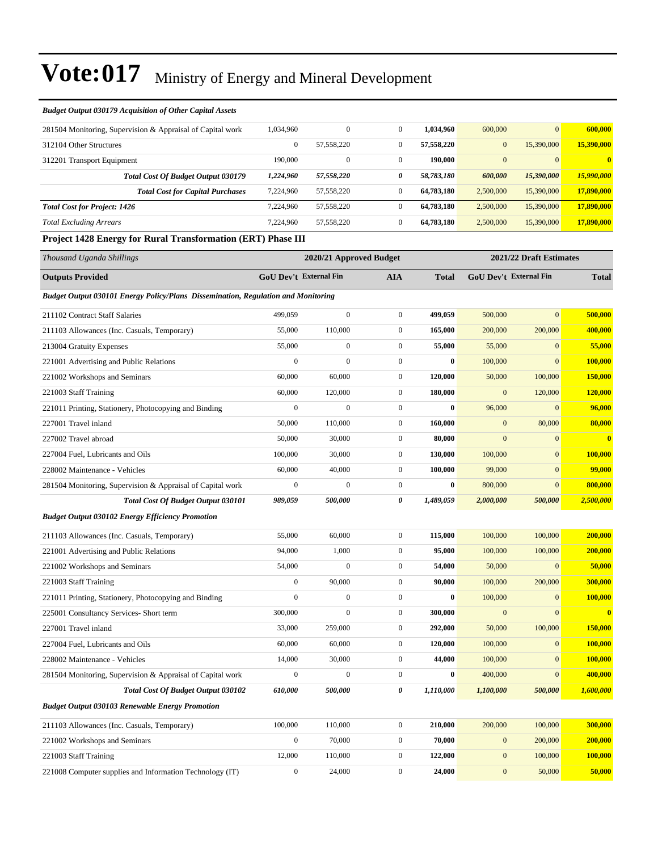| <b>Budget Output 030179 Acquisition of Other Capital Assets</b>                          |                        |                         |                  |              |                        |                         |                         |
|------------------------------------------------------------------------------------------|------------------------|-------------------------|------------------|--------------|------------------------|-------------------------|-------------------------|
| 281504 Monitoring, Supervision & Appraisal of Capital work                               | 1,034,960              | $\boldsymbol{0}$        | $\boldsymbol{0}$ | 1,034,960    | 600,000                | $\mathbf{0}$            | 600,000                 |
| 312104 Other Structures                                                                  | $\boldsymbol{0}$       | 57,558,220              | $\boldsymbol{0}$ | 57,558,220   | $\mathbf{0}$           | 15,390,000              | 15,390,000              |
| 312201 Transport Equipment                                                               | 190,000                | $\boldsymbol{0}$        | $\boldsymbol{0}$ | 190,000      | $\mathbf{0}$           | $\mathbf{0}$            |                         |
| <b>Total Cost Of Budget Output 030179</b>                                                | 1,224,960              | 57,558,220              | 0                | 58,783,180   | 600,000                | 15,390,000              | 15,990,000              |
| <b>Total Cost for Capital Purchases</b>                                                  | 7,224,960              | 57,558,220              | $\boldsymbol{0}$ | 64,783,180   | 2,500,000              | 15,390,000              | 17,890,000              |
| <b>Total Cost for Project: 1426</b>                                                      | 7,224,960              | 57,558,220              | $\boldsymbol{0}$ | 64,783,180   | 2,500,000              | 15,390,000              | 17,890,000              |
| <b>Total Excluding Arrears</b>                                                           | 7,224,960              | 57,558,220              | $\boldsymbol{0}$ | 64,783,180   | 2,500,000              | 15,390,000              | 17,890,000              |
| <b>Project 1428 Energy for Rural Transformation (ERT) Phase III</b>                      |                        |                         |                  |              |                        |                         |                         |
| Thousand Uganda Shillings                                                                |                        | 2020/21 Approved Budget |                  |              |                        | 2021/22 Draft Estimates |                         |
| <b>Outputs Provided</b>                                                                  | GoU Dev't External Fin |                         | <b>AIA</b>       | <b>Total</b> | GoU Dev't External Fin |                         | <b>Total</b>            |
| <b>Budget Output 030101 Energy Policy/Plans Dissemination, Regulation and Monitoring</b> |                        |                         |                  |              |                        |                         |                         |
| 211102 Contract Staff Salaries                                                           | 499,059                | $\mathbf{0}$            | $\boldsymbol{0}$ | 499,059      | 500,000                | $\mathbf{0}$            | 500,000                 |
| 211103 Allowances (Inc. Casuals, Temporary)                                              | 55,000                 | 110,000                 | $\boldsymbol{0}$ | 165,000      | 200,000                | 200,000                 | 400,000                 |
| 213004 Gratuity Expenses                                                                 | 55,000                 | $\boldsymbol{0}$        | $\boldsymbol{0}$ | 55,000       | 55,000                 | $\mathbf{0}$            | 55,000                  |
| 221001 Advertising and Public Relations                                                  | $\boldsymbol{0}$       | $\mathbf{0}$            | $\boldsymbol{0}$ | $\bf{0}$     | 100,000                | $\mathbf{0}$            | 100,000                 |
| 221002 Workshops and Seminars                                                            | 60,000                 | 60,000                  | $\boldsymbol{0}$ | 120,000      | 50,000                 | 100,000                 | 150,000                 |
| 221003 Staff Training                                                                    | 60,000                 | 120,000                 | $\boldsymbol{0}$ | 180,000      | $\mathbf{0}$           | 120,000                 | <b>120,000</b>          |
| 221011 Printing, Stationery, Photocopying and Binding                                    | $\boldsymbol{0}$       | $\mathbf{0}$            | $\boldsymbol{0}$ | $\bf{0}$     | 96,000                 | $\mathbf{0}$            | 96,000                  |
| 227001 Travel inland                                                                     | 50,000                 | 110,000                 | $\boldsymbol{0}$ | 160,000      | $\overline{0}$         | 80,000                  | 80,000                  |
| 227002 Travel abroad                                                                     | 50,000                 | 30,000                  | $\boldsymbol{0}$ | 80,000       | $\mathbf{0}$           | $\mathbf{0}$            | $\overline{\mathbf{0}}$ |
| 227004 Fuel, Lubricants and Oils                                                         | 100,000                | 30,000                  | $\boldsymbol{0}$ | 130,000      | 100,000                | $\mathbf{0}$            | 100,000                 |
| 228002 Maintenance - Vehicles                                                            | 60,000                 | 40,000                  | $\boldsymbol{0}$ | 100,000      | 99,000                 | $\mathbf{0}$            | 99,000                  |
| 281504 Monitoring, Supervision & Appraisal of Capital work                               | $\boldsymbol{0}$       | $\mathbf{0}$            | $\boldsymbol{0}$ | 0            | 800,000                | $\mathbf{0}$            | 800,000                 |
| Total Cost Of Budget Output 030101                                                       | 989,059                | 500,000                 | 0                | 1,489,059    | 2,000,000              | 500,000                 | 2,500,000               |
| <b>Budget Output 030102 Energy Efficiency Promotion</b>                                  |                        |                         |                  |              |                        |                         |                         |
| 211103 Allowances (Inc. Casuals, Temporary)                                              | 55,000                 | 60,000                  | $\boldsymbol{0}$ | 115,000      | 100,000                | 100,000                 | 200,000                 |
| 221001 Advertising and Public Relations                                                  | 94,000                 | 1,000                   | $\boldsymbol{0}$ | 95,000       | 100,000                | 100,000                 | 200,000                 |
| 221002 Workshops and Seminars                                                            | 54,000                 | $\boldsymbol{0}$        | $\boldsymbol{0}$ | 54,000       | 50,000                 | $\mathbf{0}$            | 50,000                  |
| 221003 Staff Training                                                                    | $\mathbf{0}$           | 90,000                  | $\mathbf{0}$     | 90,000       | 100,000                | 200,000                 | 300,000                 |
| 221011 Printing, Stationery, Photocopying and Binding                                    | $\boldsymbol{0}$       | $\boldsymbol{0}$        | $\boldsymbol{0}$ | $\bf{0}$     | 100,000                | $\mathbf{0}$            | 100,000                 |
| 225001 Consultancy Services- Short term                                                  | 300,000                | $\boldsymbol{0}$        | $\boldsymbol{0}$ | 300,000      | $\bf{0}$               | $\boldsymbol{0}$        | $\overline{\mathbf{0}}$ |
| 227001 Travel inland                                                                     | 33,000                 | 259,000                 | $\boldsymbol{0}$ | 292,000      | 50,000                 | 100,000                 | 150,000                 |
| 227004 Fuel, Lubricants and Oils                                                         | 60,000                 | 60,000                  | $\boldsymbol{0}$ | 120,000      | 100,000                | $\mathbf{0}$            | 100,000                 |
| 228002 Maintenance - Vehicles                                                            | 14,000                 | 30,000                  | $\boldsymbol{0}$ | 44,000       | 100,000                | $\mathbf{0}$            | 100,000                 |
| 281504 Monitoring, Supervision & Appraisal of Capital work                               | $\boldsymbol{0}$       | $\boldsymbol{0}$        | $\boldsymbol{0}$ | 0            | 400,000                | $\mathbf{0}$            | 400,000                 |
| <b>Total Cost Of Budget Output 030102</b>                                                | 610,000                | 500,000                 | 0                | 1,110,000    | 1,100,000              | 500,000                 | 1,600,000               |
| <b>Budget Output 030103 Renewable Energy Promotion</b>                                   |                        |                         |                  |              |                        |                         |                         |
| 211103 Allowances (Inc. Casuals, Temporary)                                              | 100,000                | 110,000                 | $\boldsymbol{0}$ | 210,000      | 200,000                | 100,000                 | 300,000                 |
| 221002 Workshops and Seminars                                                            | $\boldsymbol{0}$       | 70,000                  | $\boldsymbol{0}$ | 70,000       | $\mathbf{0}$           | 200,000                 | 200,000                 |
| 221003 Staff Training                                                                    | 12,000                 | 110,000                 | $\boldsymbol{0}$ | 122,000      | $\bf{0}$               | 100,000                 | 100,000                 |

221008 Computer supplies and Information Technology (IT) 0 24,000 0 **24,000** 0 50,000 **50,000**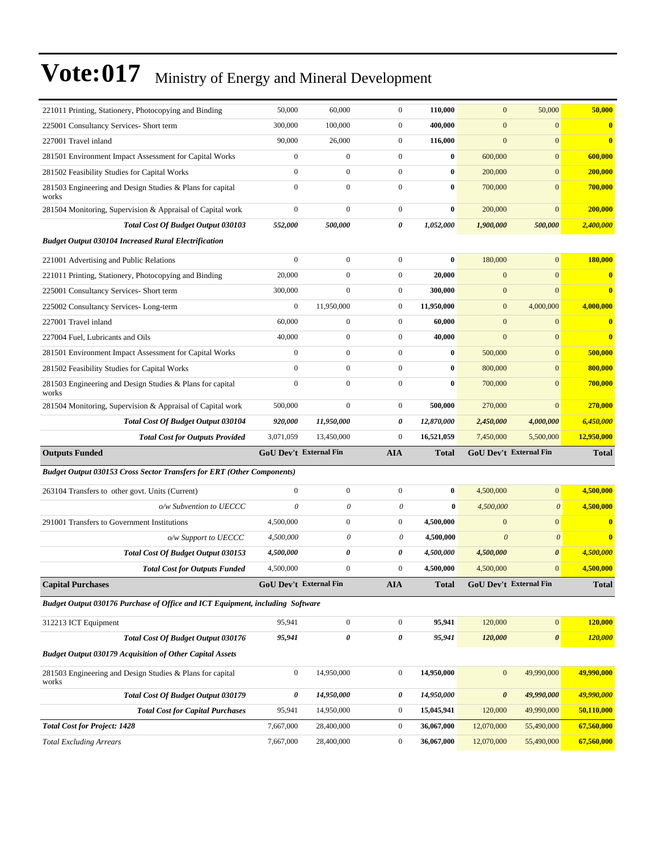| 221011 Printing, Stationery, Photocopying and Binding                         | 50,000                 | 60,000                        | $\mathbf{0}$          | 110,000      | $\mathbf{0}$           | 50,000                 | 50,000                  |
|-------------------------------------------------------------------------------|------------------------|-------------------------------|-----------------------|--------------|------------------------|------------------------|-------------------------|
| 225001 Consultancy Services- Short term                                       | 300,000                | 100,000                       | $\boldsymbol{0}$      | 400,000      | $\boldsymbol{0}$       | $\mathbf{0}$           | $\bf{0}$                |
| 227001 Travel inland                                                          | 90,000                 | 26,000                        | $\overline{0}$        | 116,000      | $\mathbf{0}$           | $\overline{0}$         | $\bf{0}$                |
| 281501 Environment Impact Assessment for Capital Works                        | $\boldsymbol{0}$       | $\mathbf{0}$                  | $\mathbf{0}$          | $\bf{0}$     | 600,000                | $\mathbf{0}$           | 600,000                 |
| 281502 Feasibility Studies for Capital Works                                  | $\mathbf{0}$           | $\boldsymbol{0}$              | $\mathbf{0}$          | $\bf{0}$     | 200,000                | $\mathbf{0}$           | 200,000                 |
| 281503 Engineering and Design Studies & Plans for capital<br>works            | $\mathbf{0}$           | $\mathbf{0}$                  | $\mathbf{0}$          | $\bf{0}$     | 700,000                | $\overline{0}$         | 700,000                 |
| 281504 Monitoring, Supervision & Appraisal of Capital work                    | $\boldsymbol{0}$       | $\boldsymbol{0}$              | $\boldsymbol{0}$      | $\bf{0}$     | 200,000                | $\mathbf{0}$           | 200,000                 |
| <b>Total Cost Of Budget Output 030103</b>                                     | 552,000                | 500,000                       | 0                     | 1,052,000    | 1,900,000              | 500,000                | 2,400,000               |
| <b>Budget Output 030104 Increased Rural Electrification</b>                   |                        |                               |                       |              |                        |                        |                         |
| 221001 Advertising and Public Relations                                       | $\boldsymbol{0}$       | $\boldsymbol{0}$              | $\mathbf{0}$          | $\bf{0}$     | 180,000                | $\overline{0}$         | 180,000                 |
| 221011 Printing, Stationery, Photocopying and Binding                         | 20,000                 | $\mathbf{0}$                  | $\mathbf{0}$          | 20,000       | $\mathbf{0}$           | $\overline{0}$         | $\bf{0}$                |
| 225001 Consultancy Services- Short term                                       | 300,000                | $\mathbf{0}$                  | $\boldsymbol{0}$      | 300,000      | $\mathbf{0}$           | $\overline{0}$         | $\bf{0}$                |
| 225002 Consultancy Services-Long-term                                         | $\mathbf{0}$           | 11,950,000                    | $\mathbf{0}$          | 11,950,000   | $\boldsymbol{0}$       | 4,000,000              | 4,000,000               |
| 227001 Travel inland                                                          | 60,000                 | $\boldsymbol{0}$              | $\mathbf{0}$          | 60,000       | $\mathbf{0}$           | $\mathbf{0}$           | $\bf{0}$                |
| 227004 Fuel, Lubricants and Oils                                              | 40,000                 | $\mathbf{0}$                  | $\mathbf{0}$          | 40,000       | $\mathbf{0}$           | $\overline{0}$         | $\overline{\mathbf{0}}$ |
| 281501 Environment Impact Assessment for Capital Works                        | $\boldsymbol{0}$       | $\mathbf{0}$                  | $\mathbf{0}$          | $\bf{0}$     | 500,000                | $\mathbf{0}$           | 500,000                 |
| 281502 Feasibility Studies for Capital Works                                  | $\boldsymbol{0}$       | $\mathbf{0}$                  | $\mathbf{0}$          | $\bf{0}$     | 800,000                | $\mathbf{0}$           | 800,000                 |
| 281503 Engineering and Design Studies & Plans for capital<br>works            | $\boldsymbol{0}$       | $\boldsymbol{0}$              | $\boldsymbol{0}$      | $\bf{0}$     | 700,000                | $\mathbf{0}$           | 700,000                 |
| 281504 Monitoring, Supervision & Appraisal of Capital work                    | 500,000                | $\mathbf{0}$                  | $\boldsymbol{0}$      | 500,000      | 270,000                | $\overline{0}$         | 270,000                 |
| <b>Total Cost Of Budget Output 030104</b>                                     | 920,000                | 11,950,000                    | 0                     | 12,870,000   | 2,450,000              | 4,000,000              | 6,450,000               |
| <b>Total Cost for Outputs Provided</b>                                        | 3,071,059              | 13,450,000                    | $\boldsymbol{0}$      | 16,521,059   | 7,450,000              | 5,500,000              | 12,950,000              |
| <b>Outputs Funded</b>                                                         |                        | <b>GoU Dev't External Fin</b> | AIA                   | <b>Total</b> | GoU Dev't External Fin |                        | <b>Total</b>            |
|                                                                               |                        |                               |                       |              |                        |                        |                         |
| <b>Budget Output 030153 Cross Sector Transfers for ERT (Other Components)</b> |                        |                               |                       |              |                        |                        |                         |
| 263104 Transfers to other govt. Units (Current)                               | $\boldsymbol{0}$       | $\boldsymbol{0}$              | $\boldsymbol{0}$      | $\bf{0}$     | 4,500,000              | $\overline{0}$         | 4,500,000               |
| o/w Subvention to UECCC                                                       | $\theta$               | 0                             | 0                     | $\bf{0}$     | 4,500,000              | $\theta$               | 4,500,000               |
| 291001 Transfers to Government Institutions                                   | 4,500,000              | $\boldsymbol{0}$              | $\boldsymbol{0}$      | 4,500,000    | $\mathbf{0}$           | $\mathbf{0}$           | $\bf{0}$                |
| o/w Support to UECCC                                                          | 4,500,000              | 0                             | 0                     | 4,500,000    | $\boldsymbol{\theta}$  | $\theta$               | $\bf{0}$                |
| Total Cost Of Budget Output 030153                                            | 4,500,000              | 0                             | 0                     | 4,500,000    | 4,500,000              | $\boldsymbol{\theta}$  | 4,500,000               |
| <b>Total Cost for Outputs Funded</b>                                          | 4,500,000              | $\boldsymbol{0}$              | $\boldsymbol{0}$      | 4,500,000    | 4,500,000              | $\mathbf{0}$           | 4,500,000               |
| <b>Capital Purchases</b>                                                      | GoU Dev't External Fin |                               | AIA                   | Total        |                        | GoU Dev't External Fin | <b>Total</b>            |
| Budget Output 030176 Purchase of Office and ICT Equipment, including Software |                        |                               |                       |              |                        |                        |                         |
| 312213 ICT Equipment                                                          | 95,941                 | $\boldsymbol{0}$              | $\boldsymbol{0}$      | 95,941       | 120,000                | $\boldsymbol{0}$       | 120,000                 |
| Total Cost Of Budget Output 030176                                            | 95,941                 | 0                             | $\boldsymbol{\theta}$ | 95,941       | 120,000                | $\boldsymbol{\theta}$  | 120,000                 |
| <b>Budget Output 030179 Acquisition of Other Capital Assets</b>               |                        |                               |                       |              |                        |                        |                         |
| 281503 Engineering and Design Studies & Plans for capital<br>works            | $\boldsymbol{0}$       | 14,950,000                    | $\boldsymbol{0}$      | 14,950,000   | $\mathbf{0}$           | 49,990,000             | 49,990,000              |
| Total Cost Of Budget Output 030179                                            | 0                      | 14,950,000                    | 0                     | 14,950,000   | $\boldsymbol{\theta}$  | 49,990,000             | 49,990,000              |
| <b>Total Cost for Capital Purchases</b>                                       | 95,941                 | 14,950,000                    | $\boldsymbol{0}$      | 15,045,941   | 120,000                | 49,990,000             | 50,110,000              |
| <b>Total Cost for Project: 1428</b>                                           | 7,667,000              | 28,400,000                    | $\bf{0}$              | 36,067,000   | 12,070,000             | 55,490,000             | 67,560,000              |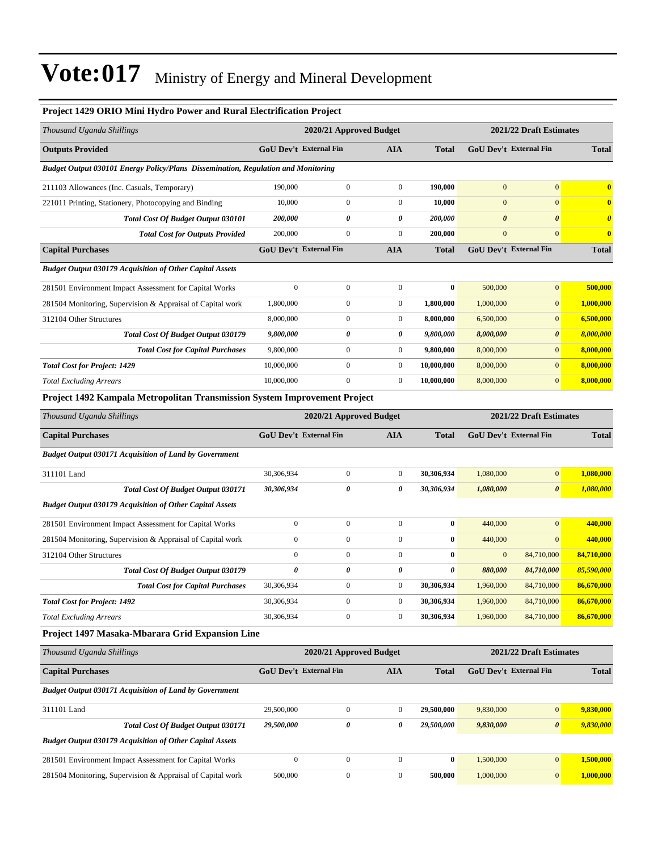#### **Project 1429 ORIO Mini Hydro Power and Rural Electrification Project**

| Thousand Uganda Shillings                                                                |                               | 2020/21 Approved Budget       |                  |              |                       | 2021/22 Draft Estimates       |                       |
|------------------------------------------------------------------------------------------|-------------------------------|-------------------------------|------------------|--------------|-----------------------|-------------------------------|-----------------------|
| <b>Outputs Provided</b>                                                                  |                               | GoU Dev't External Fin        | AIA              | <b>Total</b> |                       | GoU Dev't External Fin        | <b>Total</b>          |
| <b>Budget Output 030101 Energy Policy/Plans Dissemination, Regulation and Monitoring</b> |                               |                               |                  |              |                       |                               |                       |
| 211103 Allowances (Inc. Casuals, Temporary)                                              | 190,000                       | $\boldsymbol{0}$              | $\boldsymbol{0}$ | 190,000      | $\mathbf{0}$          | $\mathbf{0}$                  | $\mathbf{0}$          |
| 221011 Printing, Stationery, Photocopying and Binding                                    | 10,000                        | $\boldsymbol{0}$              | $\boldsymbol{0}$ | 10,000       | $\mathbf{0}$          | $\overline{0}$                | $\bf{0}$              |
| Total Cost Of Budget Output 030101                                                       | 200,000                       | 0                             | 0                | 200,000      | $\boldsymbol{\theta}$ | $\boldsymbol{\theta}$         | $\boldsymbol{\theta}$ |
| <b>Total Cost for Outputs Provided</b>                                                   | 200,000                       | $\boldsymbol{0}$              | $\boldsymbol{0}$ | 200,000      | $\mathbf{0}$          | $\mathbf{0}$                  | $\bf{0}$              |
| <b>Capital Purchases</b>                                                                 | GoU Dev't External Fin        |                               | <b>AIA</b>       | <b>Total</b> |                       | GoU Dev't External Fin        | <b>Total</b>          |
| <b>Budget Output 030179 Acquisition of Other Capital Assets</b>                          |                               |                               |                  |              |                       |                               |                       |
| 281501 Environment Impact Assessment for Capital Works                                   | $\mathbf{0}$                  | $\boldsymbol{0}$              | $\boldsymbol{0}$ | $\bf{0}$     | 500,000               | $\overline{0}$                | 500,000               |
| 281504 Monitoring, Supervision & Appraisal of Capital work                               | 1,800,000                     | $\boldsymbol{0}$              | $\boldsymbol{0}$ | 1,800,000    | 1,000,000             | $\mathbf{0}$                  | 1,000,000             |
| 312104 Other Structures                                                                  | 8,000,000                     | $\boldsymbol{0}$              | $\boldsymbol{0}$ | 8,000,000    | 6,500,000             | $\overline{0}$                | 6,500,000             |
| Total Cost Of Budget Output 030179                                                       | 9,800,000                     | 0                             | 0                | 9,800,000    | 8,000,000             | 0                             | 8,000,000             |
| <b>Total Cost for Capital Purchases</b>                                                  | 9,800,000                     | $\boldsymbol{0}$              | $\boldsymbol{0}$ | 9,800,000    | 8,000,000             | $\overline{0}$                | 8,000,000             |
| <b>Total Cost for Project: 1429</b>                                                      | 10,000,000                    | $\boldsymbol{0}$              | $\boldsymbol{0}$ | 10,000,000   | 8,000,000             | $\overline{0}$                | 8,000,000             |
| <b>Total Excluding Arrears</b>                                                           | 10,000,000                    | $\overline{0}$                | $\boldsymbol{0}$ | 10,000,000   | 8,000,000             | $\overline{0}$                | 8,000,000             |
| Project 1492 Kampala Metropolitan Transmission System Improvement Project                |                               |                               |                  |              |                       |                               |                       |
| Thousand Uganda Shillings                                                                |                               | 2020/21 Approved Budget       |                  |              |                       | 2021/22 Draft Estimates       |                       |
| <b>Capital Purchases</b>                                                                 |                               | <b>GoU Dev't External Fin</b> | <b>AIA</b>       | <b>Total</b> |                       | <b>GoU Dev't External Fin</b> | <b>Total</b>          |
| <b>Budget Output 030171 Acquisition of Land by Government</b>                            |                               |                               |                  |              |                       |                               |                       |
| 311101 Land                                                                              | 30,306,934                    | $\boldsymbol{0}$              | $\boldsymbol{0}$ | 30,306,934   | 1,080,000             | $\overline{0}$                | 1,080,000             |
| <b>Total Cost Of Budget Output 030171</b>                                                | 30,306,934                    | 0                             | 0                | 30,306,934   | 1,080,000             | $\boldsymbol{\theta}$         | 1,080,000             |
| <b>Budget Output 030179 Acquisition of Other Capital Assets</b>                          |                               |                               |                  |              |                       |                               |                       |
| 281501 Environment Impact Assessment for Capital Works                                   | $\boldsymbol{0}$              | $\boldsymbol{0}$              | $\boldsymbol{0}$ | $\bf{0}$     | 440,000               | $\mathbf{0}$                  | 440,000               |
| 281504 Monitoring, Supervision & Appraisal of Capital work                               | $\boldsymbol{0}$              | $\boldsymbol{0}$              | $\boldsymbol{0}$ | $\bf{0}$     | 440,000               | $\mathbf{0}$                  | 440,000               |
| 312104 Other Structures                                                                  | $\boldsymbol{0}$              | $\boldsymbol{0}$              | $\boldsymbol{0}$ | $\bf{0}$     | $\boldsymbol{0}$      | 84,710,000                    | 84,710,000            |
| Total Cost Of Budget Output 030179                                                       | $\theta$                      | 0                             | 0                | 0            | 880,000               | 84,710,000                    | 85,590,000            |
| <b>Total Cost for Capital Purchases</b>                                                  | 30,306,934                    | $\boldsymbol{0}$              | $\boldsymbol{0}$ | 30,306,934   | 1,960,000             | 84,710,000                    | 86,670,000            |
| <b>Total Cost for Project: 1492</b>                                                      | 30,306,934                    | $\boldsymbol{0}$              | $\boldsymbol{0}$ | 30,306,934   | 1,960,000             | 84,710,000                    | 86,670,000            |
| <b>Total Excluding Arrears</b>                                                           | 30,306,934                    | $\boldsymbol{0}$              | $\boldsymbol{0}$ | 30,306,934   | 1,960,000             | 84,710,000                    | 86,670,000            |
| Project 1497 Masaka-Mbarara Grid Expansion Line                                          |                               |                               |                  |              |                       |                               |                       |
| Thousand Uganda Shillings                                                                |                               | 2020/21 Approved Budget       |                  |              |                       | 2021/22 Draft Estimates       |                       |
| <b>Capital Purchases</b>                                                                 | <b>GoU Dev't External Fin</b> |                               | <b>AIA</b>       | <b>Total</b> |                       | GoU Dev't External Fin        | <b>Total</b>          |
| <b>Budget Output 030171 Acquisition of Land by Government</b>                            |                               |                               |                  |              |                       |                               |                       |
| 311101 Land                                                                              | 29,500,000                    | $\boldsymbol{0}$              | $\boldsymbol{0}$ | 29,500,000   | 9,830,000             | $\mathbf{0}$                  | 9,830,000             |
| <b>Total Cost Of Budget Output 030171</b>                                                | 29,500,000                    | 0                             | 0                | 29,500,000   | 9,830,000             | $\boldsymbol{\theta}$         | 9,830,000             |
| <b>Budget Output 030179 Acquisition of Other Capital Assets</b>                          |                               |                               |                  |              |                       |                               |                       |
| 281501 Environment Impact Assessment for Capital Works                                   | $\boldsymbol{0}$              | $\boldsymbol{0}$              | $\boldsymbol{0}$ | $\bf{0}$     | 1,500,000             | $\vert 0 \vert$               | 1,500,000             |
| 281504 Monitoring, Supervision & Appraisal of Capital work                               | 500,000                       | $\boldsymbol{0}$              | $\boldsymbol{0}$ | 500,000      | 1,000,000             | $\mathbf{0}$                  | 1,000,000             |
|                                                                                          |                               |                               |                  |              |                       |                               |                       |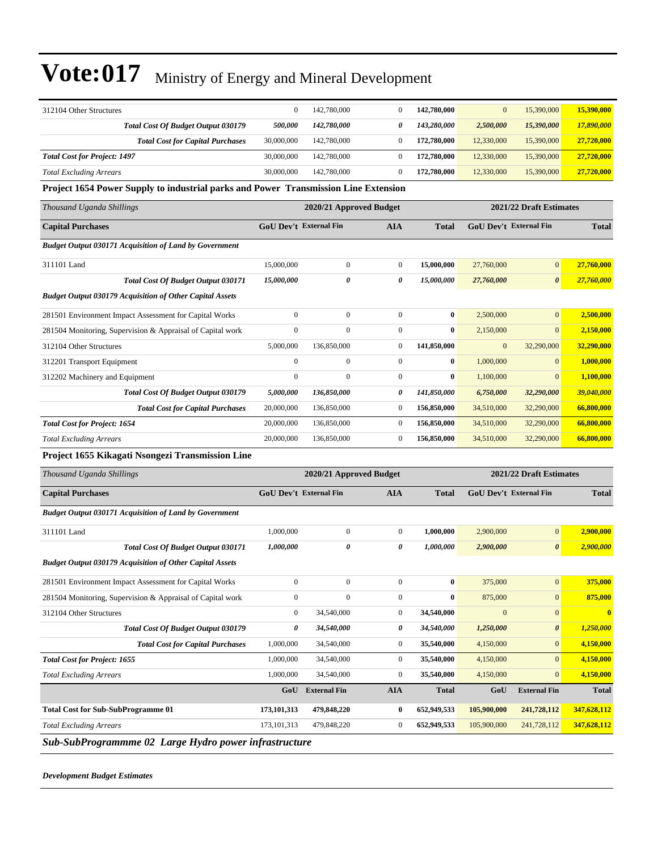| 312104 Other Structures                                                             | $\boldsymbol{0}$              | 142,780,000             | $\boldsymbol{0}$ | 142,780,000  | $\mathbf{0}$           | 15,390,000              | 15,390,000       |
|-------------------------------------------------------------------------------------|-------------------------------|-------------------------|------------------|--------------|------------------------|-------------------------|------------------|
| Total Cost Of Budget Output 030179                                                  | 500,000                       | 142,780,000             | 0                | 143,280,000  | 2,500,000              | 15,390,000              | 17,890,000       |
| <b>Total Cost for Capital Purchases</b>                                             | 30,000,000                    | 142,780,000             | $\boldsymbol{0}$ | 172,780,000  | 12,330,000             | 15,390,000              | 27,720,000       |
| <b>Total Cost for Project: 1497</b>                                                 | 30,000,000                    | 142,780,000             | $\boldsymbol{0}$ | 172,780,000  | 12,330,000             | 15,390,000              | 27,720,000       |
| <b>Total Excluding Arrears</b>                                                      | 30,000,000                    | 142,780,000             | $\boldsymbol{0}$ | 172,780,000  | 12,330,000             | 15,390,000              | 27,720,000       |
| Project 1654 Power Supply to industrial parks and Power Transmission Line Extension |                               |                         |                  |              |                        |                         |                  |
| Thousand Uganda Shillings                                                           |                               | 2020/21 Approved Budget |                  |              |                        | 2021/22 Draft Estimates |                  |
| <b>Capital Purchases</b>                                                            | <b>GoU Dev't External Fin</b> |                         | <b>AIA</b>       | <b>Total</b> | GoU Dev't External Fin |                         | <b>Total</b>     |
| <b>Budget Output 030171 Acquisition of Land by Government</b>                       |                               |                         |                  |              |                        |                         |                  |
| 311101 Land                                                                         | 15,000,000                    | $\boldsymbol{0}$        | $\boldsymbol{0}$ | 15,000,000   | 27,760,000             | $\mathbf{0}$            | 27,760,000       |
| Total Cost Of Budget Output 030171                                                  | 15,000,000                    | 0                       | 0                | 15,000,000   | 27,760,000             | $\boldsymbol{\theta}$   | 27,760,000       |
| <b>Budget Output 030179 Acquisition of Other Capital Assets</b>                     |                               |                         |                  |              |                        |                         |                  |
| 281501 Environment Impact Assessment for Capital Works                              | $\mathbf{0}$                  | $\overline{0}$          | $\boldsymbol{0}$ | $\bf{0}$     | 2,500,000              | $\mathbf{0}$            | 2,500,000        |
| 281504 Monitoring, Supervision & Appraisal of Capital work                          | $\boldsymbol{0}$              | $\overline{0}$          | $\boldsymbol{0}$ | $\bf{0}$     | 2,150,000              | $\mathbf{0}$            | 2,150,000        |
| 312104 Other Structures                                                             | 5,000,000                     | 136,850,000             | $\boldsymbol{0}$ | 141,850,000  | $\bf{0}$               | 32,290,000              | 32,290,000       |
| 312201 Transport Equipment                                                          | $\mathbf{0}$                  | $\boldsymbol{0}$        | $\boldsymbol{0}$ | $\bf{0}$     | 1,000,000              | $\mathbf{0}$            | 1,000,000        |
| 312202 Machinery and Equipment                                                      | $\mathbf{0}$                  | $\mathbf{0}$            | $\boldsymbol{0}$ | $\bf{0}$     | 1,100,000              | $\mathbf{0}$            | 1,100,000        |
| <b>Total Cost Of Budget Output 030179</b>                                           | 5,000,000                     | 136,850,000             | 0                | 141,850,000  | 6,750,000              | 32,290,000              | 39,040,000       |
| <b>Total Cost for Capital Purchases</b>                                             | 20,000,000                    | 136,850,000             | $\boldsymbol{0}$ | 156,850,000  | 34,510,000             | 32,290,000              | 66,800,000       |
| <b>Total Cost for Project: 1654</b>                                                 | 20,000,000                    | 136,850,000             | $\boldsymbol{0}$ | 156,850,000  | 34,510,000             | 32,290,000              | 66,800,000       |
| <b>Total Excluding Arrears</b>                                                      | 20,000,000                    | 136,850,000             | $\boldsymbol{0}$ | 156,850,000  | 34,510,000             | 32,290,000              | 66,800,000       |
| Project 1655 Kikagati Nsongezi Transmission Line                                    |                               |                         |                  |              |                        |                         |                  |
| Thousand Uganda Shillings                                                           |                               | 2020/21 Approved Budget |                  |              |                        | 2021/22 Draft Estimates |                  |
| <b>Capital Purchases</b>                                                            | <b>GoU Dev't External Fin</b> |                         | <b>AIA</b>       | Total        | GoU Dev't External Fin |                         | <b>Total</b>     |
| <b>Budget Output 030171 Acquisition of Land by Government</b>                       |                               |                         |                  |              |                        |                         |                  |
| 311101 Land                                                                         | 1,000,000                     | $\boldsymbol{0}$        | $\boldsymbol{0}$ | 1,000,000    | 2,900,000              | $\mathbf{0}$            | 2,900,000        |
| <b>Total Cost Of Budget Output 030171</b>                                           | 1,000,000                     | 0                       | 0                | 1,000,000    | 2,900,000              | $\boldsymbol{\theta}$   | 2,900,000        |
| <b>Budget Output 030179 Acquisition of Other Capital Assets</b>                     |                               |                         |                  |              |                        |                         |                  |
| 281501 Environment Impact Assessment for Capital Works                              | $\mathbf{0}$                  | $\mathbf{0}$            | $\overline{0}$   | $\bf{0}$     | 375,000                | $\boldsymbol{0}$        | 375,000          |
| 281504 Monitoring, Supervision & Appraisal of Capital work                          | $\mathbf{0}$                  | $\boldsymbol{0}$        | $\boldsymbol{0}$ | $\bf{0}$     | 875,000                | $\mathbf{0}$            | 875,000          |
| 312104 Other Structures                                                             | $\mathbf{0}$                  | 34,540,000              | $\boldsymbol{0}$ | 34,540,000   | $\boldsymbol{0}$       | $\mathbf{0}$            | $\boldsymbol{0}$ |
| Total Cost Of Budget Output 030179                                                  | 0                             | 34,540,000              | 0                | 34,540,000   | 1,250,000              | $\boldsymbol{\theta}$   | 1,250,000        |
| <b>Total Cost for Capital Purchases</b>                                             | 1,000,000                     | 34,540,000              | $\boldsymbol{0}$ | 35,540,000   | 4,150,000              | $\mathbf{0}$            | 4,150,000        |
| <b>Total Cost for Project: 1655</b>                                                 | 1,000,000                     | 34,540,000              | $\boldsymbol{0}$ | 35,540,000   | 4,150,000              | $\mathbf{0}$            | 4,150,000        |
| <b>Total Excluding Arrears</b>                                                      | 1,000,000                     | 34,540,000              | 0                | 35,540,000   | 4,150,000              | $\mathbf{0}$            | 4,150,000        |
|                                                                                     | GoU                           | <b>External Fin</b>     | <b>AIA</b>       | <b>Total</b> | GoU                    | <b>External Fin</b>     | <b>Total</b>     |
|                                                                                     |                               |                         |                  |              |                        |                         |                  |
| <b>Total Cost for Sub-SubProgramme 01</b>                                           | 173,101,313                   | 479,848,220             | 0                | 652,949,533  | 105,900,000            | 241,728,112             | 347,628,112      |
| <b>Total Excluding Arrears</b>                                                      | 173, 101, 313                 | 479,848,220             | $\boldsymbol{0}$ | 652,949,533  | 105,900,000            | 241,728,112             | 347,628,112      |

*Development Budget Estimates*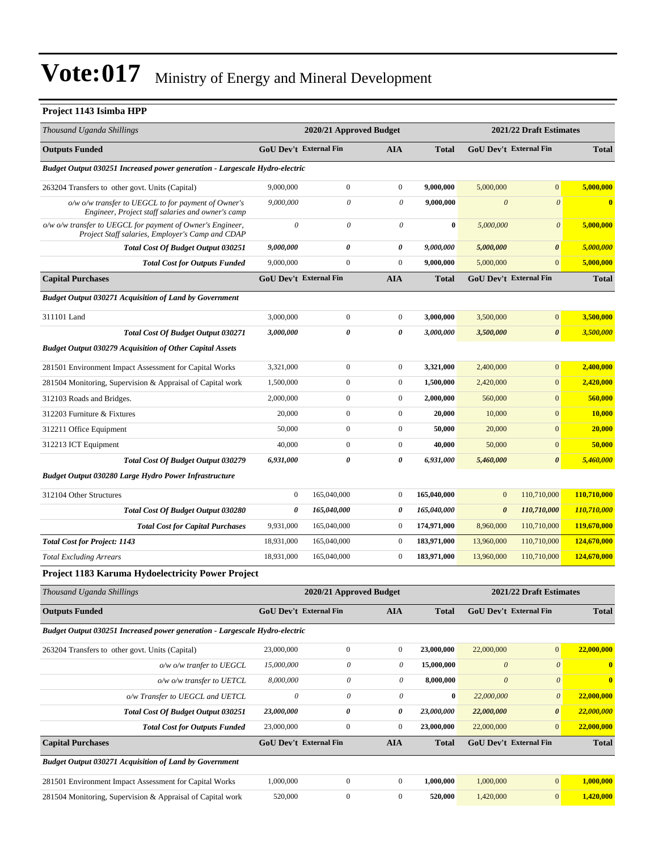| Project 1143 Isimba HPP                                                                                        |                               |                           |                           |              |                           |                           |              |
|----------------------------------------------------------------------------------------------------------------|-------------------------------|---------------------------|---------------------------|--------------|---------------------------|---------------------------|--------------|
| Thousand Uganda Shillings                                                                                      |                               | 2020/21 Approved Budget   |                           |              |                           | 2021/22 Draft Estimates   |              |
| <b>Outputs Funded</b>                                                                                          | GoU Dev't External Fin        |                           | AIA                       | <b>Total</b> |                           | GoU Dev't External Fin    | <b>Total</b> |
| Budget Output 030251 Increased power generation - Largescale Hydro-electric                                    |                               |                           |                           |              |                           |                           |              |
| 263204 Transfers to other govt. Units (Capital)                                                                | 9,000,000                     | $\boldsymbol{0}$          | $\mathbf{0}$              | 9,000,000    | 5,000,000                 | $\mathbf{0}$              | 5,000,000    |
| o/w o/w transfer to UEGCL to for payment of Owner's<br>Engineer, Project staff salaries and owner's camp       | 9,000,000                     | $\boldsymbol{\theta}$     | $\boldsymbol{\mathit{0}}$ | 9,000,000    | $\boldsymbol{\theta}$     | $\boldsymbol{\theta}$     | $\bf{0}$     |
| o/w o/w transfer to UEGCL for payment of Owner's Engineer,<br>Project Staff salaries, Employer's Camp and CDAP | $\theta$                      | $\boldsymbol{\theta}$     | $\theta$                  | $\bf{0}$     | 5,000,000                 | $\boldsymbol{\theta}$     | 5,000,000    |
| <b>Total Cost Of Budget Output 030251</b>                                                                      | 9,000,000                     | 0                         | 0                         | 9,000,000    | 5,000,000                 | $\boldsymbol{\theta}$     | 5,000,000    |
| <b>Total Cost for Outputs Funded</b>                                                                           | 9,000,000                     | $\boldsymbol{0}$          | $\mathbf{0}$              | 9,000,000    | 5,000,000                 | $\overline{0}$            | 5,000,000    |
| <b>Capital Purchases</b>                                                                                       | <b>GoU Dev't External Fin</b> |                           | <b>AIA</b>                | <b>Total</b> |                           | GoU Dev't External Fin    | <b>Total</b> |
| <b>Budget Output 030271 Acquisition of Land by Government</b>                                                  |                               |                           |                           |              |                           |                           |              |
| 311101 Land                                                                                                    | 3,000,000                     | $\mathbf{0}$              | $\boldsymbol{0}$          | 3,000,000    | 3.500,000                 | $\mathbf{0}$              | 3,500,000    |
| <b>Total Cost Of Budget Output 030271</b>                                                                      | 3,000,000                     | 0                         | 0                         | 3,000,000    | 3,500,000                 | $\boldsymbol{\theta}$     | 3,500,000    |
| <b>Budget Output 030279 Acquisition of Other Capital Assets</b>                                                |                               |                           |                           |              |                           |                           |              |
| 281501 Environment Impact Assessment for Capital Works                                                         | 3,321,000                     | $\boldsymbol{0}$          | $\boldsymbol{0}$          | 3,321,000    | 2,400,000                 | $\mathbf{0}$              | 2,400,000    |
| 281504 Monitoring, Supervision & Appraisal of Capital work                                                     | 1,500,000                     | 0                         | $\boldsymbol{0}$          | 1,500,000    | 2,420,000                 | $\mathbf{0}$              | 2,420,000    |
| 312103 Roads and Bridges.                                                                                      | 2,000,000                     | $\boldsymbol{0}$          | $\boldsymbol{0}$          | 2,000,000    | 560,000                   | $\mathbf{0}$              | 560,000      |
| 312203 Furniture & Fixtures                                                                                    | 20,000                        | $\mathbf{0}$              | $\boldsymbol{0}$          | 20,000       | 10,000                    | $\mathbf{0}$              | 10,000       |
| 312211 Office Equipment                                                                                        | 50,000                        | $\overline{0}$            | $\boldsymbol{0}$          | 50,000       | 20,000                    | $\overline{0}$            | 20,000       |
| 312213 ICT Equipment                                                                                           | 40,000                        | $\boldsymbol{0}$          | $\boldsymbol{0}$          | 40,000       | 50,000                    | $\mathbf{0}$              | 50,000       |
| Total Cost Of Budget Output 030279                                                                             | 6,931,000                     | 0                         | 0                         | 6,931,000    | 5,460,000                 | $\boldsymbol{\theta}$     | 5,460,000    |
| <b>Budget Output 030280 Large Hydro Power Infrastructure</b>                                                   |                               |                           |                           |              |                           |                           |              |
| 312104 Other Structures                                                                                        | $\boldsymbol{0}$              | 165,040,000               | $\boldsymbol{0}$          | 165,040,000  | $\mathbf{0}$              | 110,710,000               | 110,710,000  |
| Total Cost Of Budget Output 030280                                                                             | 0                             | 165,040,000               | 0                         | 165,040,000  | $\boldsymbol{\theta}$     | 110,710,000               | 110,710,000  |
| <b>Total Cost for Capital Purchases</b>                                                                        | 9,931,000                     | 165,040,000               | $\boldsymbol{0}$          | 174,971,000  | 8,960,000                 | 110,710,000               | 119,670,000  |
| <b>Total Cost for Project: 1143</b>                                                                            | 18,931,000                    | 165,040,000               | $\boldsymbol{0}$          | 183,971,000  | 13,960,000                | 110,710,000               | 124,670,000  |
| <b>Total Excluding Arrears</b>                                                                                 | 18,931,000                    | 165,040,000               | $\boldsymbol{0}$          | 183,971,000  | 13,960,000                | 110,710,000               | 124,670,000  |
| <b>Project 1183 Karuma Hydoelectricity Power Project</b>                                                       |                               |                           |                           |              |                           |                           |              |
| Thousand Uganda Shillings                                                                                      |                               | 2020/21 Approved Budget   |                           |              |                           | 2021/22 Draft Estimates   |              |
| <b>Outputs Funded</b>                                                                                          | <b>GoU Dev't External Fin</b> |                           | AIA                       | <b>Total</b> |                           | GoU Dev't External Fin    | <b>Total</b> |
| Budget Output 030251 Increased power generation - Largescale Hydro-electric                                    |                               |                           |                           |              |                           |                           |              |
| 263204 Transfers to other govt. Units (Capital)                                                                | 23,000,000                    | $\boldsymbol{0}$          | $\boldsymbol{0}$          | 23,000,000   | 22,000,000                | $\mathbf{0}$              | 22,000,000   |
| o/w o/w tranfer to UEGCL                                                                                       | 15,000,000                    | $\boldsymbol{\mathit{0}}$ | $\theta$                  | 15,000,000   | $\boldsymbol{\mathit{0}}$ | $\boldsymbol{\mathit{0}}$ | $\bf{0}$     |
| o/w o/w transfer to UETCL                                                                                      | 8,000,000                     | $\boldsymbol{\mathit{0}}$ | $\theta$                  | 8,000,000    | $\boldsymbol{\theta}$     | $\boldsymbol{\theta}$     | $\bf{0}$     |
| o/w Transfer to UEGCL and UETCL                                                                                | $\boldsymbol{\mathit{0}}$     | $\boldsymbol{\mathit{0}}$ | $\theta$                  | $\bf{0}$     | 22,000,000                | $\boldsymbol{\theta}$     | 22,000,000   |
| <b>Total Cost Of Budget Output 030251</b>                                                                      | 23,000,000                    | 0                         | 0                         | 23,000,000   | 22,000,000                | $\boldsymbol{\theta}$     | 22,000,000   |
| <b>Total Cost for Outputs Funded</b>                                                                           | 23,000,000                    | $\boldsymbol{0}$          | $\boldsymbol{0}$          | 23,000,000   | 22,000,000                | $\mathbf{0}$              | 22,000,000   |
| <b>Capital Purchases</b>                                                                                       | GoU Dev't External Fin        |                           | AIA                       | <b>Total</b> |                           | GoU Dev't External Fin    | <b>Total</b> |
| <b>Budget Output 030271 Acquisition of Land by Government</b>                                                  |                               |                           |                           |              |                           |                           |              |
| 281501 Environment Impact Assessment for Capital Works                                                         | 1,000,000                     | $\boldsymbol{0}$          | $\boldsymbol{0}$          | 1,000,000    | 1,000,000                 | $\mathbf{0}$              | 1,000,000    |
| 281504 Monitoring, Supervision & Appraisal of Capital work                                                     | 520,000                       | $\boldsymbol{0}$          | $\boldsymbol{0}$          | 520,000      | 1,420,000                 | $\mathbf{0}$              | 1,420,000    |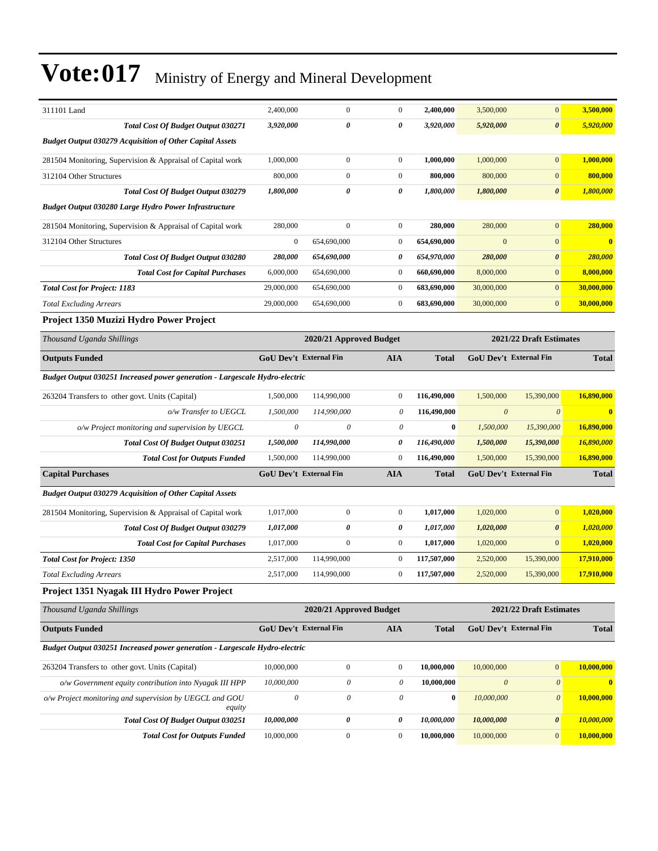| 311101 Land                                                                        | 2,400,000              | $\mathbf{0}$                    | $\boldsymbol{0}$             | 2,400,000                | 3,500,000                 | $\boldsymbol{0}$              | 3,500,000               |
|------------------------------------------------------------------------------------|------------------------|---------------------------------|------------------------------|--------------------------|---------------------------|-------------------------------|-------------------------|
| <b>Total Cost Of Budget Output 030271</b>                                          | 3,920,000              | 0                               | 0                            | 3,920,000                | 5,920,000                 | 0                             | 5,920,000               |
| <b>Budget Output 030279 Acquisition of Other Capital Assets</b>                    |                        |                                 |                              |                          |                           |                               |                         |
| 281504 Monitoring, Supervision & Appraisal of Capital work                         | 1,000,000              | $\boldsymbol{0}$                | $\boldsymbol{0}$             | 1,000,000                | 1,000,000                 | $\mathbf{0}$                  | 1,000,000               |
| 312104 Other Structures                                                            | 800,000                | $\boldsymbol{0}$                | $\mathbf{0}$                 | 800,000                  | 800,000                   | $\boldsymbol{0}$              | 800,000                 |
| <b>Total Cost Of Budget Output 030279</b>                                          | 1,800,000              | 0                               | 0                            | 1,800,000                | 1,800,000                 | 0                             | 1,800,000               |
| Budget Output 030280 Large Hydro Power Infrastructure                              |                        |                                 |                              |                          |                           |                               |                         |
| 281504 Monitoring, Supervision & Appraisal of Capital work                         | 280,000                | $\boldsymbol{0}$                | $\boldsymbol{0}$             | 280,000                  | 280,000                   | $\boldsymbol{0}$              | 280,000                 |
| 312104 Other Structures                                                            | $\boldsymbol{0}$       | 654,690,000                     | $\mathbf{0}$                 | 654,690,000              | $\mathbf{0}$              | $\overline{0}$                | $\bf{0}$                |
| Total Cost Of Budget Output 030280                                                 | 280,000                | 654,690,000                     | $\boldsymbol{\theta}$        | 654,970,000              | 280,000                   | 0                             | 280,000                 |
| <b>Total Cost for Capital Purchases</b>                                            | 6,000,000              | 654,690,000                     | $\mathbf{0}$                 | 660,690,000              | 8,000,000                 | $\boldsymbol{0}$              | 8,000,000               |
| <b>Total Cost for Project: 1183</b>                                                | 29,000,000             | 654,690,000                     | $\mathbf{0}$                 | 683,690,000              | 30,000,000                | $\overline{0}$                | 30,000,000              |
| <b>Total Excluding Arrears</b>                                                     | 29,000,000             | 654,690,000                     | $\mathbf{0}$                 | 683,690,000              | 30,000,000                | $\overline{0}$                | 30,000,000              |
| Project 1350 Muzizi Hydro Power Project                                            |                        |                                 |                              |                          |                           |                               |                         |
| Thousand Uganda Shillings                                                          |                        | 2020/21 Approved Budget         |                              |                          |                           | 2021/22 Draft Estimates       |                         |
| <b>Outputs Funded</b>                                                              |                        | <b>GoU Dev't External Fin</b>   | <b>AIA</b>                   | <b>Total</b>             |                           | <b>GoU</b> Dev't External Fin | <b>Total</b>            |
| <b>Budget Output 030251 Increased power generation - Largescale Hydro-electric</b> |                        |                                 |                              |                          |                           |                               |                         |
| 263204 Transfers to other govt. Units (Capital)                                    | 1,500,000              | 114,990,000                     | $\mathbf{0}$                 | 116,490,000              | 1,500,000                 | 15,390,000                    | 16,890,000              |
| o/w Transfer to UEGCL                                                              | 1,500,000              | 114,990,000                     | 0                            | 116,490,000              | $\boldsymbol{\mathit{0}}$ | $\boldsymbol{\theta}$         | $\bf{0}$                |
| o/w Project monitoring and supervision by UEGCL                                    | $\theta$               | 0                               | 0                            | $\bf{0}$                 | 1,500,000                 | 15,390,000                    | 16,890,000              |
| Total Cost Of Budget Output 030251                                                 | 1,500,000              | 114,990,000                     | 0                            | 116,490,000              | 1,500,000                 | 15,390,000                    | 16,890,000              |
| <b>Total Cost for Outputs Funded</b>                                               | 1,500,000              | 114,990,000                     | $\mathbf{0}$                 | 116,490,000              | 1,500,000                 | 15,390,000                    | 16,890,000              |
| <b>Capital Purchases</b>                                                           |                        | <b>GoU Dev't External Fin</b>   | <b>AIA</b>                   | <b>Total</b>             |                           | GoU Dev't External Fin        | <b>Total</b>            |
| <b>Budget Output 030279 Acquisition of Other Capital Assets</b>                    |                        |                                 |                              |                          |                           |                               |                         |
|                                                                                    |                        |                                 |                              |                          |                           |                               |                         |
| 281504 Monitoring, Supervision & Appraisal of Capital work                         | 1,017,000              | $\boldsymbol{0}$                | $\mathbf{0}$                 | 1,017,000                | 1,020,000                 | $\overline{0}$                | 1,020,000               |
| Total Cost Of Budget Output 030279                                                 | 1,017,000              | $\pmb{\theta}$                  | $\boldsymbol{\theta}$        | 1,017,000                | 1,020,000                 | 0                             | 1,020,000               |
| <b>Total Cost for Capital Purchases</b>                                            | 1,017,000<br>2,517,000 | $\boldsymbol{0}$<br>114,990,000 | $\mathbf{0}$<br>$\mathbf{0}$ | 1,017,000<br>117,507,000 | 1,020,000                 | $\mathbf{0}$<br>15,390,000    | 1,020,000<br>17,910,000 |
| <b>Total Cost for Project: 1350</b><br><b>Total Excluding Arrears</b>              | 2,517,000              | 114,990,000                     | $\mathbf{0}$                 | 117,507,000              | 2,520,000<br>2,520,000    | 15,390,000                    | 17,910,000              |
| Project 1351 Nyagak III Hydro Power Project                                        |                        |                                 |                              |                          |                           |                               |                         |
|                                                                                    |                        |                                 |                              |                          |                           |                               |                         |
| Thousand Uganda Shillings                                                          |                        | 2020/21 Approved Budget         |                              |                          |                           | 2021/22 Draft Estimates       |                         |
| <b>Outputs Funded</b>                                                              |                        | GoU Dev't External Fin          | <b>AIA</b>                   | <b>Total</b>             |                           | <b>GoU Dev't External Fin</b> | <b>Total</b>            |
| Budget Output 030251 Increased power generation - Largescale Hydro-electric        |                        |                                 |                              |                          |                           |                               |                         |
| 263204 Transfers to other govt. Units (Capital)                                    | 10,000,000             | $\boldsymbol{0}$                | $\mathbf{0}$                 | 10,000,000               | 10,000,000                | $\overline{0}$                | 10,000,000              |
| o/w Government equity contribution into Nyagak III HPP                             | 10,000,000             | $\boldsymbol{\mathit{0}}$       | 0                            | 10,000,000               | $\boldsymbol{\mathit{0}}$ | $\boldsymbol{\mathit{0}}$     | $\bf{0}$                |
| o/w Project monitoring and supervision by UEGCL and GOU<br>equity                  | $\boldsymbol{\theta}$  | 0                               | 0                            | $\bf{0}$                 | 10,000,000                | $\boldsymbol{\mathit{0}}$     | 10,000,000              |
| Total Cost Of Budget Output 030251                                                 | 10,000,000             | 0                               | 0                            | 10,000,000               | 10,000,000                | 0                             | 10,000,000              |
| <b>Total Cost for Outputs Funded</b>                                               | 10,000,000             | $\boldsymbol{0}$                | $\boldsymbol{0}$             | 10,000,000               | 10,000,000                | $\boldsymbol{0}$              | 10,000,000              |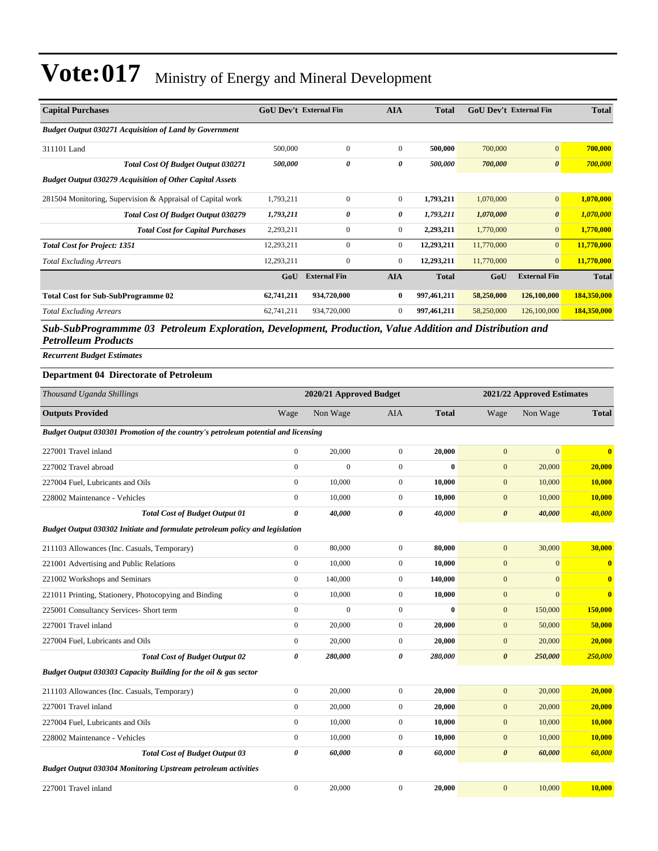| <b>Capital Purchases</b>                                        | <b>GoU</b> Dev't External Fin |                     | <b>AIA</b>     | <b>Total</b> | <b>GoU Dev't External Fin</b> |                       | <b>Total</b> |
|-----------------------------------------------------------------|-------------------------------|---------------------|----------------|--------------|-------------------------------|-----------------------|--------------|
| <b>Budget Output 030271 Acquisition of Land by Government</b>   |                               |                     |                |              |                               |                       |              |
| 311101 Land                                                     | 500,000                       | $\mathbf{0}$        | $\Omega$       | 500,000      | 700,000                       | $\mathbf{0}$          | 700,000      |
| <b>Total Cost Of Budget Output 030271</b>                       | 500,000                       | 0                   | 0              | 500,000      | 700,000                       | $\boldsymbol{\theta}$ | 700,000      |
| <b>Budget Output 030279 Acquisition of Other Capital Assets</b> |                               |                     |                |              |                               |                       |              |
| 281504 Monitoring, Supervision & Appraisal of Capital work      | 1,793,211                     | $\mathbf{0}$        | $\overline{0}$ | 1,793,211    | 1,070,000                     | $\mathbf{0}$          | 1,070,000    |
| <b>Total Cost Of Budget Output 030279</b>                       | 1,793,211                     | 0                   | 0              | 1,793,211    | 1,070,000                     | $\boldsymbol{\theta}$ | 1,070,000    |
| <b>Total Cost for Capital Purchases</b>                         | 2,293,211                     | $\mathbf{0}$        | $\overline{0}$ | 2,293,211    | 1,770,000                     | $\overline{0}$        | 1,770,000    |
| <b>Total Cost for Project: 1351</b>                             | 12,293,211                    | $\Omega$            | $\overline{0}$ | 12,293,211   | 11,770,000                    | $\overline{0}$        | 11,770,000   |
| <b>Total Excluding Arrears</b>                                  | 12,293,211                    | 0                   | $\overline{0}$ | 12,293,211   | 11,770,000                    | $\mathbf{0}$          | 11,770,000   |
|                                                                 | GoU                           | <b>External Fin</b> | <b>AIA</b>     | <b>Total</b> | GoU                           | <b>External Fin</b>   | <b>Total</b> |
| <b>Total Cost for Sub-SubProgramme 02</b>                       | 62,741,211                    | 934,720,000         | $\bf{0}$       | 997,461,211  | 58,250,000                    | 126,100,000           | 184,350,000  |
| <b>Total Excluding Arrears</b>                                  | 62,741,211                    | 934,720,000         | $\overline{0}$ | 997,461,211  | 58,250,000                    | 126,100,000           | 184,350,000  |

*Sub-SubProgrammme 03 Petroleum Exploration, Development, Production, Value Addition and Distribution and Petrolleum Products*

*Recurrent Budget Estimates*

#### **Department 04 Directorate of Petroleum**

| Thousand Uganda Shillings                                                         |                       | 2020/21 Approved Budget |                |              |                       | 2021/22 Approved Estimates |                         |
|-----------------------------------------------------------------------------------|-----------------------|-------------------------|----------------|--------------|-----------------------|----------------------------|-------------------------|
| <b>Outputs Provided</b>                                                           | Wage                  | Non Wage                | <b>AIA</b>     | <b>Total</b> | Wage                  | Non Wage                   | <b>Total</b>            |
| Budget Output 030301 Promotion of the country's petroleum potential and licensing |                       |                         |                |              |                       |                            |                         |
| 227001 Travel inland                                                              | $\boldsymbol{0}$      | 20,000                  | $\overline{0}$ | 20,000       | $\mathbf{0}$          | $\mathbf{0}$               | $\overline{\mathbf{0}}$ |
| 227002 Travel abroad                                                              | $\mathbf{0}$          | $\theta$                | $\overline{0}$ | $\mathbf{0}$ | $\mathbf{0}$          | 20,000                     | 20,000                  |
| 227004 Fuel, Lubricants and Oils                                                  | $\mathbf{0}$          | 10,000                  | $\overline{0}$ | 10,000       | $\mathbf{0}$          | 10,000                     | 10,000                  |
| 228002 Maintenance - Vehicles                                                     | $\mathbf{0}$          | 10,000                  | $\overline{0}$ | 10,000       | $\mathbf{0}$          | 10,000                     | <b>10,000</b>           |
| <b>Total Cost of Budget Output 01</b>                                             | $\boldsymbol{\theta}$ | 40,000                  | $\theta$       | 40,000       | $\boldsymbol{\theta}$ | 40,000                     | 40,000                  |
| Budget Output 030302 Initiate and formulate petroleum policy and legislation      |                       |                         |                |              |                       |                            |                         |
| 211103 Allowances (Inc. Casuals, Temporary)                                       | $\boldsymbol{0}$      | 80,000                  | $\overline{0}$ | 80,000       | $\mathbf{0}$          | 30,000                     | 30,000                  |
| 221001 Advertising and Public Relations                                           | $\mathbf{0}$          | 10,000                  | $\overline{0}$ | 10,000       | $\mathbf{0}$          | $\mathbf{0}$               | $\overline{\mathbf{0}}$ |
| 221002 Workshops and Seminars                                                     | $\mathbf{0}$          | 140,000                 | $\overline{0}$ | 140,000      | $\mathbf{0}$          | $\Omega$                   | $\overline{\mathbf{0}}$ |
| 221011 Printing, Stationery, Photocopying and Binding                             | $\mathbf{0}$          | 10,000                  | $\overline{0}$ | 10,000       | $\mathbf{0}$          | $\mathbf{0}$               | $\bf{0}$                |
| 225001 Consultancy Services- Short term                                           | $\mathbf{0}$          | $\theta$                | $\overline{0}$ | $\bf{0}$     | $\mathbf{0}$          | 150,000                    | 150,000                 |
| 227001 Travel inland                                                              | $\mathbf{0}$          | 20,000                  | $\overline{0}$ | 20,000       | $\mathbf{0}$          | 50,000                     | 50,000                  |
| 227004 Fuel, Lubricants and Oils                                                  | $\mathbf{0}$          | 20,000                  | $\overline{0}$ | 20,000       | $\mathbf{0}$          | 20,000                     | 20,000                  |
| <b>Total Cost of Budget Output 02</b>                                             | $\boldsymbol{\theta}$ | 280,000                 | $\theta$       | 280,000      | $\boldsymbol{\theta}$ | 250,000                    | 250,000                 |
| Budget Output 030303 Capacity Building for the oil & gas sector                   |                       |                         |                |              |                       |                            |                         |
| 211103 Allowances (Inc. Casuals, Temporary)                                       | $\boldsymbol{0}$      | 20,000                  | $\overline{0}$ | 20,000       | $\mathbf{0}$          | 20,000                     | 20,000                  |
| 227001 Travel inland                                                              | $\mathbf{0}$          | 20,000                  | $\mathbf{0}$   | 20,000       | $\mathbf{0}$          | 20,000                     | 20,000                  |
| 227004 Fuel, Lubricants and Oils                                                  | $\mathbf{0}$          | 10,000                  | $\overline{0}$ | 10,000       | $\mathbf{0}$          | 10,000                     | 10,000                  |
| 228002 Maintenance - Vehicles                                                     | $\mathbf{0}$          | 10,000                  | $\overline{0}$ | 10.000       | $\mathbf{0}$          | 10,000                     | 10,000                  |
| <b>Total Cost of Budget Output 03</b>                                             | 0                     | 60,000                  | 0              | 60,000       | $\boldsymbol{\theta}$ | 60,000                     | 60,000                  |
| <b>Budget Output 030304 Monitoring Upstream petroleum activities</b>              |                       |                         |                |              |                       |                            |                         |
| 227001 Travel inland                                                              | $\mathbf{0}$          | 20,000                  | $\mathbf{0}$   | 20,000       | $\mathbf{0}$          | 10,000                     | 10,000                  |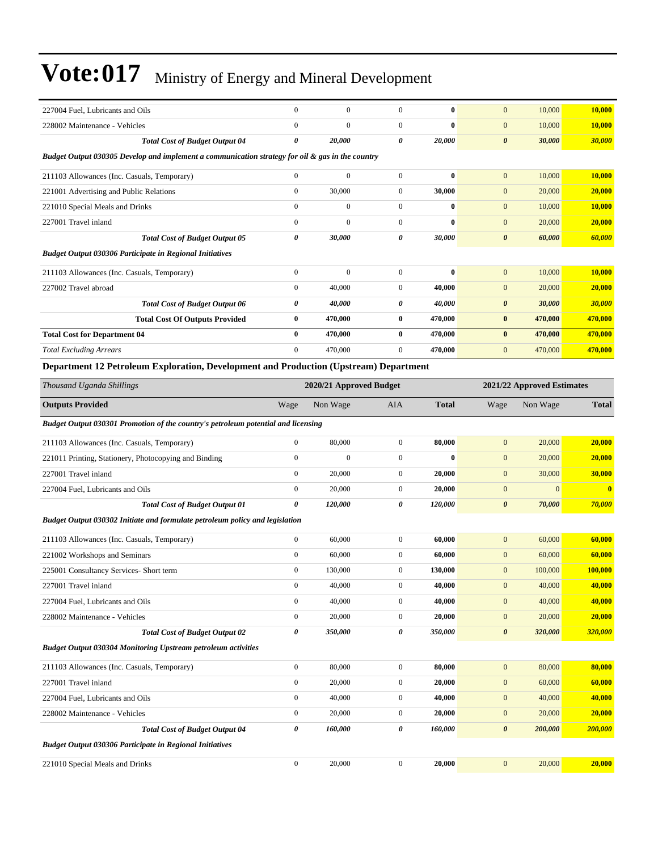| 227004 Fuel, Lubricants and Oils                                                                 | $\overline{0}$   | $\boldsymbol{0}$        | $\boldsymbol{0}$ | $\bf{0}$     | $\mathbf{0}$          | 10,000                     | 10,000       |
|--------------------------------------------------------------------------------------------------|------------------|-------------------------|------------------|--------------|-----------------------|----------------------------|--------------|
| 228002 Maintenance - Vehicles                                                                    | $\mathbf{0}$     | $\mathbf{0}$            | $\boldsymbol{0}$ | $\bf{0}$     | $\mathbf{0}$          | 10,000                     | 10,000       |
| <b>Total Cost of Budget Output 04</b>                                                            | $\pmb{\theta}$   | 20,000                  | 0                | 20,000       | $\boldsymbol{\theta}$ | 30,000                     | 30,000       |
| Budget Output 030305 Develop and implement a communication strategy for oil & gas in the country |                  |                         |                  |              |                       |                            |              |
| 211103 Allowances (Inc. Casuals, Temporary)                                                      | $\mathbf{0}$     | $\boldsymbol{0}$        | $\boldsymbol{0}$ | $\bf{0}$     | $\mathbf{0}$          | 10,000                     | 10,000       |
| 221001 Advertising and Public Relations                                                          | $\mathbf{0}$     | 30,000                  | $\boldsymbol{0}$ | 30,000       | $\mathbf{0}$          | 20,000                     | 20,000       |
| 221010 Special Meals and Drinks                                                                  | $\mathbf{0}$     | $\boldsymbol{0}$        | $\boldsymbol{0}$ | $\bf{0}$     | $\mathbf{0}$          | 10,000                     | 10,000       |
| 227001 Travel inland                                                                             | $\boldsymbol{0}$ | $\boldsymbol{0}$        | $\boldsymbol{0}$ | $\bf{0}$     | $\mathbf{0}$          | 20,000                     | 20,000       |
| <b>Total Cost of Budget Output 05</b>                                                            | 0                | 30,000                  | 0                | 30,000       | $\boldsymbol{\theta}$ | 60,000                     | 60,000       |
| <b>Budget Output 030306 Participate in Regional Initiatives</b>                                  |                  |                         |                  |              |                       |                            |              |
| 211103 Allowances (Inc. Casuals, Temporary)                                                      | $\boldsymbol{0}$ | $\boldsymbol{0}$        | $\boldsymbol{0}$ | $\bf{0}$     | $\mathbf{0}$          | 10,000                     | 10,000       |
| 227002 Travel abroad                                                                             | $\boldsymbol{0}$ | 40,000                  | $\boldsymbol{0}$ | 40,000       | $\mathbf{0}$          | 20,000                     | 20,000       |
| <b>Total Cost of Budget Output 06</b>                                                            | 0                | 40,000                  | 0                | 40,000       | $\boldsymbol{\theta}$ | 30,000                     | 30,000       |
| <b>Total Cost Of Outputs Provided</b>                                                            | $\bf{0}$         | 470,000                 | $\bf{0}$         | 470,000      | $\bf{0}$              | 470,000                    | 470,000      |
| <b>Total Cost for Department 04</b>                                                              | $\bf{0}$         | 470,000                 | 0                | 470,000      | $\bf{0}$              | 470,000                    | 470,000      |
| <b>Total Excluding Arrears</b>                                                                   | $\mathbf{0}$     | 470,000                 | $\boldsymbol{0}$ | 470,000      | $\mathbf{0}$          | 470,000                    | 470,000      |
| Department 12 Petroleum Exploration, Development and Production (Upstream) Department            |                  |                         |                  |              |                       |                            |              |
| Thousand Uganda Shillings                                                                        |                  | 2020/21 Approved Budget |                  |              |                       | 2021/22 Approved Estimates |              |
| <b>Outputs Provided</b>                                                                          | Wage             | Non Wage                | AIA              | <b>Total</b> | Wage                  | Non Wage                   | <b>Total</b> |
| Budget Output 030301 Promotion of the country's petroleum potential and licensing                |                  |                         |                  |              |                       |                            |              |
| 211103 Allowances (Inc. Casuals, Temporary)                                                      | $\boldsymbol{0}$ | 80,000                  | $\boldsymbol{0}$ | 80,000       | $\mathbf{0}$          | 20,000                     | 20,000       |
| 221011 Printing, Stationery, Photocopying and Binding                                            | $\boldsymbol{0}$ | $\boldsymbol{0}$        | $\boldsymbol{0}$ | $\bf{0}$     | $\mathbf{0}$          | 20,000                     | 20,000       |
| 227001 Travel inland                                                                             | $\boldsymbol{0}$ | 20,000                  | $\mathbf{0}$     | 20,000       | $\boldsymbol{0}$      | 30,000                     | 30,000       |
| 227004 Fuel, Lubricants and Oils                                                                 | $\boldsymbol{0}$ | 20,000                  | $\boldsymbol{0}$ | 20,000       | $\mathbf{0}$          | $\mathbf{0}$               | $\bf{0}$     |
| <b>Total Cost of Budget Output 01</b>                                                            | $\pmb{\theta}$   | 120,000                 | 0                | 120,000      | $\boldsymbol{\theta}$ | 70,000                     | 70,000       |
| Budget Output 030302 Initiate and formulate petroleum policy and legislation                     |                  |                         |                  |              |                       |                            |              |
| 211103 Allowances (Inc. Casuals, Temporary)                                                      | $\boldsymbol{0}$ | 60,000                  | $\boldsymbol{0}$ | 60,000       | $\mathbf{0}$          | 60,000                     | 60,000       |
| 221002 Workshops and Seminars                                                                    | $\boldsymbol{0}$ | 60,000                  | $\boldsymbol{0}$ | 60,000       | $\mathbf{0}$          | 60,000                     | 60,000       |
| 225001 Consultancy Services- Short term                                                          | $\mathbf{0}$     | 130,000                 | $\boldsymbol{0}$ | 130,000      | $\mathbf{0}$          | 100,000                    | 100,000      |
| 227001 Travel inland                                                                             | $\boldsymbol{0}$ | 40,000                  | $\boldsymbol{0}$ | 40,000       | $\boldsymbol{0}$      | 40,000                     | 40,000       |
| 227004 Fuel, Lubricants and Oils                                                                 | $\boldsymbol{0}$ | 40,000                  | $\boldsymbol{0}$ | 40,000       | $\boldsymbol{0}$      | 40,000                     | 40,000       |
| 228002 Maintenance - Vehicles                                                                    | $\boldsymbol{0}$ | 20,000                  | $\boldsymbol{0}$ | 20,000       | $\boldsymbol{0}$      | 20,000                     | 20,000       |
| <b>Total Cost of Budget Output 02</b>                                                            | $\pmb{\theta}$   | 350,000                 | 0                | 350,000      | $\boldsymbol{\theta}$ | 320,000                    | 320,000      |
| <b>Budget Output 030304 Monitoring Upstream petroleum activities</b>                             |                  |                         |                  |              |                       |                            |              |
| 211103 Allowances (Inc. Casuals, Temporary)                                                      | $\boldsymbol{0}$ | 80,000                  | $\boldsymbol{0}$ | 80,000       | $\boldsymbol{0}$      | 80,000                     | 80,000       |
| 227001 Travel inland                                                                             | $\boldsymbol{0}$ | 20,000                  | $\boldsymbol{0}$ | 20,000       | $\mathbf{0}$          | 60,000                     | 60,000       |
| 227004 Fuel, Lubricants and Oils                                                                 | $\boldsymbol{0}$ | 40,000                  | $\boldsymbol{0}$ | 40,000       | $\boldsymbol{0}$      | 40,000                     | 40,000       |
| 228002 Maintenance - Vehicles                                                                    | $\boldsymbol{0}$ | 20,000                  | $\boldsymbol{0}$ | 20,000       | $\boldsymbol{0}$      | 20,000                     | 20,000       |
| <b>Total Cost of Budget Output 04</b>                                                            | $\pmb{\theta}$   | 160,000                 | 0                | 160,000      | $\boldsymbol{\theta}$ | 200,000                    | 200,000      |
| <b>Budget Output 030306 Participate in Regional Initiatives</b>                                  |                  |                         |                  |              |                       |                            |              |
| 221010 Special Meals and Drinks                                                                  | $\boldsymbol{0}$ | 20,000                  | $\boldsymbol{0}$ | 20,000       | $\mathbf{0}$          | 20,000                     | 20,000       |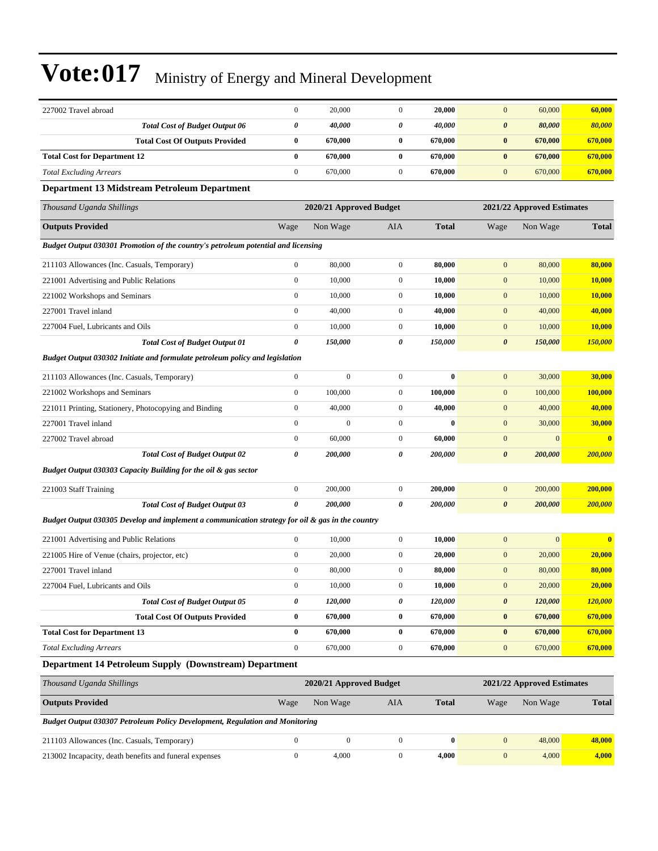| 227002 Travel abroad                                                                             | $\boldsymbol{0}$ | 20,000                  | $\boldsymbol{0}$ | 20,000       | $\mathbf{0}$          | 60,000                     | 60,000        |
|--------------------------------------------------------------------------------------------------|------------------|-------------------------|------------------|--------------|-----------------------|----------------------------|---------------|
| <b>Total Cost of Budget Output 06</b>                                                            | 0                | 40,000                  | 0                | 40,000       | $\boldsymbol{\theta}$ | 80,000                     | 80,000        |
| <b>Total Cost Of Outputs Provided</b>                                                            | $\bf{0}$         | 670,000                 | $\bf{0}$         | 670,000      | $\bf{0}$              | 670,000                    | 670,000       |
| <b>Total Cost for Department 12</b>                                                              | $\bf{0}$         | 670,000                 | $\bf{0}$         | 670,000      | $\bf{0}$              | 670,000                    | 670,000       |
| <b>Total Excluding Arrears</b>                                                                   | $\boldsymbol{0}$ | 670,000                 | $\boldsymbol{0}$ | 670,000      | $\mathbf{0}$          | 670,000                    | 670,000       |
| <b>Department 13 Midstream Petroleum Department</b>                                              |                  |                         |                  |              |                       |                            |               |
| Thousand Uganda Shillings                                                                        |                  | 2020/21 Approved Budget |                  |              |                       | 2021/22 Approved Estimates |               |
| <b>Outputs Provided</b>                                                                          | Wage             | Non Wage                | AIA              | <b>Total</b> | Wage                  | Non Wage                   | <b>Total</b>  |
| Budget Output 030301 Promotion of the country's petroleum potential and licensing                |                  |                         |                  |              |                       |                            |               |
| 211103 Allowances (Inc. Casuals, Temporary)                                                      | $\boldsymbol{0}$ | 80,000                  | $\boldsymbol{0}$ | 80,000       | $\mathbf{0}$          | 80,000                     | 80,000        |
| 221001 Advertising and Public Relations                                                          | $\boldsymbol{0}$ | 10,000                  | $\boldsymbol{0}$ | 10,000       | $\mathbf{0}$          | 10,000                     | 10,000        |
| 221002 Workshops and Seminars                                                                    | $\boldsymbol{0}$ | 10,000                  | $\boldsymbol{0}$ | 10,000       | $\mathbf{0}$          | 10,000                     | <b>10,000</b> |
| 227001 Travel inland                                                                             | $\boldsymbol{0}$ | 40,000                  | $\mathbf{0}$     | 40,000       | $\mathbf{0}$          | 40,000                     | 40,000        |
| 227004 Fuel, Lubricants and Oils                                                                 | $\boldsymbol{0}$ | 10,000                  | $\boldsymbol{0}$ | 10,000       | $\mathbf{0}$          | 10,000                     | 10,000        |
| <b>Total Cost of Budget Output 01</b>                                                            | 0                | 150,000                 | 0                | 150,000      | $\boldsymbol{\theta}$ | 150,000                    | 150,000       |
| Budget Output 030302 Initiate and formulate petroleum policy and legislation                     |                  |                         |                  |              |                       |                            |               |
| 211103 Allowances (Inc. Casuals, Temporary)                                                      | $\boldsymbol{0}$ | $\boldsymbol{0}$        | $\boldsymbol{0}$ | $\bf{0}$     | $\boldsymbol{0}$      | 30,000                     | 30,000        |
| 221002 Workshops and Seminars                                                                    | $\boldsymbol{0}$ | 100,000                 | $\boldsymbol{0}$ | 100,000      | $\mathbf{0}$          | 100,000                    | 100,000       |
| 221011 Printing, Stationery, Photocopying and Binding                                            | $\boldsymbol{0}$ | 40,000                  | $\boldsymbol{0}$ | 40,000       | $\mathbf{0}$          | 40,000                     | 40,000        |
| 227001 Travel inland                                                                             | $\boldsymbol{0}$ | $\boldsymbol{0}$        | $\boldsymbol{0}$ | $\bf{0}$     | $\mathbf{0}$          | 30,000                     | 30,000        |
| 227002 Travel abroad                                                                             | $\boldsymbol{0}$ | 60,000                  | $\boldsymbol{0}$ | 60,000       | $\mathbf{0}$          | $\mathbf{0}$               | $\bf{0}$      |
| <b>Total Cost of Budget Output 02</b>                                                            | 0                | <i><b>200,000</b></i>   | 0                | 200,000      | $\boldsymbol{\theta}$ | 200,000                    | 200,000       |
| Budget Output 030303 Capacity Building for the oil & gas sector                                  |                  |                         |                  |              |                       |                            |               |
| 221003 Staff Training                                                                            | $\boldsymbol{0}$ | 200,000                 | $\mathbf{0}$     | 200,000      | $\mathbf{0}$          | 200,000                    | 200,000       |
| <b>Total Cost of Budget Output 03</b>                                                            | 0                | 200,000                 | 0                | 200,000      | $\boldsymbol{\theta}$ | 200,000                    | 200,000       |
| Budget Output 030305 Develop and implement a communication strategy for oil & gas in the country |                  |                         |                  |              |                       |                            |               |
| 221001 Advertising and Public Relations                                                          | $\boldsymbol{0}$ | 10,000                  | $\boldsymbol{0}$ | 10,000       | $\mathbf{0}$          | $\boldsymbol{0}$           | $\bf{0}$      |
| 221005 Hire of Venue (chairs, projector, etc)                                                    | $\boldsymbol{0}$ | 20,000                  | $\mathbf{0}$     | 20,000       | $\mathbf{0}$          | 20,000                     | 20,000        |
| 227001 Travel inland                                                                             | $\boldsymbol{0}$ | 80,000                  | $\boldsymbol{0}$ | 80,000       | $\mathbf{0}$          | 80,000                     | 80,000        |
| 227004 Fuel, Lubricants and Oils                                                                 | $\boldsymbol{0}$ | 10,000                  | $\overline{0}$   | 10,000       | $\mathbf{0}$          | 20,000                     | 20,000        |
| <b>Total Cost of Budget Output 05</b>                                                            | 0                | 120,000                 | 0                | 120,000      | $\boldsymbol{\theta}$ | 120,000                    | 120,000       |
| <b>Total Cost Of Outputs Provided</b>                                                            | $\bf{0}$         | 670,000                 | $\bf{0}$         | 670,000      | $\pmb{0}$             | 670,000                    | 670,000       |
| <b>Total Cost for Department 13</b>                                                              | $\bf{0}$         | 670,000                 | $\bf{0}$         | 670,000      | $\pmb{0}$             | 670,000                    | 670,000       |
| <b>Total Excluding Arrears</b>                                                                   | $\boldsymbol{0}$ | 670,000                 | $\boldsymbol{0}$ | 670,000      | $\boldsymbol{0}$      | 670,000                    | 670,000       |
| Department 14 Petroleum Supply (Downstream) Department                                           |                  |                         |                  |              |                       |                            |               |
| Thousand Uganda Shillings                                                                        |                  | 2020/21 Approved Budget |                  |              |                       | 2021/22 Approved Estimates |               |
| <b>Outputs Provided</b>                                                                          | Wage             | Non Wage                | AIA              | <b>Total</b> | Wage                  | Non Wage                   | <b>Total</b>  |
| Budget Output 030307 Petroleum Policy Development, Regulation and Monitoring                     |                  |                         |                  |              |                       |                            |               |
| 211103 Allowances (Inc. Casuals, Temporary)                                                      | $\boldsymbol{0}$ | $\boldsymbol{0}$        | $\overline{0}$   | $\bf{0}$     | $\boldsymbol{0}$      | 48,000                     | 48,000        |
| 213002 Incapacity, death benefits and funeral expenses                                           | $\boldsymbol{0}$ | 4,000                   | $\boldsymbol{0}$ | 4,000        | $\boldsymbol{0}$      | 4,000                      | 4,000         |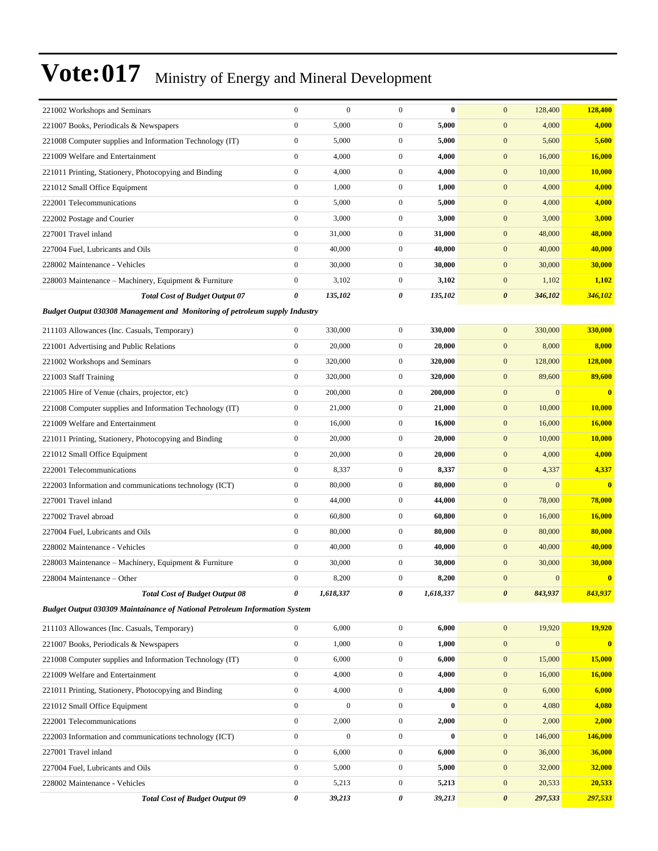| 221002 Workshops and Seminars                                                      | $\boldsymbol{0}$ | $\boldsymbol{0}$ | $\mathbf{0}$     | $\bf{0}$  | $\mathbf{0}$<br>128,400          | 128,400                 |
|------------------------------------------------------------------------------------|------------------|------------------|------------------|-----------|----------------------------------|-------------------------|
| 221007 Books, Periodicals & Newspapers                                             | $\boldsymbol{0}$ | 5,000            | $\overline{0}$   | 5,000     | $\mathbf{0}$<br>4,000            | 4,000                   |
| 221008 Computer supplies and Information Technology (IT)                           | $\boldsymbol{0}$ | 5,000            | $\mathbf{0}$     | 5,000     | $\mathbf{0}$<br>5,600            | 5,600                   |
| 221009 Welfare and Entertainment                                                   | $\mathbf{0}$     | 4,000            | $\mathbf{0}$     | 4,000     | $\mathbf{0}$<br>16,000           | 16,000                  |
| 221011 Printing, Stationery, Photocopying and Binding                              | $\boldsymbol{0}$ | 4,000            | $\overline{0}$   | 4,000     | $\mathbf{0}$<br>10,000           | <b>10,000</b>           |
| 221012 Small Office Equipment                                                      | $\mathbf{0}$     | 1,000            | $\mathbf{0}$     | 1,000     | $\mathbf{0}$<br>4,000            | 4,000                   |
| 222001 Telecommunications                                                          | $\boldsymbol{0}$ | 5,000            | $\mathbf{0}$     | 5,000     | $\mathbf{0}$<br>4,000            | 4,000                   |
| 222002 Postage and Courier                                                         | $\boldsymbol{0}$ | 3,000            | $\mathbf{0}$     | 3,000     | $\mathbf{0}$<br>3,000            | 3,000                   |
| 227001 Travel inland                                                               | $\mathbf{0}$     | 31,000           | $\mathbf{0}$     | 31,000    | $\mathbf{0}$<br>48,000           | 48,000                  |
| 227004 Fuel, Lubricants and Oils                                                   | $\mathbf{0}$     | 40,000           | $\overline{0}$   | 40,000    | $\mathbf{0}$<br>40,000           | 40,000                  |
| 228002 Maintenance - Vehicles                                                      | $\mathbf{0}$     | 30,000           | $\mathbf{0}$     | 30,000    | $\mathbf{0}$<br>30,000           | 30,000                  |
| 228003 Maintenance – Machinery, Equipment & Furniture                              | $\mathbf{0}$     | 3,102            | $\mathbf{0}$     | 3,102     | $\mathbf{0}$<br>1,102            | 1,102                   |
| <b>Total Cost of Budget Output 07</b>                                              | 0                | 135,102          | 0                | 135,102   | $\boldsymbol{\theta}$<br>346,102 | 346,102                 |
| <b>Budget Output 030308 Management and Monitoring of petroleum supply Industry</b> |                  |                  |                  |           |                                  |                         |
| 211103 Allowances (Inc. Casuals, Temporary)                                        | $\boldsymbol{0}$ | 330,000          | $\mathbf{0}$     | 330,000   | $\mathbf{0}$<br>330,000          | 330,000                 |
| 221001 Advertising and Public Relations                                            | $\boldsymbol{0}$ | 20,000           | $\overline{0}$   | 20,000    | $\boldsymbol{0}$<br>8,000        | 8,000                   |
| 221002 Workshops and Seminars                                                      | $\mathbf{0}$     | 320,000          | $\mathbf{0}$     | 320,000   | $\mathbf{0}$<br>128,000          | 128,000                 |
| 221003 Staff Training                                                              | $\boldsymbol{0}$ | 320,000          | $\overline{0}$   | 320,000   | $\mathbf{0}$<br>89,600           | 89,600                  |
| 221005 Hire of Venue (chairs, projector, etc)                                      | $\boldsymbol{0}$ | 200,000          | $\mathbf{0}$     | 200,000   | $\mathbf{0}$<br>$\overline{0}$   | $\bf{0}$                |
| 221008 Computer supplies and Information Technology (IT)                           | $\mathbf{0}$     | 21,000           | $\mathbf{0}$     | 21,000    | $\boldsymbol{0}$<br>10,000       | 10,000                  |
| 221009 Welfare and Entertainment                                                   | $\boldsymbol{0}$ | 16,000           | $\overline{0}$   | 16,000    | $\mathbf{0}$<br>16,000           | <b>16,000</b>           |
| 221011 Printing, Stationery, Photocopying and Binding                              | $\mathbf{0}$     | 20,000           | $\mathbf{0}$     | 20,000    | $\mathbf{0}$<br>10,000           | 10,000                  |
| 221012 Small Office Equipment                                                      | $\boldsymbol{0}$ | 20,000           | $\mathbf{0}$     | 20,000    | $\mathbf{0}$<br>4,000            | 4,000                   |
| 222001 Telecommunications                                                          | $\boldsymbol{0}$ | 8,337            | $\mathbf{0}$     | 8,337     | $\mathbf{0}$<br>4,337            | 4,337                   |
| 222003 Information and communications technology (ICT)                             | $\mathbf{0}$     | 80,000           | $\mathbf{0}$     | 80,000    | $\mathbf{0}$<br>$\overline{0}$   | $\overline{\mathbf{0}}$ |
| 227001 Travel inland                                                               | $\boldsymbol{0}$ | 44,000           | $\overline{0}$   | 44,000    | $\boldsymbol{0}$<br>78,000       | 78,000                  |
| 227002 Travel abroad                                                               | $\mathbf{0}$     | 60,800           | $\mathbf{0}$     | 60,800    | $\mathbf{0}$<br>16,000           | 16,000                  |
| 227004 Fuel, Lubricants and Oils                                                   | $\boldsymbol{0}$ | 80,000           | $\mathbf{0}$     | 80,000    | $\mathbf{0}$<br>80,000           | 80,000                  |
| 228002 Maintenance - Vehicles                                                      | $\boldsymbol{0}$ | 40,000           | $\mathbf{0}$     | 40,000    | $\mathbf{0}$<br>40,000           | 40,000                  |
| 228003 Maintenance – Machinery, Equipment & Furniture                              | $\mathbf{0}$     | 30,000           | $\overline{0}$   | 30,000    | $\mathbf{0}$<br>30,000           | 30,000                  |
| 228004 Maintenance – Other                                                         | $\mathbf{0}$     | 8,200            | $\mathbf{0}$     | 8,200     | $\mathbf{0}$<br>$\mathbf{0}$     | $\bf{0}$                |
| <b>Total Cost of Budget Output 08</b>                                              | 0                | 1,618,337        | 0                | 1,618,337 | $\boldsymbol{\theta}$<br>843,937 | 843,937                 |
| <b>Budget Output 030309 Maintainance of National Petroleum Information System</b>  |                  |                  |                  |           |                                  |                         |
| 211103 Allowances (Inc. Casuals, Temporary)                                        | $\boldsymbol{0}$ | 6,000            | $\boldsymbol{0}$ | 6,000     | $\mathbf{0}$<br>19,920           | 19,920                  |
| 221007 Books, Periodicals & Newspapers                                             | $\boldsymbol{0}$ | 1,000            | $\boldsymbol{0}$ | 1,000     | $\mathbf{0}$<br>$\boldsymbol{0}$ | $\bf{0}$                |
| 221008 Computer supplies and Information Technology (IT)                           | $\boldsymbol{0}$ | 6,000            | $\mathbf{0}$     | 6,000     | $\mathbf{0}$<br>15,000           | 15,000                  |
| 221009 Welfare and Entertainment                                                   | $\boldsymbol{0}$ | 4,000            | $\boldsymbol{0}$ | 4,000     | $\mathbf{0}$<br>16,000           | <b>16,000</b>           |
| 221011 Printing, Stationery, Photocopying and Binding                              | $\boldsymbol{0}$ | 4,000            | $\boldsymbol{0}$ | 4,000     | $\mathbf{0}$<br>6,000            | 6,000                   |
| 221012 Small Office Equipment                                                      | $\boldsymbol{0}$ | $\boldsymbol{0}$ | $\overline{0}$   | $\bf{0}$  | $\mathbf{0}$<br>4,080            | 4,080                   |
| 222001 Telecommunications                                                          | $\boldsymbol{0}$ | 2,000            | $\boldsymbol{0}$ | 2,000     | $\mathbf{0}$<br>2,000            | 2,000                   |
| 222003 Information and communications technology (ICT)                             | $\boldsymbol{0}$ | $\mathbf{0}$     | $\mathbf{0}$     | $\bf{0}$  | $\mathbf{0}$<br>146,000          | 146,000                 |
| 227001 Travel inland                                                               | $\boldsymbol{0}$ | 6,000            | $\boldsymbol{0}$ | 6,000     | $\mathbf{0}$<br>36,000           | 36,000                  |
| 227004 Fuel, Lubricants and Oils                                                   | $\mathbf{0}$     | 5,000            | $\boldsymbol{0}$ | 5,000     | $\mathbf{0}$<br>32,000           | 32,000                  |
| 228002 Maintenance - Vehicles                                                      | $\boldsymbol{0}$ | 5,213            | $\mathbf{0}$     | 5,213     | $\mathbf{0}$<br>20,533           | 20,533                  |
| <b>Total Cost of Budget Output 09</b>                                              | $\pmb{\theta}$   | 39,213           | 0                | 39,213    | $\boldsymbol{\theta}$<br>297,533 | 297,533                 |
|                                                                                    |                  |                  |                  |           |                                  |                         |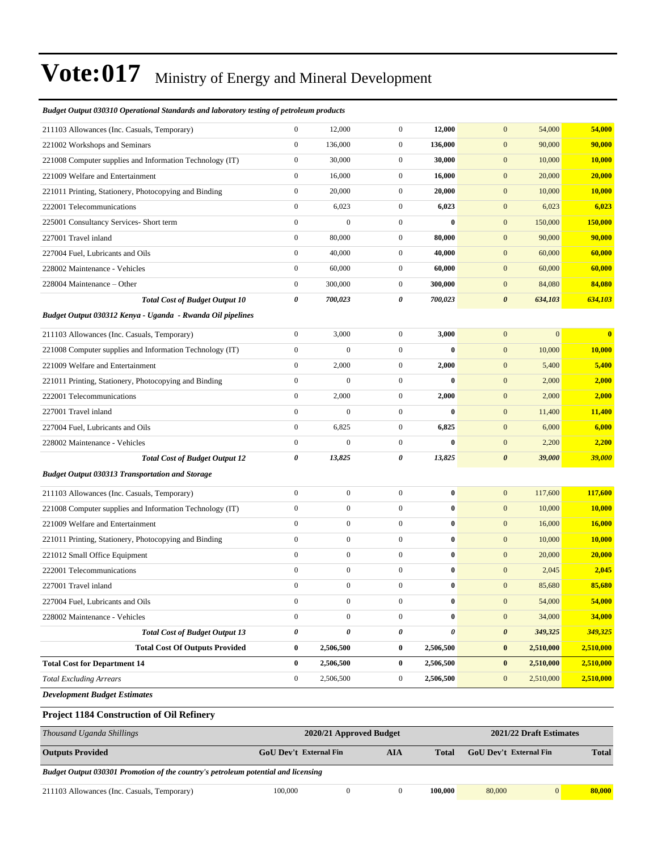### 211103 Allowances (Inc. Casuals, Temporary) 0 12,000 0 **12,000** 0 54,000 **54,000** 221002 Workshops and Seminars 0 136,000 0 **136,000** 0 90,000 **90,000** 221008 Computer supplies and Information Technology (IT) 0 30,000 0 **30,000** 0 10,000 **10,000** 221009 Welfare and Entertainment 0 16,000 0 **16,000** 0 20,000 **20,000** 221011 Printing, Stationery, Photocopying and Binding 0 20,000 0 **20,000** 0 10,000 **10,000** 222001 Telecommunications 0 6,023 0 **6,023** 0 6,023 **6,023** 225001 Consultancy Services- Short term 0 0 0 **0** 0 150,000 **150,000** 227001 Travel inland 0 80,000 0 **80,000** 0 90,000 **90,000** 227004 Fuel, Lubricants and Oils 0 40,000 0 **40,000** 0 60,000 **60,000** 228002 Maintenance - Vehicles 0 60,000 0 **60,000** 0 60,000 **60,000** 228004 Maintenance ±Other 0 300,000 0 **300,000** 0 84,080 **84,080** *Total Cost of Budget Output 10 0 700,023 0 700,023 0 634,103 634,103 Budget Output 030312 Kenya - Uganda - Rwanda Oil pipelines* 211103 Allowances (Inc. Casuals, Temporary) 0 3,000 0 **3,000** 0 0 **0** 221008 Computer supplies and Information Technology (IT) 0 0 0 **0** 0 10,000 **10,000** 221009 Welfare and Entertainment 0 2,000 0 **2,000** 0 5,400 **5,400** 221011 Printing, Stationery, Photocopying and Binding 0 0 0 **0** 0 2,000 **2,000** 222001 Telecommunications 0 2,000 0 **2,000** 0 2,000 **2,000** 227001 Travel inland 0 0 0 **0** 0 11,400 **11,400** 227004 Fuel, Lubricants and Oils 0 6,825 0 **6,825** 0 6,000 **6,000** 228002 Maintenance - Vehicles 0 0 0 **0** 0 2,200 **2,200** *Total Cost of Budget Output 12 0 13,825 0 13,825 0 39,000 39,000 Budget Output 030313 Transportation and Storage* 211103 Allowances (Inc. Casuals, Temporary) 0 0 0 **0** 0 117,600 **117,600** 221008 Computer supplies and Information Technology (IT) 0 0 0 **0** 0 10,000 **10,000** 221009 Welfare and Entertainment 0 0 0 **0** 0 16,000 **16,000** 221011 Printing, Stationery, Photocopying and Binding 0 0 0 **0** 0 10,000 **10,000** 221012 Small Office Equipment 0 0 0 **0** 0 20,000 **20,000** 222001 Telecommunications 0 0 0 **0** 0 2,045 **2,045** 227001 Travel inland 0 0 0 **0** 0 85,680 **85,680** 227004 Fuel, Lubricants and Oils 0 0 0 **0** 0 54,000 **54,000** 228002 Maintenance - Vehicles 0 0 0 **0** 0 34,000 **34,000** *Total Cost of Budget Output 13 0 0 0 0 0 349,325 349,325* **Total Cost Of Outputs Provided 0 2,506,500 0 2,506,500 0 2,510,000 2,510,000 Total Cost for Department 14 0 2,506,500 0 2,506,500 0 2,510,000 2,510,000** *Total Excluding Arrears* 0 2,506,500 0 **2,506,500** 0 2,510,000 **2,510,000** *Development Budget Estimates*

#### *Budget Output 030310 Operational Standards and laboratory testing of petroleum products*

#### **Project 1184 Construction of Oil Refinery**

| Thousand Uganda Shillings                                                         | 2021/22 Draft Estimates<br>2020/21 Approved Budget |     |              |                               |              |  |
|-----------------------------------------------------------------------------------|----------------------------------------------------|-----|--------------|-------------------------------|--------------|--|
| <b>Outputs Provided</b>                                                           | <b>GoU</b> Dev't External Fin                      | AIA | <b>Total</b> | <b>GoU</b> Dev't External Fin | <b>Total</b> |  |
| Budget Output 030301 Promotion of the country's petroleum potential and licensing |                                                    |     |              |                               |              |  |

211103 Allowances (Inc. Casuals, Temporary) 100,000 0 0 **100,000** 80,000 0 **80,000**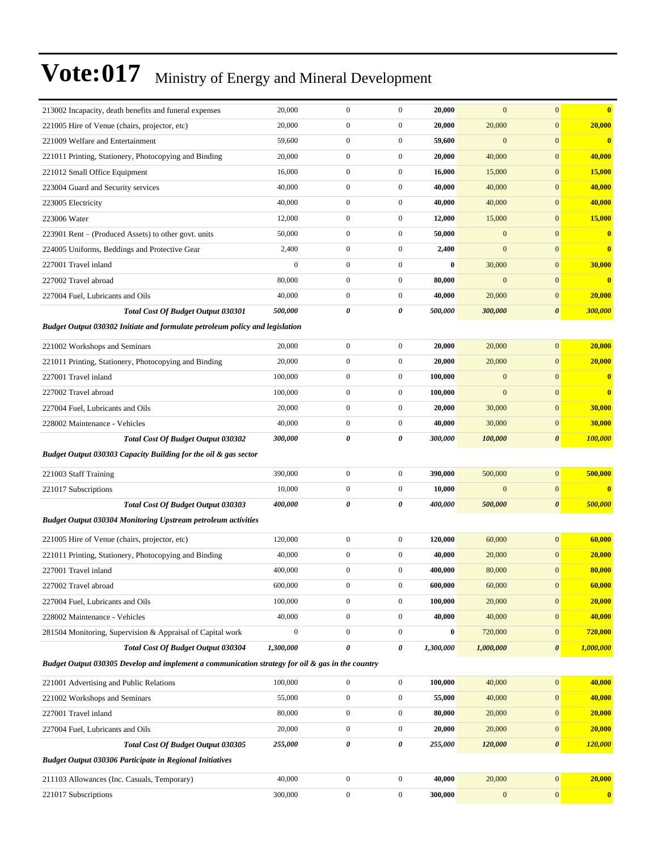| 213002 Incapacity, death benefits and funeral expenses                                           | 20,000           | $\boldsymbol{0}$ | $\boldsymbol{0}$ | 20,000    | $\mathbf{0}$     | $\mathbf{0}$          | $\overline{\mathbf{0}}$ |
|--------------------------------------------------------------------------------------------------|------------------|------------------|------------------|-----------|------------------|-----------------------|-------------------------|
| 221005 Hire of Venue (chairs, projector, etc)                                                    | 20,000           | $\boldsymbol{0}$ | $\boldsymbol{0}$ | 20,000    | 20,000           | $\mathbf{0}$          | 20,000                  |
| 221009 Welfare and Entertainment                                                                 | 59,600           | $\boldsymbol{0}$ | $\boldsymbol{0}$ | 59,600    | $\mathbf{0}$     | $\mathbf{0}$          | $\bf{0}$                |
| 221011 Printing, Stationery, Photocopying and Binding                                            | 20,000           | $\boldsymbol{0}$ | $\boldsymbol{0}$ | 20,000    | 40,000           | $\boldsymbol{0}$      | 40,000                  |
| 221012 Small Office Equipment                                                                    | 16,000           | $\boldsymbol{0}$ | $\boldsymbol{0}$ | 16,000    | 15,000           | $\mathbf{0}$          | 15,000                  |
| 223004 Guard and Security services                                                               | 40,000           | $\boldsymbol{0}$ | $\boldsymbol{0}$ | 40,000    | 40,000           | $\mathbf{0}$          | 40,000                  |
| 223005 Electricity                                                                               | 40,000           | $\boldsymbol{0}$ | $\boldsymbol{0}$ | 40,000    | 40,000           | $\mathbf{0}$          | 40,000                  |
| 223006 Water                                                                                     | 12,000           | $\boldsymbol{0}$ | $\boldsymbol{0}$ | 12,000    | 15,000           | $\mathbf{0}$          | 15,000                  |
| 223901 Rent – (Produced Assets) to other govt. units                                             | 50,000           | $\boldsymbol{0}$ | $\boldsymbol{0}$ | 50,000    | $\boldsymbol{0}$ | $\boldsymbol{0}$      | $\bf{0}$                |
| 224005 Uniforms, Beddings and Protective Gear                                                    | 2,400            | $\boldsymbol{0}$ | $\boldsymbol{0}$ | 2,400     | $\boldsymbol{0}$ | $\mathbf{0}$          | $\overline{\mathbf{0}}$ |
| 227001 Travel inland                                                                             | $\mathbf{0}$     | $\boldsymbol{0}$ | $\boldsymbol{0}$ | $\bf{0}$  | 30,000           | $\mathbf{0}$          | 30,000                  |
| 227002 Travel abroad                                                                             | 80,000           | $\boldsymbol{0}$ | $\boldsymbol{0}$ | 80,000    | $\mathbf{0}$     | $\mathbf{0}$          | $\overline{\mathbf{0}}$ |
| 227004 Fuel, Lubricants and Oils                                                                 | 40,000           | $\boldsymbol{0}$ | $\boldsymbol{0}$ | 40,000    | 20,000           | $\boldsymbol{0}$      | 20,000                  |
| <b>Total Cost Of Budget Output 030301</b>                                                        | 500,000          | 0                | 0                | 500,000   | 300,000          | 0                     | <b>300,000</b>          |
| Budget Output 030302 Initiate and formulate petroleum policy and legislation                     |                  |                  |                  |           |                  |                       |                         |
| 221002 Workshops and Seminars                                                                    | 20,000           | $\boldsymbol{0}$ | $\boldsymbol{0}$ | 20,000    | 20,000           | $\mathbf{0}$          | 20,000                  |
| 221011 Printing, Stationery, Photocopying and Binding                                            | 20,000           | $\boldsymbol{0}$ | $\boldsymbol{0}$ | 20,000    | 20,000           | $\boldsymbol{0}$      | 20,000                  |
| 227001 Travel inland                                                                             | 100,000          | $\boldsymbol{0}$ | $\boldsymbol{0}$ | 100,000   | $\mathbf{0}$     | $\mathbf{0}$          | $\bf{0}$                |
| 227002 Travel abroad                                                                             | 100,000          | $\boldsymbol{0}$ | $\boldsymbol{0}$ | 100,000   | $\mathbf{0}$     | $\mathbf{0}$          | $\bf{0}$                |
| 227004 Fuel, Lubricants and Oils                                                                 | 20,000           | $\boldsymbol{0}$ | $\boldsymbol{0}$ | 20,000    | 30,000           | $\mathbf{0}$          | 30,000                  |
| 228002 Maintenance - Vehicles                                                                    | 40,000           | $\mathbf{0}$     | $\boldsymbol{0}$ | 40,000    | 30,000           | $\mathbf{0}$          | 30,000                  |
| <b>Total Cost Of Budget Output 030302</b>                                                        | 300,000          | 0                | 0                | 300,000   | 100,000          | 0                     | <b>100,000</b>          |
| Budget Output 030303 Capacity Building for the oil & gas sector                                  |                  |                  |                  |           |                  |                       |                         |
| 221003 Staff Training                                                                            | 390,000          | $\boldsymbol{0}$ | $\boldsymbol{0}$ | 390,000   | 500,000          | $\boldsymbol{0}$      | 500,000                 |
| 221017 Subscriptions                                                                             | 10,000           | $\boldsymbol{0}$ | $\boldsymbol{0}$ | 10,000    | $\mathbf{0}$     | $\mathbf{0}$          | $\overline{\mathbf{0}}$ |
| <b>Total Cost Of Budget Output 030303</b>                                                        | 400,000          | 0                | 0                | 400,000   | 500,000          | $\boldsymbol{\theta}$ | 500,000                 |
| <b>Budget Output 030304 Monitoring Upstream petroleum activities</b>                             |                  |                  |                  |           |                  |                       |                         |
| 221005 Hire of Venue (chairs, projector, etc)                                                    | 120,000          | $\boldsymbol{0}$ | $\boldsymbol{0}$ | 120,000   | 60,000           | $\mathbf{0}$          | 60,000                  |
| 221011 Printing, Stationery, Photocopying and Binding                                            | 40,000           | $\boldsymbol{0}$ | $\boldsymbol{0}$ | 40,000    | 20,000           | $\mathbf{0}$          | 20,000                  |
| 227001 Travel inland                                                                             | 400,000          | $\boldsymbol{0}$ | $\boldsymbol{0}$ | 400,000   | 80,000           | $\mathbf{0}$          | 80,000                  |
| 227002 Travel abroad                                                                             | 600,000          | $\boldsymbol{0}$ | $\boldsymbol{0}$ | 600,000   | 60,000           | $\boldsymbol{0}$      | 60,000                  |
| 227004 Fuel, Lubricants and Oils                                                                 | 100,000          | $\boldsymbol{0}$ | 0                | 100,000   | 20,000           | $\boldsymbol{0}$      | 20,000                  |
| 228002 Maintenance - Vehicles                                                                    | 40,000           | $\boldsymbol{0}$ | $\boldsymbol{0}$ | 40,000    | 40,000           | $\boldsymbol{0}$      | 40,000                  |
| 281504 Monitoring, Supervision & Appraisal of Capital work                                       | $\boldsymbol{0}$ | $\boldsymbol{0}$ | $\boldsymbol{0}$ | $\bf{0}$  | 720,000          | $\boldsymbol{0}$      | <b>720,000</b>          |
| Total Cost Of Budget Output 030304                                                               | 1,300,000        | 0                | 0                | 1,300,000 | 1,000,000        | $\pmb{\theta}$        | 1,000,000               |
| Budget Output 030305 Develop and implement a communication strategy for oil & gas in the country |                  |                  |                  |           |                  |                       |                         |
| 221001 Advertising and Public Relations                                                          | 100,000          | $\boldsymbol{0}$ | $\boldsymbol{0}$ | 100,000   | 40,000           | $\boldsymbol{0}$      | 40,000                  |
| 221002 Workshops and Seminars                                                                    | 55,000           | $\boldsymbol{0}$ | $\boldsymbol{0}$ | 55,000    | 40,000           | $\boldsymbol{0}$      | 40,000                  |
| 227001 Travel inland                                                                             | 80,000           | $\boldsymbol{0}$ | $\boldsymbol{0}$ | 80,000    | 20,000           | $\boldsymbol{0}$      | 20,000                  |
| 227004 Fuel, Lubricants and Oils                                                                 | 20,000           | $\boldsymbol{0}$ | $\boldsymbol{0}$ | 20,000    | 20,000           | $\boldsymbol{0}$      | 20,000                  |
| Total Cost Of Budget Output 030305                                                               | 255,000          | $\pmb{\theta}$   | 0                | 255,000   | 120,000          | $\pmb{\theta}$        | <b>120,000</b>          |
| <b>Budget Output 030306 Participate in Regional Initiatives</b>                                  |                  |                  |                  |           |                  |                       |                         |
| 211103 Allowances (Inc. Casuals, Temporary)                                                      | 40,000           | $\boldsymbol{0}$ | $\boldsymbol{0}$ | 40,000    | 20,000           | $\boldsymbol{0}$      | 20,000                  |
| 221017 Subscriptions                                                                             | 300,000          | $\boldsymbol{0}$ | $\boldsymbol{0}$ | 300,000   | $\boldsymbol{0}$ | $\boldsymbol{0}$      | $\boldsymbol{0}$        |
|                                                                                                  |                  |                  |                  |           |                  |                       |                         |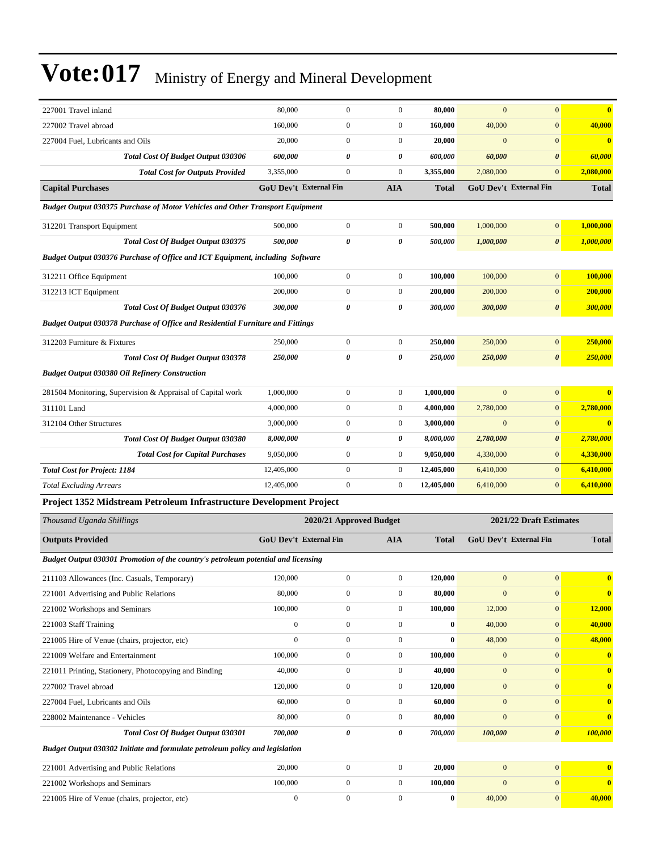| 227001 Travel inland                                                                 | 80,000       | $\boldsymbol{0}$              | $\boldsymbol{0}$ | 80,000       | $\mathbf{0}$ | $\mathbf{0}$            | $\bf{0}$     |
|--------------------------------------------------------------------------------------|--------------|-------------------------------|------------------|--------------|--------------|-------------------------|--------------|
| 227002 Travel abroad                                                                 | 160,000      | $\boldsymbol{0}$              | $\boldsymbol{0}$ | 160.000      | 40,000       | $\mathbf{0}$            | 40,000       |
| 227004 Fuel, Lubricants and Oils                                                     | 20,000       | $\boldsymbol{0}$              | $\boldsymbol{0}$ | 20,000       | $\mathbf{0}$ | $\mathbf{0}$            | $\bf{0}$     |
| Total Cost Of Budget Output 030306                                                   | 600,000      | 0                             | 0                | 600,000      | 60,000       | $\boldsymbol{\theta}$   | 60,000       |
| <b>Total Cost for Outputs Provided</b>                                               | 3,355,000    | $\boldsymbol{0}$              | $\boldsymbol{0}$ | 3,355,000    | 2,080,000    | $\boldsymbol{0}$        | 2,080,000    |
| <b>Capital Purchases</b>                                                             |              | <b>GoU Dev't External Fin</b> | <b>AIA</b>       | <b>Total</b> |              | GoU Dev't External Fin  | <b>Total</b> |
| <b>Budget Output 030375 Purchase of Motor Vehicles and Other Transport Equipment</b> |              |                               |                  |              |              |                         |              |
| 312201 Transport Equipment                                                           | 500,000      | $\boldsymbol{0}$              | $\boldsymbol{0}$ | 500,000      | 1,000,000    | $\mathbf{0}$            | 1,000,000    |
| <b>Total Cost Of Budget Output 030375</b>                                            | 500,000      | 0                             | 0                | 500,000      | 1,000,000    | $\boldsymbol{\theta}$   | 1,000,000    |
| Budget Output 030376 Purchase of Office and ICT Equipment, including Software        |              |                               |                  |              |              |                         |              |
| 312211 Office Equipment                                                              | 100,000      | $\boldsymbol{0}$              | $\boldsymbol{0}$ | 100,000      | 100,000      | $\mathbf{0}$            | 100,000      |
| 312213 ICT Equipment                                                                 | 200,000      | 0                             | $\boldsymbol{0}$ | 200,000      | 200,000      | $\mathbf{0}$            | 200,000      |
| <b>Total Cost Of Budget Output 030376</b>                                            | 300,000      | 0                             | 0                | 300,000      | 300,000      | $\boldsymbol{\theta}$   | 300,000      |
| Budget Output 030378 Purchase of Office and Residential Furniture and Fittings       |              |                               |                  |              |              |                         |              |
| 312203 Furniture & Fixtures                                                          | 250,000      | $\boldsymbol{0}$              | $\boldsymbol{0}$ | 250,000      | 250,000      | $\mathbf{0}$            | 250,000      |
| Total Cost Of Budget Output 030378                                                   | 250,000      | 0                             | 0                | 250,000      | 250,000      | $\boldsymbol{\theta}$   | 250,000      |
| <b>Budget Output 030380 Oil Refinery Construction</b>                                |              |                               |                  |              |              |                         |              |
| 281504 Monitoring, Supervision & Appraisal of Capital work                           | 1,000,000    | $\boldsymbol{0}$              | $\boldsymbol{0}$ | 1,000,000    | $\mathbf{0}$ | $\mathbf{0}$            | $\bf{0}$     |
| 311101 Land                                                                          | 4,000,000    | 0                             | $\boldsymbol{0}$ | 4,000,000    | 2,780,000    | $\mathbf{0}$            | 2,780,000    |
| 312104 Other Structures                                                              | 3,000,000    | 0                             | $\boldsymbol{0}$ | 3,000,000    | $\mathbf{0}$ | $\mathbf{0}$            | $\bf{0}$     |
| Total Cost Of Budget Output 030380                                                   | 8,000,000    | 0                             | 0                | 8,000,000    | 2,780,000    | $\boldsymbol{\theta}$   | 2,780,000    |
| <b>Total Cost for Capital Purchases</b>                                              | 9,050,000    | $\boldsymbol{0}$              | $\boldsymbol{0}$ | 9,050,000    | 4,330,000    | $\mathbf{0}$            | 4,330,000    |
| <b>Total Cost for Project: 1184</b>                                                  | 12,405,000   | $\boldsymbol{0}$              | $\boldsymbol{0}$ | 12,405,000   | 6,410,000    | $\overline{0}$          | 6,410,000    |
| <b>Total Excluding Arrears</b>                                                       | 12,405,000   | $\boldsymbol{0}$              | $\boldsymbol{0}$ | 12,405,000   | 6,410,000    | $\mathbf{0}$            | 6,410,000    |
| Project 1352 Midstream Petroleum Infrastructure Development Project                  |              |                               |                  |              |              |                         |              |
| Thousand Uganda Shillings                                                            |              | 2020/21 Approved Budget       |                  |              |              | 2021/22 Draft Estimates |              |
| <b>Outputs Provided</b>                                                              |              | GoU Dev't External Fin        | <b>AIA</b>       | <b>Total</b> |              | GoU Dev't External Fin  | <b>Total</b> |
| Budget Output 030301 Promotion of the country's petroleum potential and licensing    |              |                               |                  |              |              |                         |              |
| 211103 Allowances (Inc. Casuals, Temporary)                                          | 120,000      | $\boldsymbol{0}$              | $\boldsymbol{0}$ | 120,000      | $\mathbf{0}$ | $\vert 0 \vert$         | $\mathbf{0}$ |
| 221001 Advertising and Public Relations                                              | 80,000       | $\boldsymbol{0}$              | $\boldsymbol{0}$ | 80,000       | $\mathbf{0}$ | $\overline{0}$          | $\bf{0}$     |
| 221002 Workshops and Seminars                                                        | 100,000      | $\boldsymbol{0}$              | $\overline{0}$   | 100,000      | 12,000       | $\mathbf{0}$            | 12,000       |
| 221003 Staff Training                                                                | $\mathbf{0}$ | $\boldsymbol{0}$              | $\overline{0}$   | $\bf{0}$     | 40,000       | $\mathbf{0}$            | 40,000       |
| 221005 Hire of Venue (chairs, projector, etc)                                        | $\mathbf{0}$ | $\boldsymbol{0}$              | $\boldsymbol{0}$ | $\bf{0}$     | 48,000       | $\overline{0}$          | 48,000       |
| 221009 Welfare and Entertainment                                                     | 100,000      | $\boldsymbol{0}$              | $\boldsymbol{0}$ | 100,000      | $\mathbf{0}$ | $\overline{0}$          | $\bf{0}$     |
| 221011 Printing, Stationery, Photocopying and Binding                                | 40,000       | $\boldsymbol{0}$              | $\boldsymbol{0}$ | 40,000       | $\mathbf{0}$ | $\mathbf{0}$            | $\bf{0}$     |
| 227002 Travel abroad                                                                 | 120,000      | $\boldsymbol{0}$              | $\boldsymbol{0}$ | 120,000      | $\mathbf{0}$ | $\overline{0}$          | $\bf{0}$     |
| 227004 Fuel, Lubricants and Oils                                                     | 60,000       | $\boldsymbol{0}$              | $\boldsymbol{0}$ | 60,000       | $\mathbf{0}$ | $\overline{0}$          | $\bf{0}$     |
| 228002 Maintenance - Vehicles                                                        | 80,000       | $\boldsymbol{0}$              | $\boldsymbol{0}$ | 80,000       | $\mathbf{0}$ | $\mathbf{0}$            | $\bf{0}$     |
| Total Cost Of Budget Output 030301                                                   | 700,000      | 0                             | 0                | 700,000      | 100,000      | $\boldsymbol{\theta}$   | 100,000      |

*Budget Output 030302 Initiate and formulate petroleum policy and legislation* 221001 Advertising and Public Relations 20,000 0 0 **20,000** 0 0 **0** 221002 Workshops and Seminars 100,000 0 0 **100,000** 0 0 **0** 221005 Hire of Venue (chairs, projector, etc) 0 0 0 0 0 0 40,000 0 40,000 0 40,000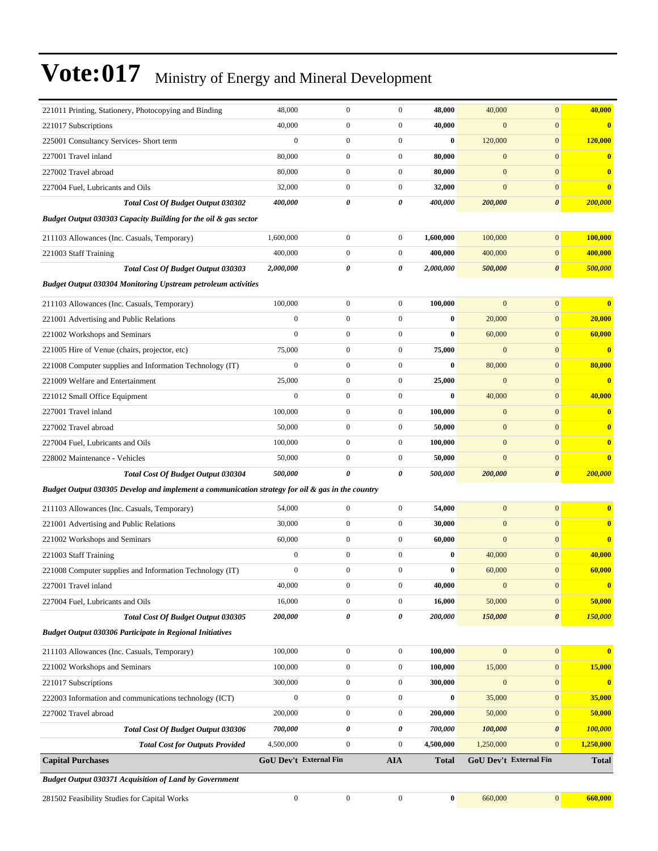| 221011 Printing, Stationery, Photocopying and Binding                                            | 48,000                        | $\boldsymbol{0}$ | $\boldsymbol{0}$ | 48,000       | 40,000           | $\overline{0}$         | 40,000                  |
|--------------------------------------------------------------------------------------------------|-------------------------------|------------------|------------------|--------------|------------------|------------------------|-------------------------|
| 221017 Subscriptions                                                                             | 40,000                        | $\mathbf{0}$     | $\boldsymbol{0}$ | 40,000       | $\boldsymbol{0}$ | $\mathbf{0}$           | $\bf{0}$                |
| 225001 Consultancy Services- Short term                                                          | $\mathbf{0}$                  | $\overline{0}$   | $\boldsymbol{0}$ | $\bf{0}$     | 120,000          | $\overline{0}$         | 120,000                 |
| 227001 Travel inland                                                                             | 80,000                        | $\boldsymbol{0}$ | $\boldsymbol{0}$ | 80,000       | $\mathbf{0}$     | $\mathbf{0}$           | $\bf{0}$                |
| 227002 Travel abroad                                                                             | 80,000                        | $\overline{0}$   | $\boldsymbol{0}$ | 80,000       | $\boldsymbol{0}$ | $\overline{0}$         | $\bf{0}$                |
| 227004 Fuel, Lubricants and Oils                                                                 | 32,000                        | $\mathbf{0}$     | $\boldsymbol{0}$ | 32,000       | $\overline{0}$   | $\overline{0}$         | $\bf{0}$                |
| <b>Total Cost Of Budget Output 030302</b>                                                        | 400,000                       | 0                | 0                | 400,000      | 200,000          | 0                      | 200,000                 |
| Budget Output 030303 Capacity Building for the oil & gas sector                                  |                               |                  |                  |              |                  |                        |                         |
| 211103 Allowances (Inc. Casuals, Temporary)                                                      | 1,600,000                     | $\overline{0}$   | $\boldsymbol{0}$ | 1,600,000    | 100,000          | $\overline{0}$         | 100,000                 |
| 221003 Staff Training                                                                            | 400,000                       | $\mathbf{0}$     | $\boldsymbol{0}$ | 400,000      | 400,000          | $\overline{0}$         | 400,000                 |
| <b>Total Cost Of Budget Output 030303</b>                                                        | 2,000,000                     | 0                | 0                | 2,000,000    | 500,000          | 0                      | 500,000                 |
| <b>Budget Output 030304 Monitoring Upstream petroleum activities</b>                             |                               |                  |                  |              |                  |                        |                         |
| 211103 Allowances (Inc. Casuals, Temporary)                                                      | 100,000                       | $\mathbf{0}$     | $\boldsymbol{0}$ | 100,000      | $\overline{0}$   | $\overline{0}$         | $\bf{0}$                |
| 221001 Advertising and Public Relations                                                          | $\boldsymbol{0}$              | $\boldsymbol{0}$ | $\boldsymbol{0}$ | $\bf{0}$     | 20,000           | $\mathbf{0}$           | 20,000                  |
| 221002 Workshops and Seminars                                                                    | $\mathbf{0}$                  | $\overline{0}$   | $\boldsymbol{0}$ | $\bf{0}$     | 60,000           | $\mathbf{0}$           | 60,000                  |
| 221005 Hire of Venue (chairs, projector, etc)                                                    | 75,000                        | $\boldsymbol{0}$ | $\boldsymbol{0}$ | 75,000       | $\mathbf{0}$     | $\mathbf{0}$           | $\bf{0}$                |
| 221008 Computer supplies and Information Technology (IT)                                         | $\mathbf{0}$                  | $\overline{0}$   | $\boldsymbol{0}$ | $\bf{0}$     | 80,000           | $\overline{0}$         | 80,000                  |
| 221009 Welfare and Entertainment                                                                 | 25,000                        | $\mathbf{0}$     | $\boldsymbol{0}$ | 25,000       | $\overline{0}$   | $\mathbf{0}$           | $\overline{\mathbf{0}}$ |
| 221012 Small Office Equipment                                                                    | $\boldsymbol{0}$              | $\mathbf{0}$     | $\boldsymbol{0}$ | $\bf{0}$     | 40,000           | $\mathbf{0}$           | 40,000                  |
| 227001 Travel inland                                                                             | 100,000                       | $\mathbf{0}$     | $\boldsymbol{0}$ | 100,000      | $\mathbf{0}$     | $\overline{0}$         | $\bf{0}$                |
| 227002 Travel abroad                                                                             | 50,000                        | $\mathbf{0}$     | $\boldsymbol{0}$ | 50,000       | $\boldsymbol{0}$ | $\overline{0}$         | $\bf{0}$                |
| 227004 Fuel, Lubricants and Oils                                                                 | 100,000                       | $\overline{0}$   | $\boldsymbol{0}$ | 100,000      | $\boldsymbol{0}$ | $\overline{0}$         | $\bf{0}$                |
| 228002 Maintenance - Vehicles                                                                    | 50,000                        | $\mathbf{0}$     | $\boldsymbol{0}$ | 50,000       | $\overline{0}$   | $\mathbf{0}$           | $\bf{0}$                |
| Total Cost Of Budget Output 030304                                                               | 500,000                       | 0                | 0                | 500,000      | 200,000          | 0                      | 200,000                 |
| Budget Output 030305 Develop and implement a communication strategy for oil & gas in the country |                               |                  |                  |              |                  |                        |                         |
| 211103 Allowances (Inc. Casuals, Temporary)                                                      | 54,000                        | $\mathbf{0}$     | $\boldsymbol{0}$ | 54,000       | $\mathbf{0}$     | $\overline{0}$         | $\bf{0}$                |
| 221001 Advertising and Public Relations                                                          | 30,000                        | $\boldsymbol{0}$ | $\boldsymbol{0}$ | 30,000       | $\boldsymbol{0}$ | $\overline{0}$         | $\bf{0}$                |
| 221002 Workshops and Seminars                                                                    | 60,000                        | $\overline{0}$   | $\boldsymbol{0}$ | 60,000       | $\boldsymbol{0}$ | $\mathbf{0}$           | $\bf{0}$                |
| 221003 Staff Training                                                                            | $\boldsymbol{0}$              | $\mathbf{0}$     | $\boldsymbol{0}$ | $\bf{0}$     | 40,000           | $\mathbf{0}$           | 40,000                  |
| 221008 Computer supplies and Information Technology (IT)                                         | $\boldsymbol{0}$              | $\mathbf{0}$     | $\boldsymbol{0}$ | $\bf{0}$     | 60,000           | $\mathbf{0}$           | 60,000                  |
| 227001 Travel inland                                                                             | 40,000                        | $\boldsymbol{0}$ | $\boldsymbol{0}$ | 40,000       | $\mathbf{0}$     | $\boldsymbol{0}$       | $\bf{0}$                |
| 227004 Fuel, Lubricants and Oils                                                                 | 16,000                        | $\boldsymbol{0}$ | $\boldsymbol{0}$ | 16,000       | 50,000           | $\boldsymbol{0}$       | 50,000                  |
| Total Cost Of Budget Output 030305                                                               | 200,000                       | 0                | 0                | 200,000      | 150,000          | $\pmb{\theta}$         | 150,000                 |
| <b>Budget Output 030306 Participate in Regional Initiatives</b>                                  |                               |                  |                  |              |                  |                        |                         |
| 211103 Allowances (Inc. Casuals, Temporary)                                                      | 100,000                       | $\boldsymbol{0}$ | $\boldsymbol{0}$ | 100,000      | $\mathbf{0}$     | $\boldsymbol{0}$       | $\bf{0}$                |
| 221002 Workshops and Seminars                                                                    | 100,000                       | $\boldsymbol{0}$ | $\boldsymbol{0}$ | 100,000      | 15,000           | $\boldsymbol{0}$       | 15,000                  |
| 221017 Subscriptions                                                                             | 300,000                       | $\boldsymbol{0}$ | $\boldsymbol{0}$ | 300,000      | $\mathbf{0}$     | $\boldsymbol{0}$       | $\bf{0}$                |
| 222003 Information and communications technology (ICT)                                           | $\boldsymbol{0}$              | $\boldsymbol{0}$ | $\boldsymbol{0}$ | $\bf{0}$     | 35,000           | $\boldsymbol{0}$       | 35,000                  |
| 227002 Travel abroad                                                                             | 200,000                       | $\boldsymbol{0}$ | $\boldsymbol{0}$ | 200,000      | 50,000           | $\boldsymbol{0}$       | 50,000                  |
| Total Cost Of Budget Output 030306                                                               | 700,000                       | 0                | 0                | 700,000      | 100,000          | 0                      | 100,000                 |
| <b>Total Cost for Outputs Provided</b>                                                           | 4,500,000                     | $\boldsymbol{0}$ | $\boldsymbol{0}$ | 4,500,000    | 1,250,000        | $\mathbf{0}$           | 1,250,000               |
| <b>Capital Purchases</b>                                                                         | <b>GoU Dev't External Fin</b> |                  | <b>AIA</b>       | <b>Total</b> |                  | GoU Dev't External Fin | <b>Total</b>            |
| <b>Budget Output 030371 Acquisition of Land by Government</b>                                    |                               |                  |                  |              |                  |                        |                         |
| 281502 Feasibility Studies for Capital Works                                                     | $\boldsymbol{0}$              | $\boldsymbol{0}$ | $\boldsymbol{0}$ | $\bf{0}$     | 660,000          | $\vert 0 \vert$        | 660,000                 |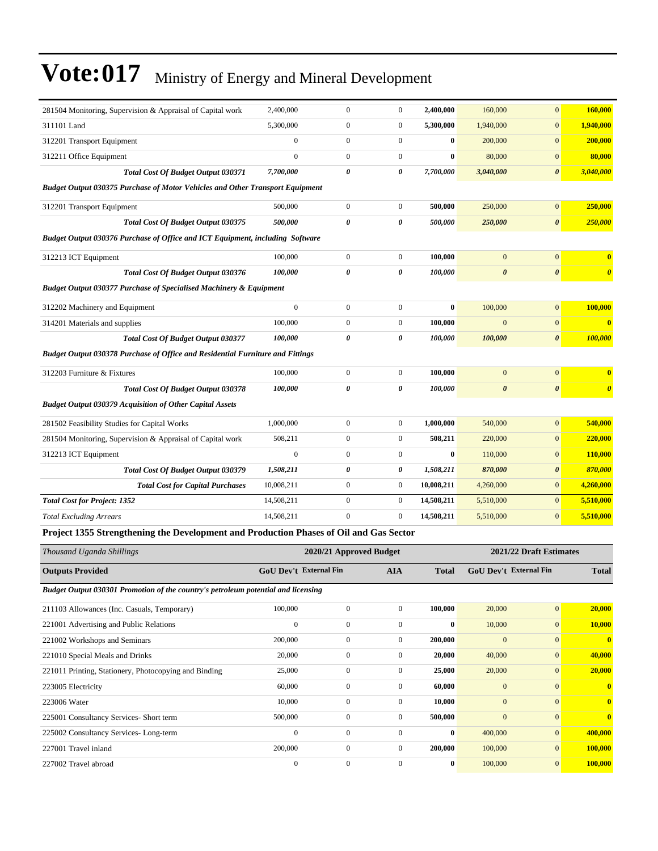| 281504 Monitoring, Supervision & Appraisal of Capital work                             | 2,400,000        | $\mathbf{0}$                  | $\boldsymbol{0}$ | 2,400,000        | 160,000               | $\mathbf{0}$                  | 160,000               |
|----------------------------------------------------------------------------------------|------------------|-------------------------------|------------------|------------------|-----------------------|-------------------------------|-----------------------|
| 311101 Land                                                                            | 5,300,000        | $\boldsymbol{0}$              | $\boldsymbol{0}$ | 5,300,000        | 1,940,000             | $\mathbf{0}$                  | 1,940,000             |
| 312201 Transport Equipment                                                             | $\mathbf{0}$     | $\boldsymbol{0}$              | $\boldsymbol{0}$ | $\bf{0}$         | 200,000               | $\mathbf{0}$                  | 200,000               |
| 312211 Office Equipment                                                                | $\overline{0}$   | $\mathbf{0}$                  | $\boldsymbol{0}$ | 0                | 80,000                | $\mathbf{0}$                  | 80,000                |
| Total Cost Of Budget Output 030371                                                     | 7,700,000        | 0                             | 0                | 7,700,000        | 3,040,000             | $\pmb{\theta}$                | 3,040,000             |
| <b>Budget Output 030375 Purchase of Motor Vehicles and Other Transport Equipment</b>   |                  |                               |                  |                  |                       |                               |                       |
| 312201 Transport Equipment                                                             | 500,000          | $\boldsymbol{0}$              | $\boldsymbol{0}$ | 500,000          | 250,000               | $\mathbf{0}$                  | 250,000               |
| Total Cost Of Budget Output 030375                                                     | 500,000          | 0                             | 0                | 500,000          | 250,000               | $\pmb{\theta}$                | 250,000               |
| Budget Output 030376 Purchase of Office and ICT Equipment, including Software          |                  |                               |                  |                  |                       |                               |                       |
| 312213 ICT Equipment                                                                   | 100,000          | $\boldsymbol{0}$              | $\boldsymbol{0}$ | 100,000          | $\overline{0}$        | $\mathbf{0}$                  | $\bf{0}$              |
| Total Cost Of Budget Output 030376                                                     | 100,000          | 0                             | 0                | 100,000          | $\boldsymbol{\theta}$ | $\boldsymbol{\theta}$         | $\boldsymbol{\theta}$ |
| <b>Budget Output 030377 Purchase of Specialised Machinery &amp; Equipment</b>          |                  |                               |                  |                  |                       |                               |                       |
| 312202 Machinery and Equipment                                                         | $\mathbf{0}$     | $\boldsymbol{0}$              | $\boldsymbol{0}$ | $\bf{0}$         | 100,000               | $\boldsymbol{0}$              | 100,000               |
| 314201 Materials and supplies                                                          | 100,000          | $\boldsymbol{0}$              | $\boldsymbol{0}$ | 100,000          | $\overline{0}$        | $\boldsymbol{0}$              | $\bf{0}$              |
| Total Cost Of Budget Output 030377                                                     | 100,000          | 0                             | 0                | 100,000          | 100,000               | 0                             | 100,000               |
| <b>Budget Output 030378 Purchase of Office and Residential Furniture and Fittings</b>  |                  |                               |                  |                  |                       |                               |                       |
| 312203 Furniture & Fixtures                                                            | 100,000          | $\boldsymbol{0}$              | $\boldsymbol{0}$ | 100,000          | $\overline{0}$        | $\boldsymbol{0}$              | $\bf{0}$              |
| <b>Total Cost Of Budget Output 030378</b>                                              | 100,000          | 0                             | 0                | 100,000          | $\boldsymbol{\theta}$ | $\pmb{\theta}$                | $\boldsymbol{\theta}$ |
| <b>Budget Output 030379 Acquisition of Other Capital Assets</b>                        |                  |                               |                  |                  |                       |                               |                       |
| 281502 Feasibility Studies for Capital Works                                           | 1,000,000        | $\boldsymbol{0}$              | $\boldsymbol{0}$ | 1,000,000        | 540,000               | $\mathbf{0}$                  | 540,000               |
| 281504 Monitoring, Supervision & Appraisal of Capital work                             | 508,211          | $\boldsymbol{0}$              | $\boldsymbol{0}$ | 508,211          | 220,000               | $\mathbf{0}$                  | 220,000               |
| 312213 ICT Equipment                                                                   | $\boldsymbol{0}$ | $\boldsymbol{0}$              | $\boldsymbol{0}$ | $\bf{0}$         | 110,000               | $\boldsymbol{0}$              | <b>110,000</b>        |
| Total Cost Of Budget Output 030379                                                     | 1,508,211        | 0                             | 0                | 1,508,211        | 870,000               | $\boldsymbol{\theta}$         | 870,000               |
| <b>Total Cost for Capital Purchases</b>                                                | 10,008,211       | $\boldsymbol{0}$              | $\boldsymbol{0}$ | 10,008,211       | 4,260,000             | $\boldsymbol{0}$              | 4,260,000             |
| <b>Total Cost for Project: 1352</b>                                                    | 14,508,211       | $\boldsymbol{0}$              | $\boldsymbol{0}$ | 14,508,211       | 5,510,000             | $\mathbf{0}$                  | 5,510,000             |
| <b>Total Excluding Arrears</b>                                                         | 14,508,211       | $\overline{0}$                | $\boldsymbol{0}$ | 14,508,211       | 5,510,000             | $\mathbf{0}$                  | 5,510,000             |
| Project 1355 Strengthening the Development and Production Phases of Oil and Gas Sector |                  |                               |                  |                  |                       |                               |                       |
| Thousand Uganda Shillings                                                              |                  | 2020/21 Approved Budget       |                  |                  |                       | 2021/22 Draft Estimates       |                       |
| <b>Outputs Provided</b>                                                                |                  | <b>GoU Dev't External Fin</b> | AIA              | <b>Total</b>     |                       | <b>GoU Dev't External Fin</b> | <b>Total</b>          |
| Budget Output 030301 Promotion of the country's petroleum potential and licensing      |                  |                               |                  |                  |                       |                               |                       |
| 211103 Allowances (Inc. Casuals, Temporary)                                            | 100,000          | $\boldsymbol{0}$              | $\boldsymbol{0}$ | 100,000          | 20,000                | $\boldsymbol{0}$              | 20,000                |
| 221001 Advertising and Public Relations                                                | $\boldsymbol{0}$ | $\boldsymbol{0}$              | $\boldsymbol{0}$ | $\bf{0}$         | 10,000                | $\boldsymbol{0}$              | 10,000                |
| 221002 Workshops and Seminars                                                          | 200,000          | $\boldsymbol{0}$              | $\boldsymbol{0}$ | 200,000          | $\mathbf{0}$          | $\boldsymbol{0}$              | $\bf{0}$              |
| 221010 Special Meals and Drinks                                                        | 20,000           | $\boldsymbol{0}$              | $\boldsymbol{0}$ | 20,000           | 40,000                | $\boldsymbol{0}$              | 40,000                |
| 221011 Printing, Stationery, Photocopying and Binding                                  | 25,000           | $\boldsymbol{0}$              | $\boldsymbol{0}$ | 25,000           | 20,000                | $\boldsymbol{0}$              | 20,000                |
| 223005 Electricity                                                                     | 60,000           | $\boldsymbol{0}$              | $\boldsymbol{0}$ | 60,000           | $\boldsymbol{0}$      | $\boldsymbol{0}$              | $\bf{0}$              |
| 223006 Water                                                                           | 10,000           | $\boldsymbol{0}$              | $\boldsymbol{0}$ | 10,000           | $\mathbf{0}$          | $\boldsymbol{0}$              | $\bf{0}$              |
| 225001 Consultancy Services- Short term                                                | 500,000          | $\boldsymbol{0}$              | $\boldsymbol{0}$ | 500,000          | $\mathbf{0}$          | $\boldsymbol{0}$              | $\bf{0}$              |
| 225002 Consultancy Services-Long-term                                                  | $\boldsymbol{0}$ | $\boldsymbol{0}$              | $\boldsymbol{0}$ | $\bf{0}$         | 400,000               | $\boldsymbol{0}$              | 400,000               |
| 227001 Travel inland                                                                   | 200,000          | $\boldsymbol{0}$              | $\boldsymbol{0}$ | 200,000          | 100,000               | $\boldsymbol{0}$              | 100,000               |
| 227002 Travel abroad                                                                   | $\boldsymbol{0}$ | $\boldsymbol{0}$              | $\boldsymbol{0}$ | $\boldsymbol{0}$ | 100,000               | $\mathbf{0}$                  | 100,000               |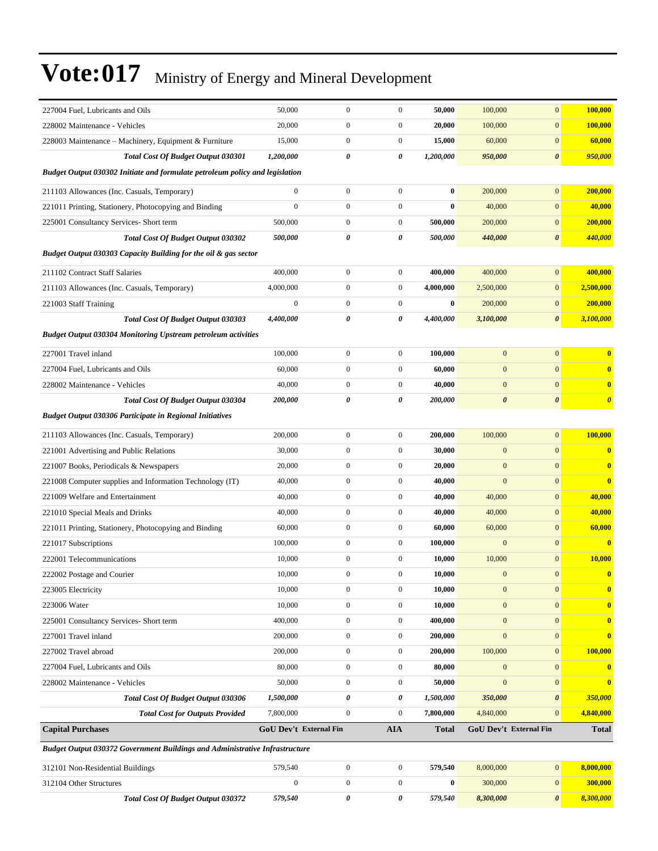| 227004 Fuel, Lubricants and Oils                                                   | 50,000                 | $\boldsymbol{0}$ | $\boldsymbol{0}$ | 50,000       | 100,000               | $\mathbf{0}$                  | 100,000                 |
|------------------------------------------------------------------------------------|------------------------|------------------|------------------|--------------|-----------------------|-------------------------------|-------------------------|
| 228002 Maintenance - Vehicles                                                      | 20,000                 | $\boldsymbol{0}$ | $\boldsymbol{0}$ | 20,000       | 100,000               | $\boldsymbol{0}$              | 100,000                 |
| 228003 Maintenance – Machinery, Equipment & Furniture                              | 15,000                 | $\mathbf{0}$     | $\boldsymbol{0}$ | 15,000       | 60,000                | $\mathbf{0}$                  | 60,000                  |
| Total Cost Of Budget Output 030301                                                 | 1,200,000              | 0                | 0                | 1,200,000    | 950,000               | $\boldsymbol{\theta}$         | 950,000                 |
| Budget Output 030302 Initiate and formulate petroleum policy and legislation       |                        |                  |                  |              |                       |                               |                         |
| 211103 Allowances (Inc. Casuals, Temporary)                                        | $\boldsymbol{0}$       | $\boldsymbol{0}$ | $\boldsymbol{0}$ | $\bf{0}$     | 200,000               | $\mathbf{0}$                  | 200,000                 |
| 221011 Printing, Stationery, Photocopying and Binding                              | $\mathbf{0}$           | $\boldsymbol{0}$ | $\boldsymbol{0}$ | $\bf{0}$     | 40,000                | $\mathbf{0}$                  | 40,000                  |
| 225001 Consultancy Services- Short term                                            | 500,000                | $\boldsymbol{0}$ | $\boldsymbol{0}$ | 500,000      | 200,000               | $\mathbf{0}$                  | 200,000                 |
| <b>Total Cost Of Budget Output 030302</b>                                          | 500,000                | 0                | 0                | 500,000      | 440,000               | $\boldsymbol{\theta}$         | 440,000                 |
| Budget Output 030303 Capacity Building for the oil & gas sector                    |                        |                  |                  |              |                       |                               |                         |
| 211102 Contract Staff Salaries                                                     | 400,000                | $\boldsymbol{0}$ | $\boldsymbol{0}$ | 400,000      | 400,000               | $\mathbf{0}$                  | 400,000                 |
| 211103 Allowances (Inc. Casuals, Temporary)                                        | 4,000,000              | $\mathbf{0}$     | $\boldsymbol{0}$ | 4,000,000    | 2,500,000             | $\mathbf{0}$                  | 2,500,000               |
| 221003 Staff Training                                                              | $\mathbf{0}$           | $\boldsymbol{0}$ | $\boldsymbol{0}$ | $\bf{0}$     | 200,000               | $\mathbf{0}$                  | 200,000                 |
| <b>Total Cost Of Budget Output 030303</b>                                          | 4,400,000              | 0                | 0                | 4,400,000    | 3,100,000             | $\boldsymbol{\theta}$         | 3,100,000               |
| <b>Budget Output 030304 Monitoring Upstream petroleum activities</b>               |                        |                  |                  |              |                       |                               |                         |
| 227001 Travel inland                                                               | 100,000                | $\boldsymbol{0}$ | $\boldsymbol{0}$ | 100,000      | $\mathbf{0}$          | $\mathbf{0}$                  | $\bf{0}$                |
| 227004 Fuel, Lubricants and Oils                                                   | 60,000                 | $\boldsymbol{0}$ | $\boldsymbol{0}$ | 60,000       | $\mathbf{0}$          | $\mathbf{0}$                  | $\bf{0}$                |
| 228002 Maintenance - Vehicles                                                      | 40,000                 | $\boldsymbol{0}$ | $\boldsymbol{0}$ | 40,000       | $\mathbf{0}$          | $\mathbf{0}$                  | $\bf{0}$                |
| <b>Total Cost Of Budget Output 030304</b>                                          | 200,000                | 0                | 0                | 200,000      | $\boldsymbol{\theta}$ | $\boldsymbol{\theta}$         | $\boldsymbol{\theta}$   |
| <b>Budget Output 030306 Participate in Regional Initiatives</b>                    |                        |                  |                  |              |                       |                               |                         |
| 211103 Allowances (Inc. Casuals, Temporary)                                        | 200,000                | $\boldsymbol{0}$ | $\boldsymbol{0}$ | 200,000      | 100,000               | $\mathbf{0}$                  | 100,000                 |
| 221001 Advertising and Public Relations                                            | 30,000                 | $\boldsymbol{0}$ | $\boldsymbol{0}$ | 30,000       | $\boldsymbol{0}$      | $\mathbf{0}$                  | $\overline{\mathbf{0}}$ |
| 221007 Books, Periodicals & Newspapers                                             | 20,000                 | $\boldsymbol{0}$ | $\boldsymbol{0}$ | 20,000       | $\mathbf{0}$          | $\mathbf{0}$                  | $\bf{0}$                |
| 221008 Computer supplies and Information Technology (IT)                           | 40,000                 | $\mathbf{0}$     | $\boldsymbol{0}$ | 40,000       | $\mathbf{0}$          | $\mathbf{0}$                  | $\bf{0}$                |
| 221009 Welfare and Entertainment                                                   | 40,000                 | $\boldsymbol{0}$ | $\boldsymbol{0}$ | 40,000       | 40,000                | $\mathbf{0}$                  | 40,000                  |
| 221010 Special Meals and Drinks                                                    | 40,000                 | $\boldsymbol{0}$ | $\boldsymbol{0}$ | 40,000       | 40,000                | $\boldsymbol{0}$              | 40,000                  |
| 221011 Printing, Stationery, Photocopying and Binding                              | 60,000                 | $\boldsymbol{0}$ | $\boldsymbol{0}$ | 60,000       | 60,000                | $\mathbf{0}$                  | 60,000                  |
| 221017 Subscriptions                                                               | 100,000                | $\boldsymbol{0}$ | $\boldsymbol{0}$ | 100,000      | $\mathbf{0}$          | $\boldsymbol{0}$              | $\bf{0}$                |
| 222001 Telecommunications                                                          | 10,000                 | $\boldsymbol{0}$ | $\boldsymbol{0}$ | 10,000       | 10,000                | $\mathbf{0}$                  | 10,000                  |
| 222002 Postage and Courier                                                         | 10,000                 | $\boldsymbol{0}$ | $\boldsymbol{0}$ | 10,000       | $\boldsymbol{0}$      | $\mathbf{0}$                  | $\bf{0}$                |
| 223005 Electricity                                                                 | 10,000                 | $\boldsymbol{0}$ | $\mathbf{0}$     | 10,000       | $\mathbf{0}$          | $\mathbf{0}$                  | $\bf{0}$                |
| 223006 Water                                                                       | 10,000                 | $\mathbf{0}$     | $\boldsymbol{0}$ | 10,000       | $\mathbf{0}$          | $\overline{0}$                | $\bf{0}$                |
| 225001 Consultancy Services- Short term                                            | 400,000                | $\boldsymbol{0}$ | $\boldsymbol{0}$ | 400,000      | $\boldsymbol{0}$      | $\mathbf{0}$                  | $\bf{0}$                |
| 227001 Travel inland                                                               | 200,000                | $\boldsymbol{0}$ | $\boldsymbol{0}$ | 200,000      | $\boldsymbol{0}$      | $\mathbf{0}$                  | $\bf{0}$                |
| 227002 Travel abroad                                                               | 200,000                | $\boldsymbol{0}$ | $\mathbf{0}$     | 200,000      | 100,000               | $\mathbf{0}$                  | 100,000                 |
| 227004 Fuel, Lubricants and Oils                                                   | 80,000                 | $\boldsymbol{0}$ | $\boldsymbol{0}$ | 80,000       | $\mathbf{0}$          | $\mathbf{0}$                  | $\bf{0}$                |
| 228002 Maintenance - Vehicles                                                      | 50,000                 | $\boldsymbol{0}$ | $\boldsymbol{0}$ | 50,000       | $\mathbf{0}$          | $\mathbf{0}$                  | $\overline{\mathbf{0}}$ |
| <b>Total Cost Of Budget Output 030306</b>                                          | 1,500,000              | 0                | 0                | 1,500,000    | 350,000               | $\boldsymbol{\theta}$         | 350,000                 |
| <b>Total Cost for Outputs Provided</b>                                             | 7,800,000              | $\boldsymbol{0}$ | $\boldsymbol{0}$ | 7,800,000    | 4,840,000             | $\mathbf{0}$                  | 4,840,000               |
| <b>Capital Purchases</b>                                                           | GoU Dev't External Fin |                  | <b>AIA</b>       | <b>Total</b> |                       | <b>GoU Dev't External Fin</b> | <b>Total</b>            |
| <b>Budget Output 030372 Government Buildings and Administrative Infrastructure</b> |                        |                  |                  |              |                       |                               |                         |
| 312101 Non-Residential Buildings                                                   | 579,540                | $\boldsymbol{0}$ | $\boldsymbol{0}$ | 579,540      | 8,000,000             | $\mathbf{0}$                  | 8,000,000               |
| 312104 Other Structures                                                            | $\boldsymbol{0}$       | $\boldsymbol{0}$ | $\boldsymbol{0}$ | $\bf{0}$     | 300,000               | $\mathbf{0}$                  | 300,000                 |
| Total Cost Of Budget Output 030372                                                 | 579,540                | 0                | 0                | 579,540      | 8,300,000             | 0                             | 8,300,000               |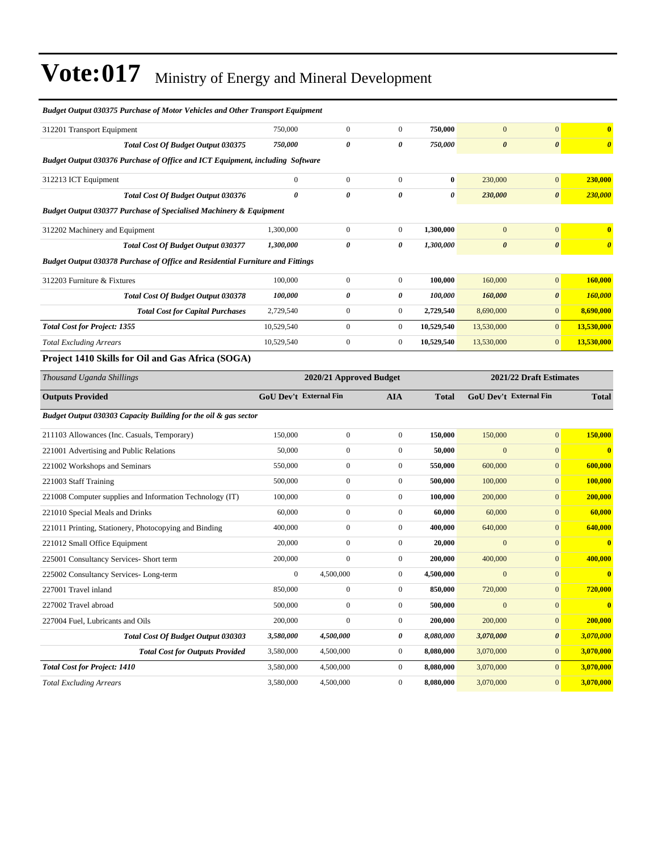| <b>Budget Output 030375 Purchase of Motor Vehicles and Other Transport Equipment</b>  |                        |                         |                  |              |                        |                         |                         |
|---------------------------------------------------------------------------------------|------------------------|-------------------------|------------------|--------------|------------------------|-------------------------|-------------------------|
| 312201 Transport Equipment                                                            | 750,000                | $\overline{0}$          | $\boldsymbol{0}$ | 750,000      | $\mathbf{0}$           | $\mathbf{0}$            | $\bf{0}$                |
| Total Cost Of Budget Output 030375                                                    | 750,000                | 0                       | 0                | 750,000      | $\boldsymbol{\theta}$  | $\pmb{\theta}$          | $\boldsymbol{\theta}$   |
| Budget Output 030376 Purchase of Office and ICT Equipment, including Software         |                        |                         |                  |              |                        |                         |                         |
| 312213 ICT Equipment                                                                  | $\boldsymbol{0}$       | $\boldsymbol{0}$        | $\boldsymbol{0}$ | $\bf{0}$     | 230,000                | $\mathbf{0}$            | 230,000                 |
| Total Cost Of Budget Output 030376                                                    | $\boldsymbol{\theta}$  | 0                       | 0                | 0            | 230,000                | $\boldsymbol{\theta}$   | 230,000                 |
| <b>Budget Output 030377 Purchase of Specialised Machinery &amp; Equipment</b>         |                        |                         |                  |              |                        |                         |                         |
| 312202 Machinery and Equipment                                                        | 1,300,000              | $\boldsymbol{0}$        | $\boldsymbol{0}$ | 1,300,000    | $\mathbf{0}$           | $\mathbf{0}$            | $\bf{0}$                |
| <b>Total Cost Of Budget Output 030377</b>                                             | 1,300,000              | 0                       | 0                | 1,300,000    | $\boldsymbol{\theta}$  | $\boldsymbol{\theta}$   | $\boldsymbol{\theta}$   |
| <b>Budget Output 030378 Purchase of Office and Residential Furniture and Fittings</b> |                        |                         |                  |              |                        |                         |                         |
| 312203 Furniture & Fixtures                                                           | 100,000                | $\boldsymbol{0}$        | $\boldsymbol{0}$ | 100,000      | 160,000                | $\mathbf{0}$            | 160,000                 |
| <b>Total Cost Of Budget Output 030378</b>                                             | 100,000                | 0                       | 0                | 100,000      | 160,000                | $\boldsymbol{\theta}$   | 160,000                 |
| <b>Total Cost for Capital Purchases</b>                                               | 2,729,540              | $\boldsymbol{0}$        | $\boldsymbol{0}$ | 2,729,540    | 8,690,000              | $\mathbf{0}$            | 8,690,000               |
| <b>Total Cost for Project: 1355</b>                                                   | 10,529,540             | $\overline{0}$          | $\boldsymbol{0}$ | 10,529,540   | 13,530,000             | $\mathbf{0}$            | 13,530,000              |
| <b>Total Excluding Arrears</b>                                                        | 10,529,540             | $\boldsymbol{0}$        | $\boldsymbol{0}$ | 10,529,540   | 13,530,000             | $\mathbf{0}$            | 13,530,000              |
| Project 1410 Skills for Oil and Gas Africa (SOGA)                                     |                        |                         |                  |              |                        |                         |                         |
| Thousand Uganda Shillings                                                             |                        | 2020/21 Approved Budget |                  |              |                        | 2021/22 Draft Estimates |                         |
|                                                                                       |                        |                         |                  |              |                        |                         |                         |
| <b>Outputs Provided</b>                                                               | GoU Dev't External Fin |                         | <b>AIA</b>       | <b>Total</b> | GoU Dev't External Fin |                         | <b>Total</b>            |
| Budget Output 030303 Capacity Building for the oil & gas sector                       |                        |                         |                  |              |                        |                         |                         |
| 211103 Allowances (Inc. Casuals, Temporary)                                           | 150,000                | $\boldsymbol{0}$        | $\boldsymbol{0}$ | 150,000      | 150,000                | $\mathbf{0}$            | 150,000                 |
| 221001 Advertising and Public Relations                                               | 50,000                 | $\boldsymbol{0}$        | $\boldsymbol{0}$ | 50,000       | $\mathbf{0}$           | $\mathbf{0}$            | $\overline{\mathbf{0}}$ |
| 221002 Workshops and Seminars                                                         | 550,000                | $\mathbf{0}$            | $\boldsymbol{0}$ | 550,000      | 600,000                | $\mathbf{0}$            | 600,000                 |
| 221003 Staff Training                                                                 | 500,000                | $\boldsymbol{0}$        | $\boldsymbol{0}$ | 500,000      | 100,000                | $\mathbf{0}$            | 100,000                 |
| 221008 Computer supplies and Information Technology (IT)                              | 100,000                | $\boldsymbol{0}$        | $\boldsymbol{0}$ | 100,000      | 200,000                | $\mathbf{0}$            | 200,000                 |
| 221010 Special Meals and Drinks                                                       | 60,000                 | $\boldsymbol{0}$        | $\boldsymbol{0}$ | 60,000       | 60,000                 | $\mathbf{0}$            | 60,000                  |
| 221011 Printing, Stationery, Photocopying and Binding                                 | 400,000                | $\boldsymbol{0}$        | $\boldsymbol{0}$ | 400,000      | 640,000                | $\mathbf{0}$            | 640,000                 |
| 221012 Small Office Equipment                                                         | 20,000                 | $\overline{0}$          | $\boldsymbol{0}$ | 20,000       | $\mathbf{0}$           | $\mathbf{0}$            | $\overline{\mathbf{0}}$ |
| 225001 Consultancy Services- Short term                                               | 200,000                | $\boldsymbol{0}$        | $\boldsymbol{0}$ | 200,000      | 400,000                | $\mathbf{0}$            | 400,000                 |
| 225002 Consultancy Services-Long-term                                                 | $\mathbf{0}$           | 4,500,000               | $\overline{0}$   | 4,500,000    | $\mathbf{0}$           | $\mathbf{0}$            | $\bf{0}$                |
| 227001 Travel inland                                                                  | 850,000                | $\boldsymbol{0}$        | $\boldsymbol{0}$ | 850,000      | 720,000                | $\boldsymbol{0}$        | 720,000                 |
| 227002 Travel abroad                                                                  | 500,000                | $\boldsymbol{0}$        | $\boldsymbol{0}$ | 500,000      | $\mathbf{0}$           | $\mathbf{0}$            | $\bf{0}$                |
| 227004 Fuel, Lubricants and Oils                                                      | 200,000                | $\boldsymbol{0}$        | $\boldsymbol{0}$ | 200,000      | 200,000                | $\mathbf{0}$            | 200,000                 |
| Total Cost Of Budget Output 030303                                                    | 3,580,000              | 4,500,000               | 0                | 8,080,000    | 3,070,000              | $\boldsymbol{\theta}$   | 3,070,000               |
| <b>Total Cost for Outputs Provided</b>                                                | 3,580,000              | 4,500,000               | $\boldsymbol{0}$ | 8,080,000    | 3,070,000              | $\mathbf{0}$            | 3,070,000               |
| <b>Total Cost for Project: 1410</b>                                                   | 3,580,000              | 4,500,000               | $\boldsymbol{0}$ | 8,080,000    | 3,070,000              | $\mathbf{0}$            | 3,070,000               |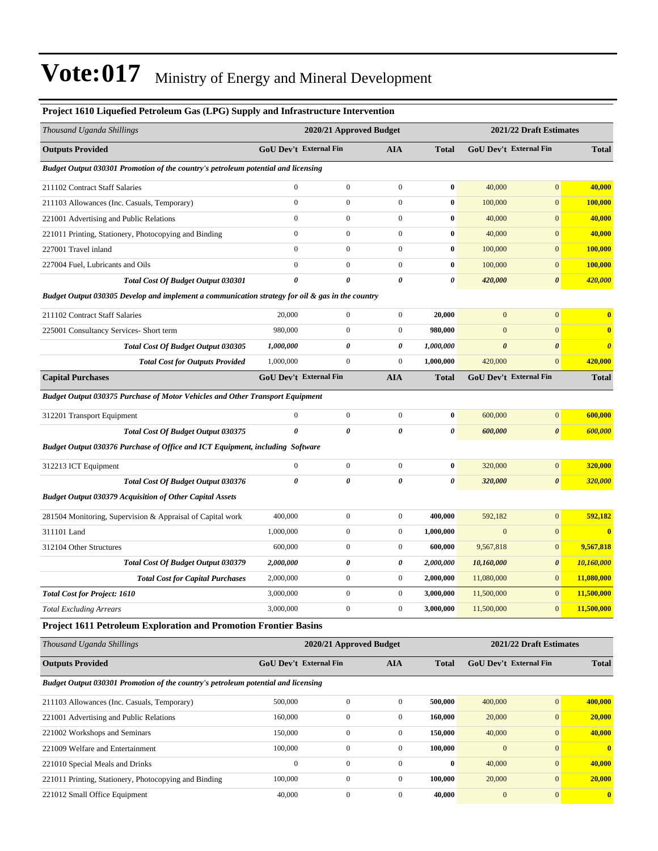| Project 1610 Liquefied Petroleum Gas (LPG) Supply and Infrastructure Intervention                |                               |                         |                  |                       |                       |                               |                       |
|--------------------------------------------------------------------------------------------------|-------------------------------|-------------------------|------------------|-----------------------|-----------------------|-------------------------------|-----------------------|
| Thousand Uganda Shillings                                                                        |                               | 2020/21 Approved Budget |                  |                       |                       | 2021/22 Draft Estimates       |                       |
| <b>Outputs Provided</b>                                                                          | GoU Dev't External Fin        |                         | <b>AIA</b>       | <b>Total</b>          |                       | GoU Dev't External Fin        | <b>Total</b>          |
| Budget Output 030301 Promotion of the country's petroleum potential and licensing                |                               |                         |                  |                       |                       |                               |                       |
| 211102 Contract Staff Salaries                                                                   | $\mathbf{0}$                  | $\boldsymbol{0}$        | $\boldsymbol{0}$ | $\bf{0}$              | 40,000                | $\mathbf{0}$                  | 40,000                |
| 211103 Allowances (Inc. Casuals, Temporary)                                                      | $\mathbf{0}$                  | $\overline{0}$          | $\boldsymbol{0}$ | $\bf{0}$              | 100,000               | $\mathbf{0}$                  | 100,000               |
| 221001 Advertising and Public Relations                                                          | $\mathbf{0}$                  | $\boldsymbol{0}$        | $\boldsymbol{0}$ | $\bf{0}$              | 40,000                | $\boldsymbol{0}$              | 40,000                |
| 221011 Printing, Stationery, Photocopying and Binding                                            | $\boldsymbol{0}$              | $\boldsymbol{0}$        | $\boldsymbol{0}$ | $\boldsymbol{0}$      | 40,000                | $\mathbf{0}$                  | 40,000                |
| 227001 Travel inland                                                                             | $\mathbf{0}$                  | $\boldsymbol{0}$        | $\overline{0}$   | $\bf{0}$              | 100,000               | $\mathbf{0}$                  | 100,000               |
| 227004 Fuel, Lubricants and Oils                                                                 | $\mathbf{0}$                  | $\boldsymbol{0}$        | $\overline{0}$   | $\bf{0}$              | 100,000               | $\boldsymbol{0}$              | 100,000               |
| <b>Total Cost Of Budget Output 030301</b>                                                        | $\theta$                      | $\boldsymbol{\theta}$   | 0                | $\boldsymbol{\theta}$ | 420,000               | $\boldsymbol{\theta}$         | 420,000               |
| Budget Output 030305 Develop and implement a communication strategy for oil & gas in the country |                               |                         |                  |                       |                       |                               |                       |
| 211102 Contract Staff Salaries                                                                   | 20,000                        | $\boldsymbol{0}$        | $\overline{0}$   | 20,000                | $\mathbf{0}$          | $\mathbf{0}$                  | $\bf{0}$              |
| 225001 Consultancy Services- Short term                                                          | 980,000                       | $\overline{0}$          | $\boldsymbol{0}$ | 980,000               | $\mathbf{0}$          | $\mathbf{0}$                  | $\bf{0}$              |
| Total Cost Of Budget Output 030305                                                               | 1,000,000                     | 0                       | 0                | 1,000,000             | $\boldsymbol{\theta}$ | $\boldsymbol{\theta}$         | $\boldsymbol{\theta}$ |
| <b>Total Cost for Outputs Provided</b>                                                           | 1,000,000                     | $\boldsymbol{0}$        | $\boldsymbol{0}$ | 1,000,000             | 420,000               | $\mathbf{0}$                  | 420,000               |
| <b>Capital Purchases</b>                                                                         | <b>GoU Dev't External Fin</b> |                         | <b>AIA</b>       | <b>Total</b>          |                       | GoU Dev't External Fin        | <b>Total</b>          |
| Budget Output 030375 Purchase of Motor Vehicles and Other Transport Equipment                    |                               |                         |                  |                       |                       |                               |                       |
| 312201 Transport Equipment                                                                       | $\boldsymbol{0}$              | $\boldsymbol{0}$        | $\boldsymbol{0}$ | $\bf{0}$              | 600,000               | $\mathbf{0}$                  | 600,000               |
| Total Cost Of Budget Output 030375                                                               | $\theta$                      | $\boldsymbol{\theta}$   | $\theta$         | $\theta$              | 600,000               | $\boldsymbol{\theta}$         | 600,000               |
| Budget Output 030376 Purchase of Office and ICT Equipment, including Software                    |                               |                         |                  |                       |                       |                               |                       |
| 312213 ICT Equipment                                                                             | $\boldsymbol{0}$              | $\boldsymbol{0}$        | $\boldsymbol{0}$ | $\bf{0}$              | 320,000               | $\mathbf{0}$                  | 320,000               |
| Total Cost Of Budget Output 030376                                                               | 0                             | 0                       | 0                | $\boldsymbol{\theta}$ | 320,000               | $\boldsymbol{\theta}$         | 320,000               |
| <b>Budget Output 030379 Acquisition of Other Capital Assets</b>                                  |                               |                         |                  |                       |                       |                               |                       |
| 281504 Monitoring, Supervision & Appraisal of Capital work                                       | 400,000                       | $\boldsymbol{0}$        | $\boldsymbol{0}$ | 400,000               | 592,182               | $\boldsymbol{0}$              | 592,182               |
| 311101 Land                                                                                      | 1,000,000                     | $\boldsymbol{0}$        | $\boldsymbol{0}$ | 1,000,000             | $\boldsymbol{0}$      | $\mathbf{0}$                  | $\bf{0}$              |
| 312104 Other Structures                                                                          | 600,000                       | $\boldsymbol{0}$        | $\boldsymbol{0}$ | 600,000               | 9,567,818             | $\mathbf{0}$                  | 9,567,818             |
| <b>Total Cost Of Budget Output 030379</b>                                                        | 2,000,000                     | 0                       | 0                | 2,000,000             | 10,160,000            | $\boldsymbol{\theta}$         | 10,160,000            |
| <b>Total Cost for Capital Purchases</b>                                                          | 2,000,000                     | $\boldsymbol{0}$        | $\boldsymbol{0}$ | 2,000,000             | 11,080,000            | $\mathbf{0}$                  | 11,080,000            |
| <b>Total Cost for Project: 1610</b>                                                              | 3,000,000                     | $\boldsymbol{0}$        | $\boldsymbol{0}$ | 3,000,000             | 11,500,000            | $\mathbf{0}$                  | 11,500,000            |
| <b>Total Excluding Arrears</b>                                                                   | 3,000,000                     | $\overline{0}$          | $\boldsymbol{0}$ | 3,000,000             | 11,500,000            | $\mathbf{0}$                  | 11,500,000            |
| Project 1611 Petroleum Exploration and Promotion Frontier Basins                                 |                               |                         |                  |                       |                       |                               |                       |
| Thousand Uganda Shillings                                                                        |                               | 2020/21 Approved Budget |                  |                       |                       | 2021/22 Draft Estimates       |                       |
| <b>Outputs Provided</b>                                                                          | <b>GoU Dev't External Fin</b> |                         | <b>AIA</b>       | <b>Total</b>          |                       | <b>GoU Dev't External Fin</b> | <b>Total</b>          |
| Budget Output 030301 Promotion of the country's petroleum potential and licensing                |                               |                         |                  |                       |                       |                               |                       |
| 211103 Allowances (Inc. Casuals, Temporary)                                                      | 500,000                       | $\boldsymbol{0}$        | $\boldsymbol{0}$ | 500,000               | 400,000               | $\boldsymbol{0}$              | 400,000               |
| 221001 Advertising and Public Relations                                                          | 160,000                       | $\boldsymbol{0}$        | $\boldsymbol{0}$ | 160,000               | 20,000                | $\boldsymbol{0}$              | 20,000                |
| 221002 Workshops and Seminars                                                                    | 150,000                       | $\boldsymbol{0}$        | $\boldsymbol{0}$ | 150,000               | 40,000                | $\mathbf{0}$                  | 40,000                |
| 221009 Welfare and Entertainment                                                                 | 100,000                       | $\boldsymbol{0}$        | $\boldsymbol{0}$ | 100,000               | $\mathbf{0}$          | $\boldsymbol{0}$              | $\bf{0}$              |
| 221010 Special Meals and Drinks                                                                  | $\boldsymbol{0}$              | $\boldsymbol{0}$        | $\boldsymbol{0}$ | $\bf{0}$              | 40,000                | $\mathbf{0}$                  | 40,000                |
| 221011 Printing, Stationery, Photocopying and Binding                                            | 100,000                       | $\boldsymbol{0}$        | $\boldsymbol{0}$ | 100,000               | 20,000                | $\mathbf{0}$                  | 20,000                |
| 221012 Small Office Equipment                                                                    | 40,000                        | $\boldsymbol{0}$        | $\boldsymbol{0}$ | 40,000                | $\boldsymbol{0}$      | $\boldsymbol{0}$              | $\mathbf{0}$          |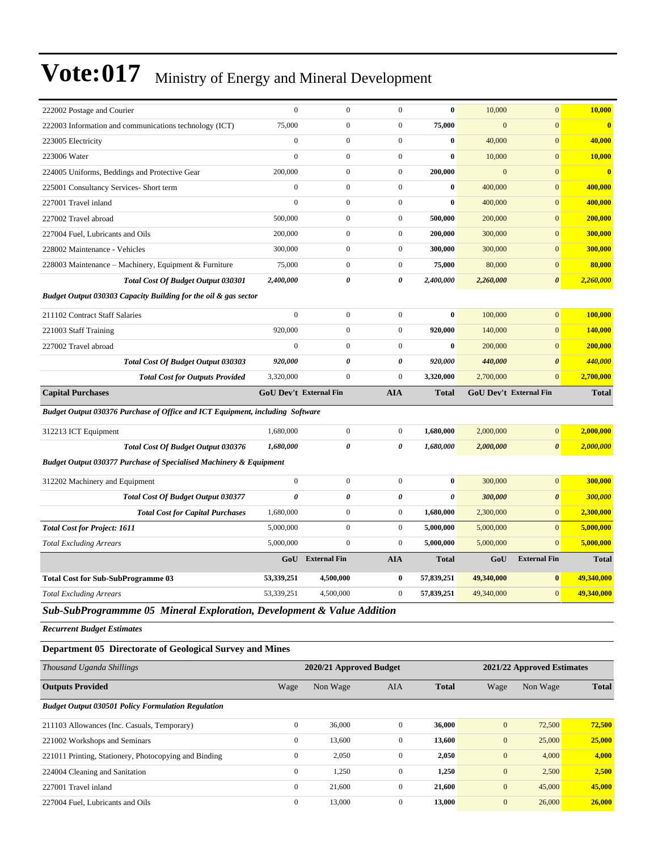| 222002 Postage and Courier                                                    | $\mathbf{0}$                  | $\mathbf{0}$            | $\mathbf{0}$     | $\bf{0}$     | 10,000         | $\mathbf{0}$                  | 10,000                  |
|-------------------------------------------------------------------------------|-------------------------------|-------------------------|------------------|--------------|----------------|-------------------------------|-------------------------|
| 222003 Information and communications technology (ICT)                        | 75,000                        | $\boldsymbol{0}$        | $\boldsymbol{0}$ | 75,000       | $\mathbf{0}$   | $\mathbf{0}$                  | $\bf{0}$                |
| 223005 Electricity                                                            | $\mathbf{0}$                  | $\overline{0}$          | $\overline{0}$   | $\bf{0}$     | 40,000         | $\mathbf{0}$                  | 40,000                  |
| 223006 Water                                                                  | $\mathbf{0}$                  | $\boldsymbol{0}$        | $\boldsymbol{0}$ | $\bf{0}$     | 10,000         | $\mathbf{0}$                  | 10,000                  |
| 224005 Uniforms, Beddings and Protective Gear                                 | 200,000                       | $\overline{0}$          | $\overline{0}$   | 200,000      | $\overline{0}$ | $\mathbf{0}$                  | $\overline{\mathbf{0}}$ |
| 225001 Consultancy Services- Short term                                       | $\mathbf{0}$                  | $\boldsymbol{0}$        | $\overline{0}$   | $\bf{0}$     | 400,000        | $\mathbf{0}$                  | 400,000                 |
| 227001 Travel inland                                                          | $\mathbf{0}$                  | $\boldsymbol{0}$        | $\boldsymbol{0}$ | $\bf{0}$     | 400,000        | $\mathbf{0}$                  | 400,000                 |
| 227002 Travel abroad                                                          | 500,000                       | $\overline{0}$          | $\overline{0}$   | 500,000      | 200,000        | $\mathbf{0}$                  | 200,000                 |
| 227004 Fuel, Lubricants and Oils                                              | 200,000                       | $\overline{0}$          | $\boldsymbol{0}$ | 200,000      | 300,000        | $\mathbf{0}$                  | 300,000                 |
| 228002 Maintenance - Vehicles                                                 | 300,000                       | $\boldsymbol{0}$        | $\boldsymbol{0}$ | 300,000      | 300,000        | $\mathbf{0}$                  | 300,000                 |
| 228003 Maintenance – Machinery, Equipment & Furniture                         | 75,000                        | $\overline{0}$          | $\overline{0}$   | 75,000       | 80,000         | $\mathbf{0}$                  | 80,000                  |
| <b>Total Cost Of Budget Output 030301</b>                                     | 2,400,000                     | 0                       | 0                | 2,400,000    | 2,260,000      | $\boldsymbol{\theta}$         | 2,260,000               |
| Budget Output 030303 Capacity Building for the oil & gas sector               |                               |                         |                  |              |                |                               |                         |
| 211102 Contract Staff Salaries                                                | $\mathbf{0}$                  | $\boldsymbol{0}$        | $\boldsymbol{0}$ | $\bf{0}$     | 100,000        | $\overline{0}$                | 100,000                 |
| 221003 Staff Training                                                         | 920,000                       | $\Omega$                | $\overline{0}$   | 920,000      | 140,000        | $\mathbf{0}$                  | 140,000                 |
| 227002 Travel abroad                                                          | $\mathbf{0}$                  | $\mathbf{0}$            | $\overline{0}$   | $\bf{0}$     | 200,000        | $\mathbf{0}$                  | 200,000                 |
| <b>Total Cost Of Budget Output 030303</b>                                     | 920,000                       | 0                       | 0                | 920,000      | 440,000        | $\boldsymbol{\theta}$         | 440,000                 |
| <b>Total Cost for Outputs Provided</b>                                        | 3,320,000                     | $\mathbf{0}$            | $\boldsymbol{0}$ | 3,320,000    | 2,700,000      | $\mathbf{0}$                  | 2,700,000               |
| <b>Capital Purchases</b>                                                      | <b>GoU Dev't External Fin</b> |                         | <b>AIA</b>       | <b>Total</b> |                | <b>GoU Dev't External Fin</b> | <b>Total</b>            |
| Budget Output 030376 Purchase of Office and ICT Equipment, including Software |                               |                         |                  |              |                |                               |                         |
| 312213 ICT Equipment                                                          | 1,680,000                     | $\mathbf{0}$            | $\mathbf{0}$     | 1,680,000    | 2,000,000      | $\mathbf{0}$                  | 2,000,000               |
| Total Cost Of Budget Output 030376                                            | 1,680,000                     | 0                       | 0                | 1,680,000    | 2,000,000      | $\boldsymbol{\theta}$         | 2,000,000               |
| <b>Budget Output 030377 Purchase of Specialised Machinery &amp; Equipment</b> |                               |                         |                  |              |                |                               |                         |
| 312202 Machinery and Equipment                                                | $\mathbf{0}$                  | $\overline{0}$          | $\overline{0}$   | $\bf{0}$     | 300,000        | $\mathbf{0}$                  | 300,000                 |
| Total Cost Of Budget Output 030377                                            | $\theta$                      | 0                       | 0                | $\theta$     | 300,000        | $\boldsymbol{\theta}$         | 300,000                 |
| <b>Total Cost for Capital Purchases</b>                                       | 1,680,000                     | $\overline{0}$          | $\overline{0}$   | 1,680,000    | 2,300,000      | $\mathbf{0}$                  | 2,300,000               |
| <b>Total Cost for Project: 1611</b>                                           | 5,000,000                     | $\boldsymbol{0}$        | $\boldsymbol{0}$ | 5,000,000    | 5,000,000      | $\mathbf{0}$                  | 5,000,000               |
| <b>Total Excluding Arrears</b>                                                | 5,000,000                     | $\mathbf{0}$            | $\overline{0}$   | 5,000,000    | 5,000,000      | $\overline{0}$                | 5,000,000               |
|                                                                               |                               | <b>GoU</b> External Fin | <b>AIA</b>       | <b>Total</b> | GoU            | <b>External Fin</b>           | <b>Total</b>            |
| <b>Total Cost for Sub-SubProgramme 03</b>                                     | 53,339,251                    | 4,500,000               | $\bf{0}$         | 57,839,251   | 49,340,000     | $\bf{0}$                      | 49,340,000              |
| <b>Total Excluding Arrears</b>                                                | 53,339,251                    | 4,500,000               | $\overline{0}$   | 57,839,251   | 49,340,000     | $\mathbf{0}$                  | 49,340,000              |
| Sub-SubProgrammme 05 Mineral Exploration, Development & Value Addition        |                               |                         |                  |              |                |                               |                         |

*Recurrent Budget Estimates*

### **Department 05 Directorate of Geological Survey and Mines**

| Thousand Uganda Shillings                                 |              | 2020/21 Approved Budget |              | 2021/22 Approved Estimates |                  |          |              |
|-----------------------------------------------------------|--------------|-------------------------|--------------|----------------------------|------------------|----------|--------------|
| <b>Outputs Provided</b>                                   | Wage         | Non Wage                | <b>AIA</b>   | <b>Total</b>               | Wage             | Non Wage | <b>Total</b> |
| <b>Budget Output 030501 Policy Formulation Regulation</b> |              |                         |              |                            |                  |          |              |
| 211103 Allowances (Inc. Casuals, Temporary)               | $\mathbf{0}$ | 36,000                  | $\mathbf{0}$ | 36,000                     | $\mathbf{0}$     | 72,500   | 72,500       |
| 221002 Workshops and Seminars                             | $\mathbf{0}$ | 13,600                  | $\mathbf{0}$ | 13,600                     | $\mathbf{0}$     | 25,000   | 25,000       |
| 221011 Printing, Stationery, Photocopying and Binding     | $\mathbf{0}$ | 2,050                   | $\mathbf{0}$ | 2,050                      | $\mathbf{0}$     | 4,000    | 4,000        |
| 224004 Cleaning and Sanitation                            | $\mathbf{0}$ | 1,250                   | $\Omega$     | 1,250                      | $\mathbf{0}$     | 2,500    | 2,500        |
| 227001 Travel inland                                      | $\mathbf{0}$ | 21,600                  | $\mathbf{0}$ | 21,600                     | $\boldsymbol{0}$ | 45,000   | 45,000       |
| 227004 Fuel, Lubricants and Oils                          | $\mathbf{0}$ | 13,000                  | $\mathbf{0}$ | 13,000                     | $\mathbf{0}$     | 26,000   | 26,000       |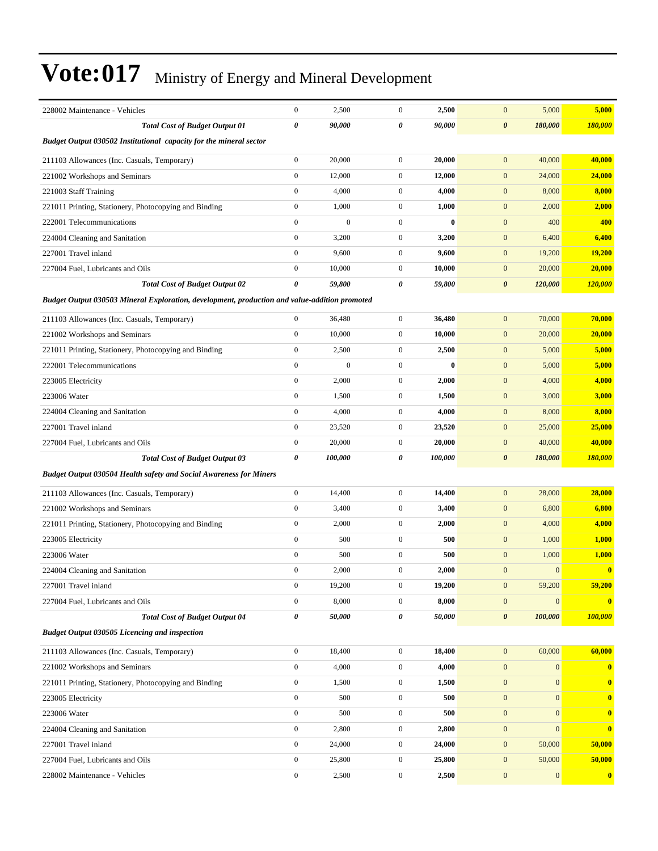| 228002 Maintenance - Vehicles                                                                 | $\boldsymbol{0}$      | 2,500          | $\mathbf{0}$     | 2,500        | $\boldsymbol{0}$<br>5,000            | 5,000            |
|-----------------------------------------------------------------------------------------------|-----------------------|----------------|------------------|--------------|--------------------------------------|------------------|
| <b>Total Cost of Budget Output 01</b>                                                         | $\pmb{\theta}$        | 90,000         | 0                | 90,000       | $\boldsymbol{\theta}$<br>180,000     | 180,000          |
| Budget Output 030502 Institutional capacity for the mineral sector                            |                       |                |                  |              |                                      |                  |
| 211103 Allowances (Inc. Casuals, Temporary)                                                   | $\boldsymbol{0}$      | 20,000         | $\mathbf{0}$     | 20,000       | 40,000<br>$\mathbf{0}$               | 40,000           |
| 221002 Workshops and Seminars                                                                 | $\boldsymbol{0}$      | 12,000         | $\boldsymbol{0}$ | 12,000       | $\mathbf{0}$<br>24,000               | 24,000           |
| 221003 Staff Training                                                                         | $\boldsymbol{0}$      | 4,000          | $\mathbf{0}$     | 4,000        | $\mathbf{0}$<br>8,000                | 8,000            |
| 221011 Printing, Stationery, Photocopying and Binding                                         | $\boldsymbol{0}$      | 1,000          | $\overline{0}$   | 1,000        | $\mathbf{0}$<br>2,000                | 2,000            |
| 222001 Telecommunications                                                                     | $\boldsymbol{0}$      | $\overline{0}$ | $\overline{0}$   | $\mathbf{0}$ | $\mathbf{0}$<br>400                  | 400              |
| 224004 Cleaning and Sanitation                                                                | $\boldsymbol{0}$      | 3,200          | $\mathbf{0}$     | 3,200        | $\mathbf{0}$<br>6,400                | 6,400            |
| 227001 Travel inland                                                                          | $\boldsymbol{0}$      | 9,600          | $\mathbf{0}$     | 9,600        | $\mathbf{0}$<br>19,200               | <b>19,200</b>    |
| 227004 Fuel, Lubricants and Oils                                                              | $\mathbf{0}$          | 10,000         | $\mathbf{0}$     | 10,000       | $\mathbf{0}$<br>20,000               | 20,000           |
| <b>Total Cost of Budget Output 02</b>                                                         | 0                     | 59,800         | 0                | 59,800       | $\boldsymbol{\theta}$<br>120,000     | <b>120,000</b>   |
| Budget Output 030503 Mineral Exploration, development, production and value-addition promoted |                       |                |                  |              |                                      |                  |
| 211103 Allowances (Inc. Casuals, Temporary)                                                   | $\boldsymbol{0}$      | 36,480         | $\mathbf{0}$     | 36,480       | $\mathbf{0}$<br>70,000               | 70,000           |
| 221002 Workshops and Seminars                                                                 | $\boldsymbol{0}$      | 10,000         | $\mathbf{0}$     | 10,000       | $\mathbf{0}$<br>20,000               | 20,000           |
| 221011 Printing, Stationery, Photocopying and Binding                                         | $\boldsymbol{0}$      | 2,500          | $\overline{0}$   | 2,500        | $\mathbf{0}$<br>5,000                | 5,000            |
| 222001 Telecommunications                                                                     | $\boldsymbol{0}$      | $\overline{0}$ | $\mathbf{0}$     | $\bf{0}$     | $\mathbf{0}$<br>5,000                | 5,000            |
| 223005 Electricity                                                                            | $\boldsymbol{0}$      | 2,000          | $\mathbf{0}$     | 2,000        | $\mathbf{0}$<br>4,000                | 4,000            |
| 223006 Water                                                                                  | $\boldsymbol{0}$      | 1,500          | $\mathbf{0}$     | 1,500        | $\mathbf{0}$<br>3,000                | 3,000            |
| 224004 Cleaning and Sanitation                                                                | $\boldsymbol{0}$      | 4,000          | $\mathbf{0}$     | 4,000        | $\mathbf{0}$<br>8,000                | 8,000            |
| 227001 Travel inland                                                                          | $\boldsymbol{0}$      | 23,520         | $\mathbf{0}$     | 23,520       | $\mathbf{0}$<br>25,000               | 25,000           |
| 227004 Fuel, Lubricants and Oils                                                              | $\boldsymbol{0}$      | 20,000         | $\mathbf{0}$     | 20,000       | $\mathbf{0}$<br>40,000               | 40,000           |
| <b>Total Cost of Budget Output 03</b>                                                         | $\boldsymbol{\theta}$ | 100,000        | 0                | 100,000      | $\boldsymbol{\theta}$<br>180,000     | 180,000          |
| <b>Budget Output 030504 Health safety and Social Awareness for Miners</b>                     |                       |                |                  |              |                                      |                  |
| 211103 Allowances (Inc. Casuals, Temporary)                                                   | $\boldsymbol{0}$      | 14,400         | $\mathbf{0}$     | 14,400       | 28,000<br>$\mathbf{0}$               | 28,000           |
| 221002 Workshops and Seminars                                                                 | $\boldsymbol{0}$      | 3,400          | $\mathbf{0}$     | 3,400        | $\mathbf{0}$<br>6,800                | 6,800            |
| 221011 Printing, Stationery, Photocopying and Binding                                         | $\boldsymbol{0}$      | 2,000          | $\mathbf{0}$     | 2,000        | $\mathbf{0}$<br>4,000                | 4,000            |
| 223005 Electricity                                                                            | $\boldsymbol{0}$      | 500            | $\mathbf{0}$     | 500          | $\mathbf{0}$<br>1,000                | 1,000            |
| 223006 Water                                                                                  | $\mathbf{0}$          | 500            | $\mathbf{0}$     | 500          | $\boldsymbol{0}$<br>1,000            | <b>1,000</b>     |
| 224004 Cleaning and Sanitation                                                                | $\mathbf{0}$          | 2,000          | $\overline{0}$   | 2,000        | $\mathbf{0}$<br>$\mathbf{0}$         | $\bf{0}$         |
| 227001 Travel inland                                                                          | $\boldsymbol{0}$      | 19,200         | $\boldsymbol{0}$ | 19,200       | $\boldsymbol{0}$<br>59,200           | 59,200           |
| 227004 Fuel, Lubricants and Oils                                                              | $\boldsymbol{0}$      | 8,000          | $\mathbf{0}$     | 8,000        | $\mathbf{0}$<br>$\boldsymbol{0}$     | $\bf{0}$         |
| <b>Total Cost of Budget Output 04</b>                                                         | 0                     | 50,000         | 0                | 50,000       | $\boldsymbol{\theta}$<br>100,000     | 100,000          |
| <b>Budget Output 030505 Licencing and inspection</b>                                          |                       |                |                  |              |                                      |                  |
| 211103 Allowances (Inc. Casuals, Temporary)                                                   | $\boldsymbol{0}$      | 18,400         | $\boldsymbol{0}$ | 18,400       | $\mathbf{0}$<br>60,000               | 60,000           |
| 221002 Workshops and Seminars                                                                 | $\mathbf{0}$          | 4,000          | $\boldsymbol{0}$ | 4,000        | $\mathbf{0}$<br>$\mathbf{0}$         | $\bf{0}$         |
| 221011 Printing, Stationery, Photocopying and Binding                                         | $\boldsymbol{0}$      | 1,500          | $\boldsymbol{0}$ | 1,500        | $\mathbf{0}$<br>$\mathbf{0}$         | $\bf{0}$         |
| 223005 Electricity                                                                            | $\boldsymbol{0}$      | 500            | $\boldsymbol{0}$ | 500          | $\boldsymbol{0}$<br>$\boldsymbol{0}$ | $\boldsymbol{0}$ |
| 223006 Water                                                                                  | $\boldsymbol{0}$      | 500            | $\boldsymbol{0}$ | 500          | $\mathbf{0}$<br>$\mathbf{0}$         | $\bf{0}$         |
| 224004 Cleaning and Sanitation                                                                | $\boldsymbol{0}$      | 2,800          | $\boldsymbol{0}$ | 2,800        | $\mathbf{0}$<br>$\mathbf{0}$         | $\bf{0}$         |
| 227001 Travel inland                                                                          | $\boldsymbol{0}$      | 24,000         | $\boldsymbol{0}$ | 24,000       | $\mathbf{0}$<br>50,000               | 50,000           |
| 227004 Fuel, Lubricants and Oils                                                              | $\boldsymbol{0}$      | 25,800         | $\boldsymbol{0}$ | 25,800       | $\mathbf{0}$<br>50,000               | 50,000           |
| 228002 Maintenance - Vehicles                                                                 | $\boldsymbol{0}$      | 2,500          | $\boldsymbol{0}$ | 2,500        | $\mathbf{0}$<br>$\mathbf{0}$         | $\boldsymbol{0}$ |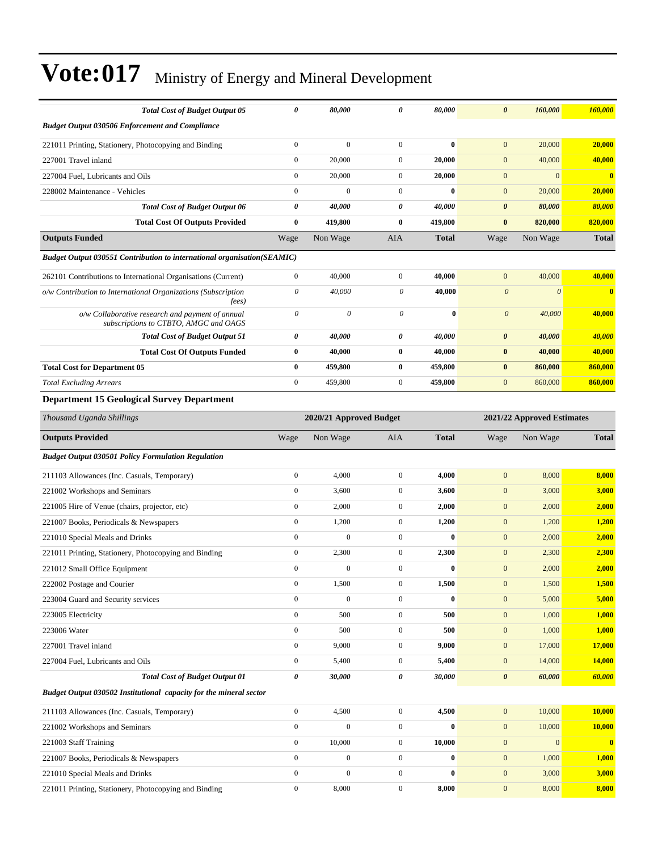| <b>Total Cost of Budget Output 05</b>                                                     | 0                     | 80,000                  | 0                     | 80,000       | $\boldsymbol{\theta}$ | 160,000                    | 160,000      |
|-------------------------------------------------------------------------------------------|-----------------------|-------------------------|-----------------------|--------------|-----------------------|----------------------------|--------------|
| <b>Budget Output 030506 Enforcement and Compliance</b>                                    |                       |                         |                       |              |                       |                            |              |
| 221011 Printing, Stationery, Photocopying and Binding                                     | $\boldsymbol{0}$      | $\mathbf{0}$            | $\overline{0}$        | $\bf{0}$     | $\mathbf{0}$          | 20,000                     | 20,000       |
| 227001 Travel inland                                                                      | $\mathbf{0}$          | 20,000                  | $\boldsymbol{0}$      | 20,000       | $\mathbf{0}$          | 40,000                     | 40,000       |
| 227004 Fuel, Lubricants and Oils                                                          | $\boldsymbol{0}$      | 20,000                  | $\boldsymbol{0}$      | 20,000       | $\mathbf{0}$          | $\mathbf{0}$               | $\mathbf{0}$ |
| 228002 Maintenance - Vehicles                                                             | $\boldsymbol{0}$      | $\boldsymbol{0}$        | $\overline{0}$        | $\bf{0}$     | $\mathbf{0}$          | 20,000                     | 20,000       |
| <b>Total Cost of Budget Output 06</b>                                                     | 0                     | 40,000                  | 0                     | 40,000       | $\boldsymbol{\theta}$ | 80,000                     | 80,000       |
| <b>Total Cost Of Outputs Provided</b>                                                     | $\bf{0}$              | 419,800                 | $\bf{0}$              | 419,800      | $\bf{0}$              | 820,000                    | 820,000      |
| <b>Outputs Funded</b>                                                                     | Wage                  | Non Wage                | AIA                   | <b>Total</b> | Wage                  | Non Wage                   | <b>Total</b> |
| <b>Budget Output 030551 Contribution to international organisation (SEAMIC)</b>           |                       |                         |                       |              |                       |                            |              |
| 262101 Contributions to International Organisations (Current)                             | $\boldsymbol{0}$      | 40,000                  | $\boldsymbol{0}$      | 40,000       | $\mathbf{0}$          | 40,000                     | 40,000       |
| o/w Contribution to International Organizations (Subscription                             | $\boldsymbol{\theta}$ | 40,000                  | $\boldsymbol{\theta}$ | 40,000       | $\boldsymbol{\theta}$ | $\boldsymbol{\theta}$      | $\bf{0}$     |
| fees)                                                                                     |                       |                         |                       |              |                       |                            |              |
| o/w Collaborative research and payment of annual<br>subscriptions to CTBTO, AMGC and OAGS | $\theta$              | 0                       | $\theta$              | $\bf{0}$     | $\boldsymbol{\theta}$ | 40,000                     | 40,000       |
| <b>Total Cost of Budget Output 51</b>                                                     | 0                     | 40,000                  | 0                     | 40,000       | $\boldsymbol{\theta}$ | 40,000                     | 40,000       |
| <b>Total Cost Of Outputs Funded</b>                                                       | $\bf{0}$              | 40,000                  | $\bf{0}$              | 40,000       | $\bf{0}$              | 40,000                     | 40,000       |
| <b>Total Cost for Department 05</b>                                                       | $\bf{0}$              | 459,800                 | $\bf{0}$              | 459,800      | $\bf{0}$              | 860,000                    | 860,000      |
| <b>Total Excluding Arrears</b>                                                            | $\boldsymbol{0}$      | 459,800                 | $\overline{0}$        | 459,800      | $\mathbf{0}$          | 860,000                    | 860,000      |
| <b>Department 15 Geological Survey Department</b>                                         |                       |                         |                       |              |                       |                            |              |
| Thousand Uganda Shillings                                                                 |                       | 2020/21 Approved Budget |                       |              |                       | 2021/22 Approved Estimates |              |
| <b>Outputs Provided</b>                                                                   | Wage                  | Non Wage                | AIA                   | <b>Total</b> | Wage                  | Non Wage                   | <b>Total</b> |
| <b>Budget Output 030501 Policy Formulation Regulation</b>                                 |                       |                         |                       |              |                       |                            |              |
| 211103 Allowances (Inc. Casuals, Temporary)                                               | $\boldsymbol{0}$      | 4,000                   | $\boldsymbol{0}$      | 4,000        | $\mathbf{0}$          | 8,000                      | 8,000        |
| 221002 Workshops and Seminars                                                             | $\boldsymbol{0}$      | 3,600                   | $\overline{0}$        | 3,600        | $\mathbf{0}$          | 3,000                      | 3,000        |
| 221005 Hire of Venue (chairs, projector, etc)                                             | $\boldsymbol{0}$      | 2,000                   | $\mathbf{0}$          | 2,000        | $\mathbf{0}$          | 2,000                      | 2,000        |
| 221007 Books, Periodicals & Newspapers                                                    | $\boldsymbol{0}$      | 1,200                   | $\mathbf{0}$          | 1,200        | $\boldsymbol{0}$      | 1,200                      | <b>1,200</b> |
| 221010 Special Meals and Drinks                                                           | $\boldsymbol{0}$      | $\mathbf{0}$            | $\overline{0}$        | $\bf{0}$     | $\mathbf{0}$          | 2,000                      | 2,000        |
| 221011 Printing, Stationery, Photocopying and Binding                                     | $\boldsymbol{0}$      | 2,300                   | $\overline{0}$        | 2,300        | $\mathbf{0}$          | 2,300                      | 2,300        |
| 221012 Small Office Equipment                                                             | $\boldsymbol{0}$      | $\boldsymbol{0}$        | $\overline{0}$        | $\bf{0}$     | $\mathbf{0}$          | 2,000                      | 2,000        |
| 222002 Postage and Courier                                                                | $\boldsymbol{0}$      | 1,500                   | $\boldsymbol{0}$      | 1,500        | $\boldsymbol{0}$      | 1,500                      | 1,500        |
| 223004 Guard and Security services                                                        | $\boldsymbol{0}$      | $\boldsymbol{0}$        | $\overline{0}$        | $\bf{0}$     | $\boldsymbol{0}$      | 5,000                      | 5,000        |
| 223005 Electricity                                                                        | $\boldsymbol{0}$      | 500                     | $\overline{0}$        | 500          | $\boldsymbol{0}$      | 1,000                      | 1,000        |
| 223006 Water                                                                              | $\boldsymbol{0}$      | 500                     | $\boldsymbol{0}$      | 500          | $\boldsymbol{0}$      | 1,000                      | 1,000        |
| 227001 Travel inland                                                                      | $\boldsymbol{0}$      | 9,000                   | $\boldsymbol{0}$      | 9,000        | $\boldsymbol{0}$      | 17,000                     | 17,000       |
| 227004 Fuel, Lubricants and Oils                                                          | $\boldsymbol{0}$      | 5,400                   | $\boldsymbol{0}$      | 5,400        | $\mathbf{0}$          | 14,000                     | 14,000       |
| <b>Total Cost of Budget Output 01</b>                                                     | 0                     | 30,000                  | 0                     | 30,000       | $\pmb{\theta}$        | 60,000                     | 60,000       |
| Budget Output 030502 Institutional capacity for the mineral sector                        |                       |                         |                       |              |                       |                            |              |
| 211103 Allowances (Inc. Casuals, Temporary)                                               | $\boldsymbol{0}$      | 4,500                   | $\mathbf{0}$          | 4,500        | $\mathbf{0}$          | 10,000                     | 10,000       |
| 221002 Workshops and Seminars                                                             | $\boldsymbol{0}$      | $\boldsymbol{0}$        | $\boldsymbol{0}$      | $\bf{0}$     | $\boldsymbol{0}$      | 10,000                     | 10,000       |
| 221003 Staff Training                                                                     | $\boldsymbol{0}$      | 10,000                  | $\boldsymbol{0}$      | 10,000       | $\boldsymbol{0}$      | $\mathbf{0}$               | $\mathbf{0}$ |
| 221007 Books, Periodicals & Newspapers                                                    | $\boldsymbol{0}$      | $\boldsymbol{0}$        | $\mathbf{0}$          | $\bf{0}$     | $\boldsymbol{0}$      | 1,000                      | 1,000        |
| 221010 Special Meals and Drinks                                                           | $\mathbf{0}$          | $\boldsymbol{0}$        | $\boldsymbol{0}$      | $\bf{0}$     | $\mathbf{0}$          | 3,000                      | 3,000        |
| 221011 Printing, Stationery, Photocopying and Binding                                     | $\boldsymbol{0}$      | 8,000                   | $\boldsymbol{0}$      | 8,000        | $\boldsymbol{0}$      | 8,000                      | 8,000        |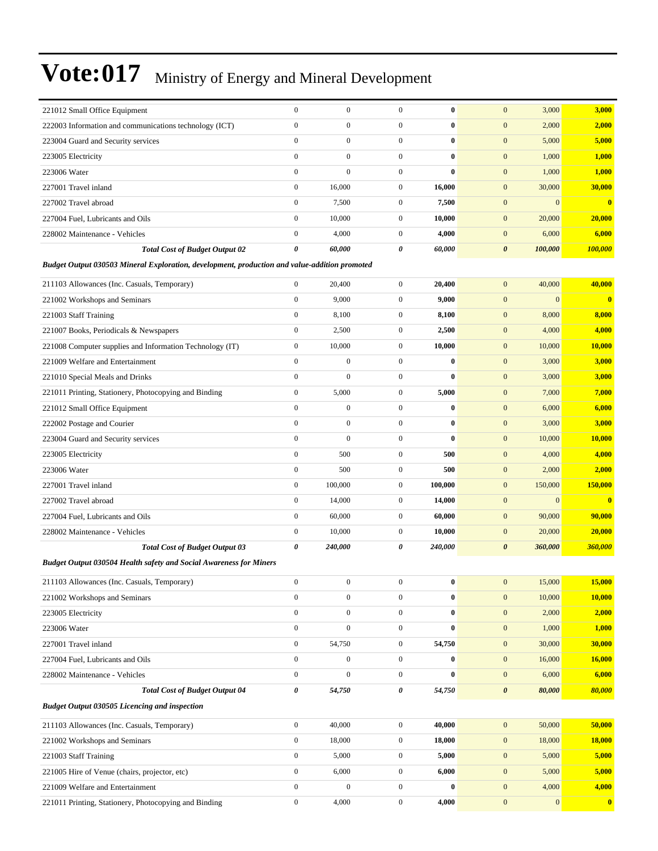| 221012 Small Office Equipment                          | $\mathbf{0}$ | $\mathbf{0}$ | $\Omega$       | $\bf{0}$     | 3,000<br>$\mathbf{0}$            | 3,000        |
|--------------------------------------------------------|--------------|--------------|----------------|--------------|----------------------------------|--------------|
| 222003 Information and communications technology (ICT) | $\mathbf{0}$ | $\mathbf{0}$ | $\Omega$       | $\bf{0}$     | $\overline{0}$<br>2,000          | 2,000        |
| 223004 Guard and Security services                     | $\mathbf{0}$ | $\mathbf{0}$ | $\mathbf{0}$   | $\bf{0}$     | $\mathbf{0}$<br>5,000            | 5,000        |
| 223005 Electricity                                     | $\mathbf{0}$ | $\Omega$     | $\overline{0}$ | $\mathbf{0}$ | $\overline{0}$<br>1,000          | 1,000        |
| 223006 Water                                           | $\mathbf{0}$ | $\Omega$     | $\Omega$       | $\mathbf{0}$ | $\overline{0}$<br>1,000          | 1,000        |
| 227001 Travel inland                                   | $\mathbf{0}$ | 16,000       | $\mathbf{0}$   | 16,000       | 30,000<br>$\mathbf{0}$           | 30,000       |
| 227002 Travel abroad                                   | $\mathbf{0}$ | 7,500        | $\mathbf{0}$   | 7,500        | $\mathbf{0}$<br>$\Omega$         | $\mathbf{0}$ |
| 227004 Fuel, Lubricants and Oils                       | $\mathbf{0}$ | 10,000       | $\overline{0}$ | 10,000       | 20,000<br>$\mathbf{0}$           | 20,000       |
| 228002 Maintenance - Vehicles                          | $\mathbf{0}$ | 4,000        | $\mathbf{0}$   | 4,000        | 6,000<br>$\overline{0}$          | 6,000        |
| <b>Total Cost of Budget Output 02</b>                  | 0            | 60,000       | 0              | 60,000       | $\boldsymbol{\theta}$<br>100,000 | 100,000      |

*Budget Output 030503 Mineral Exploration, development, production and value-addition promoted*

| 211103 Allowances (Inc. Casuals, Temporary)                               | $\mathbf{0}$          | 20,400           | $\mathbf{0}$ | 20,400       | $\mathbf{0}$<br>40,000           | 40,000   |
|---------------------------------------------------------------------------|-----------------------|------------------|--------------|--------------|----------------------------------|----------|
| 221002 Workshops and Seminars                                             | $\mathbf{0}$          | 9,000            | $\mathbf{0}$ | 9,000        | $\mathbf{0}$<br>$\mathbf{0}$     | $\bf{0}$ |
| 221003 Staff Training                                                     | $\mathbf{0}$          | 8,100            | $\mathbf{0}$ | 8,100        | $\mathbf{0}$<br>8,000            | 8,000    |
| 221007 Books, Periodicals & Newspapers                                    | $\boldsymbol{0}$      | 2,500            | $\mathbf{0}$ | 2,500        | 4,000<br>$\mathbf{0}$            | 4,000    |
| 221008 Computer supplies and Information Technology (IT)                  | $\boldsymbol{0}$      | 10,000           | $\mathbf{0}$ | 10,000       | $\mathbf{0}$<br>10,000           | 10,000   |
| 221009 Welfare and Entertainment                                          | $\mathbf{0}$          | $\overline{0}$   | $\mathbf{0}$ | $\bf{0}$     | $\mathbf{0}$<br>3,000            | 3,000    |
| 221010 Special Meals and Drinks                                           | $\mathbf{0}$          | $\overline{0}$   | $\mathbf{0}$ | $\bf{0}$     | $\mathbf{0}$<br>3,000            | 3,000    |
| 221011 Printing, Stationery, Photocopying and Binding                     | $\mathbf{0}$          | 5,000            | $\mathbf{0}$ | 5,000        | $\overline{0}$<br>7,000          | 7,000    |
| 221012 Small Office Equipment                                             | $\mathbf{0}$          | $\mathbf{0}$     | $\mathbf{0}$ | $\mathbf{0}$ | $\overline{0}$<br>6,000          | 6,000    |
| 222002 Postage and Courier                                                | $\mathbf{0}$          | $\overline{0}$   | $\mathbf{0}$ | $\bf{0}$     | $\mathbf{0}$<br>3,000            | 3,000    |
| 223004 Guard and Security services                                        | $\theta$              | $\overline{0}$   | $\mathbf{0}$ | $\bf{0}$     | $\boldsymbol{0}$<br>10,000       | 10,000   |
| 223005 Electricity                                                        | $\boldsymbol{0}$      | 500              | $\mathbf{0}$ | 500          | $\mathbf{0}$<br>4,000            | 4,000    |
| 223006 Water                                                              | $\boldsymbol{0}$      | 500              | $\mathbf{0}$ | 500          | $\mathbf{0}$<br>2,000            | 2,000    |
| 227001 Travel inland                                                      | $\boldsymbol{0}$      | 100,000          | $\mathbf{0}$ | 100,000      | $\mathbf{0}$<br>150,000          | 150,000  |
| 227002 Travel abroad                                                      | $\boldsymbol{0}$      | 14,000           | $\mathbf{0}$ | 14,000       | $\mathbf{0}$<br>$\overline{0}$   | $\bf{0}$ |
| 227004 Fuel, Lubricants and Oils                                          | $\mathbf{0}$          | 60,000           | $\mathbf{0}$ | 60,000       | 90,000<br>$\mathbf{0}$           | 90,000   |
| 228002 Maintenance - Vehicles                                             | $\boldsymbol{0}$      | 10,000           | $\mathbf{0}$ | 10,000       | $\mathbf{0}$<br>20,000           | 20,000   |
| <b>Total Cost of Budget Output 03</b>                                     | $\boldsymbol{\theta}$ | 240,000          | 0            | 240,000      | $\boldsymbol{\theta}$<br>360,000 | 360,000  |
| <b>Budget Output 030504 Health safety and Social Awareness for Miners</b> |                       |                  |              |              |                                  |          |
| 211103 Allowances (Inc. Casuals, Temporary)                               | $\boldsymbol{0}$      | $\boldsymbol{0}$ | $\mathbf{0}$ | $\bf{0}$     | $\mathbf{0}$<br>15,000           | 15,000   |
| 221002 Workshops and Seminars                                             | $\mathbf{0}$          | $\overline{0}$   | $\mathbf{0}$ | $\bf{0}$     | $\mathbf{0}$<br>10,000           | 10,000   |
| 223005 Electricity                                                        | $\mathbf{0}$          | $\boldsymbol{0}$ | $\mathbf{0}$ | $\bf{0}$     | $\mathbf{0}$<br>2,000            | 2,000    |
| 223006 Water                                                              | $\mathbf{0}$          | $\overline{0}$   | $\mathbf{0}$ | $\bf{0}$     | $\mathbf{0}$<br>1,000            | 1,000    |
| 227001 Travel inland                                                      | $\mathbf{0}$          | 54,750           | $\mathbf{0}$ | 54,750       | $\mathbf{0}$<br>30,000           | 30,000   |
| 227004 Fuel, Lubricants and Oils                                          | $\mathbf{0}$          | $\overline{0}$   | $\mathbf{0}$ | $\bf{0}$     | 16,000<br>$\mathbf{0}$           | 16,000   |
| 228002 Maintenance - Vehicles                                             | $\mathbf{0}$          | $\overline{0}$   | $\mathbf{0}$ | $\bf{0}$     | $\overline{0}$<br>6,000          | 6,000    |
| <b>Total Cost of Budget Output 04</b>                                     | $\boldsymbol{\theta}$ | 54,750           | 0            | 54,750       | $\boldsymbol{\theta}$<br>80,000  | 80,000   |
| <b>Budget Output 030505 Licencing and inspection</b>                      |                       |                  |              |              |                                  |          |
| 211103 Allowances (Inc. Casuals, Temporary)                               | $\boldsymbol{0}$      | 40,000           | $\mathbf{0}$ | 40,000       | $\mathbf{0}$<br>50,000           | 50,000   |
| 221002 Workshops and Seminars                                             | $\mathbf{0}$          | 18,000           | $\mathbf{0}$ | 18,000       | $\mathbf{0}$<br>18,000           | 18,000   |
| 221003 Staff Training                                                     | $\mathbf{0}$          | 5,000            | $\mathbf{0}$ | 5,000        | $\mathbf{0}$<br>5,000            | 5,000    |
| 221005 Hire of Venue (chairs, projector, etc)                             | $\mathbf{0}$          | 6,000            | $\mathbf{0}$ | 6,000        | $\mathbf{0}$<br>5,000            | 5,000    |
| 221009 Welfare and Entertainment                                          | $\mathbf{0}$          | $\overline{0}$   | $\mathbf{0}$ | $\bf{0}$     | $\overline{0}$<br>4,000          | 4,000    |
|                                                                           |                       |                  |              |              |                                  |          |

221011 Printing, Stationery, Photocopying and Binding 0 4,000 0 **4,000** 0 0 **0**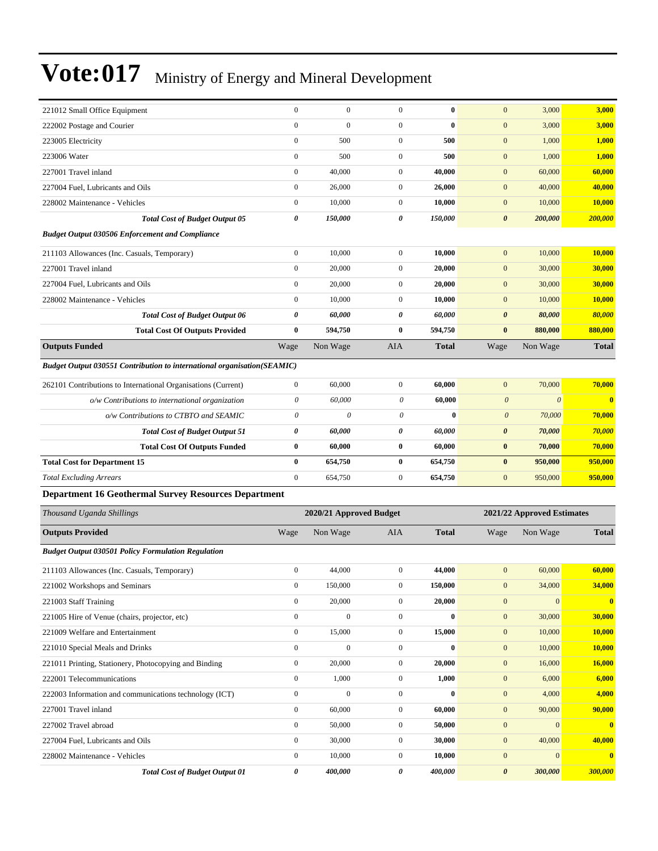| 221012 Small Office Equipment                                           | $\boldsymbol{0}$      | $\mathbf{0}$            | $\mathbf{0}$     | $\bf{0}$     | $\mathbf{0}$          | 3,000                      | 3,000                   |
|-------------------------------------------------------------------------|-----------------------|-------------------------|------------------|--------------|-----------------------|----------------------------|-------------------------|
| 222002 Postage and Courier                                              | $\mathbf{0}$          | $\mathbf{0}$            | $\mathbf{0}$     | $\bf{0}$     | $\mathbf{0}$          | 3,000                      | 3,000                   |
| 223005 Electricity                                                      | $\boldsymbol{0}$      | 500                     | $\boldsymbol{0}$ | 500          | $\mathbf{0}$          | 1,000                      | 1,000                   |
| 223006 Water                                                            | $\boldsymbol{0}$      | 500                     | $\mathbf{0}$     | 500          | $\mathbf{0}$          | 1,000                      | 1,000                   |
| 227001 Travel inland                                                    | $\boldsymbol{0}$      | 40,000                  | $\mathbf{0}$     | 40,000       | $\mathbf{0}$          | 60,000                     | 60,000                  |
| 227004 Fuel, Lubricants and Oils                                        | $\boldsymbol{0}$      | 26,000                  | $\mathbf{0}$     | 26,000       | $\mathbf{0}$          | 40,000                     | 40,000                  |
| 228002 Maintenance - Vehicles                                           | $\boldsymbol{0}$      | 10,000                  | $\boldsymbol{0}$ | 10,000       | $\mathbf{0}$          | 10,000                     | <b>10,000</b>           |
| <b>Total Cost of Budget Output 05</b>                                   | 0                     | 150,000                 | 0                | 150,000      | $\boldsymbol{\theta}$ | 200,000                    | 200,000                 |
| <b>Budget Output 030506 Enforcement and Compliance</b>                  |                       |                         |                  |              |                       |                            |                         |
| 211103 Allowances (Inc. Casuals, Temporary)                             | $\boldsymbol{0}$      | 10,000                  | $\boldsymbol{0}$ | 10,000       | $\boldsymbol{0}$      | 10,000                     | 10,000                  |
| 227001 Travel inland                                                    | $\boldsymbol{0}$      | 20,000                  | $\mathbf{0}$     | 20,000       | $\mathbf{0}$          | 30,000                     | 30,000                  |
| 227004 Fuel, Lubricants and Oils                                        | $\boldsymbol{0}$      | 20,000                  | $\mathbf{0}$     | 20,000       | $\mathbf{0}$          | 30,000                     | 30,000                  |
| 228002 Maintenance - Vehicles                                           | $\boldsymbol{0}$      | 10,000                  | $\boldsymbol{0}$ | 10,000       | $\mathbf{0}$          | 10,000                     | <b>10,000</b>           |
| <b>Total Cost of Budget Output 06</b>                                   | 0                     | 60,000                  | 0                | 60,000       | $\boldsymbol{\theta}$ | 80,000                     | 80,000                  |
| <b>Total Cost Of Outputs Provided</b>                                   | $\bf{0}$              | 594,750                 | $\bf{0}$         | 594,750      | $\bf{0}$              | 880,000                    | 880,000                 |
| <b>Outputs Funded</b>                                                   | Wage                  | Non Wage                | <b>AIA</b>       | <b>Total</b> | Wage                  | Non Wage                   | <b>Total</b>            |
| Budget Output 030551 Contribution to international organisation(SEAMIC) |                       |                         |                  |              |                       |                            |                         |
| 262101 Contributions to International Organisations (Current)           | $\boldsymbol{0}$      | 60,000                  | $\mathbf{0}$     | 60,000       | $\mathbf{0}$          | 70,000                     | 70,000                  |
| o/w Contributions to international organization                         | $\boldsymbol{\theta}$ | 60,000                  | 0                | 60,000       | $\boldsymbol{\theta}$ | $\boldsymbol{\theta}$      | $\bf{0}$                |
| o/w Contributions to CTBTO and SEAMIC                                   | $\theta$              | $\theta$                | $\theta$         | $\bf{0}$     | $\boldsymbol{\theta}$ | 70,000                     | 70,000                  |
| <b>Total Cost of Budget Output 51</b>                                   | 0                     | 60,000                  | 0                | 60,000       | $\boldsymbol{\theta}$ | 70,000                     | 70,000                  |
| <b>Total Cost Of Outputs Funded</b>                                     | $\bf{0}$              | 60,000                  | $\bf{0}$         | 60,000       | $\bf{0}$              | 70,000                     | 70,000                  |
| <b>Total Cost for Department 15</b>                                     | $\bf{0}$              | 654,750                 | $\bf{0}$         | 654,750      | $\bf{0}$              | 950,000                    | 950,000                 |
| <b>Total Excluding Arrears</b>                                          | $\boldsymbol{0}$      | 654,750                 | $\mathbf{0}$     | 654,750      | $\mathbf{0}$          | 950,000                    | 950,000                 |
| <b>Department 16 Geothermal Survey Resources Department</b>             |                       |                         |                  |              |                       |                            |                         |
|                                                                         |                       |                         |                  |              |                       |                            |                         |
| Thousand Uganda Shillings                                               |                       | 2020/21 Approved Budget |                  |              |                       | 2021/22 Approved Estimates |                         |
| <b>Outputs Provided</b>                                                 | Wage                  | Non Wage                | AIA              | <b>Total</b> | Wage                  | Non Wage                   | <b>Total</b>            |
| <b>Budget Output 030501 Policy Formulation Regulation</b>               |                       |                         |                  |              |                       |                            |                         |
| 211103 Allowances (Inc. Casuals, Temporary)                             | $\boldsymbol{0}$      | 44,000                  | $\overline{0}$   | 44,000       | $\overline{0}$        | 60,000                     | 60,000                  |
| 221002 Workshops and Seminars                                           | 0                     | 150,000                 | $\boldsymbol{0}$ | 150,000      | $\mathbf{0}$          | 34,000                     | <b>34,000</b>           |
| 221003 Staff Training                                                   | $\boldsymbol{0}$      | 20,000                  | $\mathbf{0}$     | 20,000       | $\boldsymbol{0}$      | $\boldsymbol{0}$           | $\bf{0}$                |
| 221005 Hire of Venue (chairs, projector, etc)                           | $\boldsymbol{0}$      | $\mathbf{0}$            | $\boldsymbol{0}$ | $\bf{0}$     | $\boldsymbol{0}$      | 30,000                     | 30,000                  |
| 221009 Welfare and Entertainment                                        | $\boldsymbol{0}$      | 15,000                  | $\boldsymbol{0}$ | 15,000       | $\mathbf{0}$          | 10,000                     | 10,000                  |
| 221010 Special Meals and Drinks                                         | $\boldsymbol{0}$      | $\boldsymbol{0}$        | $\boldsymbol{0}$ | $\bf{0}$     | $\boldsymbol{0}$      | 10,000                     | 10,000                  |
| 221011 Printing, Stationery, Photocopying and Binding                   | $\boldsymbol{0}$      | 20,000                  | $\mathbf{0}$     | 20,000       | $\mathbf{0}$          | 16,000                     | 16,000                  |
| 222001 Telecommunications                                               | $\boldsymbol{0}$      | 1,000                   | $\boldsymbol{0}$ | 1,000        | $\mathbf{0}$          | 6,000                      | 6,000                   |
| 222003 Information and communications technology (ICT)                  | $\boldsymbol{0}$      | $\boldsymbol{0}$        | $\boldsymbol{0}$ | $\bf{0}$     | $\boldsymbol{0}$      | 4,000                      | 4,000                   |
| 227001 Travel inland                                                    | $\boldsymbol{0}$      | 60,000                  | $\mathbf{0}$     | 60,000       | $\mathbf{0}$          | 90,000                     | 90,000                  |
| 227002 Travel abroad                                                    | $\boldsymbol{0}$      | 50,000                  | $\boldsymbol{0}$ | 50,000       | $\boldsymbol{0}$      | $\boldsymbol{0}$           | $\overline{\mathbf{0}}$ |
| 227004 Fuel, Lubricants and Oils                                        | $\boldsymbol{0}$      | 30,000                  | $\mathbf{0}$     | 30,000       | $\mathbf{0}$          | 40,000                     | 40,000                  |
| 228002 Maintenance - Vehicles                                           | $\boldsymbol{0}$      | 10,000                  | $\boldsymbol{0}$ | 10,000       | $\boldsymbol{0}$      | $\boldsymbol{0}$           | $\bf{0}$                |
| <b>Total Cost of Budget Output 01</b>                                   | 0                     | 400,000                 | 0                | 400,000      | 0                     | 300,000                    | 300,000                 |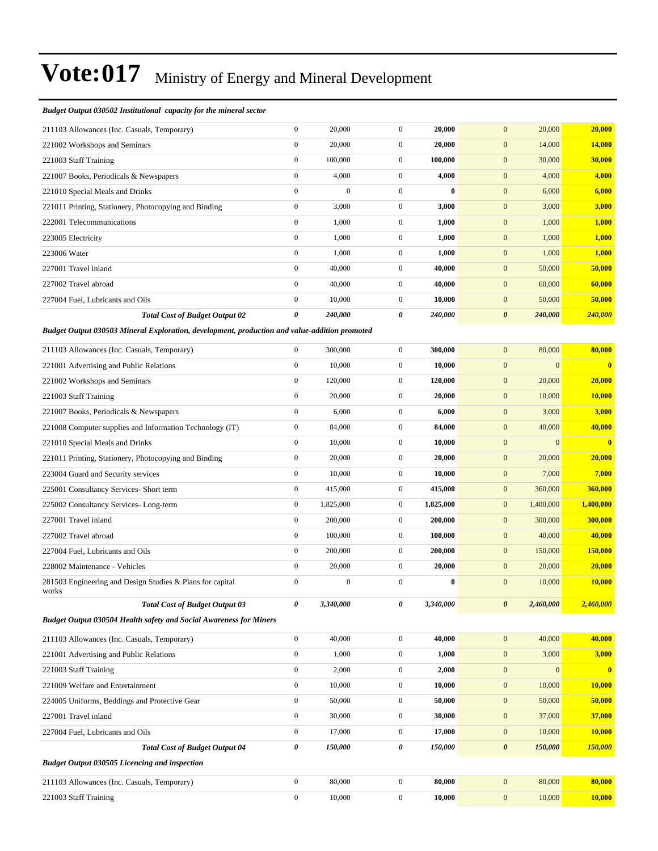#### *Budget Output 030502 Institutional capacity for the mineral sector*

| 211103 Allowances (Inc. Casuals, Temporary)                                                   | $\boldsymbol{0}$ | 20,000           | $\boldsymbol{0}$      | 20,000    | $\mathbf{0}$<br>20,000               | 20,000                  |
|-----------------------------------------------------------------------------------------------|------------------|------------------|-----------------------|-----------|--------------------------------------|-------------------------|
| 221002 Workshops and Seminars                                                                 | $\boldsymbol{0}$ | 20,000           | $\boldsymbol{0}$      | 20,000    | $\boldsymbol{0}$<br>14,000           | 14,000                  |
| 221003 Staff Training                                                                         | $\boldsymbol{0}$ | 100,000          | $\boldsymbol{0}$      | 100,000   | $\boldsymbol{0}$<br>30,000           | 30,000                  |
| 221007 Books, Periodicals & Newspapers                                                        | $\boldsymbol{0}$ | 4,000            | $\boldsymbol{0}$      | 4,000     | $\mathbf{0}$<br>4,000                | 4,000                   |
| 221010 Special Meals and Drinks                                                               | $\boldsymbol{0}$ | $\mathbf{0}$     | $\boldsymbol{0}$      | $\bf{0}$  | $\mathbf{0}$<br>6,000                | 6,000                   |
| 221011 Printing, Stationery, Photocopying and Binding                                         | $\boldsymbol{0}$ | 3,000            | $\boldsymbol{0}$      | 3,000     | $\mathbf{0}$<br>3,000                | 3,000                   |
| 222001 Telecommunications                                                                     | $\boldsymbol{0}$ | 1,000            | $\boldsymbol{0}$      | 1,000     | $\mathbf{0}$<br>1,000                | 1,000                   |
| 223005 Electricity                                                                            | $\boldsymbol{0}$ | 1,000            | $\boldsymbol{0}$      | 1,000     | $\boldsymbol{0}$<br>1,000            | 1,000                   |
| 223006 Water                                                                                  | $\boldsymbol{0}$ | 1,000            | $\boldsymbol{0}$      | 1,000     | $\mathbf{0}$<br>1,000                | 1,000                   |
| 227001 Travel inland                                                                          | $\boldsymbol{0}$ | 40,000           | $\mathbf{0}$          | 40,000    | $\mathbf{0}$<br>50,000               | 50,000                  |
| 227002 Travel abroad                                                                          | $\boldsymbol{0}$ | 40,000           | $\boldsymbol{0}$      | 40,000    | $\mathbf{0}$<br>60,000               | 60,000                  |
| 227004 Fuel, Lubricants and Oils                                                              | $\boldsymbol{0}$ | 10,000           | $\boldsymbol{0}$      | 10,000    | $\mathbf{0}$<br>50,000               | 50,000                  |
| <b>Total Cost of Budget Output 02</b>                                                         | $\pmb{\theta}$   | 240,000          | $\boldsymbol{\theta}$ | 240,000   | $\boldsymbol{\theta}$<br>240,000     | 240,000                 |
| Budget Output 030503 Mineral Exploration, development, production and value-addition promoted |                  |                  |                       |           |                                      |                         |
| 211103 Allowances (Inc. Casuals, Temporary)                                                   | $\mathbf{0}$     | 300,000          | $\mathbf{0}$          | 300,000   | $\mathbf{0}$<br>80,000               | 80,000                  |
| 221001 Advertising and Public Relations                                                       | $\boldsymbol{0}$ | 10,000           | $\mathbf{0}$          | 10,000    | $\mathbf{0}$<br>$\mathbf{0}$         | $\bf{0}$                |
| 221002 Workshops and Seminars                                                                 | $\boldsymbol{0}$ | 120,000          | $\boldsymbol{0}$      | 120,000   | $\mathbf{0}$<br>20,000               | 20,000                  |
| 221003 Staff Training                                                                         | $\boldsymbol{0}$ | 20,000           | $\boldsymbol{0}$      | 20,000    | $\mathbf{0}$<br>10,000               | <b>10,000</b>           |
| 221007 Books, Periodicals & Newspapers                                                        | $\boldsymbol{0}$ | 6,000            | $\boldsymbol{0}$      | 6,000     | $\mathbf{0}$<br>3,000                | 3,000                   |
| 221008 Computer supplies and Information Technology (IT)                                      | $\boldsymbol{0}$ | 84,000           | $\mathbf{0}$          | 84,000    | $\mathbf{0}$<br>40,000               | 40,000                  |
| 221010 Special Meals and Drinks                                                               | $\boldsymbol{0}$ | 10,000           | $\mathbf{0}$          | 10,000    | $\mathbf{0}$<br>$\boldsymbol{0}$     | $\overline{\mathbf{0}}$ |
| 221011 Printing, Stationery, Photocopying and Binding                                         | $\boldsymbol{0}$ | 20,000           | $\boldsymbol{0}$      | 20,000    | $\mathbf{0}$<br>20,000               | 20,000                  |
| 223004 Guard and Security services                                                            | $\boldsymbol{0}$ | 10,000           | $\boldsymbol{0}$      | 10,000    | $\mathbf{0}$<br>7,000                | 7,000                   |
| 225001 Consultancy Services- Short term                                                       | $\boldsymbol{0}$ | 415,000          | $\boldsymbol{0}$      | 415,000   | $\mathbf{0}$<br>360,000              | 360,000                 |
| 225002 Consultancy Services-Long-term                                                         | $\boldsymbol{0}$ | 1,825,000        | $\mathbf{0}$          | 1,825,000 | $\mathbf{0}$<br>1,400,000            | 1,400,000               |
| 227001 Travel inland                                                                          | $\boldsymbol{0}$ | 200,000          | $\mathbf{0}$          | 200,000   | $\mathbf{0}$<br>300,000              | 300,000                 |
| 227002 Travel abroad                                                                          | $\boldsymbol{0}$ | 100,000          | $\boldsymbol{0}$      | 100,000   | $\mathbf{0}$<br>40,000               | 40,000                  |
| 227004 Fuel, Lubricants and Oils                                                              | $\boldsymbol{0}$ | 200,000          | $\boldsymbol{0}$      | 200,000   | $\mathbf{0}$<br>150,000              | 150,000                 |
| 228002 Maintenance - Vehicles                                                                 | $\boldsymbol{0}$ | 20,000           | $\boldsymbol{0}$      | 20,000    | $\mathbf{0}$<br>20,000               | 20,000                  |
| 281503 Engineering and Design Studies & Plans for capital<br>works                            | $\boldsymbol{0}$ | $\boldsymbol{0}$ | $\boldsymbol{0}$      | $\bf{0}$  | $\boldsymbol{0}$<br>10,000           | 10,000                  |
| <b>Total Cost of Budget Output 03</b>                                                         | 0                | 3,340,000        | 0                     | 3,340,000 | $\boldsymbol{\theta}$<br>2,460,000   | 2,460,000               |
| <b>Budget Output 030504 Health safety and Social Awareness for Miners</b>                     |                  |                  |                       |           |                                      |                         |
| 211103 Allowances (Inc. Casuals, Temporary)                                                   | $\boldsymbol{0}$ | 40,000           | $\mathbf{0}$          | 40,000    | $\mathbf{0}$<br>40,000               | 40,000                  |
| 221001 Advertising and Public Relations                                                       | $\boldsymbol{0}$ | 1,000            | $\boldsymbol{0}$      | 1,000     | 3,000<br>$\boldsymbol{0}$            | 3,000                   |
| 221003 Staff Training                                                                         | $\boldsymbol{0}$ | 2,000            | $\boldsymbol{0}$      | 2,000     | $\boldsymbol{0}$<br>$\boldsymbol{0}$ | $\bf{0}$                |
| 221009 Welfare and Entertainment                                                              | $\boldsymbol{0}$ | 10,000           | $\boldsymbol{0}$      | 10,000    | $\boldsymbol{0}$<br>10,000           | 10,000                  |
| 224005 Uniforms, Beddings and Protective Gear                                                 | $\boldsymbol{0}$ | 50,000           | $\boldsymbol{0}$      | 50,000    | $\mathbf{0}$<br>50,000               | 50,000                  |
| 227001 Travel inland                                                                          | $\boldsymbol{0}$ | 30,000           | $\boldsymbol{0}$      | 30,000    | $\boldsymbol{0}$<br>37,000           | 37,000                  |
| 227004 Fuel, Lubricants and Oils                                                              | $\boldsymbol{0}$ | 17,000           | $\boldsymbol{0}$      | 17,000    | $\boldsymbol{0}$<br>10,000           | <b>10,000</b>           |
| <b>Total Cost of Budget Output 04</b>                                                         | 0                | 150,000          | 0                     | 150,000   | $\boldsymbol{\theta}$<br>150,000     | 150,000                 |
| Budget Output 030505 Licencing and inspection                                                 |                  |                  |                       |           |                                      |                         |
| 211103 Allowances (Inc. Casuals, Temporary)                                                   | $\boldsymbol{0}$ | 80,000           | $\boldsymbol{0}$      | 80,000    | 80,000<br>$\mathbf{0}$               | 80,000                  |
| 221003 Staff Training                                                                         | $\boldsymbol{0}$ | 10,000           | $\boldsymbol{0}$      | 10,000    | $\mathbf{0}$<br>10,000               | 10,000                  |
|                                                                                               |                  |                  |                       |           |                                      |                         |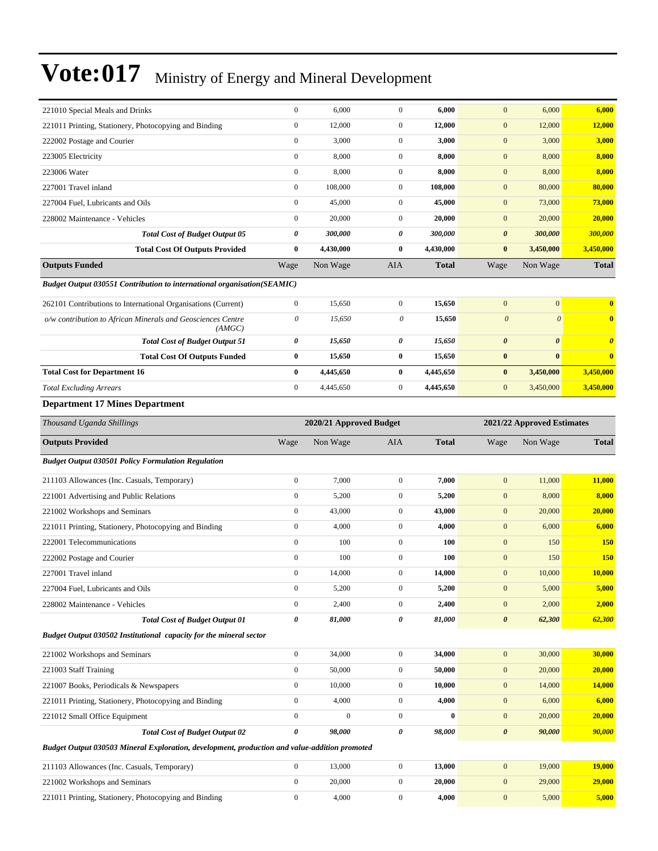| 221010 Special Meals and Drinks                                                               | $\boldsymbol{0}$      | 6,000                   | $\boldsymbol{0}$      | 6,000        | $\mathbf{0}$              | 6,000                      | 6,000                 |
|-----------------------------------------------------------------------------------------------|-----------------------|-------------------------|-----------------------|--------------|---------------------------|----------------------------|-----------------------|
| 221011 Printing, Stationery, Photocopying and Binding                                         | $\boldsymbol{0}$      | 12,000                  | $\boldsymbol{0}$      | 12,000       | $\mathbf{0}$              | 12,000                     | 12,000                |
| 222002 Postage and Courier                                                                    | $\boldsymbol{0}$      | 3,000                   | $\boldsymbol{0}$      | 3,000        | $\mathbf{0}$              | 3,000                      | 3,000                 |
| 223005 Electricity                                                                            | $\boldsymbol{0}$      | 8,000                   | $\boldsymbol{0}$      | 8,000        | $\mathbf{0}$              | 8,000                      | 8,000                 |
| 223006 Water                                                                                  | $\boldsymbol{0}$      | 8,000                   | $\boldsymbol{0}$      | 8,000        | $\mathbf{0}$              | 8,000                      | 8,000                 |
| 227001 Travel inland                                                                          | $\boldsymbol{0}$      | 108,000                 | $\boldsymbol{0}$      | 108,000      | $\mathbf{0}$              | 80,000                     | 80,000                |
| 227004 Fuel, Lubricants and Oils                                                              | $\boldsymbol{0}$      | 45,000                  | $\boldsymbol{0}$      | 45,000       | $\mathbf{0}$              | 73,000                     | 73,000                |
| 228002 Maintenance - Vehicles                                                                 | $\boldsymbol{0}$      | 20,000                  | $\boldsymbol{0}$      | 20,000       | $\mathbf{0}$              | 20,000                     | 20,000                |
| <b>Total Cost of Budget Output 05</b>                                                         | 0                     | 300,000                 | 0                     | 300,000      | $\boldsymbol{\theta}$     | 300,000                    | 300,000               |
| <b>Total Cost Of Outputs Provided</b>                                                         | $\bf{0}$              | 4,430,000               | $\bf{0}$              | 4,430,000    | $\bf{0}$                  | 3,450,000                  | 3,450,000             |
| <b>Outputs Funded</b>                                                                         | Wage                  | Non Wage                | AIA                   | <b>Total</b> | Wage                      | Non Wage                   | <b>Total</b>          |
| <b>Budget Output 030551 Contribution to international organisation(SEAMIC)</b>                |                       |                         |                       |              |                           |                            |                       |
| 262101 Contributions to International Organisations (Current)                                 | $\boldsymbol{0}$      | 15,650                  | $\boldsymbol{0}$      | 15,650       | $\mathbf{0}$              | $\boldsymbol{0}$           | $\bf{0}$              |
| o/w contribution to African Minerals and Geosciences Centre<br>(AMGC)                         | $\boldsymbol{\theta}$ | 15,650                  | $\boldsymbol{\theta}$ | 15,650       | $\boldsymbol{\mathit{0}}$ | $\boldsymbol{\theta}$      | $\bf{0}$              |
| <b>Total Cost of Budget Output 51</b>                                                         | 0                     | 15,650                  | 0                     | 15,650       | $\pmb{\theta}$            | $\boldsymbol{\theta}$      | $\boldsymbol{\theta}$ |
| <b>Total Cost Of Outputs Funded</b>                                                           | $\pmb{0}$             | 15,650                  | $\bf{0}$              | 15,650       | $\bf{0}$                  | $\bf{0}$                   | $\bf{0}$              |
| <b>Total Cost for Department 16</b>                                                           | $\bf{0}$              | 4,445,650               | $\bf{0}$              | 4,445,650    | $\bf{0}$                  | 3,450,000                  | 3,450,000             |
| <b>Total Excluding Arrears</b>                                                                | $\boldsymbol{0}$      | 4,445,650               | $\boldsymbol{0}$      | 4,445,650    | $\mathbf{0}$              | 3,450,000                  | 3,450,000             |
| <b>Department 17 Mines Department</b>                                                         |                       |                         |                       |              |                           |                            |                       |
| Thousand Uganda Shillings                                                                     |                       | 2020/21 Approved Budget |                       |              |                           | 2021/22 Approved Estimates |                       |
| <b>Outputs Provided</b>                                                                       | Wage                  | Non Wage                | AIA                   | <b>Total</b> | Wage                      | Non Wage                   | <b>Total</b>          |
|                                                                                               |                       |                         |                       |              |                           |                            |                       |
| <b>Budget Output 030501 Policy Formulation Regulation</b>                                     |                       |                         |                       |              |                           |                            |                       |
| 211103 Allowances (Inc. Casuals, Temporary)                                                   | $\boldsymbol{0}$      | 7,000                   | $\boldsymbol{0}$      | 7,000        | $\mathbf{0}$              | 11,000                     | 11,000                |
| 221001 Advertising and Public Relations                                                       | $\boldsymbol{0}$      | 5,200                   | $\boldsymbol{0}$      | 5,200        | $\mathbf{0}$              | 8,000                      | 8,000                 |
| 221002 Workshops and Seminars                                                                 | $\boldsymbol{0}$      | 43,000                  | $\boldsymbol{0}$      | 43,000       | $\mathbf{0}$              | 20,000                     | 20,000                |
| 221011 Printing, Stationery, Photocopying and Binding                                         | $\boldsymbol{0}$      | 4,000                   | $\boldsymbol{0}$      | 4,000        | $\mathbf{0}$              | 6,000                      | 6,000                 |
| 222001 Telecommunications                                                                     | $\boldsymbol{0}$      | 100                     | $\boldsymbol{0}$      | 100          | $\boldsymbol{0}$          | 150                        | <b>150</b>            |
| 222002 Postage and Courier                                                                    | $\boldsymbol{0}$      | 100                     | $\boldsymbol{0}$      | 100          | $\mathbf{0}$              | 150                        | <b>150</b>            |
| 227001 Travel inland                                                                          | $\boldsymbol{0}$      | 14,000                  | $\boldsymbol{0}$      | 14,000       | $\mathbf{0}$              | 10,000                     | 10,000                |
| 227004 Fuel, Lubricants and Oils                                                              | $\boldsymbol{0}$      | 5,200                   | $\boldsymbol{0}$      | 5,200        | $\mathbf{0}$              | 5,000                      | 5,000                 |
| 228002 Maintenance - Vehicles                                                                 | $\boldsymbol{0}$      | 2,400                   | $\boldsymbol{0}$      | 2,400        | $\mathbf{0}$              | 2,000                      | 2,000                 |
| <b>Total Cost of Budget Output 01</b>                                                         | 0                     | 81,000                  | $\pmb{\theta}$        | 81,000       | $\boldsymbol{\theta}$     | 62,300                     | 62,300                |
| Budget Output 030502 Institutional capacity for the mineral sector                            |                       |                         |                       |              |                           |                            |                       |
| 221002 Workshops and Seminars                                                                 | $\boldsymbol{0}$      | 34,000                  | $\boldsymbol{0}$      | 34,000       | $\mathbf{0}$              | 30,000                     | 30,000                |
| 221003 Staff Training                                                                         | $\boldsymbol{0}$      | 50,000                  | $\boldsymbol{0}$      | 50,000       | $\mathbf{0}$              | 20,000                     | 20,000                |
| 221007 Books, Periodicals & Newspapers                                                        | $\boldsymbol{0}$      | 10,000                  | $\boldsymbol{0}$      | 10,000       | $\bf{0}$                  | 14,000                     | 14,000                |
| 221011 Printing, Stationery, Photocopying and Binding                                         | $\boldsymbol{0}$      | 4,000                   | $\boldsymbol{0}$      | 4,000        | $\mathbf{0}$              | 6,000                      | 6,000                 |
| 221012 Small Office Equipment                                                                 | $\boldsymbol{0}$      | $\boldsymbol{0}$        | $\boldsymbol{0}$      | $\bf{0}$     | $\boldsymbol{0}$          | 20,000                     | 20,000                |
| <b>Total Cost of Budget Output 02</b>                                                         | 0                     | 98,000                  | $\pmb{\theta}$        | 98,000       | $\boldsymbol{\theta}$     | 90,000                     | 90,000                |
| Budget Output 030503 Mineral Exploration, development, production and value-addition promoted |                       |                         |                       |              |                           |                            |                       |
| 211103 Allowances (Inc. Casuals, Temporary)                                                   | $\boldsymbol{0}$      | 13,000                  | $\boldsymbol{0}$      | 13,000       | $\boldsymbol{0}$          | 19,000                     | 19,000                |
| 221002 Workshops and Seminars                                                                 | $\boldsymbol{0}$      | 20,000                  | $\boldsymbol{0}$      | 20,000       | $\mathbf{0}$              | 29,000                     | 29,000                |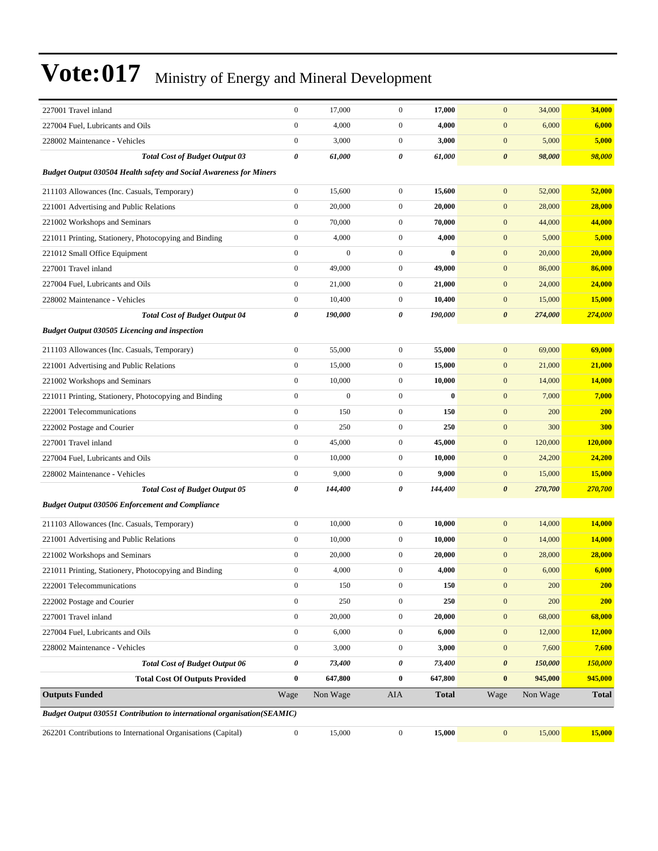| 227001 Travel inland                                                            | $\mathbf{0}$          | 17,000           | $\boldsymbol{0}$ | 17,000       | $\mathbf{0}$<br>34,000           | 34,000       |
|---------------------------------------------------------------------------------|-----------------------|------------------|------------------|--------------|----------------------------------|--------------|
| 227004 Fuel, Lubricants and Oils                                                | $\boldsymbol{0}$      | 4,000            | $\boldsymbol{0}$ | 4,000        | $\mathbf{0}$<br>6,000            | 6,000        |
| 228002 Maintenance - Vehicles                                                   | $\boldsymbol{0}$      | 3,000            | $\overline{0}$   | 3,000        | $\mathbf{0}$<br>5,000            | 5,000        |
| <b>Total Cost of Budget Output 03</b>                                           | $\boldsymbol{\theta}$ | 61,000           | 0                | 61,000       | $\boldsymbol{\theta}$<br>98,000  | 98,000       |
| Budget Output 030504 Health safety and Social Awareness for Miners              |                       |                  |                  |              |                                  |              |
| 211103 Allowances (Inc. Casuals, Temporary)                                     | $\mathbf{0}$          | 15,600           | $\overline{0}$   | 15,600       | $\mathbf{0}$<br>52,000           | 52,000       |
| 221001 Advertising and Public Relations                                         | $\mathbf{0}$          | 20,000           | $\overline{0}$   | 20,000       | 28,000<br>$\mathbf{0}$           | 28,000       |
| 221002 Workshops and Seminars                                                   | $\boldsymbol{0}$      | 70,000           | $\mathbf{0}$     | 70,000       | $\mathbf{0}$<br>44,000           | 44,000       |
| 221011 Printing, Stationery, Photocopying and Binding                           | $\boldsymbol{0}$      | 4,000            | $\overline{0}$   | 4,000        | $\boldsymbol{0}$<br>5,000        | 5,000        |
| 221012 Small Office Equipment                                                   | $\boldsymbol{0}$      | $\overline{0}$   | $\boldsymbol{0}$ | $\bf{0}$     | $\mathbf{0}$<br>20,000           | 20,000       |
| 227001 Travel inland                                                            | $\boldsymbol{0}$      | 49,000           | $\boldsymbol{0}$ | 49,000       | $\mathbf{0}$<br>86,000           | 86,000       |
| 227004 Fuel, Lubricants and Oils                                                | $\mathbf{0}$          | 21,000           | $\mathbf{0}$     | 21,000       | $\mathbf{0}$<br>24,000           | 24,000       |
| 228002 Maintenance - Vehicles                                                   | $\mathbf{0}$          | 10,400           | $\mathbf{0}$     | 10,400       | $\mathbf{0}$<br>15,000           | 15,000       |
| <b>Total Cost of Budget Output 04</b>                                           | $\boldsymbol{\theta}$ | 190,000          | 0                | 190,000      | $\pmb{\theta}$<br>274,000        | 274,000      |
| <b>Budget Output 030505 Licencing and inspection</b>                            |                       |                  |                  |              |                                  |              |
| 211103 Allowances (Inc. Casuals, Temporary)                                     | $\boldsymbol{0}$      | 55,000           | $\boldsymbol{0}$ | 55,000       | 69,000<br>$\mathbf{0}$           | 69,000       |
| 221001 Advertising and Public Relations                                         | $\boldsymbol{0}$      | 15,000           | $\overline{0}$   | 15,000       | $\mathbf{0}$<br>21,000           | 21,000       |
| 221002 Workshops and Seminars                                                   | $\boldsymbol{0}$      | 10.000           | $\mathbf{0}$     | 10,000       | $\mathbf{0}$<br>14,000           | 14,000       |
| 221011 Printing, Stationery, Photocopying and Binding                           | $\boldsymbol{0}$      | $\boldsymbol{0}$ | $\boldsymbol{0}$ | $\bf{0}$     | $\mathbf{0}$<br>7,000            | 7,000        |
| 222001 Telecommunications                                                       | $\boldsymbol{0}$      | 150              | $\overline{0}$   | 150          | $\boldsymbol{0}$<br>200          | <b>200</b>   |
| 222002 Postage and Courier                                                      | $\boldsymbol{0}$      | 250              | $\boldsymbol{0}$ | 250          | $\mathbf{0}$<br>300              | 300          |
| 227001 Travel inland                                                            | $\boldsymbol{0}$      | 45,000           | $\overline{0}$   | 45,000       | $\mathbf{0}$<br>120,000          | 120,000      |
| 227004 Fuel, Lubricants and Oils                                                | $\boldsymbol{0}$      | 10,000           | $\mathbf{0}$     | 10,000       | $\mathbf{0}$<br>24,200           | 24,200       |
| 228002 Maintenance - Vehicles                                                   | $\mathbf{0}$          | 9,000            | $\mathbf{0}$     | 9,000        | $\mathbf{0}$<br>15,000           | 15,000       |
| <b>Total Cost of Budget Output 05</b>                                           | 0                     | 144,400          | 0                | 144,400      | $\boldsymbol{\theta}$<br>270,700 | 270,700      |
| <b>Budget Output 030506 Enforcement and Compliance</b>                          |                       |                  |                  |              |                                  |              |
| 211103 Allowances (Inc. Casuals, Temporary)                                     | $\boldsymbol{0}$      | 10,000           | $\boldsymbol{0}$ | 10,000       | 14,000<br>$\mathbf{0}$           | 14,000       |
| 221001 Advertising and Public Relations                                         | $\boldsymbol{0}$      | 10,000           | $\overline{0}$   | 10,000       | $\mathbf{0}$<br>14,000           | 14,000       |
| 221002 Workshops and Seminars                                                   | $\boldsymbol{0}$      | 20,000           | $\mathbf{0}$     | 20,000       | $\mathbf{0}$<br>28,000           | 28,000       |
| 221011 Printing, Stationery, Photocopying and Binding                           | $\mathbf{0}$          | 4,000            | $\mathbf{0}$     | 4,000        | $\mathbf{0}$<br>6,000            | 6,000        |
| 222001 Telecommunications                                                       | $\boldsymbol{0}$      | 150              | $\boldsymbol{0}$ | 150          | $\boldsymbol{0}$<br>200          | <b>200</b>   |
| 222002 Postage and Courier                                                      | $\boldsymbol{0}$      | 250              | $\overline{0}$   | 250          | $\boldsymbol{0}$<br>200          | <b>200</b>   |
| 227001 Travel inland                                                            | $\boldsymbol{0}$      | 20,000           | $\boldsymbol{0}$ | 20,000       | $\boldsymbol{0}$<br>68,000       | 68,000       |
| 227004 Fuel, Lubricants and Oils                                                | $\boldsymbol{0}$      | 6,000            | $\boldsymbol{0}$ | 6,000        | $\boldsymbol{0}$<br>12,000       | 12,000       |
| 228002 Maintenance - Vehicles                                                   | $\boldsymbol{0}$      | 3,000            | $\boldsymbol{0}$ | 3,000        | $\boldsymbol{0}$<br>7,600        | 7,600        |
| <b>Total Cost of Budget Output 06</b>                                           | 0                     | 73,400           | 0                | 73,400       | $\pmb{\theta}$<br>150,000        | 150,000      |
| <b>Total Cost Of Outputs Provided</b>                                           | $\bf{0}$              | 647,800          | $\bf{0}$         | 647,800      | $\bf{0}$<br>945,000              | 945,000      |
| <b>Outputs Funded</b>                                                           | Wage                  | Non Wage         | AIA              | <b>Total</b> | Non Wage<br>Wage                 | <b>Total</b> |
| <b>Budget Output 030551 Contribution to international organisation (SEAMIC)</b> |                       |                  |                  |              |                                  |              |
| 262201 Contributions to International Organisations (Capital)                   | $\boldsymbol{0}$      | 15,000           | $\boldsymbol{0}$ | 15,000       | $\boldsymbol{0}$<br>15,000       | 15,000       |
|                                                                                 |                       |                  |                  |              |                                  |              |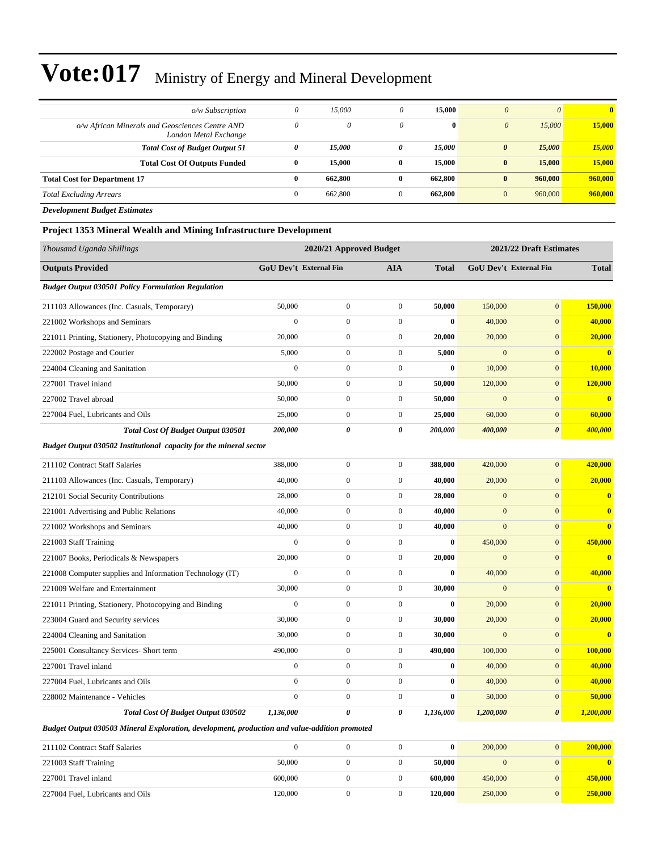| $o/w$ Subscription                                                       | 0            | 15,000  | $\theta$     | 15,000       | $\theta$              | $\theta$ | $\mathbf{0}$ |
|--------------------------------------------------------------------------|--------------|---------|--------------|--------------|-----------------------|----------|--------------|
| o/w African Minerals and Geosciences Centre AND<br>London Metal Exchange | $\theta$     | 0       | $\theta$     | $\mathbf{0}$ | $\boldsymbol{\theta}$ | 15,000   | 15,000       |
| <b>Total Cost of Budget Output 51</b>                                    | 0            | 15,000  | 0            | 15,000       | $\boldsymbol{\theta}$ | 15,000   | 15,000       |
| <b>Total Cost Of Outputs Funded</b>                                      | 0            | 15,000  | $\mathbf{0}$ | 15,000       | $\bf{0}$              | 15,000   | 15,000       |
| <b>Total Cost for Department 17</b>                                      | $\mathbf{0}$ | 662,800 | $\mathbf{0}$ | 662.800      | $\bf{0}$              | 960,000  | 960,000      |
| <b>Total Excluding Arrears</b>                                           | $\mathbf{0}$ | 662,800 |              | 662,800      | $\mathbf{0}$          | 960,000  | 960,000      |

*Development Budget Estimates*

#### **Project 1353 Mineral Wealth and Mining Infrastructure Development**

| Thousand Uganda Shillings                                          |                  | 2020/21 Approved Budget       |                  |              |                | 2021/22 Draft Estimates       |                         |  |
|--------------------------------------------------------------------|------------------|-------------------------------|------------------|--------------|----------------|-------------------------------|-------------------------|--|
| <b>Outputs Provided</b>                                            |                  | <b>GoU</b> Dev't External Fin | <b>AIA</b>       | <b>Total</b> |                | <b>GoU</b> Dev't External Fin | <b>Total</b>            |  |
| <b>Budget Output 030501 Policy Formulation Regulation</b>          |                  |                               |                  |              |                |                               |                         |  |
| 211103 Allowances (Inc. Casuals, Temporary)                        | 50,000           | $\boldsymbol{0}$              | $\boldsymbol{0}$ | 50,000       | 150,000        | $\boldsymbol{0}$              | 150,000                 |  |
| 221002 Workshops and Seminars                                      | $\mathbf{0}$     | $\boldsymbol{0}$              | $\boldsymbol{0}$ | $\bf{0}$     | 40,000         | $\overline{0}$                | 40,000                  |  |
| 221011 Printing, Stationery, Photocopying and Binding              | 20,000           | $\boldsymbol{0}$              | $\boldsymbol{0}$ | 20,000       | 20,000         | $\mathbf{0}$                  | 20,000                  |  |
| 222002 Postage and Courier                                         | 5,000            | $\mathbf{0}$                  | $\mathbf{0}$     | 5,000        | $\overline{0}$ | $\overline{0}$                | $\overline{\mathbf{0}}$ |  |
| 224004 Cleaning and Sanitation                                     | $\overline{0}$   | $\mathbf{0}$                  | $\mathbf{0}$     | $\bf{0}$     | 10,000         | $\overline{0}$                | 10,000                  |  |
| 227001 Travel inland                                               | 50,000           | $\boldsymbol{0}$              | $\boldsymbol{0}$ | 50,000       | 120,000        | $\mathbf{0}$                  | 120,000                 |  |
| 227002 Travel abroad                                               | 50,000           | $\boldsymbol{0}$              | $\boldsymbol{0}$ | 50,000       | $\mathbf{0}$   | $\overline{0}$                | $\mathbf{0}$            |  |
| 227004 Fuel, Lubricants and Oils                                   | 25,000           | $\boldsymbol{0}$              | $\boldsymbol{0}$ | 25,000       | 60,000         | $\mathbf{0}$                  | 60,000                  |  |
| <b>Total Cost Of Budget Output 030501</b>                          | 200,000          | 0                             | 0                | 200,000      | 400,000        | $\boldsymbol{\theta}$         | 400,000                 |  |
| Budget Output 030502 Institutional capacity for the mineral sector |                  |                               |                  |              |                |                               |                         |  |
| 211102 Contract Staff Salaries                                     | 388,000          | $\boldsymbol{0}$              | $\boldsymbol{0}$ | 388,000      | 420,000        | $\mathbf{0}$                  | 420,000                 |  |
| 211103 Allowances (Inc. Casuals, Temporary)                        | 40,000           | $\boldsymbol{0}$              | $\boldsymbol{0}$ | 40,000       | 20,000         | $\mathbf{0}$                  | 20,000                  |  |
| 212101 Social Security Contributions                               | 28,000           | $\boldsymbol{0}$              | $\boldsymbol{0}$ | 28,000       | $\mathbf{0}$   | $\mathbf{0}$                  | $\mathbf{0}$            |  |
| 221001 Advertising and Public Relations                            | 40,000           | $\boldsymbol{0}$              | $\boldsymbol{0}$ | 40,000       | $\mathbf{0}$   | $\mathbf{0}$                  | $\overline{\mathbf{0}}$ |  |
| 221002 Workshops and Seminars                                      | 40,000           | $\boldsymbol{0}$              | $\boldsymbol{0}$ | 40,000       | $\mathbf{0}$   | $\mathbf{0}$                  | $\mathbf{0}$            |  |
| 221003 Staff Training                                              | $\boldsymbol{0}$ | $\boldsymbol{0}$              | $\boldsymbol{0}$ | $\bf{0}$     | 450,000        | $\mathbf{0}$                  | 450,000                 |  |
| 221007 Books, Periodicals & Newspapers                             | 20,000           | $\boldsymbol{0}$              | $\mathbf{0}$     | 20,000       | $\overline{0}$ | $\overline{0}$                | $\mathbf{0}$            |  |
| 221008 Computer supplies and Information Technology (IT)           | $\mathbf{0}$     | $\boldsymbol{0}$              | $\mathbf{0}$     | $\bf{0}$     | 40,000         | $\overline{0}$                | 40,000                  |  |
| 221009 Welfare and Entertainment                                   | 30,000           | $\boldsymbol{0}$              | $\mathbf{0}$     | 30,000       | $\overline{0}$ | $\overline{0}$                | $\overline{\mathbf{0}}$ |  |
| 221011 Printing, Stationery, Photocopying and Binding              | $\mathbf{0}$     | $\mathbf{0}$                  | $\boldsymbol{0}$ | $\mathbf{0}$ | 20,000         | $\overline{0}$                | 20,000                  |  |
| 223004 Guard and Security services                                 | 30,000           | $\boldsymbol{0}$              | $\boldsymbol{0}$ | 30,000       | 20,000         | $\mathbf{0}$                  | 20,000                  |  |
| 224004 Cleaning and Sanitation                                     | 30,000           | $\boldsymbol{0}$              | $\boldsymbol{0}$ | 30,000       | $\mathbf{0}$   | $\mathbf{0}$                  | $\overline{\mathbf{0}}$ |  |
| 225001 Consultancy Services- Short term                            | 490,000          | $\mathbf{0}$                  | $\boldsymbol{0}$ | 490,000      | 100,000        | $\overline{0}$                | 100,000                 |  |
| 227001 Travel inland                                               | $\boldsymbol{0}$ | $\boldsymbol{0}$              | $\boldsymbol{0}$ | $\bf{0}$     | 40,000         | $\mathbf{0}$                  | 40,000                  |  |
| 227004 Fuel, Lubricants and Oils                                   | $\overline{0}$   | $\boldsymbol{0}$              | $\boldsymbol{0}$ | $\bf{0}$     | 40,000         | $\mathbf{0}$                  | 40,000                  |  |
| 228002 Maintenance - Vehicles                                      | $\mathbf{0}$     | $\boldsymbol{0}$              | $\boldsymbol{0}$ | $\bf{0}$     | 50,000         | $\mathbf{0}$                  | 50,000                  |  |
| Total Cost Of Budget Output 030502                                 | 1,136,000        | $\boldsymbol{\theta}$         | 0                | 1,136,000    | 1,200,000      | $\boldsymbol{\theta}$         | 1,200,000               |  |

### 211102 Contract Staff Salaries 0 0 0 **0** 200,000 0 **200,000** 221003 Staff Training 50,000 0 0 **50,000** 0 0 **0** 227001 Travel inland 600,000 0 0 **600,000** 450,000 0 **450,000** 227004 Fuel, Lubricants and Oils 120,000 0 0 **120,000** 250,000 0 **250,000**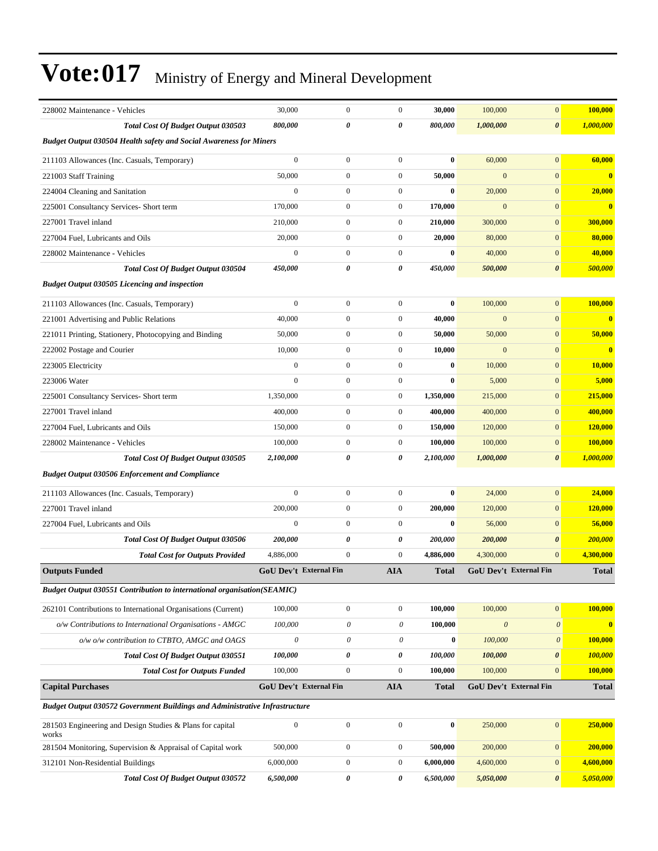| 228002 Maintenance - Vehicles                                                      | 30,000                        | $\boldsymbol{0}$       | $\boldsymbol{0}$          | 30,000           | 100,000               | $\boldsymbol{0}$              | 100,000                 |
|------------------------------------------------------------------------------------|-------------------------------|------------------------|---------------------------|------------------|-----------------------|-------------------------------|-------------------------|
| Total Cost Of Budget Output 030503                                                 | 800,000                       | 0                      | 0                         | 800,000          | 1,000,000             | $\boldsymbol{\theta}$         | 1,000,000               |
| <b>Budget Output 030504 Health safety and Social Awareness for Miners</b>          |                               |                        |                           |                  |                       |                               |                         |
| 211103 Allowances (Inc. Casuals, Temporary)                                        | $\overline{0}$                | $\boldsymbol{0}$       | $\overline{0}$            | $\bf{0}$         | 60,000                | $\mathbf{0}$                  | 60,000                  |
| 221003 Staff Training                                                              | 50,000                        | $\boldsymbol{0}$       | $\mathbf{0}$              | 50,000           | $\mathbf{0}$          | $\mathbf{0}$                  | $\bf{0}$                |
| 224004 Cleaning and Sanitation                                                     | $\boldsymbol{0}$              | $\boldsymbol{0}$       | $\boldsymbol{0}$          | $\bf{0}$         | 20,000                | $\mathbf{0}$                  | 20,000                  |
| 225001 Consultancy Services- Short term                                            | 170,000                       | $\overline{0}$         | $\mathbf{0}$              | 170,000          | $\mathbf{0}$          | $\mathbf{0}$                  | $\bf{0}$                |
| 227001 Travel inland                                                               | 210,000                       | $\overline{0}$         | $\overline{0}$            | 210,000          | 300,000               | $\mathbf{0}$                  | 300,000                 |
| 227004 Fuel, Lubricants and Oils                                                   | 20,000                        | $\boldsymbol{0}$       | $\boldsymbol{0}$          | 20,000           | 80,000                | $\mathbf{0}$                  | 80,000                  |
| 228002 Maintenance - Vehicles                                                      | $\mathbf{0}$                  | $\boldsymbol{0}$       | $\boldsymbol{0}$          | $\bf{0}$         | 40,000                | $\mathbf{0}$                  | 40,000                  |
| Total Cost Of Budget Output 030504                                                 | 450,000                       | 0                      | 0                         | 450,000          | 500,000               | $\boldsymbol{\theta}$         | 500,000                 |
| <b>Budget Output 030505 Licencing and inspection</b>                               |                               |                        |                           |                  |                       |                               |                         |
| 211103 Allowances (Inc. Casuals, Temporary)                                        | $\mathbf{0}$                  | $\boldsymbol{0}$       | $\overline{0}$            | $\bf{0}$         | 100,000               | $\boldsymbol{0}$              | 100,000                 |
| 221001 Advertising and Public Relations                                            | 40,000                        | $\boldsymbol{0}$       | $\boldsymbol{0}$          | 40,000           | $\mathbf{0}$          | $\mathbf{0}$                  | $\overline{\mathbf{0}}$ |
| 221011 Printing, Stationery, Photocopying and Binding                              | 50,000                        | $\boldsymbol{0}$       | $\boldsymbol{0}$          | 50,000           | 50,000                | $\mathbf{0}$                  | 50,000                  |
| 222002 Postage and Courier                                                         | 10,000                        | $\boldsymbol{0}$       | $\boldsymbol{0}$          | 10,000           | $\mathbf{0}$          | $\mathbf{0}$                  | $\bf{0}$                |
| 223005 Electricity                                                                 | $\mathbf{0}$                  | $\boldsymbol{0}$       | $\boldsymbol{0}$          | $\bf{0}$         | 10,000                | $\mathbf{0}$                  | 10,000                  |
| 223006 Water                                                                       | $\mathbf{0}$                  | $\overline{0}$         | $\boldsymbol{0}$          | $\bf{0}$         | 5,000                 | $\mathbf{0}$                  | 5,000                   |
| 225001 Consultancy Services- Short term                                            | 1,350,000                     | $\boldsymbol{0}$       | $\boldsymbol{0}$          | 1,350,000        | 215,000               | $\mathbf{0}$                  | 215,000                 |
| 227001 Travel inland                                                               | 400,000                       | $\boldsymbol{0}$       | $\boldsymbol{0}$          | 400,000          | 400,000               | $\mathbf{0}$                  | 400,000                 |
| 227004 Fuel, Lubricants and Oils                                                   | 150,000                       | $\boldsymbol{0}$       | $\boldsymbol{0}$          | 150,000          | 120,000               | $\mathbf{0}$                  | 120,000                 |
| 228002 Maintenance - Vehicles                                                      | 100,000                       | $\boldsymbol{0}$       | $\boldsymbol{0}$          | 100,000          | 100,000               | $\mathbf{0}$                  | 100,000                 |
| Total Cost Of Budget Output 030505                                                 | 2,100,000                     | 0                      | 0                         | 2,100,000        | 1,000,000             | $\boldsymbol{\theta}$         | 1,000,000               |
| <b>Budget Output 030506 Enforcement and Compliance</b>                             |                               |                        |                           |                  |                       |                               |                         |
| 211103 Allowances (Inc. Casuals, Temporary)                                        | $\mathbf{0}$                  | $\boldsymbol{0}$       | $\boldsymbol{0}$          | $\bf{0}$         | 24,000                | $\mathbf{0}$                  | 24,000                  |
| 227001 Travel inland                                                               | 200,000                       | $\boldsymbol{0}$       | $\boldsymbol{0}$          | 200,000          | 120,000               | $\mathbf{0}$                  | 120,000                 |
| 227004 Fuel, Lubricants and Oils                                                   | $\mathbf{0}$                  | $\boldsymbol{0}$       | $\boldsymbol{0}$          | $\bf{0}$         | 56,000                | $\mathbf{0}$                  | 56,000                  |
| Total Cost Of Budget Output 030506                                                 | 200,000                       | 0                      | 0                         | 200,000          | 200,000               | $\boldsymbol{\theta}$         | 200,000                 |
| <b>Total Cost for Outputs Provided</b>                                             | 4,886,000                     | $\overline{0}$         | $\overline{0}$            | 4,886,000        | 4,300,000             | $\mathbf{0}$                  | 4,300,000               |
| <b>Outputs Funded</b>                                                              | <b>GoU Dev't External Fin</b> |                        | <b>AIA</b>                | <b>Total</b>     |                       | <b>GoU Dev't External Fin</b> | <b>Total</b>            |
| Budget Output 030551 Contribution to international organisation(SEAMIC)            |                               |                        |                           |                  |                       |                               |                         |
| 262101 Contributions to International Organisations (Current)                      | 100,000                       | $\boldsymbol{0}$       | $\boldsymbol{0}$          | 100,000          | 100,000               | $\boldsymbol{0}$              | 100,000                 |
| o/w Contributions to International Organisations - AMGC                            | 100,000                       | 0                      | $\boldsymbol{\mathit{0}}$ | 100,000          | $\boldsymbol{\theta}$ | $\boldsymbol{\mathit{0}}$     | $\bf{0}$                |
| o/w o/w contribution to CTBTO, AMGC and OAGS                                       | $\boldsymbol{\mathit{0}}$     | 0                      | $\boldsymbol{\mathit{0}}$ | $\bf{0}$         | 100,000               | $\boldsymbol{\mathit{0}}$     | 100,000                 |
| Total Cost Of Budget Output 030551                                                 | 100,000                       | 0                      | 0                         | 100,000          | 100,000               | 0                             | 100,000                 |
| <b>Total Cost for Outputs Funded</b>                                               | 100,000                       | $\boldsymbol{0}$       | $\boldsymbol{0}$          | 100,000          | 100,000               | $\mathbf{0}$                  | 100,000                 |
| <b>Capital Purchases</b>                                                           |                               | GoU Dev't External Fin | <b>AIA</b>                | <b>Total</b>     |                       | GoU Dev't External Fin        | <b>Total</b>            |
| <b>Budget Output 030572 Government Buildings and Administrative Infrastructure</b> |                               |                        |                           |                  |                       |                               |                         |
| 281503 Engineering and Design Studies & Plans for capital<br>works                 | $\boldsymbol{0}$              | $\boldsymbol{0}$       | $\boldsymbol{0}$          | $\boldsymbol{0}$ | 250,000               | $\boldsymbol{0}$              | 250,000                 |
| 281504 Monitoring, Supervision & Appraisal of Capital work                         | 500,000                       | $\boldsymbol{0}$       | $\boldsymbol{0}$          | 500,000          | 200,000               | $\boldsymbol{0}$              | 200,000                 |
| 312101 Non-Residential Buildings                                                   | 6,000,000                     | $\boldsymbol{0}$       | $\boldsymbol{0}$          | 6,000,000        | 4,600,000             | $\boldsymbol{0}$              | 4,600,000               |
| Total Cost Of Budget Output 030572                                                 | 6,500,000                     | 0                      | 0                         | 6,500,000        | 5,050,000             | 0                             | 5,050,000               |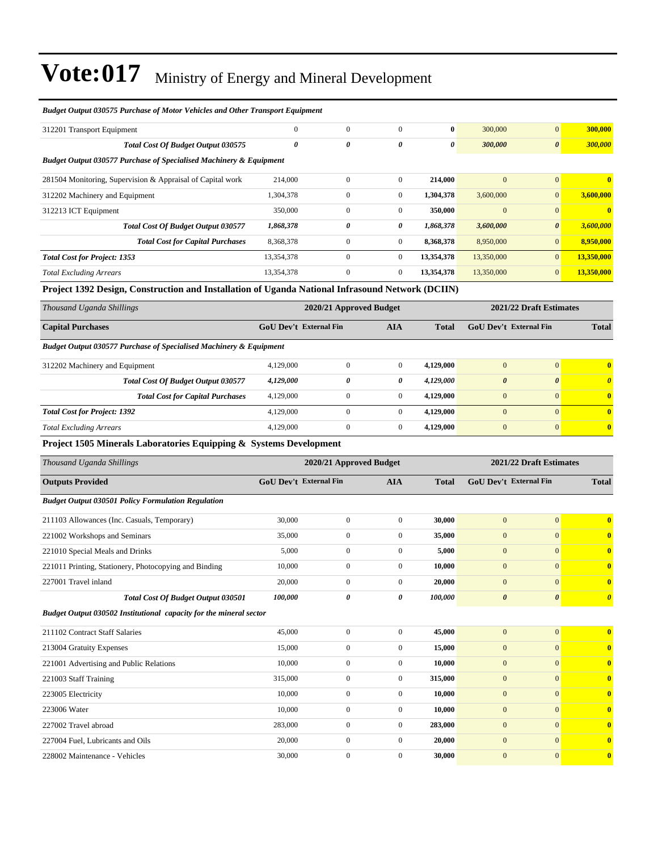| <b>Budget Output 030575 Purchase of Motor Vehicles and Other Transport Equipment</b>             |                               |                         |                  |              |                               |                         |                                  |
|--------------------------------------------------------------------------------------------------|-------------------------------|-------------------------|------------------|--------------|-------------------------------|-------------------------|----------------------------------|
| 312201 Transport Equipment                                                                       | $\Omega$                      | $\overline{0}$          | $\Omega$         | $\bf{0}$     | 300,000                       | $\overline{0}$          | 300,000                          |
| <b>Total Cost Of Budget Output 030575</b>                                                        | 0                             | $\theta$                | 0                | 0            | 300,000                       | $\boldsymbol{\theta}$   | 300,000                          |
| <b>Budget Output 030577 Purchase of Specialised Machinery &amp; Equipment</b>                    |                               |                         |                  |              |                               |                         |                                  |
| 281504 Monitoring, Supervision & Appraisal of Capital work                                       | 214,000                       | $\boldsymbol{0}$        | $\overline{0}$   | 214,000      | $\mathbf{0}$                  | $\mathbf{0}$            | $\bf{0}$                         |
| 312202 Machinery and Equipment                                                                   | 1,304,378                     | $\mathbf{0}$            | $\overline{0}$   | 1,304,378    | 3,600,000                     | $\mathbf{0}$            | 3,600,000                        |
| 312213 ICT Equipment                                                                             | 350,000                       | $\boldsymbol{0}$        | $\overline{0}$   | 350,000      | $\mathbf{0}$                  | $\mathbf{0}$            | $\mathbf{0}$                     |
| Total Cost Of Budget Output 030577                                                               | 1,868,378                     | 0                       | 0                | 1,868,378    | 3,600,000                     | $\boldsymbol{\theta}$   | 3,600,000                        |
| <b>Total Cost for Capital Purchases</b>                                                          | 8,368,378                     | $\mathbf{0}$            | $\overline{0}$   | 8,368,378    | 8,950,000                     | $\mathbf{0}$            | 8,950,000                        |
| <b>Total Cost for Project: 1353</b>                                                              | 13,354,378                    | $\mathbf{0}$            | $\overline{0}$   | 13,354,378   | 13,350,000                    | $\mathbf{0}$            | 13,350,000                       |
| <b>Total Excluding Arrears</b>                                                                   | 13,354,378                    | $\boldsymbol{0}$        | $\boldsymbol{0}$ | 13,354,378   | 13,350,000                    | $\mathbf{0}$            | 13,350,000                       |
| Project 1392 Design, Construction and Installation of Uganda National Infrasound Network (DCIIN) |                               |                         |                  |              |                               |                         |                                  |
| Thousand Uganda Shillings                                                                        |                               | 2020/21 Approved Budget |                  |              |                               | 2021/22 Draft Estimates |                                  |
| <b>Capital Purchases</b>                                                                         | <b>GoU Dev't External Fin</b> |                         | <b>AIA</b>       | <b>Total</b> | <b>GoU Dev't External Fin</b> |                         | <b>Total</b>                     |
| Budget Output 030577 Purchase of Specialised Machinery & Equipment                               |                               |                         |                  |              |                               |                         |                                  |
| 312202 Machinery and Equipment                                                                   | 4,129,000                     | $\mathbf{0}$            | $\overline{0}$   | 4,129,000    | $\mathbf{0}$                  | $\overline{0}$          | $\bf{0}$                         |
| Total Cost Of Budget Output 030577                                                               | 4,129,000                     | $\theta$                | 0                | 4,129,000    | $\boldsymbol{\theta}$         | $\boldsymbol{\theta}$   | $\overline{\boldsymbol{\theta}}$ |
| <b>Total Cost for Capital Purchases</b>                                                          | 4,129,000                     | $\boldsymbol{0}$        | $\boldsymbol{0}$ | 4,129,000    | $\mathbf{0}$                  | $\mathbf{0}$            | $\bf{0}$                         |
| <b>Total Cost for Project: 1392</b>                                                              | 4,129,000                     | $\boldsymbol{0}$        | 0                | 4,129,000    | $\mathbf{0}$                  | $\Omega$                | $\bf{0}$                         |
| <b>Total Excluding Arrears</b>                                                                   | 4,129,000                     | $\overline{0}$          | $\Omega$         | 4,129,000    | $\mathbf{0}$                  | $\mathbf{0}$            | $\bf{0}$                         |
| <b>Project 1505 Minerals Laboratories Equinping &amp; Systems Development</b>                    |                               |                         |                  |              |                               |                         |                                  |

#### **Project 1505 Minerals Laboratories Equipping & Systems Development**

| Thousand Uganda Shillings                                          |                               | 2020/21 Approved Budget | 2021/22 Draft Estimates |              |                               |                       |                         |
|--------------------------------------------------------------------|-------------------------------|-------------------------|-------------------------|--------------|-------------------------------|-----------------------|-------------------------|
| <b>Outputs Provided</b>                                            | <b>GoU Dev't External Fin</b> |                         | <b>AIA</b>              | <b>Total</b> | <b>GoU</b> Dev't External Fin |                       | <b>Total</b>            |
| <b>Budget Output 030501 Policy Formulation Regulation</b>          |                               |                         |                         |              |                               |                       |                         |
| 211103 Allowances (Inc. Casuals, Temporary)                        | 30,000                        | $\overline{0}$          | $\mathbf{0}$            | 30.000       | $\overline{0}$                | $\mathbf{0}$          |                         |
| 221002 Workshops and Seminars                                      | 35,000                        | $\mathbf{0}$            | $\boldsymbol{0}$        | 35,000       | $\mathbf{0}$                  | $\mathbf{0}$          |                         |
| 221010 Special Meals and Drinks                                    | 5,000                         | $\boldsymbol{0}$        | $\mathbf{0}$            | 5,000        | $\mathbf{0}$                  | $\mathbf{0}$          | $\mathbf 0$             |
| 221011 Printing, Stationery, Photocopying and Binding              | 10,000                        | $\mathbf{0}$            | $\mathbf{0}$            | 10,000       | $\mathbf{0}$                  | $\Omega$              | $\mathbf 0$             |
| 227001 Travel inland                                               | 20,000                        | $\mathbf{0}$            | $\mathbf{0}$            | 20,000       | $\Omega$                      | $\Omega$              | $\mathbf 0$             |
| <b>Total Cost Of Budget Output 030501</b>                          | 100,000                       | $\boldsymbol{\theta}$   | 0                       | 100,000      | $\boldsymbol{\theta}$         | $\boldsymbol{\theta}$ | $\boldsymbol{\theta}$   |
| Budget Output 030502 Institutional capacity for the mineral sector |                               |                         |                         |              |                               |                       |                         |
| 211102 Contract Staff Salaries                                     | 45,000                        | $\boldsymbol{0}$        | $\boldsymbol{0}$        | 45,000       | $\mathbf{0}$                  | $\mathbf{0}$          | $\mathbf 0$             |
| 213004 Gratuity Expenses                                           | 15,000                        | $\mathbf{0}$            | $\mathbf{0}$            | 15,000       | $\overline{0}$                | $\Omega$              | 0                       |
| 221001 Advertising and Public Relations                            | 10,000                        | $\boldsymbol{0}$        | $\mathbf{0}$            | 10,000       | $\overline{0}$                | $\Omega$              | $\mathbf 0$             |
| 221003 Staff Training                                              | 315,000                       | $\boldsymbol{0}$        | $\mathbf{0}$            | 315,000      | $\overline{0}$                | $\mathbf{0}$          | $\mathbf 0$             |
| 223005 Electricity                                                 | 10,000                        | $\boldsymbol{0}$        | $\mathbf{0}$            | 10,000       | $\overline{0}$                | $\Omega$              | $\overline{0}$          |
| 223006 Water                                                       | 10,000                        | $\mathbf{0}$            | $\boldsymbol{0}$        | 10,000       | $\overline{0}$                | $\mathbf{0}$          | $\mathbf 0$             |
| 227002 Travel abroad                                               | 283,000                       | $\mathbf{0}$            | $\mathbf{0}$            | 283,000      | $\overline{0}$                | $\Omega$              | $\mathbf 0$             |
| 227004 Fuel, Lubricants and Oils                                   | 20,000                        | $\boldsymbol{0}$        | $\mathbf{0}$            | 20,000       | $\overline{0}$                | $\mathbf{0}$          | $\mathbf 0$             |
| 228002 Maintenance - Vehicles                                      | 30,000                        | $\mathbf{0}$            | $\mathbf{0}$            | 30.000       | $\overline{0}$                | $\mathbf{0}$          | $\overline{\mathbf{0}}$ |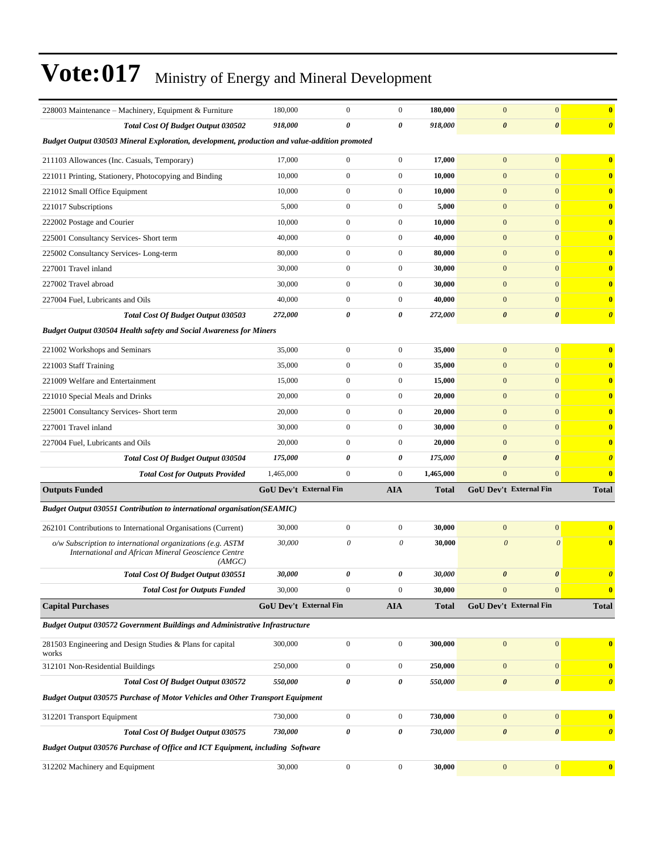| 228003 Maintenance – Machinery, Equipment & Furniture                                                                         | 180,000                       | $\boldsymbol{0}$ | $\boldsymbol{0}$ | 180,000      | $\mathbf{0}$           | $\mathbf{0}$          | $\bf{0}$                |
|-------------------------------------------------------------------------------------------------------------------------------|-------------------------------|------------------|------------------|--------------|------------------------|-----------------------|-------------------------|
| <b>Total Cost Of Budget Output 030502</b>                                                                                     | 918,000                       | $\theta$         | 0                | 918,000      | $\pmb{\theta}$         | $\boldsymbol{\theta}$ | $\boldsymbol{\theta}$   |
| Budget Output 030503 Mineral Exploration, development, production and value-addition promoted                                 |                               |                  |                  |              |                        |                       |                         |
| 211103 Allowances (Inc. Casuals, Temporary)                                                                                   | 17,000                        | $\boldsymbol{0}$ | $\boldsymbol{0}$ | 17,000       | $\mathbf{0}$           | $\mathbf{0}$          | $\bf{0}$                |
| 221011 Printing, Stationery, Photocopying and Binding                                                                         | 10,000                        | $\mathbf{0}$     | $\boldsymbol{0}$ | 10,000       | $\boldsymbol{0}$       | $\mathbf{0}$          | $\mathbf{0}$            |
| 221012 Small Office Equipment                                                                                                 | 10,000                        | $\boldsymbol{0}$ | $\boldsymbol{0}$ | 10,000       | $\mathbf{0}$           | $\mathbf{0}$          | $\mathbf{0}$            |
| 221017 Subscriptions                                                                                                          | 5,000                         | $\overline{0}$   | $\boldsymbol{0}$ | 5,000        | $\mathbf{0}$           | $\mathbf{0}$          | $\mathbf{0}$            |
| 222002 Postage and Courier                                                                                                    | 10,000                        | $\overline{0}$   | $\boldsymbol{0}$ | 10,000       | $\mathbf{0}$           | $\mathbf{0}$          | $\mathbf{0}$            |
| 225001 Consultancy Services- Short term                                                                                       | 40,000                        | $\boldsymbol{0}$ | $\boldsymbol{0}$ | 40,000       | $\mathbf{0}$           | $\mathbf{0}$          | $\mathbf{0}$            |
| 225002 Consultancy Services-Long-term                                                                                         | 80,000                        | $\mathbf{0}$     | $\boldsymbol{0}$ | 80,000       | $\boldsymbol{0}$       | $\mathbf{0}$          | $\mathbf{0}$            |
| 227001 Travel inland                                                                                                          | 30,000                        | $\boldsymbol{0}$ | $\boldsymbol{0}$ | 30,000       | $\mathbf{0}$           | $\mathbf{0}$          | $\mathbf{0}$            |
| 227002 Travel abroad                                                                                                          | 30,000                        | $\boldsymbol{0}$ | $\boldsymbol{0}$ | 30,000       | $\mathbf{0}$           | $\mathbf{0}$          | $\bf{0}$                |
| 227004 Fuel, Lubricants and Oils                                                                                              | 40,000                        | $\boldsymbol{0}$ | $\boldsymbol{0}$ | 40,000       | $\mathbf{0}$           | $\mathbf{0}$          | $\mathbf{0}$            |
| <b>Total Cost Of Budget Output 030503</b>                                                                                     | 272,000                       | 0                | 0                | 272,000      | $\boldsymbol{\theta}$  | $\boldsymbol{\theta}$ | $\boldsymbol{\theta}$   |
| <b>Budget Output 030504 Health safety and Social Awareness for Miners</b>                                                     |                               |                  |                  |              |                        |                       |                         |
| 221002 Workshops and Seminars                                                                                                 | 35,000                        | $\boldsymbol{0}$ | $\boldsymbol{0}$ | 35,000       | $\mathbf{0}$           | $\mathbf{0}$          | $\mathbf{0}$            |
| 221003 Staff Training                                                                                                         | 35,000                        | $\boldsymbol{0}$ | $\boldsymbol{0}$ | 35,000       | $\mathbf{0}$           | $\mathbf{0}$          | $\mathbf{0}$            |
| 221009 Welfare and Entertainment                                                                                              | 15,000                        | $\boldsymbol{0}$ | $\boldsymbol{0}$ | 15,000       | $\boldsymbol{0}$       | $\mathbf{0}$          | $\bf{0}$                |
| 221010 Special Meals and Drinks                                                                                               | 20,000                        | $\boldsymbol{0}$ | $\boldsymbol{0}$ | 20,000       | $\mathbf{0}$           | $\mathbf{0}$          | $\overline{\mathbf{0}}$ |
| 225001 Consultancy Services- Short term                                                                                       | 20,000                        | $\boldsymbol{0}$ | $\boldsymbol{0}$ | 20,000       | $\mathbf{0}$           | $\mathbf{0}$          | $\bf{0}$                |
| 227001 Travel inland                                                                                                          | 30,000                        | $\mathbf{0}$     | $\boldsymbol{0}$ | 30,000       | $\mathbf{0}$           | $\mathbf{0}$          | $\mathbf{0}$            |
| 227004 Fuel, Lubricants and Oils                                                                                              | 20,000                        | $\boldsymbol{0}$ | $\boldsymbol{0}$ | 20,000       | $\mathbf{0}$           | $\overline{0}$        | $\mathbf{0}$            |
| <b>Total Cost Of Budget Output 030504</b>                                                                                     | 175,000                       | $\theta$         | 0                | 175,000      | $\boldsymbol{\theta}$  | $\boldsymbol{\theta}$ | $\boldsymbol{\theta}$   |
| <b>Total Cost for Outputs Provided</b>                                                                                        | 1,465,000                     | $\boldsymbol{0}$ | $\overline{0}$   | 1,465,000    | $\mathbf{0}$           | $\mathbf{0}$          | $\overline{\mathbf{0}}$ |
| <b>Outputs Funded</b>                                                                                                         | <b>GoU Dev't External Fin</b> |                  | <b>AIA</b>       | <b>Total</b> | GoU Dev't External Fin |                       | <b>Total</b>            |
| <b>Budget Output 030551 Contribution to international organisation(SEAMIC)</b>                                                |                               |                  |                  |              |                        |                       |                         |
|                                                                                                                               |                               | $\boldsymbol{0}$ | $\boldsymbol{0}$ |              | $\mathbf{0}$           | $\mathbf{0}$          | $\overline{\mathbf{0}}$ |
| 262101 Contributions to International Organisations (Current)                                                                 | 30,000                        | 0                | 0                | 30,000       | $\theta$               | $\boldsymbol{\theta}$ |                         |
| $o/w$ Subscription to international organizations (e.g. ASTM<br>International and African Mineral Geoscience Centre<br>(AMGC) | 30,000                        |                  |                  | 30,000       |                        |                       | $\mathbf{0}$            |
| <b>Total Cost Of Budget Output 030551</b>                                                                                     | 30,000                        | 0                | 0                | 30,000       | $\boldsymbol{\theta}$  | $\boldsymbol{\theta}$ | $\boldsymbol{\theta}$   |
| <b>Total Cost for Outputs Funded</b>                                                                                          | 30,000                        | $\boldsymbol{0}$ | $\boldsymbol{0}$ | 30,000       | $\mathbf{0}$           | $\mathbf{0}$          | $\bf{0}$                |
| <b>Capital Purchases</b>                                                                                                      | <b>GoU Dev't External Fin</b> |                  | <b>AIA</b>       | <b>Total</b> | GoU Dev't External Fin |                       | <b>Total</b>            |
| Budget Output 030572 Government Buildings and Administrative Infrastructure                                                   |                               |                  |                  |              |                        |                       |                         |
| 281503 Engineering and Design Studies & Plans for capital<br>works                                                            | 300,000                       | $\boldsymbol{0}$ | $\boldsymbol{0}$ | 300,000      | $\boldsymbol{0}$       | $\boldsymbol{0}$      | $\bf{0}$                |
| 312101 Non-Residential Buildings                                                                                              | 250,000                       | $\boldsymbol{0}$ | $\boldsymbol{0}$ | 250,000      | $\mathbf{0}$           | $\mathbf{0}$          | $\mathbf{0}$            |
| Total Cost Of Budget Output 030572                                                                                            | 550,000                       | 0                | 0                | 550,000      | $\boldsymbol{\theta}$  | $\boldsymbol{\theta}$ | $\boldsymbol{\theta}$   |
| <b>Budget Output 030575 Purchase of Motor Vehicles and Other Transport Equipment</b>                                          |                               |                  |                  |              |                        |                       |                         |
| 312201 Transport Equipment                                                                                                    | 730,000                       | $\boldsymbol{0}$ | $\boldsymbol{0}$ | 730,000      | $\boldsymbol{0}$       | $\mathbf{0}$          | $\bf{0}$                |
| Total Cost Of Budget Output 030575                                                                                            | 730,000                       | 0                | 0                | 730,000      | $\pmb{\theta}$         | $\boldsymbol{\theta}$ | $\boldsymbol{\theta}$   |
| Budget Output 030576 Purchase of Office and ICT Equipment, including Software                                                 |                               |                  |                  |              |                        |                       |                         |
| 312202 Machinery and Equipment                                                                                                | 30,000                        | $\boldsymbol{0}$ | $\boldsymbol{0}$ | 30,000       | $\boldsymbol{0}$       | $\vert 0 \vert$       | $\bf{0}$                |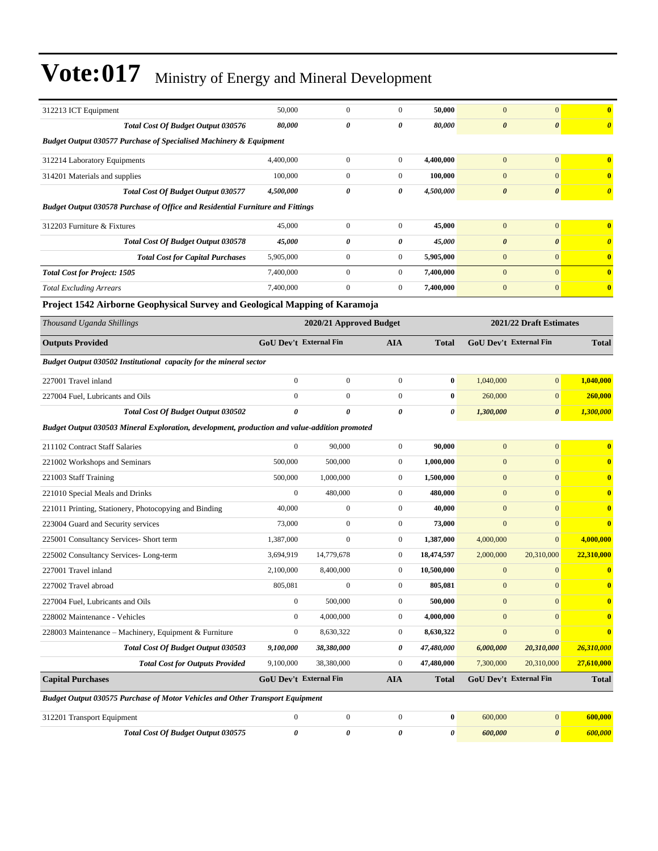| 312213 ICT Equipment                                                                          | 50,000                        | $\boldsymbol{0}$        | $\boldsymbol{0}$ | 50,000       | $\mathbf{0}$          | $\mathbf{0}$                  | $\bf{0}$                |
|-----------------------------------------------------------------------------------------------|-------------------------------|-------------------------|------------------|--------------|-----------------------|-------------------------------|-------------------------|
| <b>Total Cost Of Budget Output 030576</b>                                                     | 80,000                        | 0                       | 0                | 80,000       | $\boldsymbol{\theta}$ | $\boldsymbol{\theta}$         | $\boldsymbol{\theta}$   |
| <b>Budget Output 030577 Purchase of Specialised Machinery &amp; Equipment</b>                 |                               |                         |                  |              |                       |                               |                         |
| 312214 Laboratory Equipments                                                                  | 4,400,000                     | $\boldsymbol{0}$        | $\boldsymbol{0}$ | 4,400,000    | $\mathbf{0}$          | $\mathbf{0}$                  | $\bf{0}$                |
| 314201 Materials and supplies                                                                 | 100,000                       | $\boldsymbol{0}$        | $\boldsymbol{0}$ | 100,000      | $\mathbf{0}$          | $\mathbf{0}$                  | $\overline{\mathbf{0}}$ |
| Total Cost Of Budget Output 030577                                                            | 4,500,000                     | 0                       | 0                | 4,500,000    | $\boldsymbol{\theta}$ | $\boldsymbol{\theta}$         | $\boldsymbol{\theta}$   |
| <b>Budget Output 030578 Purchase of Office and Residential Furniture and Fittings</b>         |                               |                         |                  |              |                       |                               |                         |
| 312203 Furniture & Fixtures                                                                   | 45,000                        | $\boldsymbol{0}$        | $\boldsymbol{0}$ | 45,000       | $\mathbf{0}$          | $\mathbf{0}$                  | $\bf{0}$                |
| Total Cost Of Budget Output 030578                                                            | 45,000                        | 0                       | 0                | 45,000       | $\boldsymbol{\theta}$ | $\boldsymbol{\theta}$         | $\boldsymbol{\theta}$   |
| <b>Total Cost for Capital Purchases</b>                                                       | 5,905,000                     | $\boldsymbol{0}$        | $\boldsymbol{0}$ | 5,905,000    | $\mathbf{0}$          | $\mathbf{0}$                  | $\bf{0}$                |
| <b>Total Cost for Project: 1505</b>                                                           | 7,400,000                     | $\overline{0}$          | $\boldsymbol{0}$ | 7,400,000    | $\mathbf{0}$          | $\mathbf{0}$                  | $\overline{\mathbf{0}}$ |
| <b>Total Excluding Arrears</b>                                                                | 7,400,000                     | $\overline{0}$          | $\boldsymbol{0}$ | 7,400,000    | $\boldsymbol{0}$      | $\mathbf{0}$                  | $\bf{0}$                |
| Project 1542 Airborne Geophysical Survey and Geological Mapping of Karamoja                   |                               |                         |                  |              |                       |                               |                         |
| Thousand Uganda Shillings                                                                     |                               | 2020/21 Approved Budget |                  |              |                       | 2021/22 Draft Estimates       |                         |
| <b>Outputs Provided</b>                                                                       | <b>GoU Dev't External Fin</b> |                         | <b>AIA</b>       | <b>Total</b> |                       | <b>GoU Dev't External Fin</b> | <b>Total</b>            |
| Budget Output 030502 Institutional capacity for the mineral sector                            |                               |                         |                  |              |                       |                               |                         |
| 227001 Travel inland                                                                          | $\boldsymbol{0}$              | $\boldsymbol{0}$        | $\boldsymbol{0}$ | $\bf{0}$     | 1,040,000             | $\mathbf{0}$                  | 1,040,000               |
| 227004 Fuel, Lubricants and Oils                                                              | $\mathbf{0}$                  | $\boldsymbol{0}$        | $\overline{0}$   | 0            | 260,000               | $\mathbf{0}$                  | 260,000                 |
| <b>Total Cost Of Budget Output 030502</b>                                                     | $\boldsymbol{\theta}$         | $\theta$                | 0                | 0            | 1,300,000             | $\boldsymbol{\theta}$         | 1,300,000               |
| Budget Output 030503 Mineral Exploration, development, production and value-addition promoted |                               |                         |                  |              |                       |                               |                         |
| 211102 Contract Staff Salaries                                                                | $\mathbf{0}$                  | 90,000                  | $\boldsymbol{0}$ | 90,000       | $\boldsymbol{0}$      | $\mathbf{0}$                  | $\overline{\mathbf{0}}$ |
| 221002 Workshops and Seminars                                                                 | 500,000                       | 500,000                 | $\boldsymbol{0}$ | 1,000,000    | $\mathbf{0}$          | $\mathbf{0}$                  | $\bf{0}$                |
| 221003 Staff Training                                                                         | 500,000                       | 1,000,000               | $\boldsymbol{0}$ | 1,500,000    | $\mathbf{0}$          | $\mathbf{0}$                  | $\bf{0}$                |
| 221010 Special Meals and Drinks                                                               | $\mathbf{0}$                  | 480,000                 | $\overline{0}$   | 480,000      | $\mathbf{0}$          | $\mathbf{0}$                  | $\bf{0}$                |
| 221011 Printing, Stationery, Photocopying and Binding                                         | 40,000                        | $\boldsymbol{0}$        | $\boldsymbol{0}$ | 40,000       | $\mathbf{0}$          | $\mathbf{0}$                  | $\bf{0}$                |
| 223004 Guard and Security services                                                            | 73,000                        | $\boldsymbol{0}$        | $\boldsymbol{0}$ | 73,000       | $\mathbf{0}$          | $\mathbf{0}$                  | $\bf{0}$                |
| 225001 Consultancy Services- Short term                                                       | 1,387,000                     | $\overline{0}$          | $\boldsymbol{0}$ | 1,387,000    | 4,000,000             | $\mathbf{0}$                  | 4,000,000               |
| 225002 Consultancy Services-Long-term                                                         | 3,694,919                     | 14,779,678              | $\boldsymbol{0}$ | 18,474,597   | 2,000,000             | 20,310,000                    | 22,310,000              |
| 227001 Travel inland                                                                          | 2,100,000                     | 8,400,000               | $\overline{0}$   | 10,500,000   | $\mathbf{0}$          | $\mathbf{0}$                  | $\bf{0}$                |
| 227002 Travel abroad                                                                          | 805,081                       | $\boldsymbol{0}$        | $\boldsymbol{0}$ | 805,081      | $\boldsymbol{0}$      | $\mathbf{0}$                  | $\bf{0}$                |
| 227004 Fuel, Lubricants and Oils                                                              | $\boldsymbol{0}$              | 500,000                 | $\boldsymbol{0}$ | 500,000      | $\boldsymbol{0}$      | $\mathbf{0}$                  | $\bf{0}$                |
| 228002 Maintenance - Vehicles                                                                 | $\mathbf{0}$                  | 4,000,000               | $\boldsymbol{0}$ | 4,000,000    | $\boldsymbol{0}$      | $\mathbf{0}$                  | $\bf{0}$                |
| 228003 Maintenance – Machinery, Equipment & Furniture                                         | $\mathbf{0}$                  | 8,630,322               | $\boldsymbol{0}$ | 8,630,322    | $\boldsymbol{0}$      | $\mathbf{0}$                  | $\bf{0}$                |
| Total Cost Of Budget Output 030503                                                            | 9,100,000                     | 38,380,000              | 0                | 47,480,000   | 6,000,000             | 20,310,000                    | 26,310,000              |
| <b>Total Cost for Outputs Provided</b>                                                        | 9,100,000                     | 38,380,000              | $\boldsymbol{0}$ | 47,480,000   | 7,300,000             | 20,310,000                    | 27,610,000              |
| <b>Capital Purchases</b>                                                                      | <b>GoU Dev't External Fin</b> |                         | <b>AIA</b>       | <b>Total</b> |                       | <b>GoU Dev't External Fin</b> | Total                   |
| <b>Budget Output 030575 Purchase of Motor Vehicles and Other Transport Equipment</b>          |                               |                         |                  |              |                       |                               |                         |
| 312201 Transport Equipment                                                                    | $\mathbf{0}$                  | $\boldsymbol{0}$        | $\boldsymbol{0}$ | $\bf{0}$     | 600,000               | $\vert 0 \vert$               | 600,000                 |
| Total Cost Of Budget Output 030575                                                            | $\pmb{\theta}$                | 0                       | 0                | 0            | 600,000               | $\boldsymbol{\theta}$         | 600,000                 |
|                                                                                               |                               |                         |                  |              |                       |                               |                         |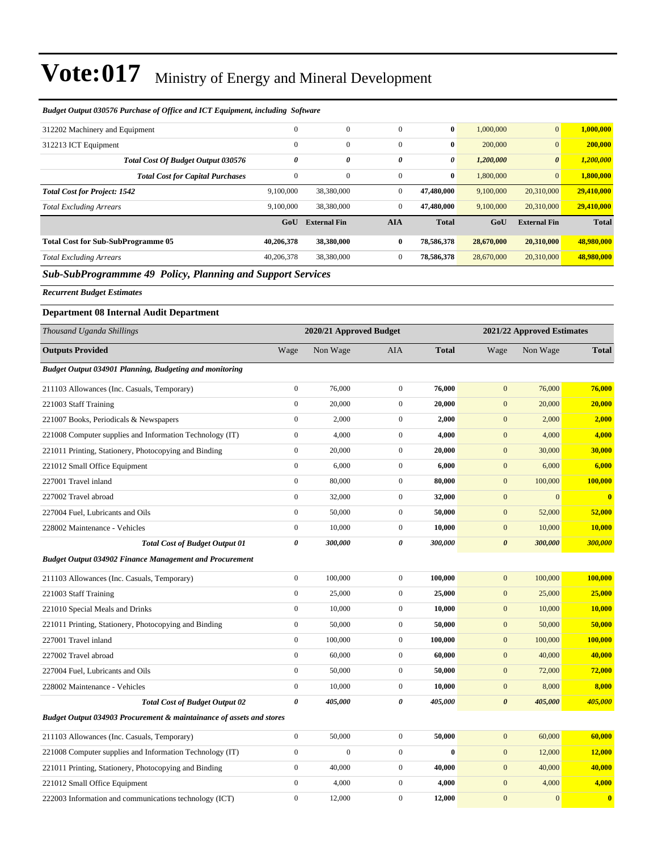| Budget Output 030576 Purchase of Office and ICT Equipment, including Software |                  |                         |                  |              |                       |                            |              |
|-------------------------------------------------------------------------------|------------------|-------------------------|------------------|--------------|-----------------------|----------------------------|--------------|
| 312202 Machinery and Equipment                                                | $\overline{0}$   | $\boldsymbol{0}$        | $\boldsymbol{0}$ | $\bf{0}$     | 1,000,000             | $\mathbf{0}$               | 1,000,000    |
| 312213 ICT Equipment                                                          | $\mathbf{0}$     | $\boldsymbol{0}$        | $\boldsymbol{0}$ | $\bf{0}$     | 200,000               | $\overline{0}$             | 200,000      |
| Total Cost Of Budget Output 030576                                            | 0                | 0                       | 0                | 0            | 1,200,000             | $\boldsymbol{\theta}$      | 1,200,000    |
| <b>Total Cost for Capital Purchases</b>                                       | $\overline{0}$   | $\mathbf{0}$            | $\boldsymbol{0}$ | $\bf{0}$     | 1,800,000             | $\mathbf{0}$               | 1,800,000    |
| <b>Total Cost for Project: 1542</b>                                           | 9,100,000        | 38,380,000              | $\boldsymbol{0}$ | 47,480,000   | 9,100,000             | 20,310,000                 | 29,410,000   |
| <b>Total Excluding Arrears</b>                                                | 9,100,000        | 38,380,000              | $\boldsymbol{0}$ | 47,480,000   | 9,100,000             | 20,310,000                 | 29,410,000   |
|                                                                               | GoU              | <b>External Fin</b>     | <b>AIA</b>       | <b>Total</b> | GoU                   | <b>External Fin</b>        | <b>Total</b> |
| <b>Total Cost for Sub-SubProgramme 05</b>                                     | 40,206,378       | 38,380,000              | 0                | 78,586,378   | 28,670,000            | 20,310,000                 | 48,980,000   |
| <b>Total Excluding Arrears</b>                                                | 40,206,378       | 38,380,000              | $\boldsymbol{0}$ | 78,586,378   | 28,670,000            | 20,310,000                 | 48,980,000   |
| <b>Sub-SubProgrammme 49 Policy, Planning and Support Services</b>             |                  |                         |                  |              |                       |                            |              |
| <b>Recurrent Budget Estimates</b>                                             |                  |                         |                  |              |                       |                            |              |
| <b>Department 08 Internal Audit Department</b>                                |                  |                         |                  |              |                       |                            |              |
| Thousand Uganda Shillings                                                     |                  | 2020/21 Approved Budget |                  |              |                       | 2021/22 Approved Estimates |              |
| <b>Outputs Provided</b>                                                       | Wage             | Non Wage                | AIA              | <b>Total</b> | Wage                  | Non Wage                   | <b>Total</b> |
| Budget Output 034901 Planning, Budgeting and monitoring                       |                  |                         |                  |              |                       |                            |              |
|                                                                               | $\boldsymbol{0}$ | 76,000                  | $\boldsymbol{0}$ | 76,000       | $\mathbf{0}$          | 76,000                     | 76,000       |
| 211103 Allowances (Inc. Casuals, Temporary)<br>221003 Staff Training          | $\boldsymbol{0}$ | 20,000                  | $\boldsymbol{0}$ | 20,000       | $\boldsymbol{0}$      | 20,000                     | 20,000       |
| 221007 Books, Periodicals & Newspapers                                        | $\boldsymbol{0}$ | 2,000                   | $\boldsymbol{0}$ | 2,000        | $\boldsymbol{0}$      | 2,000                      | 2,000        |
| 221008 Computer supplies and Information Technology (IT)                      | $\boldsymbol{0}$ | 4,000                   | $\boldsymbol{0}$ | 4,000        | $\mathbf{0}$          | 4,000                      | 4,000        |
| 221011 Printing, Stationery, Photocopying and Binding                         | $\boldsymbol{0}$ | 20,000                  | $\boldsymbol{0}$ | 20,000       | $\mathbf{0}$          | 30,000                     | 30,000       |
| 221012 Small Office Equipment                                                 | $\boldsymbol{0}$ | 6,000                   | $\boldsymbol{0}$ | 6,000        | $\mathbf{0}$          | 6,000                      | 6,000        |
| 227001 Travel inland                                                          | $\boldsymbol{0}$ | 80,000                  | $\boldsymbol{0}$ | 80,000       | $\boldsymbol{0}$      | 100,000                    | 100,000      |
| 227002 Travel abroad                                                          | $\boldsymbol{0}$ | 32,000                  | $\mathbf{0}$     | 32,000       | $\boldsymbol{0}$      | $\mathbf{0}$               | $\mathbf{0}$ |
| 227004 Fuel, Lubricants and Oils                                              | $\boldsymbol{0}$ | 50,000                  | $\boldsymbol{0}$ | 50,000       | $\mathbf{0}$          | 52,000                     | 52,000       |
| 228002 Maintenance - Vehicles                                                 | $\boldsymbol{0}$ | 10,000                  | $\boldsymbol{0}$ | 10,000       | $\mathbf{0}$          | 10,000                     | 10,000       |
| <b>Total Cost of Budget Output 01</b>                                         | 0                | 300,000                 | 0                | 300,000      | $\boldsymbol{\theta}$ | 300,000                    | 300,000      |
| <b>Budget Output 034902 Finance Management and Procurement</b>                |                  |                         |                  |              |                       |                            |              |
| 211103 Allowances (Inc. Casuals, Temporary)                                   | $\boldsymbol{0}$ | 100,000                 | $\mathbf{0}$     | 100,000      | $\mathbf{0}$          | 100,000                    | 100,000      |
| 221003 Staff Training                                                         | $\boldsymbol{0}$ | 25,000                  | $\boldsymbol{0}$ | 25,000       | $\boldsymbol{0}$      | 25,000                     | 25,000       |
| 221010 Special Meals and Drinks                                               | $\boldsymbol{0}$ | 10,000                  | $\boldsymbol{0}$ | 10,000       | $\boldsymbol{0}$      | 10,000                     | 10,000       |
| 221011 Printing, Stationery, Photocopying and Binding                         | $\boldsymbol{0}$ | 50,000                  | $\boldsymbol{0}$ | 50,000       | $\boldsymbol{0}$      | 50,000                     | 50,000       |
| 227001 Travel inland                                                          | $\boldsymbol{0}$ | 100,000                 | $\boldsymbol{0}$ | 100,000      | $\boldsymbol{0}$      | 100,000                    | 100,000      |
| 227002 Travel abroad                                                          | $\boldsymbol{0}$ | 60,000                  | $\boldsymbol{0}$ | 60,000       | $\boldsymbol{0}$      | 40,000                     | 40,000       |
| 227004 Fuel, Lubricants and Oils                                              | $\boldsymbol{0}$ | 50,000                  | $\boldsymbol{0}$ | 50,000       | $\boldsymbol{0}$      | 72,000                     | 72,000       |
| 228002 Maintenance - Vehicles                                                 | $\boldsymbol{0}$ | 10,000                  | $\boldsymbol{0}$ | 10,000       | $\boldsymbol{0}$      | 8,000                      | 8,000        |
| <b>Total Cost of Budget Output 02</b>                                         | 0                | 405,000                 | 0                | 405,000      | $\boldsymbol{\theta}$ | 405,000                    | 405,000      |
| Budget Output 034903 Procurement & maintainance of assets and stores          |                  |                         |                  |              |                       |                            |              |
| 211103 Allowances (Inc. Casuals, Temporary)                                   | $\boldsymbol{0}$ | 50,000                  | $\boldsymbol{0}$ | 50,000       | $\boldsymbol{0}$      | 60,000                     | 60,000       |
| 221008 Computer supplies and Information Technology (IT)                      | $\boldsymbol{0}$ | $\boldsymbol{0}$        | $\boldsymbol{0}$ | $\bf{0}$     | $\mathbf{0}$          | 12,000                     | 12,000       |
| 221011 Printing, Stationery, Photocopying and Binding                         | $\boldsymbol{0}$ | 40,000                  | $\boldsymbol{0}$ | 40,000       | $\boldsymbol{0}$      | 40,000                     | 40,000       |
| 221012 Small Office Equipment                                                 | $\boldsymbol{0}$ | 4,000                   | $\boldsymbol{0}$ | 4,000        | $\boldsymbol{0}$      | 4,000                      | 4,000        |

222003 Information and communications technology (ICT) 0 12,000 0 **12,000** 0 0 **0**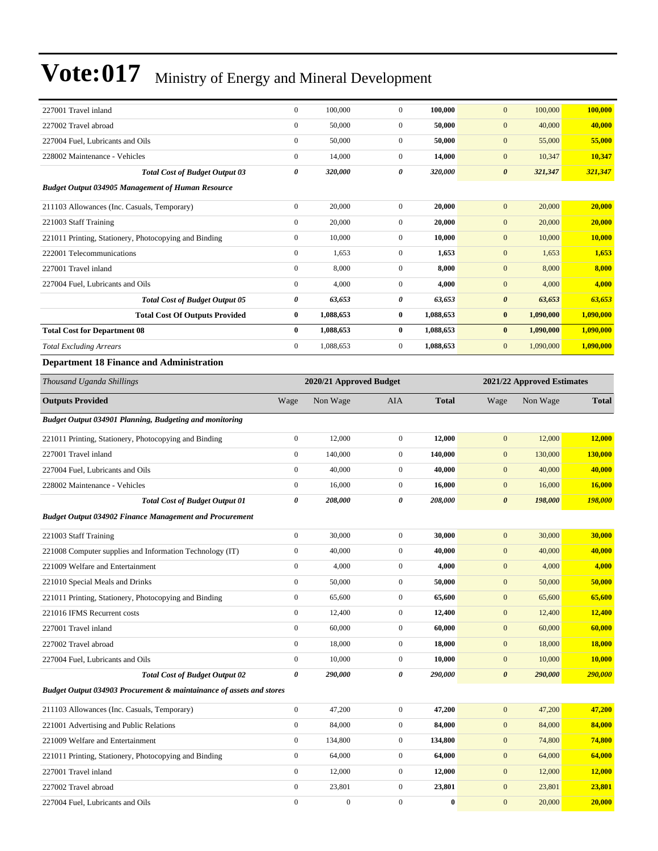| 227001 Travel inland                                                 | $\boldsymbol{0}$      | 100,000                 | $\boldsymbol{0}$ | 100,000      | $\mathbf{0}$          | 100,000                    | 100,000       |
|----------------------------------------------------------------------|-----------------------|-------------------------|------------------|--------------|-----------------------|----------------------------|---------------|
| 227002 Travel abroad                                                 | $\boldsymbol{0}$      | 50,000                  | $\boldsymbol{0}$ | 50,000       | $\mathbf{0}$          | 40,000                     | 40,000        |
| 227004 Fuel, Lubricants and Oils                                     | $\mathbf{0}$          | 50,000                  | $\boldsymbol{0}$ | 50,000       | $\mathbf{0}$          | 55,000                     | 55,000        |
| 228002 Maintenance - Vehicles                                        | $\mathbf{0}$          | 14,000                  | $\boldsymbol{0}$ | 14,000       | $\boldsymbol{0}$      | 10,347                     | 10,347        |
| <b>Total Cost of Budget Output 03</b>                                | $\pmb{\theta}$        | 320,000                 | 0                | 320,000      | $\boldsymbol{\theta}$ | 321,347                    | 321,347       |
| <b>Budget Output 034905 Management of Human Resource</b>             |                       |                         |                  |              |                       |                            |               |
| 211103 Allowances (Inc. Casuals, Temporary)                          | $\boldsymbol{0}$      | 20,000                  | $\boldsymbol{0}$ | 20,000       | $\mathbf{0}$          | 20,000                     | 20,000        |
| 221003 Staff Training                                                | $\boldsymbol{0}$      | 20,000                  | $\boldsymbol{0}$ | 20,000       | $\boldsymbol{0}$      | 20,000                     | 20,000        |
| 221011 Printing, Stationery, Photocopying and Binding                | $\mathbf{0}$          | 10,000                  | $\boldsymbol{0}$ | 10,000       | $\boldsymbol{0}$      | 10,000                     | 10,000        |
| 222001 Telecommunications                                            | $\mathbf{0}$          | 1,653                   | $\boldsymbol{0}$ | 1,653        | $\boldsymbol{0}$      | 1,653                      | 1,653         |
| 227001 Travel inland                                                 | $\mathbf{0}$          | 8,000                   | $\boldsymbol{0}$ | 8,000        | $\boldsymbol{0}$      | 8,000                      | 8,000         |
| 227004 Fuel, Lubricants and Oils                                     | $\boldsymbol{0}$      | 4,000                   | $\boldsymbol{0}$ | 4,000        | $\mathbf{0}$          | 4,000                      | 4,000         |
| <b>Total Cost of Budget Output 05</b>                                | $\pmb{\theta}$        | 63,653                  | 0                | 63,653       | $\boldsymbol{\theta}$ | 63,653                     | 63,653        |
| <b>Total Cost Of Outputs Provided</b>                                | $\bf{0}$              | 1,088,653               | 0                | 1,088,653    | $\bf{0}$              | 1,090,000                  | 1,090,000     |
| <b>Total Cost for Department 08</b>                                  | $\bf{0}$              | 1,088,653               | $\bf{0}$         | 1,088,653    | $\bf{0}$              | 1,090,000                  | 1,090,000     |
| <b>Total Excluding Arrears</b>                                       | $\mathbf{0}$          | 1,088,653               | $\boldsymbol{0}$ | 1,088,653    | $\mathbf{0}$          | 1,090,000                  | 1,090,000     |
| <b>Department 18 Finance and Administration</b>                      |                       |                         |                  |              |                       |                            |               |
| Thousand Uganda Shillings                                            |                       | 2020/21 Approved Budget |                  |              |                       | 2021/22 Approved Estimates |               |
| <b>Outputs Provided</b>                                              | Wage                  | Non Wage                | AIA              | <b>Total</b> | Wage                  | Non Wage                   | <b>Total</b>  |
| Budget Output 034901 Planning, Budgeting and monitoring              |                       |                         |                  |              |                       |                            |               |
| 221011 Printing, Stationery, Photocopying and Binding                | $\boldsymbol{0}$      | 12,000                  | $\boldsymbol{0}$ | 12,000       | $\mathbf{0}$          | 12,000                     | 12,000        |
| 227001 Travel inland                                                 | $\mathbf{0}$          | 140,000                 | $\boldsymbol{0}$ | 140,000      | $\boldsymbol{0}$      | 130,000                    | 130,000       |
| 227004 Fuel, Lubricants and Oils                                     | $\mathbf{0}$          | 40,000                  | $\mathbf{0}$     | 40,000       | $\mathbf{0}$          | 40,000                     | 40,000        |
| 228002 Maintenance - Vehicles                                        | $\boldsymbol{0}$      | 16,000                  | $\boldsymbol{0}$ | 16,000       | $\boldsymbol{0}$      | 16,000                     | 16,000        |
| <b>Total Cost of Budget Output 01</b>                                | $\pmb{\theta}$        | 208,000                 | 0                | 208,000      | $\boldsymbol{\theta}$ | 198,000                    | 198,000       |
| <b>Budget Output 034902 Finance Management and Procurement</b>       |                       |                         |                  |              |                       |                            |               |
| 221003 Staff Training                                                | $\boldsymbol{0}$      | 30,000                  | $\boldsymbol{0}$ | 30,000       | $\mathbf{0}$          | 30,000                     | 30,000        |
| 221008 Computer supplies and Information Technology (IT)             | $\boldsymbol{0}$      | 40,000                  | $\boldsymbol{0}$ | 40,000       | $\mathbf{0}$          | 40,000                     | 40,000        |
| 221009 Welfare and Entertainment                                     | $\boldsymbol{0}$      | 4,000                   | $\boldsymbol{0}$ | 4,000        | $\mathbf{0}$          | 4,000                      | 4,000         |
| 221010 Special Meals and Drinks                                      | $\boldsymbol{0}$      | 50,000                  | $\boldsymbol{0}$ | 50,000       | $\boldsymbol{0}$      | 50,000                     | 50,000        |
| 221011 Printing, Stationery, Photocopying and Binding                | $\boldsymbol{0}$      | 65,600                  | $\boldsymbol{0}$ | 65,600       | $\boldsymbol{0}$      | 65,600                     | 65,600        |
| 221016 IFMS Recurrent costs                                          | $\boldsymbol{0}$      | 12,400                  | $\boldsymbol{0}$ | 12,400       | $\boldsymbol{0}$      | 12,400                     | 12,400        |
| 227001 Travel inland                                                 | $\mathbf{0}$          | 60,000                  | $\boldsymbol{0}$ | 60,000       | $\boldsymbol{0}$      | 60,000                     | 60,000        |
| 227002 Travel abroad                                                 | $\boldsymbol{0}$      | 18,000                  | $\boldsymbol{0}$ | 18,000       | $\boldsymbol{0}$      | 18,000                     | <b>18,000</b> |
| 227004 Fuel, Lubricants and Oils                                     | $\boldsymbol{0}$      | 10,000                  | $\boldsymbol{0}$ | 10,000       | $\boldsymbol{0}$      | 10,000                     | 10,000        |
| <b>Total Cost of Budget Output 02</b>                                | $\boldsymbol{\theta}$ | 290,000                 | 0                | 290,000      | $\pmb{\theta}$        | 290,000                    | 290,000       |
| Budget Output 034903 Procurement & maintainance of assets and stores |                       |                         |                  |              |                       |                            |               |
| 211103 Allowances (Inc. Casuals, Temporary)                          | $\boldsymbol{0}$      | 47,200                  | $\boldsymbol{0}$ | 47,200       | $\boldsymbol{0}$      | 47,200                     | 47,200        |
| 221001 Advertising and Public Relations                              | $\boldsymbol{0}$      | 84,000                  | $\boldsymbol{0}$ | 84,000       | $\boldsymbol{0}$      | 84,000                     | 84,000        |
| 221009 Welfare and Entertainment                                     | $\mathbf{0}$          | 134,800                 | $\boldsymbol{0}$ | 134,800      | $\boldsymbol{0}$      | 74,800                     | 74,800        |
| 221011 Printing, Stationery, Photocopying and Binding                | $\boldsymbol{0}$      | 64,000                  | $\boldsymbol{0}$ | 64,000       | $\boldsymbol{0}$      | 64,000                     | 64,000        |
| 227001 Travel inland                                                 | $\boldsymbol{0}$      | 12,000                  | 0                | 12,000       | $\boldsymbol{0}$      | 12,000                     | <b>12,000</b> |
| 227002 Travel abroad                                                 | $\boldsymbol{0}$      | 23,801                  | $\boldsymbol{0}$ | 23,801       | $\boldsymbol{0}$      | 23,801                     | 23,801        |
| 227004 Fuel, Lubricants and Oils                                     | $\boldsymbol{0}$      | $\boldsymbol{0}$        | $\boldsymbol{0}$ | $\bf{0}$     | $\boldsymbol{0}$      | 20,000                     | 20,000        |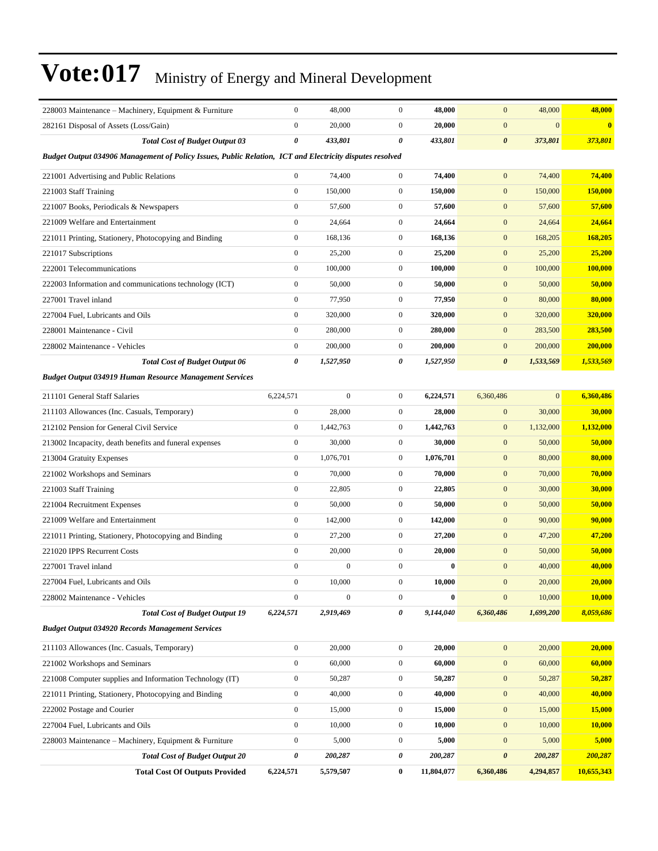| 228003 Maintenance – Machinery, Equipment & Furniture                                                    | $\boldsymbol{0}$      | 48,000           | $\mathbf{0}$     | 48,000     | $\mathbf{0}$          | 48,000       | 48,000        |
|----------------------------------------------------------------------------------------------------------|-----------------------|------------------|------------------|------------|-----------------------|--------------|---------------|
| 282161 Disposal of Assets (Loss/Gain)                                                                    | $\mathbf{0}$          | 20,000           | $\mathbf{0}$     | 20,000     | $\mathbf{0}$          | $\mathbf{0}$ | $\bf{0}$      |
| <b>Total Cost of Budget Output 03</b>                                                                    | 0                     | 433,801          | 0                | 433,801    | $\boldsymbol{\theta}$ | 373,801      | 373,801       |
| Budget Output 034906 Management of Policy Issues, Public Relation, ICT and Electricity disputes resolved |                       |                  |                  |            |                       |              |               |
| 221001 Advertising and Public Relations                                                                  | $\boldsymbol{0}$      | 74,400           | $\overline{0}$   | 74,400     | $\mathbf{0}$          | 74,400       | 74,400        |
| 221003 Staff Training                                                                                    | $\boldsymbol{0}$      | 150,000          | $\mathbf{0}$     | 150,000    | $\mathbf{0}$          | 150,000      | 150,000       |
| 221007 Books, Periodicals & Newspapers                                                                   | $\boldsymbol{0}$      | 57,600           | $\mathbf{0}$     | 57,600     | $\mathbf{0}$          | 57,600       | 57,600        |
| 221009 Welfare and Entertainment                                                                         | $\mathbf{0}$          | 24,664           | $\mathbf{0}$     | 24,664     | $\mathbf{0}$          | 24,664       | 24,664        |
| 221011 Printing, Stationery, Photocopying and Binding                                                    | $\boldsymbol{0}$      | 168,136          | $\mathbf{0}$     | 168,136    | $\mathbf{0}$          | 168,205      | 168,205       |
| 221017 Subscriptions                                                                                     | $\boldsymbol{0}$      | 25,200           | $\mathbf{0}$     | 25,200     | $\mathbf{0}$          | 25,200       | 25,200        |
| 222001 Telecommunications                                                                                | $\boldsymbol{0}$      | 100,000          | $\mathbf{0}$     | 100,000    | $\mathbf{0}$          | 100,000      | 100,000       |
| 222003 Information and communications technology (ICT)                                                   | $\boldsymbol{0}$      | 50,000           | $\mathbf{0}$     | 50,000     | $\mathbf{0}$          | 50,000       | 50,000        |
| 227001 Travel inland                                                                                     | $\mathbf{0}$          | 77,950           | $\mathbf{0}$     | 77,950     | $\mathbf{0}$          | 80,000       | 80,000        |
| 227004 Fuel, Lubricants and Oils                                                                         | $\boldsymbol{0}$      | 320,000          | $\mathbf{0}$     | 320,000    | $\mathbf{0}$          | 320,000      | 320,000       |
| 228001 Maintenance - Civil                                                                               | $\mathbf{0}$          | 280,000          | $\mathbf{0}$     | 280,000    | $\mathbf{0}$          | 283,500      | 283,500       |
| 228002 Maintenance - Vehicles                                                                            | $\boldsymbol{0}$      | 200,000          | $\mathbf{0}$     | 200,000    | $\mathbf{0}$          | 200,000      | 200,000       |
| <b>Total Cost of Budget Output 06</b>                                                                    | $\boldsymbol{\theta}$ | 1,527,950        | 0                | 1,527,950  | $\boldsymbol{\theta}$ | 1,533,569    | 1,533,569     |
| <b>Budget Output 034919 Human Resource Management Services</b>                                           |                       |                  |                  |            |                       |              |               |
| 211101 General Staff Salaries                                                                            | 6,224,571             | $\boldsymbol{0}$ | $\mathbf{0}$     | 6,224,571  | 6,360,486             | $\mathbf{0}$ | 6,360,486     |
| 211103 Allowances (Inc. Casuals, Temporary)                                                              | $\boldsymbol{0}$      | 28,000           | $\mathbf{0}$     | 28,000     | $\mathbf{0}$          | 30,000       | 30,000        |
| 212102 Pension for General Civil Service                                                                 | $\boldsymbol{0}$      | 1,442,763        | $\mathbf{0}$     | 1,442,763  | $\mathbf{0}$          | 1,132,000    | 1,132,000     |
| 213002 Incapacity, death benefits and funeral expenses                                                   | $\boldsymbol{0}$      | 30,000           | $\mathbf{0}$     | 30,000     | $\mathbf{0}$          | 50,000       | 50,000        |
| 213004 Gratuity Expenses                                                                                 | $\boldsymbol{0}$      | 1,076,701        | $\mathbf{0}$     | 1,076,701  | $\mathbf{0}$          | 80,000       | 80,000        |
| 221002 Workshops and Seminars                                                                            | $\mathbf{0}$          | 70,000           | $\mathbf{0}$     | 70,000     | $\mathbf{0}$          | 70,000       | 70,000        |
| 221003 Staff Training                                                                                    | $\boldsymbol{0}$      | 22,805           | $\mathbf{0}$     | 22,805     | $\mathbf{0}$          | 30,000       | 30,000        |
| 221004 Recruitment Expenses                                                                              | $\boldsymbol{0}$      | 50,000           | $\mathbf{0}$     | 50,000     | $\mathbf{0}$          | 50,000       | 50,000        |
| 221009 Welfare and Entertainment                                                                         | $\boldsymbol{0}$      | 142,000          | $\mathbf{0}$     | 142,000    | $\mathbf{0}$          | 90,000       | 90,000        |
| 221011 Printing, Stationery, Photocopying and Binding                                                    | $\boldsymbol{0}$      | 27,200           | $\mathbf{0}$     | 27,200     | $\mathbf{0}$          | 47,200       | 47,200        |
| 221020 IPPS Recurrent Costs                                                                              | $\mathbf{0}$          | 20,000           | $\mathbf{0}$     | 20,000     | $\mathbf{0}$          | 50,000       | 50,000        |
| 227001 Travel inland                                                                                     | $\boldsymbol{0}$      | $\mathbf{0}$     | $\overline{0}$   | $\bf{0}$   | $\mathbf{0}$          | 40,000       | 40,000        |
| 227004 Fuel, Lubricants and Oils                                                                         | $\boldsymbol{0}$      | 10,000           | $\boldsymbol{0}$ | 10,000     | $\mathbf{0}$          | 20,000       | 20,000        |
| 228002 Maintenance - Vehicles                                                                            | $\boldsymbol{0}$      | $\boldsymbol{0}$ | $\boldsymbol{0}$ | $\bf{0}$   | $\boldsymbol{0}$      | 10,000       | 10,000        |
| <b>Total Cost of Budget Output 19</b>                                                                    | 6,224,571             | 2,919,469        | 0                | 9,144,040  | 6,360,486             | 1,699,200    | 8,059,686     |
| <b>Budget Output 034920 Records Management Services</b>                                                  |                       |                  |                  |            |                       |              |               |
| 211103 Allowances (Inc. Casuals, Temporary)                                                              | $\boldsymbol{0}$      | 20,000           | $\boldsymbol{0}$ | 20,000     | $\mathbf{0}$          | 20,000       | 20,000        |
| 221002 Workshops and Seminars                                                                            | $\boldsymbol{0}$      | 60,000           | $\boldsymbol{0}$ | 60,000     | $\mathbf{0}$          | 60,000       | 60,000        |
| 221008 Computer supplies and Information Technology (IT)                                                 | $\boldsymbol{0}$      | 50,287           | $\boldsymbol{0}$ | 50,287     | $\mathbf{0}$          | 50,287       | 50,287        |
| 221011 Printing, Stationery, Photocopying and Binding                                                    | $\boldsymbol{0}$      | 40,000           | $\boldsymbol{0}$ | 40,000     | $\mathbf{0}$          | 40,000       | 40,000        |
| 222002 Postage and Courier                                                                               | $\boldsymbol{0}$      | 15,000           | $\boldsymbol{0}$ | 15,000     | $\mathbf{0}$          | 15,000       | 15,000        |
| 227004 Fuel, Lubricants and Oils                                                                         | $\boldsymbol{0}$      | 10,000           | $\boldsymbol{0}$ | 10,000     | $\mathbf{0}$          | 10,000       | <b>10,000</b> |
| 228003 Maintenance – Machinery, Equipment & Furniture                                                    | $\boldsymbol{0}$      | 5,000            | $\boldsymbol{0}$ | 5,000      | $\mathbf{0}$          | 5,000        | 5,000         |
| <b>Total Cost of Budget Output 20</b>                                                                    | $\pmb{\theta}$        | 200,287          | 0                | 200,287    | $\boldsymbol{\theta}$ | 200,287      | 200,287       |
| <b>Total Cost Of Outputs Provided</b>                                                                    | 6,224,571             | 5,579,507        | $\bf{0}$         | 11,804,077 | 6,360,486             | 4,294,857    | 10,655,343    |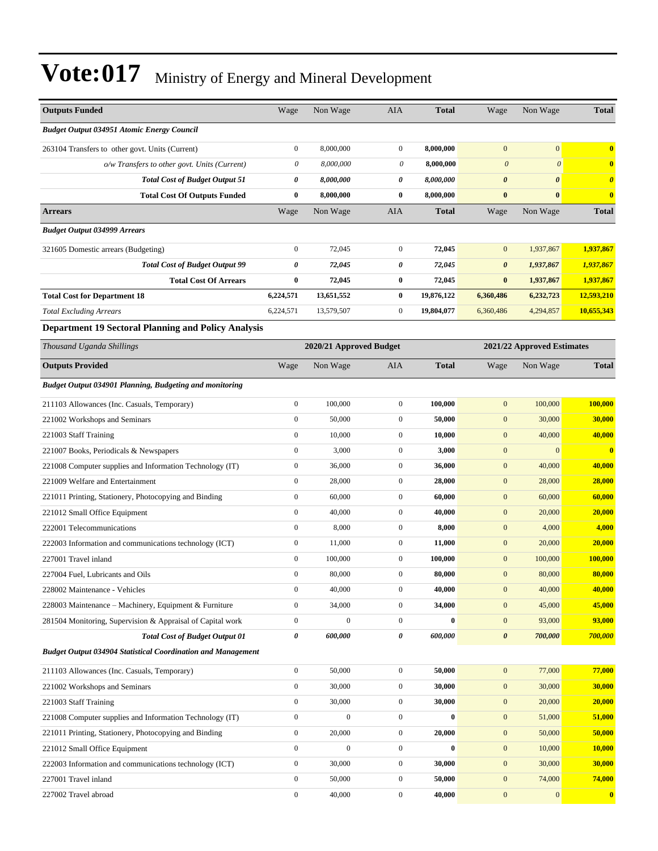| <b>Outputs Funded</b>                                               | Wage             | Non Wage                | AIA                   | <b>Total</b> | Wage                  | Non Wage                   | <b>Total</b>            |
|---------------------------------------------------------------------|------------------|-------------------------|-----------------------|--------------|-----------------------|----------------------------|-------------------------|
| <b>Budget Output 034951 Atomic Energy Council</b>                   |                  |                         |                       |              |                       |                            |                         |
| 263104 Transfers to other govt. Units (Current)                     | $\boldsymbol{0}$ | 8,000,000               | $\mathbf{0}$          | 8,000,000    | $\mathbf{0}$          | $\boldsymbol{0}$           | $\bf{0}$                |
| o/w Transfers to other govt. Units (Current)                        | 0                | 8,000,000               | 0                     | 8,000,000    | $\boldsymbol{0}$      | $\boldsymbol{\theta}$      | $\bf{0}$                |
| <b>Total Cost of Budget Output 51</b>                               | 0                | 8,000,000               | $\boldsymbol{\theta}$ | 8,000,000    | $\boldsymbol{\theta}$ | $\boldsymbol{\theta}$      | $\boldsymbol{\theta}$   |
| <b>Total Cost Of Outputs Funded</b>                                 | $\bf{0}$         | 8,000,000               | $\bf{0}$              | 8,000,000    | $\bf{0}$              | $\bf{0}$                   | $\bf{0}$                |
| <b>Arrears</b>                                                      | Wage             | Non Wage                | AIA                   | <b>Total</b> | Wage                  | Non Wage                   | Total                   |
| <b>Budget Output 034999 Arrears</b>                                 |                  |                         |                       |              |                       |                            |                         |
| 321605 Domestic arrears (Budgeting)                                 | $\boldsymbol{0}$ | 72,045                  | $\mathbf{0}$          | 72,045       | $\mathbf{0}$          | 1,937,867                  | 1,937,867               |
| <b>Total Cost of Budget Output 99</b>                               | 0                | 72,045                  | $\boldsymbol{\theta}$ | 72,045       | $\boldsymbol{\theta}$ | 1,937,867                  | 1,937,867               |
| <b>Total Cost Of Arrears</b>                                        | $\bf{0}$         | 72,045                  | $\bf{0}$              | 72,045       | $\bf{0}$              | 1,937,867                  | 1,937,867               |
| <b>Total Cost for Department 18</b>                                 | 6,224,571        | 13,651,552              | $\bf{0}$              | 19,876,122   | 6,360,486             | 6,232,723                  | 12,593,210              |
| <b>Total Excluding Arrears</b>                                      | 6,224,571        | 13,579,507              | $\mathbf{0}$          | 19,804,077   | 6,360,486             | 4,294,857                  | 10,655,343              |
| <b>Department 19 Sectoral Planning and Policy Analysis</b>          |                  |                         |                       |              |                       |                            |                         |
| Thousand Uganda Shillings                                           |                  | 2020/21 Approved Budget |                       |              |                       | 2021/22 Approved Estimates |                         |
| <b>Outputs Provided</b>                                             | Wage             | Non Wage                | AIA                   | <b>Total</b> | Wage                  | Non Wage                   | <b>Total</b>            |
| Budget Output 034901 Planning, Budgeting and monitoring             |                  |                         |                       |              |                       |                            |                         |
| 211103 Allowances (Inc. Casuals, Temporary)                         | $\boldsymbol{0}$ | 100,000                 | $\mathbf{0}$          | 100,000      | $\boldsymbol{0}$      | 100,000                    | 100.000                 |
| 221002 Workshops and Seminars                                       | $\boldsymbol{0}$ | 50,000                  | $\mathbf{0}$          | 50,000       | $\mathbf{0}$          | 30,000                     | 30,000                  |
| 221003 Staff Training                                               | $\boldsymbol{0}$ | 10,000                  | $\mathbf{0}$          | 10,000       | $\boldsymbol{0}$      | 40,000                     | 40,000                  |
| 221007 Books, Periodicals & Newspapers                              | $\boldsymbol{0}$ | 3,000                   | $\mathbf{0}$          | 3,000        | $\boldsymbol{0}$      | $\mathbf{0}$               | $\overline{\mathbf{0}}$ |
| 221008 Computer supplies and Information Technology (IT)            | $\boldsymbol{0}$ | 36,000                  | $\mathbf{0}$          | 36,000       | $\boldsymbol{0}$      | 40,000                     | 40,000                  |
| 221009 Welfare and Entertainment                                    | $\boldsymbol{0}$ | 28,000                  | $\mathbf{0}$          | 28,000       | $\mathbf{0}$          | 28,000                     | 28,000                  |
| 221011 Printing, Stationery, Photocopying and Binding               | $\boldsymbol{0}$ | 60,000                  | $\mathbf{0}$          | 60,000       | $\mathbf{0}$          | 60,000                     | 60,000                  |
| 221012 Small Office Equipment                                       | $\boldsymbol{0}$ | 40,000                  | $\mathbf{0}$          | 40,000       | $\boldsymbol{0}$      | 20,000                     | 20,000                  |
| 222001 Telecommunications                                           | $\boldsymbol{0}$ | 8,000                   | $\mathbf{0}$          | 8,000        | $\boldsymbol{0}$      | 4,000                      | 4,000                   |
| 222003 Information and communications technology (ICT)              | $\boldsymbol{0}$ | 11,000                  | $\mathbf{0}$          | 11,000       | $\boldsymbol{0}$      | 20,000                     | 20,000                  |
| 227001 Travel inland                                                | $\boldsymbol{0}$ | 100,000                 | $\mathbf{0}$          | 100,000      | $\boldsymbol{0}$      | 100,000                    | 100,000                 |
| 227004 Fuel, Lubricants and Oils                                    | $\boldsymbol{0}$ | 80,000                  | $\mathbf{0}$          | 80,000       | $\mathbf{0}$          | 80,000                     | 80,000                  |
| 228002 Maintenance - Vehicles                                       | $\boldsymbol{0}$ | 40,000                  | $\mathbf{0}$          | 40,000       | $\boldsymbol{0}$      | 40,000                     | 40,000                  |
| 228003 Maintenance – Machinery, Equipment & Furniture               | $\boldsymbol{0}$ | 34,000                  | $\boldsymbol{0}$      | 34,000       | $\boldsymbol{0}$      | 45,000                     | 45,000                  |
| 281504 Monitoring, Supervision & Appraisal of Capital work          | $\boldsymbol{0}$ | $\boldsymbol{0}$        | $\boldsymbol{0}$      | $\bf{0}$     | $\boldsymbol{0}$      | 93,000                     | 93,000                  |
| <b>Total Cost of Budget Output 01</b>                               | 0                | 600,000                 | $\boldsymbol{\theta}$ | 600,000      | $\boldsymbol{\theta}$ | 700,000                    | 700,000                 |
| <b>Budget Output 034904 Statistical Coordination and Management</b> |                  |                         |                       |              |                       |                            |                         |
| 211103 Allowances (Inc. Casuals, Temporary)                         | $\mathbf{0}$     | 50,000                  | $\mathbf{0}$          | 50,000       | $\mathbf{0}$          | 77,000                     | 77,000                  |
| 221002 Workshops and Seminars                                       | $\boldsymbol{0}$ | 30,000                  | $\boldsymbol{0}$      | 30,000       | $\boldsymbol{0}$      | 30,000                     | 30,000                  |
| 221003 Staff Training                                               | $\boldsymbol{0}$ | 30,000                  | $\boldsymbol{0}$      | 30,000       | $\mathbf{0}$          | 20,000                     | 20,000                  |
| 221008 Computer supplies and Information Technology (IT)            | $\boldsymbol{0}$ | $\boldsymbol{0}$        | $\boldsymbol{0}$      | $\bf{0}$     | $\boldsymbol{0}$      | 51,000                     | 51,000                  |
| 221011 Printing, Stationery, Photocopying and Binding               | $\boldsymbol{0}$ | 20,000                  | $\boldsymbol{0}$      | 20,000       | $\mathbf{0}$          | 50,000                     | 50,000                  |
| 221012 Small Office Equipment                                       | $\boldsymbol{0}$ | $\boldsymbol{0}$        | $\boldsymbol{0}$      | $\bf{0}$     | $\boldsymbol{0}$      | 10,000                     | <b>10,000</b>           |
| 222003 Information and communications technology (ICT)              | $\boldsymbol{0}$ | 30,000                  | $\boldsymbol{0}$      | 30,000       | $\boldsymbol{0}$      | 30,000                     | 30,000                  |
| 227001 Travel inland                                                | $\boldsymbol{0}$ | 50,000                  | $\boldsymbol{0}$      | 50,000       | $\boldsymbol{0}$      | 74,000                     | 74,000                  |
| 227002 Travel abroad                                                | $\boldsymbol{0}$ | 40,000                  | $\boldsymbol{0}$      | 40,000       | $\mathbf{0}$          | $\mathbf{0}$               | $\mathbf{0}$            |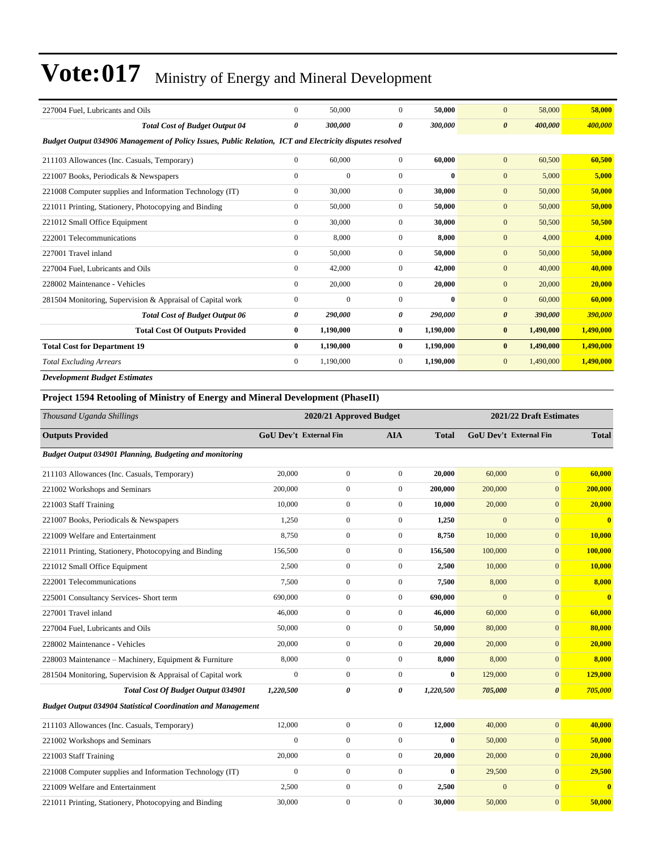| 227004 Fuel, Lubricants and Oils                                                                         | $\mathbf{0}$   | 50,000       | $\Omega$       | 50,000    | 58,000<br>$\mathbf{0}$           | 58,000    |
|----------------------------------------------------------------------------------------------------------|----------------|--------------|----------------|-----------|----------------------------------|-----------|
| <b>Total Cost of Budget Output 04</b>                                                                    | 0              | 300,000      | 0              | 300,000   | 400,000<br>$\boldsymbol{\theta}$ | 400,000   |
| Budget Output 034906 Management of Policy Issues, Public Relation, ICT and Electricity disputes resolved |                |              |                |           |                                  |           |
| 211103 Allowances (Inc. Casuals, Temporary)                                                              | $\overline{0}$ | 60,000       | $\overline{0}$ | 60,000    | $\mathbf{0}$<br>60,500           | 60,500    |
| 221007 Books, Periodicals & Newspapers                                                                   | $\mathbf{0}$   | $\mathbf{0}$ | $\overline{0}$ | $\bf{0}$  | 5,000<br>$\mathbf{0}$            | 5,000     |
| 221008 Computer supplies and Information Technology (IT)                                                 | $\mathbf{0}$   | 30,000       | $\overline{0}$ | 30,000    | 50,000<br>$\mathbf{0}$           | 50,000    |
| 221011 Printing, Stationery, Photocopying and Binding                                                    | $\Omega$       | 50,000       | $\overline{0}$ | 50,000    | $\mathbf{0}$<br>50,000           | 50,000    |
| 221012 Small Office Equipment                                                                            | $\Omega$       | 30,000       | $\Omega$       | 30,000    | $\mathbf{0}$<br>50,500           | 50,500    |
| 222001 Telecommunications                                                                                | $\mathbf{0}$   | 8,000        | $\overline{0}$ | 8,000     | $\mathbf{0}$<br>4,000            | 4,000     |
| 227001 Travel inland                                                                                     | $\Omega$       | 50,000       | $\Omega$       | 50,000    | $\mathbf{0}$<br>50,000           | 50,000    |
| 227004 Fuel, Lubricants and Oils                                                                         | $\Omega$       | 42,000       | $\Omega$       | 42,000    | $\mathbf{0}$<br>40,000           | 40,000    |
| 228002 Maintenance - Vehicles                                                                            | $\Omega$       | 20,000       | $\Omega$       | 20,000    | $\mathbf{0}$<br>20,000           | 20,000    |
| 281504 Monitoring, Supervision & Appraisal of Capital work                                               | $\mathbf{0}$   | $\mathbf{0}$ | $\Omega$       | $\bf{0}$  | $\mathbf{0}$<br>60,000           | 60,000    |
| <b>Total Cost of Budget Output 06</b>                                                                    | 0              | 290,000      | 0              | 290,000   | $\boldsymbol{\theta}$<br>390,000 | 390,000   |
| <b>Total Cost Of Outputs Provided</b>                                                                    | $\bf{0}$       | 1,190,000    | $\bf{0}$       | 1,190,000 | $\bf{0}$<br>1,490,000            | 1,490,000 |
| <b>Total Cost for Department 19</b>                                                                      | $\bf{0}$       | 1,190,000    | $\bf{0}$       | 1,190,000 | $\bf{0}$<br>1,490,000            | 1,490,000 |
| <b>Total Excluding Arrears</b>                                                                           | $\mathbf{0}$   | 1,190,000    | 0              | 1,190,000 | 1,490,000<br>$\mathbf{0}$        | 1,490,000 |
| <b>Development Budget Estimates</b>                                                                      |                |              |                |           |                                  |           |

#### **Project 1594 Retooling of Ministry of Energy and Mineral Development (PhaseII)**

| Thousand Uganda Shillings                                           |                               | 2020/21 Approved Budget |                       |              |                | 2021/22 Draft Estimates       |              |
|---------------------------------------------------------------------|-------------------------------|-------------------------|-----------------------|--------------|----------------|-------------------------------|--------------|
| <b>Outputs Provided</b>                                             | <b>GoU Dev't External Fin</b> |                         | <b>AIA</b>            | <b>Total</b> |                | <b>GoU Dev't External Fin</b> | <b>Total</b> |
| Budget Output 034901 Planning, Budgeting and monitoring             |                               |                         |                       |              |                |                               |              |
| 211103 Allowances (Inc. Casuals, Temporary)                         | 20,000                        | $\mathbf{0}$            | $\boldsymbol{0}$      | 20,000       | 60,000         | $\overline{0}$                | 60,000       |
| 221002 Workshops and Seminars                                       | 200,000                       | $\mathbf{0}$            | $\boldsymbol{0}$      | 200,000      | 200,000        | $\overline{0}$                | 200,000      |
| 221003 Staff Training                                               | 10,000                        | $\overline{0}$          | $\boldsymbol{0}$      | 10,000       | 20,000         | $\overline{0}$                | 20,000       |
| 221007 Books, Periodicals & Newspapers                              | 1,250                         | $\overline{0}$          | $\boldsymbol{0}$      | 1,250        | $\mathbf{0}$   | $\overline{0}$                | $\bf{0}$     |
| 221009 Welfare and Entertainment                                    | 8,750                         | $\overline{0}$          | $\boldsymbol{0}$      | 8,750        | 10,000         | $\overline{0}$                | 10,000       |
| 221011 Printing, Stationery, Photocopying and Binding               | 156,500                       | $\overline{0}$          | $\mathbf{0}$          | 156.500      | 100,000        | $\overline{0}$                | 100,000      |
| 221012 Small Office Equipment                                       | 2,500                         | $\overline{0}$          | $\mathbf{0}$          | 2,500        | 10,000         | $\overline{0}$                | 10,000       |
| 222001 Telecommunications                                           | 7.500                         | $\overline{0}$          | $\overline{0}$        | 7.500        | 8,000          | $\overline{0}$                | 8,000        |
| 225001 Consultancy Services- Short term                             | 690,000                       | $\overline{0}$          | $\mathbf{0}$          | 690,000      | $\overline{0}$ | $\overline{0}$                | $\bf{0}$     |
| 227001 Travel inland                                                | 46,000                        | $\overline{0}$          | $\mathbf{0}$          | 46,000       | 60,000         | $\overline{0}$                | 60,000       |
| 227004 Fuel, Lubricants and Oils                                    | 50,000                        | $\overline{0}$          | $\overline{0}$        | 50,000       | 80,000         | $\overline{0}$                | 80,000       |
| 228002 Maintenance - Vehicles                                       | 20,000                        | $\overline{0}$          | $\boldsymbol{0}$      | 20,000       | 20,000         | $\overline{0}$                | 20,000       |
| 228003 Maintenance - Machinery, Equipment & Furniture               | 8,000                         | $\overline{0}$          | $\mathbf{0}$          | 8,000        | 8,000          | $\overline{0}$                | 8,000        |
| 281504 Monitoring, Supervision & Appraisal of Capital work          | $\overline{0}$                | $\overline{0}$          | $\mathbf{0}$          | $\bf{0}$     | 129,000        | $\overline{0}$                | 129,000      |
| Total Cost Of Budget Output 034901                                  | 1,220,500                     | $\theta$                | $\boldsymbol{\theta}$ | 1,220,500    | 705,000        | $\boldsymbol{\theta}$         | 705,000      |
| <b>Budget Output 034904 Statistical Coordination and Management</b> |                               |                         |                       |              |                |                               |              |
| 211103 Allowances (Inc. Casuals, Temporary)                         | 12,000                        | $\overline{0}$          | $\boldsymbol{0}$      | 12,000       | 40,000         | $\overline{0}$                | 40,000       |
| 221002 Workshops and Seminars                                       | $\mathbf{0}$                  | $\overline{0}$          | $\boldsymbol{0}$      | $\bf{0}$     | 50,000         | $\overline{0}$                | 50,000       |
| 221003 Staff Training                                               | 20,000                        | $\mathbf{0}$            | $\boldsymbol{0}$      | 20,000       | 20,000         | $\overline{0}$                | 20,000       |
| 221008 Computer supplies and Information Technology (IT)            | $\mathbf{0}$                  | $\mathbf{0}$            | $\mathbf{0}$          | $\bf{0}$     | 29,500         | $\overline{0}$                | 29,500       |
| 221009 Welfare and Entertainment                                    | 2,500                         | $\overline{0}$          | $\mathbf{0}$          | 2,500        | $\overline{0}$ | $\overline{0}$                | $\bf{0}$     |
| 221011 Printing, Stationery, Photocopying and Binding               | 30,000                        | $\boldsymbol{0}$        | $\mathbf{0}$          | 30,000       | 50,000         | $\overline{0}$                | 50,000       |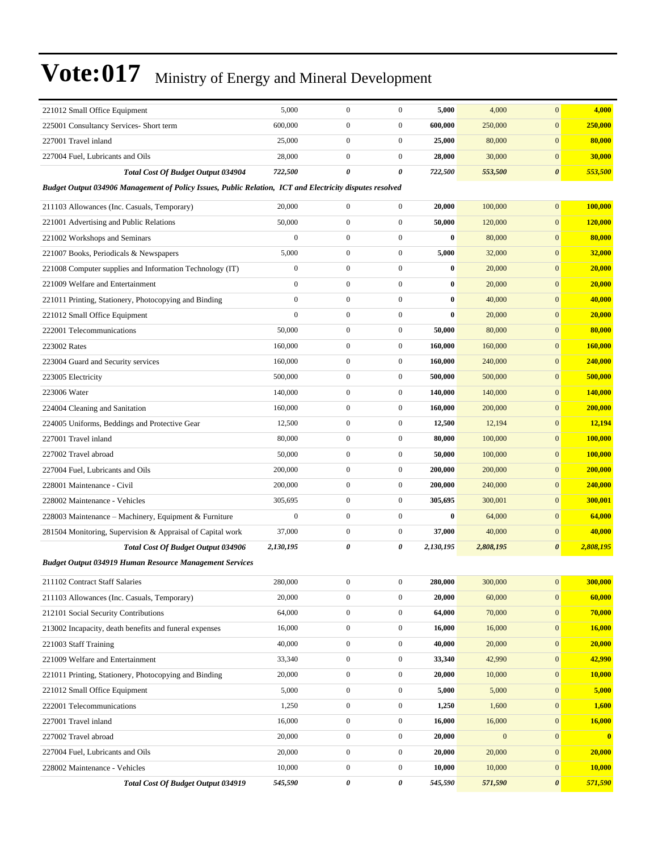| 221012 Small Office Equipment                                                                            | 5,000            | $\boldsymbol{0}$ | $\boldsymbol{0}$ | 5,000     | 4,000        | $\mathbf{0}$          | 4,000          |
|----------------------------------------------------------------------------------------------------------|------------------|------------------|------------------|-----------|--------------|-----------------------|----------------|
| 225001 Consultancy Services- Short term                                                                  | 600,000          | $\boldsymbol{0}$ | $\boldsymbol{0}$ | 600,000   | 250,000      | $\boldsymbol{0}$      | 250,000        |
| 227001 Travel inland                                                                                     | 25,000           | $\boldsymbol{0}$ | $\boldsymbol{0}$ | 25,000    | 80,000       | $\boldsymbol{0}$      | 80,000         |
| 227004 Fuel, Lubricants and Oils                                                                         | 28,000           | $\boldsymbol{0}$ | $\mathbf{0}$     | 28,000    | 30,000       | $\boldsymbol{0}$      | 30,000         |
| <b>Total Cost Of Budget Output 034904</b>                                                                | 722,500          | 0                | 0                | 722,500   | 553,500      | $\boldsymbol{\theta}$ | 553,500        |
| Budget Output 034906 Management of Policy Issues, Public Relation, ICT and Electricity disputes resolved |                  |                  |                  |           |              |                       |                |
| 211103 Allowances (Inc. Casuals, Temporary)                                                              | 20,000           | $\boldsymbol{0}$ | $\boldsymbol{0}$ | 20,000    | 100,000      | $\boldsymbol{0}$      | 100,000        |
| 221001 Advertising and Public Relations                                                                  | 50,000           | $\boldsymbol{0}$ | $\mathbf{0}$     | 50,000    | 120,000      | $\mathbf{0}$          | 120,000        |
| 221002 Workshops and Seminars                                                                            | $\boldsymbol{0}$ | $\boldsymbol{0}$ | $\boldsymbol{0}$ | 0         | 80,000       | $\mathbf{0}$          | 80,000         |
| 221007 Books, Periodicals & Newspapers                                                                   | 5,000            | $\boldsymbol{0}$ | $\boldsymbol{0}$ | 5,000     | 32,000       | $\mathbf{0}$          | 32,000         |
| 221008 Computer supplies and Information Technology (IT)                                                 | $\boldsymbol{0}$ | $\boldsymbol{0}$ | $\boldsymbol{0}$ | $\bf{0}$  | 20,000       | $\boldsymbol{0}$      | 20,000         |
| 221009 Welfare and Entertainment                                                                         | $\boldsymbol{0}$ | $\boldsymbol{0}$ | $\boldsymbol{0}$ | $\bf{0}$  | 20,000       | $\boldsymbol{0}$      | 20,000         |
| 221011 Printing, Stationery, Photocopying and Binding                                                    | $\mathbf{0}$     | $\overline{0}$   | $\boldsymbol{0}$ | $\bf{0}$  | 40,000       | $\boldsymbol{0}$      | 40,000         |
| 221012 Small Office Equipment                                                                            | $\mathbf{0}$     | $\boldsymbol{0}$ | $\boldsymbol{0}$ | $\bf{0}$  | 20,000       | $\mathbf{0}$          | 20,000         |
| 222001 Telecommunications                                                                                | 50,000           | $\boldsymbol{0}$ | $\boldsymbol{0}$ | 50,000    | 80,000       | $\mathbf{0}$          | 80,000         |
| 223002 Rates                                                                                             | 160,000          | $\boldsymbol{0}$ | $\boldsymbol{0}$ | 160,000   | 160,000      | $\boldsymbol{0}$      | 160,000        |
| 223004 Guard and Security services                                                                       | 160,000          | $\boldsymbol{0}$ | $\boldsymbol{0}$ | 160,000   | 240,000      | $\boldsymbol{0}$      | 240,000        |
| 223005 Electricity                                                                                       | 500,000          | $\boldsymbol{0}$ | $\mathbf{0}$     | 500,000   | 500,000      | $\boldsymbol{0}$      | 500,000        |
| 223006 Water                                                                                             | 140,000          | $\boldsymbol{0}$ | $\boldsymbol{0}$ | 140,000   | 140,000      | $\mathbf{0}$          | 140,000        |
| 224004 Cleaning and Sanitation                                                                           | 160,000          | $\boldsymbol{0}$ | $\boldsymbol{0}$ | 160,000   | 200,000      | $\mathbf{0}$          | 200,000        |
| 224005 Uniforms, Beddings and Protective Gear                                                            | 12,500           | $\boldsymbol{0}$ | $\boldsymbol{0}$ | 12,500    | 12,194       | $\boldsymbol{0}$      | 12,194         |
| 227001 Travel inland                                                                                     | 80,000           | $\boldsymbol{0}$ | $\boldsymbol{0}$ | 80,000    | 100,000      | $\boldsymbol{0}$      | 100,000        |
| 227002 Travel abroad                                                                                     | 50,000           | $\boldsymbol{0}$ | $\boldsymbol{0}$ | 50,000    | 100,000      | $\boldsymbol{0}$      | <b>100,000</b> |
| 227004 Fuel, Lubricants and Oils                                                                         | 200,000          | $\boldsymbol{0}$ | $\boldsymbol{0}$ | 200,000   | 200,000      | $\mathbf{0}$          | 200,000        |
| 228001 Maintenance - Civil                                                                               | 200,000          | $\boldsymbol{0}$ | $\boldsymbol{0}$ | 200,000   | 240,000      | $\mathbf{0}$          | 240,000        |
| 228002 Maintenance - Vehicles                                                                            | 305,695          | $\boldsymbol{0}$ | $\boldsymbol{0}$ | 305,695   | 300,001      | $\boldsymbol{0}$      | 300,001        |
| 228003 Maintenance – Machinery, Equipment & Furniture                                                    | $\boldsymbol{0}$ | $\boldsymbol{0}$ | $\boldsymbol{0}$ | $\bf{0}$  | 64,000       | $\boldsymbol{0}$      | 64,000         |
| 281504 Monitoring, Supervision & Appraisal of Capital work                                               | 37,000           | $\boldsymbol{0}$ | $\boldsymbol{0}$ | 37,000    | 40,000       | $\boldsymbol{0}$      | 40,000         |
| <b>Total Cost Of Budget Output 034906</b>                                                                | 2,130,195        | 0                | 0                | 2,130,195 | 2,808,195    | $\boldsymbol{\theta}$ | 2,808,195      |
| <b>Budget Output 034919 Human Resource Management Services</b>                                           |                  |                  |                  |           |              |                       |                |
| 211102 Contract Staff Salaries                                                                           | 280,000          | $\boldsymbol{0}$ | $\boldsymbol{0}$ | 280,000   | 300,000      | $\boldsymbol{0}$      | 300,000        |
| 211103 Allowances (Inc. Casuals, Temporary)                                                              | 20,000           | $\boldsymbol{0}$ | $\boldsymbol{0}$ | 20,000    | 60,000       | $\mathbf{0}$          | 60,000         |
| 212101 Social Security Contributions                                                                     | 64,000           | $\boldsymbol{0}$ | $\boldsymbol{0}$ | 64,000    | 70,000       | $\mathbf{0}$          | 70,000         |
| 213002 Incapacity, death benefits and funeral expenses                                                   | 16,000           | $\boldsymbol{0}$ | $\boldsymbol{0}$ | 16,000    | 16,000       | $\mathbf{0}$          | 16,000         |
| 221003 Staff Training                                                                                    | 40,000           | $\boldsymbol{0}$ | $\boldsymbol{0}$ | 40,000    | 20,000       | $\boldsymbol{0}$      | 20,000         |
| 221009 Welfare and Entertainment                                                                         | 33,340           | $\boldsymbol{0}$ | $\boldsymbol{0}$ | 33,340    | 42,990       | $\mathbf{0}$          | 42,990         |
| 221011 Printing, Stationery, Photocopying and Binding                                                    | 20,000           | $\boldsymbol{0}$ | $\boldsymbol{0}$ | 20,000    | 10,000       | $\boldsymbol{0}$      | 10,000         |
| 221012 Small Office Equipment                                                                            | 5,000            | $\boldsymbol{0}$ | $\boldsymbol{0}$ | 5,000     | 5,000        | $\mathbf{0}$          | 5,000          |
| 222001 Telecommunications                                                                                | 1,250            | $\boldsymbol{0}$ | $\boldsymbol{0}$ | 1,250     | 1,600        | $\boldsymbol{0}$      | 1,600          |
| 227001 Travel inland                                                                                     | 16,000           | $\boldsymbol{0}$ | $\boldsymbol{0}$ | 16,000    | 16,000       | $\mathbf{0}$          | 16,000         |
| 227002 Travel abroad                                                                                     | 20,000           | $\boldsymbol{0}$ | $\boldsymbol{0}$ | 20,000    | $\mathbf{0}$ | $\mathbf{0}$          | $\bf{0}$       |
| 227004 Fuel, Lubricants and Oils                                                                         | 20,000           | $\boldsymbol{0}$ | $\boldsymbol{0}$ | 20,000    | 20,000       | $\boldsymbol{0}$      | 20,000         |
| 228002 Maintenance - Vehicles                                                                            | 10,000           | $\boldsymbol{0}$ | $\mathbf{0}$     | 10,000    | 10,000       | $\boldsymbol{0}$      | 10,000         |
| <b>Total Cost Of Budget Output 034919</b>                                                                | 545,590          | 0                | 0                | 545,590   | 571,590      | $\boldsymbol{\theta}$ | 571,590        |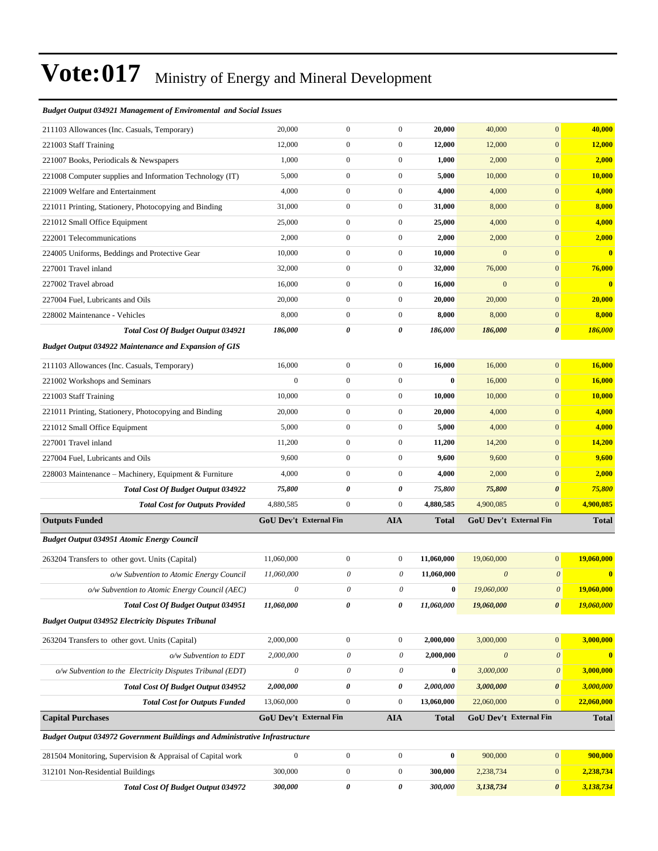#### *Budget Output 034921 Management of Enviromental and Social Issues*

| 211103 Allowances (Inc. Casuals, Temporary)                                 | 20,000                | $\boldsymbol{0}$              | $\boldsymbol{0}$          | 20,000       | 40,000                    | $\overline{0}$                | 40,000         |
|-----------------------------------------------------------------------------|-----------------------|-------------------------------|---------------------------|--------------|---------------------------|-------------------------------|----------------|
| 221003 Staff Training                                                       | 12,000                | $\boldsymbol{0}$              | $\boldsymbol{0}$          | 12,000       | 12,000                    | $\overline{0}$                | 12,000         |
| 221007 Books, Periodicals & Newspapers                                      | 1,000                 | $\mathbf{0}$                  | $\boldsymbol{0}$          | 1,000        | 2,000                     | $\mathbf{0}$                  | 2,000          |
| 221008 Computer supplies and Information Technology (IT)                    | 5,000                 | $\boldsymbol{0}$              | $\boldsymbol{0}$          | 5,000        | 10,000                    | $\mathbf{0}$                  | <b>10,000</b>  |
| 221009 Welfare and Entertainment                                            | 4,000                 | $\boldsymbol{0}$              | $\boldsymbol{0}$          | 4,000        | 4,000                     | $\overline{0}$                | 4,000          |
| 221011 Printing, Stationery, Photocopying and Binding                       | 31,000                | $\boldsymbol{0}$              | $\boldsymbol{0}$          | 31,000       | 8,000                     | $\overline{0}$                | 8,000          |
| 221012 Small Office Equipment                                               | 25,000                | $\boldsymbol{0}$              | $\boldsymbol{0}$          | 25,000       | 4,000                     | $\overline{0}$                | 4,000          |
| 222001 Telecommunications                                                   | 2,000                 | $\mathbf{0}$                  | $\boldsymbol{0}$          | 2,000        | 2,000                     | $\mathbf{0}$                  | 2,000          |
| 224005 Uniforms, Beddings and Protective Gear                               | 10,000                | $\boldsymbol{0}$              | $\boldsymbol{0}$          | 10,000       | $\mathbf{0}$              | $\mathbf{0}$                  | $\bf{0}$       |
| 227001 Travel inland                                                        | 32,000                | $\boldsymbol{0}$              | $\boldsymbol{0}$          | 32,000       | 76,000                    | $\overline{0}$                | 76,000         |
| 227002 Travel abroad                                                        | 16,000                | $\boldsymbol{0}$              | $\boldsymbol{0}$          | 16,000       | $\mathbf{0}$              | $\overline{0}$                | $\bf{0}$       |
| 227004 Fuel, Lubricants and Oils                                            | 20,000                | $\boldsymbol{0}$              | $\boldsymbol{0}$          | 20,000       | 20,000                    | $\overline{0}$                | 20,000         |
| 228002 Maintenance - Vehicles                                               | 8,000                 | $\mathbf{0}$                  | $\boldsymbol{0}$          | 8,000        | 8,000                     | $\mathbf{0}$                  | 8,000          |
| <b>Total Cost Of Budget Output 034921</b>                                   | 186,000               | 0                             | $\boldsymbol{\theta}$     | 186,000      | 186,000                   | 0                             | <b>186,000</b> |
| <b>Budget Output 034922 Maintenance and Expansion of GIS</b>                |                       |                               |                           |              |                           |                               |                |
| 211103 Allowances (Inc. Casuals, Temporary)                                 | 16,000                | $\boldsymbol{0}$              | $\boldsymbol{0}$          | 16,000       | 16,000                    | $\overline{0}$                | 16,000         |
| 221002 Workshops and Seminars                                               | $\overline{0}$        | $\boldsymbol{0}$              | $\boldsymbol{0}$          | $\bf{0}$     | 16,000                    | $\overline{0}$                | 16,000         |
| 221003 Staff Training                                                       | 10,000                | $\boldsymbol{0}$              | $\boldsymbol{0}$          | 10,000       | 10,000                    | $\overline{0}$                | 10,000         |
| 221011 Printing, Stationery, Photocopying and Binding                       | 20,000                | $\mathbf{0}$                  | $\boldsymbol{0}$          | 20,000       | 4,000                     | $\mathbf{0}$                  | 4,000          |
| 221012 Small Office Equipment                                               | 5,000                 | $\boldsymbol{0}$              | $\boldsymbol{0}$          | 5,000        | 4,000                     | $\boldsymbol{0}$              | 4,000          |
| 227001 Travel inland                                                        | 11,200                | $\boldsymbol{0}$              | $\boldsymbol{0}$          | 11,200       | 14,200                    | $\mathbf{0}$                  | 14,200         |
| 227004 Fuel, Lubricants and Oils                                            | 9,600                 | $\boldsymbol{0}$              | $\boldsymbol{0}$          | 9,600        | 9,600                     | $\overline{0}$                | 9,600          |
| 228003 Maintenance – Machinery, Equipment & Furniture                       | 4,000                 | $\mathbf{0}$                  | $\boldsymbol{0}$          | 4,000        | 2,000                     | $\overline{0}$                | 2,000          |
| <b>Total Cost Of Budget Output 034922</b>                                   | 75,800                | 0                             | 0                         | 75,800       | 75,800                    | 0                             | 75,800         |
| <b>Total Cost for Outputs Provided</b>                                      | 4,880,585             | $\mathbf{0}$                  | $\boldsymbol{0}$          | 4,880,585    | 4,900,085                 | $\mathbf{0}$                  | 4,900,085      |
| <b>Outputs Funded</b>                                                       |                       | <b>GoU Dev't External Fin</b> | AIA                       | <b>Total</b> |                           | <b>GoU Dev't External Fin</b> | <b>Total</b>   |
| <b>Budget Output 034951 Atomic Energy Council</b>                           |                       |                               |                           |              |                           |                               |                |
| 263204 Transfers to other govt. Units (Capital)                             | 11,060,000            | $\boldsymbol{0}$              | $\boldsymbol{0}$          | 11,060,000   | 19,060,000                | $\overline{0}$                | 19,060,000     |
| o/w Subvention to Atomic Energy Council                                     | 11,060,000            | $\theta$                      | $\boldsymbol{\theta}$     | 11,060,000   | $\boldsymbol{\theta}$     | $\boldsymbol{\theta}$         | $\bf{0}$       |
| o/w Subvention to Atomic Energy Council (AEC)                               | $\boldsymbol{\theta}$ | $\boldsymbol{\mathit{0}}$     | $\theta$                  | $\bf{0}$     | 19,060,000                | $\boldsymbol{\theta}$         | 19,060,000     |
| Total Cost Of Budget Output 034951                                          | 11,060,000            | 0                             | 0                         | 11,060,000   | 19,060,000                | $\boldsymbol{\theta}$         | 19,060,000     |
| <b>Budget Output 034952 Electricity Disputes Tribunal</b>                   |                       |                               |                           |              |                           |                               |                |
| 263204 Transfers to other govt. Units (Capital)                             | 2,000,000             | $\boldsymbol{0}$              | $\boldsymbol{0}$          | 2,000,000    | 3,000,000                 | $\boldsymbol{0}$              | 3,000,000      |
| $o/w$ Subvention to EDT                                                     | 2,000,000             | $\boldsymbol{\theta}$         | $\theta$                  | 2,000,000    | $\boldsymbol{\mathit{0}}$ | $\boldsymbol{\theta}$         | $\bullet$      |
| o/w Subvention to the Electricity Disputes Tribunal (EDT)                   | $\boldsymbol{\theta}$ | $\boldsymbol{\theta}$         | $\boldsymbol{\mathit{0}}$ | $\pmb{0}$    | 3,000,000                 | $\boldsymbol{\theta}$         | 3,000,000      |
| Total Cost Of Budget Output 034952                                          | 2,000,000             | 0                             | 0                         | 2,000,000    | 3,000,000                 | $\pmb{\theta}$                | 3,000,000      |
| <b>Total Cost for Outputs Funded</b>                                        | 13,060,000            | $\mathbf{0}$                  | $\boldsymbol{0}$          | 13,060,000   | 22,060,000                | $\overline{0}$                | 22,060,000     |
| <b>Capital Purchases</b>                                                    |                       | GoU Dev't External Fin        | <b>AIA</b>                | <b>Total</b> |                           | GoU Dev't External Fin        | <b>Total</b>   |
| Budget Output 034972 Government Buildings and Administrative Infrastructure |                       |                               |                           |              |                           |                               |                |
| 281504 Monitoring, Supervision & Appraisal of Capital work                  | $\overline{0}$        | $\boldsymbol{0}$              | $\boldsymbol{0}$          | $\pmb{0}$    | 900,000                   | $\boldsymbol{0}$              | 900,000        |
|                                                                             |                       |                               |                           |              |                           |                               |                |
| 312101 Non-Residential Buildings                                            | 300,000               | $\boldsymbol{0}$              | $\boldsymbol{0}$          | 300,000      | 2,238,734                 | $\boldsymbol{0}$              | 2,238,734      |
| <b>Total Cost Of Budget Output 034972</b>                                   | 300,000               | $\pmb{\theta}$                | $\pmb{\theta}$            | 300,000      | 3,138,734                 | $\pmb{\theta}$                | 3,138,734      |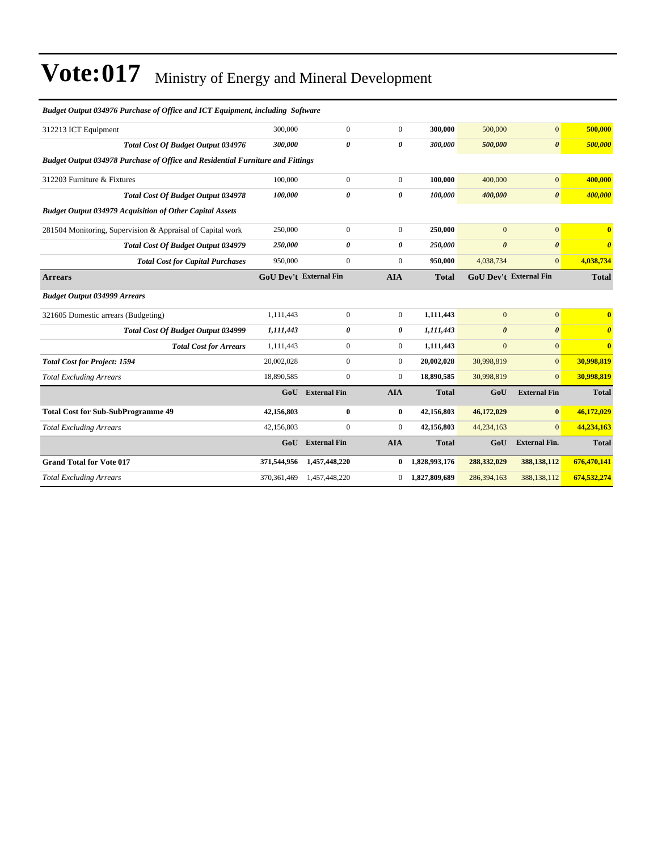| Budget Output 034976 Purchase of Office and ICT Equipment, including Software         |                               |                       |                       |               |                       |                        |                                  |
|---------------------------------------------------------------------------------------|-------------------------------|-----------------------|-----------------------|---------------|-----------------------|------------------------|----------------------------------|
| 312213 ICT Equipment                                                                  | 300,000                       | $\boldsymbol{0}$      | $\mathbf{0}$          | 300,000       | 500,000               | $\overline{0}$         | 500,000                          |
| <b>Total Cost Of Budget Output 034976</b>                                             | 300,000                       | 0                     | $\boldsymbol{\theta}$ | 300,000       | 500,000               | $\boldsymbol{\theta}$  | 500,000                          |
| <b>Budget Output 034978 Purchase of Office and Residential Furniture and Fittings</b> |                               |                       |                       |               |                       |                        |                                  |
| 312203 Furniture & Fixtures                                                           | 100,000                       | $\overline{0}$        | $\mathbf{0}$          | 100.000       | 400,000               | $\overline{0}$         | 400,000                          |
| <b>Total Cost Of Budget Output 034978</b>                                             | 100,000                       | $\boldsymbol{\theta}$ | 0                     | 100,000       | 400,000               | $\boldsymbol{\theta}$  | 400,000                          |
| <b>Budget Output 034979 Acquisition of Other Capital Assets</b>                       |                               |                       |                       |               |                       |                        |                                  |
| 281504 Monitoring, Supervision & Appraisal of Capital work                            | 250,000                       | $\overline{0}$        | $\mathbf{0}$          | 250,000       | $\overline{0}$        | $\overline{0}$         | $\overline{\mathbf{0}}$          |
| Total Cost Of Budget Output 034979                                                    | 250,000                       | $\boldsymbol{\theta}$ | 0                     | 250,000       | $\boldsymbol{\theta}$ | $\boldsymbol{\theta}$  | $\boldsymbol{\theta}$            |
| <b>Total Cost for Capital Purchases</b>                                               | 950,000                       | $\overline{0}$        | $\mathbf{0}$          | 950,000       | 4,038,734             | $\overline{0}$         | 4,038,734                        |
| <b>Arrears</b>                                                                        | <b>GoU Dev't External Fin</b> |                       | <b>AIA</b>            | <b>Total</b>  |                       | GoU Dev't External Fin | <b>Total</b>                     |
| <b>Budget Output 034999 Arrears</b>                                                   |                               |                       |                       |               |                       |                        |                                  |
| 321605 Domestic arrears (Budgeting)                                                   | 1,111,443                     | $\boldsymbol{0}$      | $\boldsymbol{0}$      | 1,111,443     | $\mathbf{0}$          | $\overline{0}$         | $\bf{0}$                         |
| Total Cost Of Budget Output 034999                                                    | 1,111,443                     | 0                     | 0                     | 1,111,443     | $\boldsymbol{\theta}$ | $\boldsymbol{\theta}$  | $\overline{\boldsymbol{\theta}}$ |
| <b>Total Cost for Arrears</b>                                                         | 1,111,443                     | $\boldsymbol{0}$      | $\boldsymbol{0}$      | 1,111,443     | $\mathbf{0}$          | $\overline{0}$         | $\bf{0}$                         |
| <b>Total Cost for Project: 1594</b>                                                   | 20,002,028                    | $\overline{0}$        | $\mathbf{0}$          | 20,002,028    | 30,998,819            | $\overline{0}$         | 30,998,819                       |
| <b>Total Excluding Arrears</b>                                                        | 18,890,585                    | $\boldsymbol{0}$      | $\mathbf{0}$          | 18,890,585    | 30,998,819            | $\Omega$               | 30,998,819                       |
|                                                                                       | GoU                           | <b>External Fin</b>   | <b>AIA</b>            | <b>Total</b>  | GoU                   | <b>External Fin</b>    | <b>Total</b>                     |
| <b>Total Cost for Sub-SubProgramme 49</b>                                             | 42,156,803                    | $\bf{0}$              | $\bf{0}$              | 42,156,803    | 46,172,029            | $\bf{0}$               | 46,172,029                       |
| <b>Total Excluding Arrears</b>                                                        | 42,156,803                    | $\boldsymbol{0}$      | $\mathbf{0}$          | 42,156,803    | 44,234,163            | $\Omega$               | 44,234,163                       |
|                                                                                       | GoU                           | <b>External Fin</b>   | <b>AIA</b>            | <b>Total</b>  | GoU                   | <b>External Fin.</b>   | <b>Total</b>                     |
| <b>Grand Total for Vote 017</b>                                                       | 371,544,956                   | 1,457,448,220         | $\bf{0}$              | 1,828,993,176 | 288,332,029           | 388,138,112            | 676,470,141                      |
| <b>Total Excluding Arrears</b>                                                        | 370, 361, 469                 | 1,457,448,220         | $\overline{0}$        | 1,827,809,689 | 286,394,163           | 388,138,112            | 674,532,274                      |